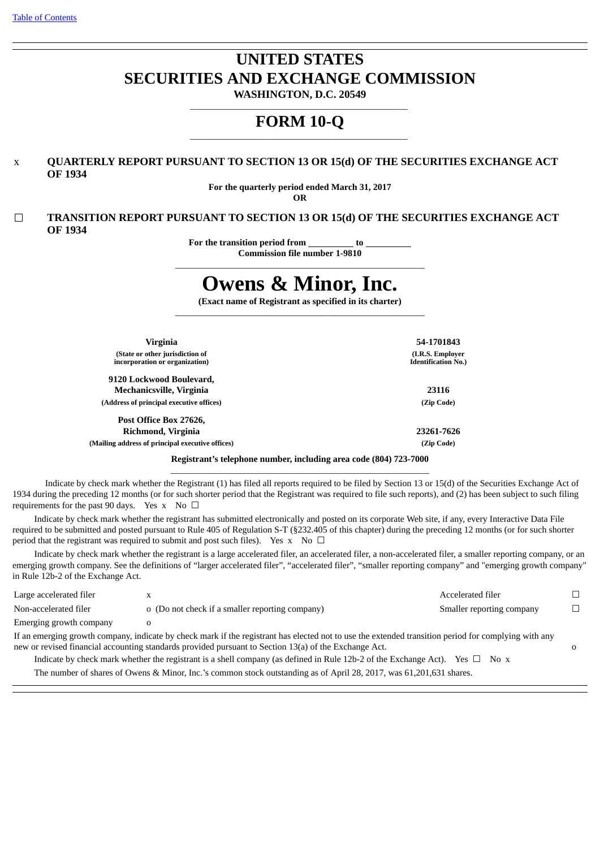# **UNITED STATES SECURITIES AND EXCHANGE COMMISSION**

**WASHINGTON, D.C. 20549** \_\_\_\_\_\_\_\_\_\_\_\_\_\_\_\_\_\_\_\_\_\_\_\_\_\_\_\_\_\_\_\_\_\_\_\_\_\_\_\_\_\_\_\_\_\_\_\_

# **FORM 10-Q** \_\_\_\_\_\_\_\_\_\_\_\_\_\_\_\_\_\_\_\_\_\_\_\_\_\_\_\_\_\_\_\_\_\_\_\_\_\_\_\_\_\_\_\_\_\_\_\_

### x **QUARTERLY REPORT PURSUANT TO SECTION 13 OR 15(d) OF THE SECURITIES EXCHANGE ACT OF 1934**

**For the quarterly period ended March 31, 2017 OR**

### ☐ **TRANSITION REPORT PURSUANT TO SECTION 13 OR 15(d) OF THE SECURITIES EXCHANGE ACT OF 1934**

**For the transition period from to**

**Commission file number 1-9810** \_\_\_\_\_\_\_\_\_\_\_\_\_\_\_\_\_\_\_\_\_\_\_\_\_\_\_\_\_\_\_\_\_\_\_\_\_\_\_\_\_\_\_\_\_\_\_\_\_\_\_\_\_\_\_

# **Owens & Minor, Inc.**

**(Exact name of Registrant as specified in its charter)** \_\_\_\_\_\_\_\_\_\_\_\_\_\_\_\_\_\_\_\_\_\_\_\_\_\_\_\_\_\_\_\_\_\_\_\_\_\_\_\_\_\_\_\_\_\_\_\_\_\_\_\_\_\_\_

| Virginia                                                          | 54-1701843                                     |
|-------------------------------------------------------------------|------------------------------------------------|
| (State or other jurisdiction of<br>incorporation or organization) | (I.R.S. Employer<br><b>Identification No.)</b> |
| 9120 Lockwood Boulevard,                                          |                                                |
| Mechanicsville, Virginia                                          | 23116                                          |
| (Address of principal executive offices)                          | (Zip Code)                                     |
| Post Office Box 27626.                                            |                                                |
| Richmond, Virginia                                                | 23261-7626                                     |
| (Mailing address of principal executive offices)                  | (Zip Code)                                     |
|                                                                   |                                                |

**Registrant's telephone number, including area code (804) 723-7000** \_\_\_\_\_\_\_\_\_\_\_\_\_\_\_\_\_\_\_\_\_\_\_\_\_\_\_\_\_\_\_\_\_\_\_\_\_\_\_\_\_\_\_\_\_\_\_\_\_\_\_\_\_\_\_\_\_

Indicate by check mark whether the Registrant (1) has filed all reports required to be filed by Section 13 or 15(d) of the Securities Exchange Act of 1934 during the preceding 12 months (or for such shorter period that the Registrant was required to file such reports), and (2) has been subject to such filing requirements for the past 90 days. Yes x No  $\Box$ 

Indicate by check mark whether the registrant has submitted electronically and posted on its corporate Web site, if any, every Interactive Data File required to be submitted and posted pursuant to Rule 405 of Regulation S-T (§232.405 of this chapter) during the preceding 12 months (or for such shorter period that the registrant was required to submit and post such files). Yes  $x$  No  $\Box$ 

Indicate by check mark whether the registrant is a large accelerated filer, an accelerated filer, a non-accelerated filer, a smaller reporting company, or an emerging growth company. See the definitions of "larger accelerated filer", "accelerated filer", "smaller reporting company" and "emerging growth company" in Rule 12b-2 of the Exchange Act.

| Large accelerated filer |                                                                                                                                                                                                                                                               | Accelerated filer         |    |
|-------------------------|---------------------------------------------------------------------------------------------------------------------------------------------------------------------------------------------------------------------------------------------------------------|---------------------------|----|
| Non-accelerated filer   | o (Do not check if a smaller reporting company)                                                                                                                                                                                                               | Smaller reporting company | П. |
| Emerging growth company |                                                                                                                                                                                                                                                               |                           |    |
|                         | If an emerging growth company, indicate by check mark if the registrant has elected not to use the extended transition period for complying with any<br>new or revised financial accounting standards provided pursuant to Section 13(a) of the Exchange Act. |                           |    |

Indicate by check mark whether the registrant is a shell company (as defined in Rule 12b-2 of the Exchange Act). Yes  $\Box$  No x

The number of shares of Owens & Minor, Inc.'s common stock outstanding as of April 28, 2017, was 61,201,631 shares.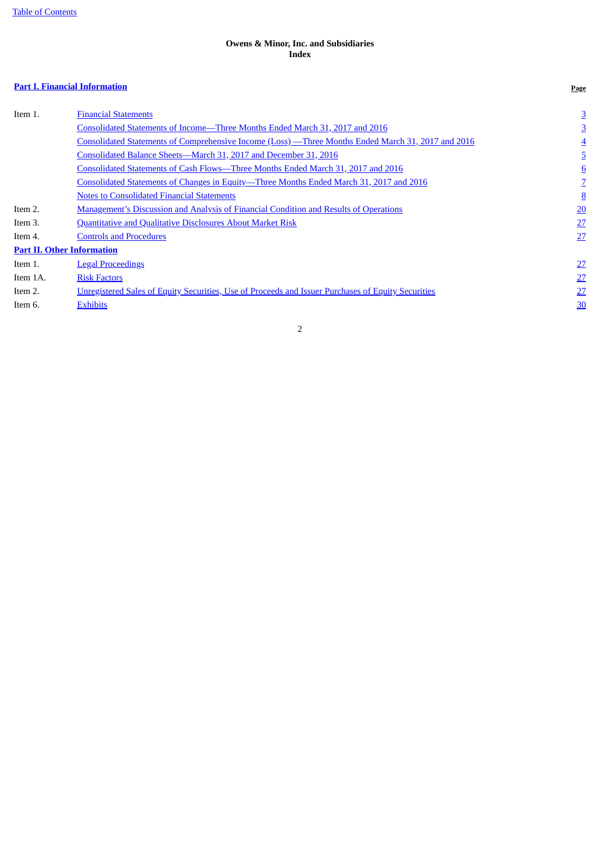### **Owens & Minor, Inc. and Subsidiaries Index**

# <span id="page-1-0"></span>**Part I. Financial [Information](#page-2-0) Page**

| Item 1.  | <b>Financial Statements</b>                                                                               | $\overline{3}$  |
|----------|-----------------------------------------------------------------------------------------------------------|-----------------|
|          | <b>Consolidated Statements of Income-Three Months Ended March 31, 2017 and 2016</b>                       |                 |
|          | <u>Consolidated Statements of Comprehensive Income (Loss) —Three Months Ended March 31, 2017 and 2016</u> | 4               |
|          | Consolidated Balance Sheets-March 31, 2017 and December 31, 2016                                          |                 |
|          | Consolidated Statements of Cash Flows—Three Months Ended March 31, 2017 and 2016                          | $6\phantom{1}6$ |
|          | <u>Consolidated Statements of Changes in Equity-Three Months Ended March 31, 2017 and 2016</u>            |                 |
|          | <b>Notes to Consolidated Financial Statements</b>                                                         | 8               |
| Item 2.  | <b>Management's Discussion and Analysis of Financial Condition and Results of Operations</b>              | 20              |
| Item 3.  | <b>Quantitative and Qualitative Disclosures About Market Risk</b>                                         | 27              |
| Item 4.  | <b>Controls and Procedures</b>                                                                            | 27              |
|          | <b>Part II. Other Information</b>                                                                         |                 |
| Item 1.  | <b>Legal Proceedings</b>                                                                                  | 27              |
| Item 1A. | <b>Risk Factors</b>                                                                                       | 27              |
| Item 2.  | Unregistered Sales of Equity Securities, Use of Proceeds and Issuer Purchases of Equity Securities        | 27              |
| Item 6.  | <b>Exhibits</b>                                                                                           | 30              |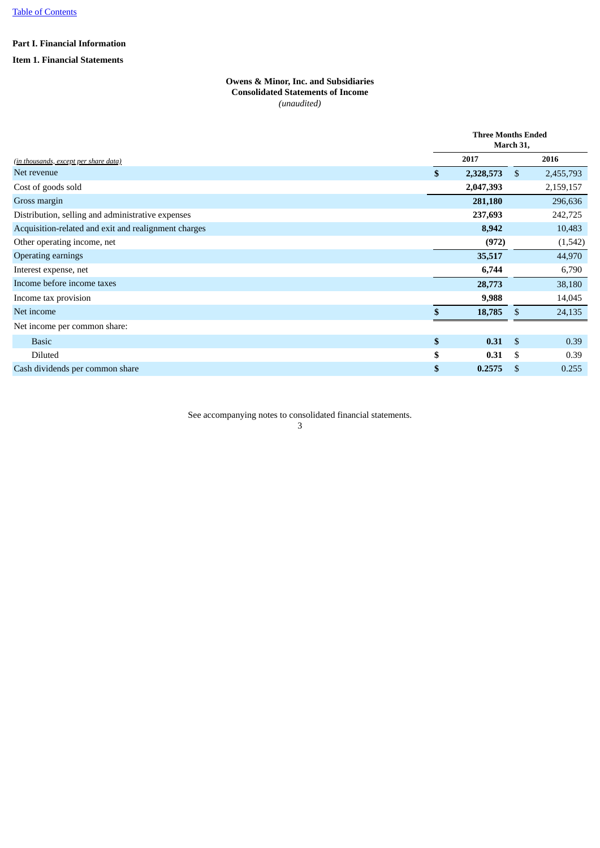# <span id="page-2-0"></span>**Part I. Financial Information**

# <span id="page-2-2"></span><span id="page-2-1"></span>**Item 1. Financial Statements**

### **Owens & Minor, Inc. and Subsidiaries Consolidated Statements of Income** *(unaudited)*

|                                                      | <b>Three Months Ended</b><br>March 31, |           |               |           |
|------------------------------------------------------|----------------------------------------|-----------|---------------|-----------|
| (in thousands, except per share data)                |                                        | 2017      |               | 2016      |
| Net revenue                                          | \$                                     | 2,328,573 | $\mathbb{S}$  | 2,455,793 |
| Cost of goods sold                                   |                                        | 2,047,393 |               | 2,159,157 |
| Gross margin                                         |                                        | 281,180   |               | 296,636   |
| Distribution, selling and administrative expenses    |                                        | 237,693   |               | 242,725   |
| Acquisition-related and exit and realignment charges |                                        | 8,942     |               | 10,483    |
| Other operating income, net                          |                                        | (972)     |               | (1, 542)  |
| <b>Operating earnings</b>                            |                                        | 35,517    |               | 44,970    |
| Interest expense, net                                |                                        | 6,744     |               | 6,790     |
| Income before income taxes                           |                                        | 28,773    |               | 38,180    |
| Income tax provision                                 |                                        | 9,988     |               | 14,045    |
| Net income                                           |                                        | 18,785    | $\mathsf{\$}$ | 24,135    |
| Net income per common share:                         |                                        |           |               |           |
| <b>Basic</b>                                         | \$                                     | 0.31      | -\$           | 0.39      |
| Diluted                                              | \$                                     | 0.31      | \$            | 0.39      |
| Cash dividends per common share                      | \$                                     | 0.2575    | \$            | 0.255     |

See accompanying notes to consolidated financial statements.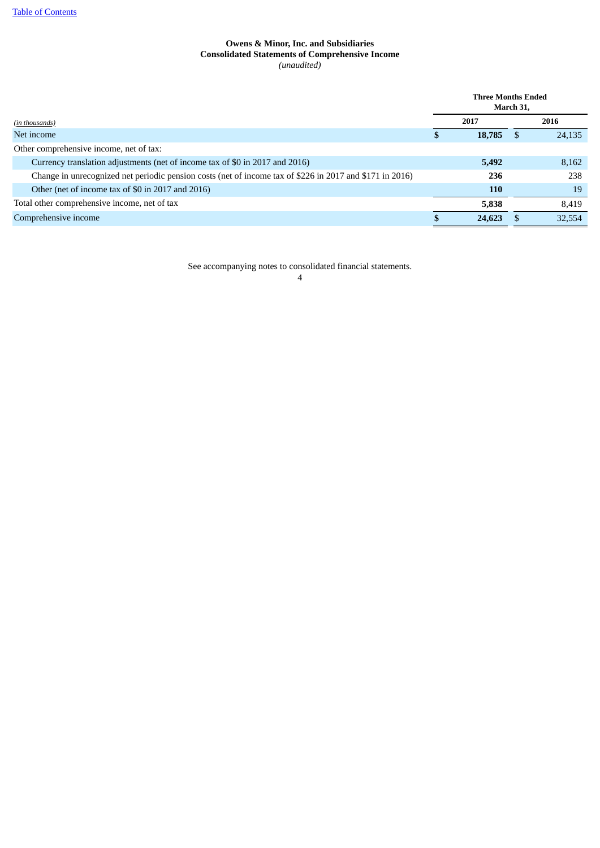### **Owens & Minor, Inc. and Subsidiaries Consolidated Statements of Comprehensive Income** *(unaudited)*

<span id="page-3-0"></span>

|                                                                                                          |  | <b>Three Months Ended</b><br>March 31, |  |        |
|----------------------------------------------------------------------------------------------------------|--|----------------------------------------|--|--------|
| (in thousands)                                                                                           |  | 2017                                   |  | 2016   |
| Net income                                                                                               |  | 18,785                                 |  | 24,135 |
| Other comprehensive income, net of tax:                                                                  |  |                                        |  |        |
| Currency translation adjustments (net of income tax of \$0 in 2017 and 2016)                             |  | 5,492                                  |  | 8,162  |
| Change in unrecognized net periodic pension costs (net of income tax of \$226 in 2017 and \$171 in 2016) |  | 236                                    |  | 238    |
| Other (net of income tax of \$0 in 2017 and 2016)                                                        |  | <b>110</b>                             |  | 19     |
| Total other comprehensive income, net of tax                                                             |  | 5,838                                  |  | 8,419  |
| Comprehensive income                                                                                     |  | 24,623                                 |  | 32,554 |

See accompanying notes to consolidated financial statements.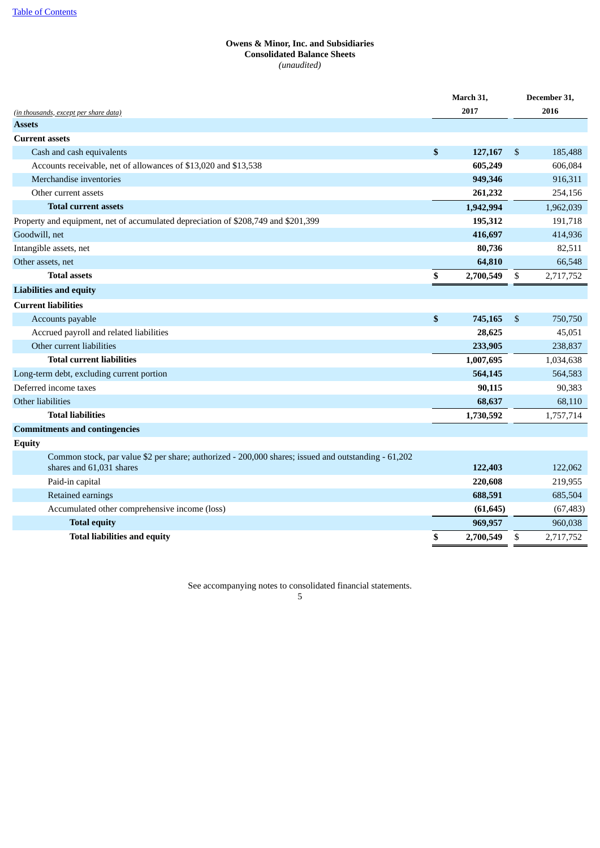### **Owens & Minor, Inc. and Subsidiaries Consolidated Balance Sheets** *(unaudited)*

<span id="page-4-0"></span>

|                                                                                                                                 | March 31, |           | December 31,    |  |  |
|---------------------------------------------------------------------------------------------------------------------------------|-----------|-----------|-----------------|--|--|
| (in thousands, except per share data)                                                                                           |           | 2017      | 2016            |  |  |
| <b>Assets</b>                                                                                                                   |           |           |                 |  |  |
| <b>Current assets</b>                                                                                                           |           |           |                 |  |  |
| Cash and cash equivalents                                                                                                       | \$        | 127,167   | \$<br>185,488   |  |  |
| Accounts receivable, net of allowances of \$13,020 and \$13,538                                                                 |           | 605,249   | 606,084         |  |  |
| Merchandise inventories                                                                                                         |           | 949,346   | 916,311         |  |  |
| Other current assets                                                                                                            |           | 261,232   | 254,156         |  |  |
| <b>Total current assets</b>                                                                                                     |           | 1,942,994 | 1,962,039       |  |  |
| Property and equipment, net of accumulated depreciation of \$208,749 and \$201,399                                              |           | 195,312   | 191,718         |  |  |
| Goodwill, net                                                                                                                   |           | 416,697   | 414,936         |  |  |
| Intangible assets, net                                                                                                          |           | 80,736    | 82,511          |  |  |
| Other assets, net                                                                                                               |           | 64,810    | 66,548          |  |  |
| <b>Total assets</b>                                                                                                             | \$        | 2,700,549 | \$<br>2,717,752 |  |  |
| <b>Liabilities and equity</b>                                                                                                   |           |           |                 |  |  |
| <b>Current liabilities</b>                                                                                                      |           |           |                 |  |  |
| Accounts payable                                                                                                                | \$        | 745,165   | \$<br>750,750   |  |  |
| Accrued payroll and related liabilities                                                                                         |           | 28,625    | 45,051          |  |  |
| Other current liabilities                                                                                                       |           | 233,905   | 238,837         |  |  |
| <b>Total current liabilities</b>                                                                                                |           | 1,007,695 | 1,034,638       |  |  |
| Long-term debt, excluding current portion                                                                                       |           | 564,145   | 564,583         |  |  |
| Deferred income taxes                                                                                                           |           | 90,115    | 90,383          |  |  |
| Other liabilities                                                                                                               |           | 68,637    | 68,110          |  |  |
| <b>Total liabilities</b>                                                                                                        |           | 1,730,592 | 1,757,714       |  |  |
| <b>Commitments and contingencies</b>                                                                                            |           |           |                 |  |  |
| <b>Equity</b>                                                                                                                   |           |           |                 |  |  |
| Common stock, par value \$2 per share; authorized - 200,000 shares; issued and outstanding - 61,202<br>shares and 61,031 shares |           | 122,403   | 122,062         |  |  |
| Paid-in capital                                                                                                                 |           | 220,608   | 219,955         |  |  |
| Retained earnings                                                                                                               |           | 688,591   | 685,504         |  |  |
| Accumulated other comprehensive income (loss)                                                                                   |           | (61, 645) | (67, 483)       |  |  |
| <b>Total equity</b>                                                                                                             |           | 969,957   | 960,038         |  |  |
| <b>Total liabilities and equity</b>                                                                                             | \$        | 2,700,549 | \$<br>2,717,752 |  |  |

See accompanying notes to consolidated financial statements.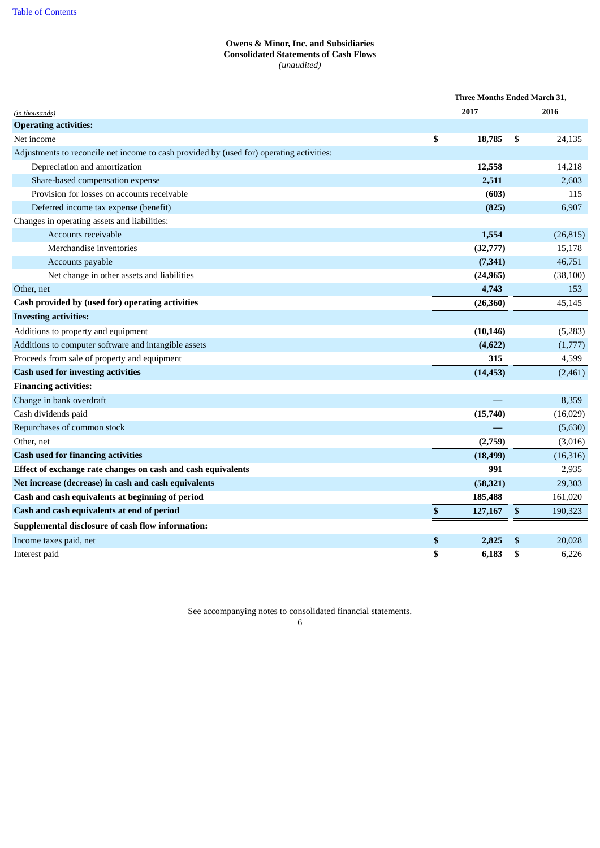### **Owens & Minor, Inc. and Subsidiaries Consolidated Statements of Cash Flows** *(unaudited)*

<span id="page-5-0"></span>

|                                                                                          | Three Months Ended March 31, |    |           |
|------------------------------------------------------------------------------------------|------------------------------|----|-----------|
| (in thousands)                                                                           | 2017                         |    | 2016      |
| <b>Operating activities:</b>                                                             |                              |    |           |
| Net income                                                                               | \$<br>18,785                 | \$ | 24,135    |
| Adjustments to reconcile net income to cash provided by (used for) operating activities: |                              |    |           |
| Depreciation and amortization                                                            | 12,558                       |    | 14,218    |
| Share-based compensation expense                                                         | 2,511                        |    | 2,603     |
| Provision for losses on accounts receivable                                              | (603)                        |    | 115       |
| Deferred income tax expense (benefit)                                                    | (825)                        |    | 6,907     |
| Changes in operating assets and liabilities:                                             |                              |    |           |
| Accounts receivable                                                                      | 1,554                        |    | (26, 815) |
| Merchandise inventories                                                                  | (32, 777)                    |    | 15,178    |
| Accounts payable                                                                         | (7, 341)                     |    | 46,751    |
| Net change in other assets and liabilities                                               | (24, 965)                    |    | (38, 100) |
| Other, net                                                                               | 4,743                        |    | 153       |
| Cash provided by (used for) operating activities                                         | (26, 360)                    |    | 45,145    |
| <b>Investing activities:</b>                                                             |                              |    |           |
| Additions to property and equipment                                                      | (10, 146)                    |    | (5,283)   |
| Additions to computer software and intangible assets                                     | (4,622)                      |    | (1,777)   |
| Proceeds from sale of property and equipment                                             | 315                          |    | 4,599     |
| <b>Cash used for investing activities</b>                                                | (14, 453)                    |    | (2,461)   |
| <b>Financing activities:</b>                                                             |                              |    |           |
| Change in bank overdraft                                                                 |                              |    | 8,359     |
| Cash dividends paid                                                                      | (15,740)                     |    | (16,029)  |
| Repurchases of common stock                                                              |                              |    | (5,630)   |
| Other, net                                                                               | (2,759)                      |    | (3,016)   |
| <b>Cash used for financing activities</b>                                                | (18, 499)                    |    | (16, 316) |
| Effect of exchange rate changes on cash and cash equivalents                             | 991                          |    | 2,935     |
| Net increase (decrease) in cash and cash equivalents                                     | (58, 321)                    |    | 29,303    |
| Cash and cash equivalents at beginning of period                                         | 185,488                      |    | 161,020   |
| Cash and cash equivalents at end of period                                               | \$<br>127,167                | \$ | 190,323   |
| Supplemental disclosure of cash flow information:                                        |                              |    |           |
| Income taxes paid, net                                                                   | \$<br>2,825                  | \$ | 20,028    |
| Interest paid                                                                            | \$<br>6,183                  | \$ | 6,226     |

See accompanying notes to consolidated financial statements.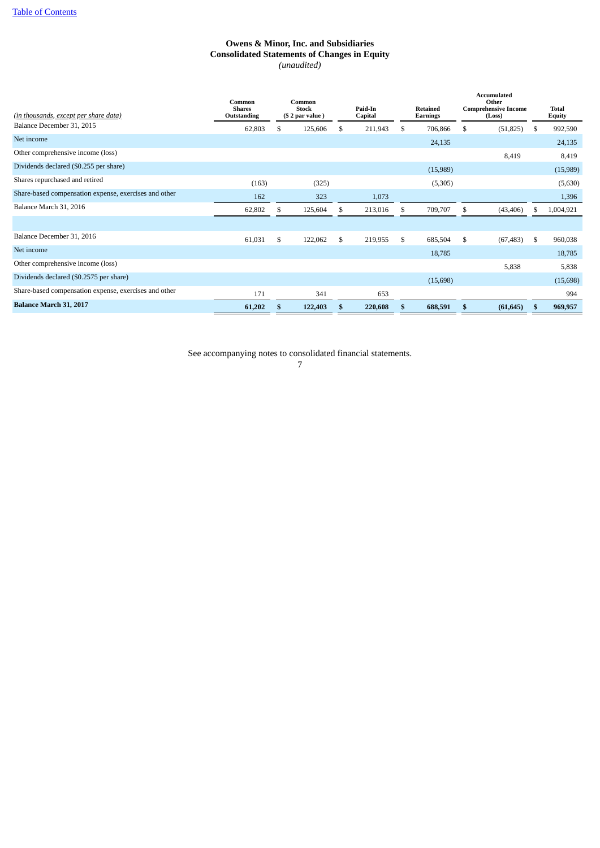### **Owens & Minor, Inc. and Subsidiaries Consolidated Statements of Changes in Equity** *(unaudited)*

<span id="page-6-0"></span>

| (in thousands, except per share data)                 | Common<br><b>Shares</b><br>Outstanding | Common<br><b>Stock</b><br>$$2$ par value) |    | Paid-In<br>Capital |     | <b>Retained</b><br><b>Earnings</b> |    | <b>Accumulated</b><br>Other<br><b>Comprehensive Income</b><br>(Loss) | <b>Total</b><br>Equity |
|-------------------------------------------------------|----------------------------------------|-------------------------------------------|----|--------------------|-----|------------------------------------|----|----------------------------------------------------------------------|------------------------|
| Balance December 31, 2015                             | 62,803                                 | 125,606                                   | S  | 211,943            | \$  | 706,866                            | \$ | (51, 825)                                                            | \$<br>992,590          |
| Net income                                            |                                        |                                           |    |                    |     | 24,135                             |    |                                                                      | 24,135                 |
| Other comprehensive income (loss)                     |                                        |                                           |    |                    |     |                                    |    | 8,419                                                                | 8,419                  |
| Dividends declared (\$0.255 per share)                |                                        |                                           |    |                    |     | (15,989)                           |    |                                                                      | (15,989)               |
| Shares repurchased and retired                        | (163)                                  | (325)                                     |    |                    |     | (5,305)                            |    |                                                                      | (5,630)                |
| Share-based compensation expense, exercises and other | 162                                    | 323                                       |    | 1,073              |     |                                    |    |                                                                      | 1,396                  |
| Balance March 31, 2016                                | 62,802                                 | 125,604                                   | S. | 213,016            | \$. | 709,707                            | S  | (43, 406)                                                            | 1,004,921              |
|                                                       |                                        |                                           |    |                    |     |                                    |    |                                                                      |                        |
| Balance December 31, 2016                             | 61,031                                 | \$<br>122,062                             | \$ | 219,955            | \$  | 685,504                            | \$ | (67, 483)                                                            | \$<br>960,038          |
| Net income                                            |                                        |                                           |    |                    |     | 18,785                             |    |                                                                      | 18,785                 |
| Other comprehensive income (loss)                     |                                        |                                           |    |                    |     |                                    |    | 5,838                                                                | 5,838                  |
| Dividends declared (\$0.2575 per share)               |                                        |                                           |    |                    |     | (15,698)                           |    |                                                                      | (15,698)               |
| Share-based compensation expense, exercises and other | 171                                    | 341                                       |    | 653                |     |                                    |    |                                                                      | 994                    |
| <b>Balance March 31, 2017</b>                         | 61,202                                 | 122,403                                   | S. | 220,608            | \$  | 688,591                            | S  | (61, 645)                                                            | \$<br>969,957          |

See accompanying notes to consolidated financial statements.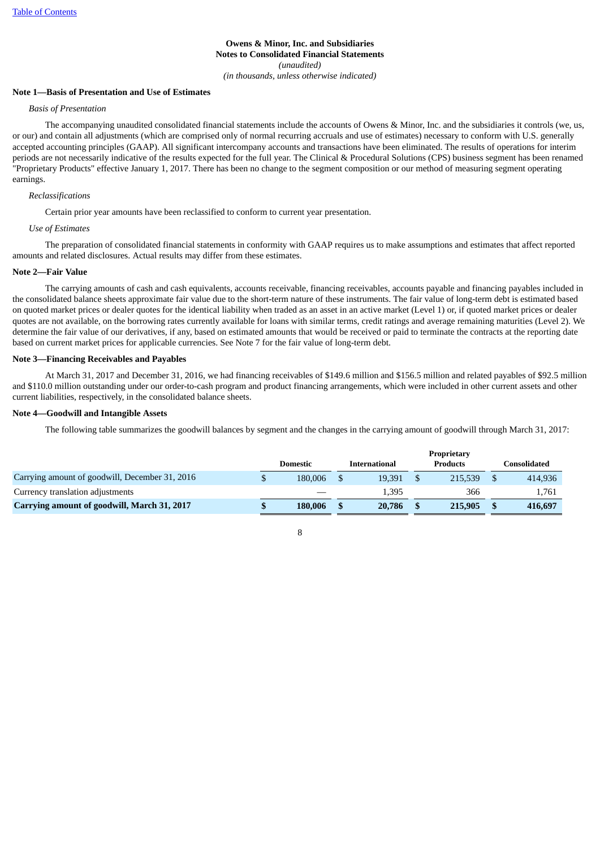### **Owens & Minor, Inc. and Subsidiaries Notes to Consolidated Financial Statements** *(unaudited) (in thousands, unless otherwise indicated)*

#### <span id="page-7-0"></span>**Note 1—Basis of Presentation and Use of Estimates**

#### *Basis of Presentation*

The accompanying unaudited consolidated financial statements include the accounts of Owens & Minor, Inc. and the subsidiaries it controls (we, us, or our) and contain all adjustments (which are comprised only of normal recurring accruals and use of estimates) necessary to conform with U.S. generally accepted accounting principles (GAAP). All significant intercompany accounts and transactions have been eliminated. The results of operations for interim periods are not necessarily indicative of the results expected for the full year. The Clinical & Procedural Solutions (CPS) business segment has been renamed "Proprietary Products" effective January 1, 2017. There has been no change to the segment composition or our method of measuring segment operating earnings.

#### *Reclassifications*

Certain prior year amounts have been reclassified to conform to current year presentation.

#### *Use of Estimates*

The preparation of consolidated financial statements in conformity with GAAP requires us to make assumptions and estimates that affect reported amounts and related disclosures. Actual results may differ from these estimates.

#### **Note 2—Fair Value**

The carrying amounts of cash and cash equivalents, accounts receivable, financing receivables, accounts payable and financing payables included in the consolidated balance sheets approximate fair value due to the short-term nature of these instruments. The fair value of long-term debt is estimated based on quoted market prices or dealer quotes for the identical liability when traded as an asset in an active market (Level 1) or, if quoted market prices or dealer quotes are not available, on the borrowing rates currently available for loans with similar terms, credit ratings and average remaining maturities (Level 2). We determine the fair value of our derivatives, if any, based on estimated amounts that would be received or paid to terminate the contracts at the reporting date based on current market prices for applicable currencies. See Note 7 for the fair value of long-term debt.

#### **Note 3—Financing Receivables and Payables**

At March 31, 2017 and December 31, 2016, we had financing receivables of \$149.6 million and \$156.5 million and related payables of \$92.5 million and \$110.0 million outstanding under our order-to-cash program and product financing arrangements, which were included in other current assets and other current liabilities, respectively, in the consolidated balance sheets.

#### **Note 4—Goodwill and Intangible Assets**

The following table summarizes the goodwill balances by segment and the changes in the carrying amount of goodwill through March 31, 2017:

|                                                |                           | Proprietary |        |                 |              |  |         |
|------------------------------------------------|---------------------------|-------------|--------|-----------------|--------------|--|---------|
|                                                | International<br>Domestic |             |        | <b>Products</b> | Consolidated |  |         |
| Carrying amount of goodwill, December 31, 2016 | 180.006                   |             | 19.391 |                 | 215,539      |  | 414.936 |
| Currency translation adjustments               |                           |             | 1.395  |                 | 366          |  | 1.761   |
| Carrying amount of goodwill, March 31, 2017    | 180,006                   |             | 20,786 |                 | 215,905      |  | 416,697 |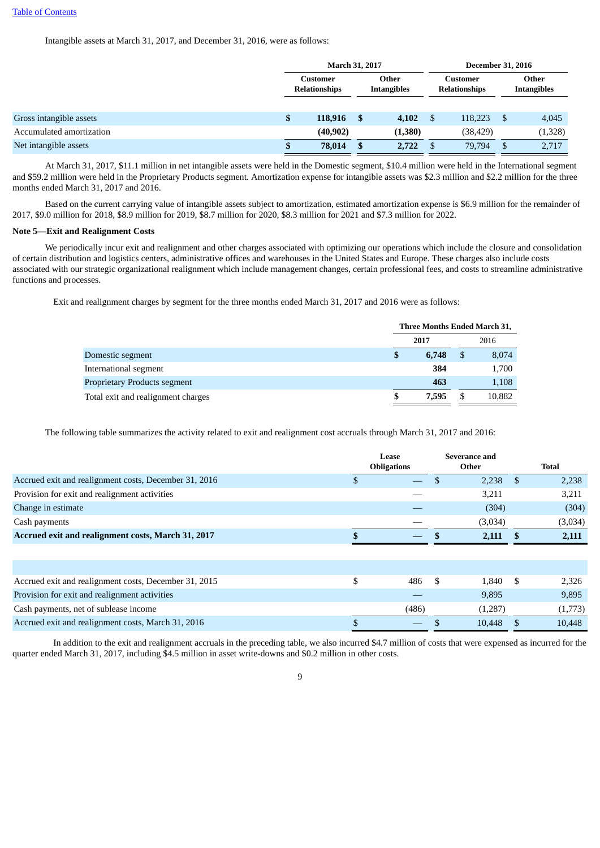Intangible assets at March 31, 2017, and December 31, 2016, were as follows:

|                          | March 31, 2017 |                                                                        |  |                                  |   | <b>December 31, 2016</b>    |    |         |  |  |
|--------------------------|----------------|------------------------------------------------------------------------|--|----------------------------------|---|-----------------------------|----|---------|--|--|
|                          |                | Other<br><b>Customer</b><br><b>Relationships</b><br><b>Intangibles</b> |  | Customer<br><b>Relationships</b> |   | Other<br><b>Intangibles</b> |    |         |  |  |
|                          |                |                                                                        |  |                                  |   |                             |    |         |  |  |
| Gross intangible assets  | \$             | 118,916                                                                |  | 4,102                            | S | 118,223                     | S  | 4,045   |  |  |
| Accumulated amortization |                | (40, 902)                                                              |  | (1,380)                          |   | (38,429)                    |    | (1,328) |  |  |
| Net intangible assets    |                | 78,014                                                                 |  | 2,722                            | S | 79,794                      | \$ | 2,717   |  |  |

At March 31, 2017, \$11.1 million in net intangible assets were held in the Domestic segment, \$10.4 million were held in the International segment and \$59.2 million were held in the Proprietary Products segment. Amortization expense for intangible assets was \$2.3 million and \$2.2 million for the three months ended March 31, 2017 and 2016.

Based on the current carrying value of intangible assets subject to amortization, estimated amortization expense is \$6.9 million for the remainder of 2017, \$9.0 million for 2018, \$8.9 million for 2019, \$8.7 million for 2020, \$8.3 million for 2021 and \$7.3 million for 2022.

#### **Note 5—Exit and Realignment Costs**

We periodically incur exit and realignment and other charges associated with optimizing our operations which include the closure and consolidation of certain distribution and logistics centers, administrative offices and warehouses in the United States and Europe. These charges also include costs associated with our strategic organizational realignment which include management changes, certain professional fees, and costs to streamline administrative functions and processes.

Exit and realignment charges by segment for the three months ended March 31, 2017 and 2016 were as follows:

|                                     | Three Months Ended March 31, |      |        |  |  |  |
|-------------------------------------|------------------------------|------|--------|--|--|--|
|                                     | 2017                         | 2016 |        |  |  |  |
| Domestic segment                    | \$<br>6,748                  |      | 8,074  |  |  |  |
| International segment               | 384                          |      | 1,700  |  |  |  |
| <b>Proprietary Products segment</b> | 463                          |      | 1,108  |  |  |  |
| Total exit and realignment charges  | \$<br>7.595                  |      | 10,882 |  |  |  |

The following table summarizes the activity related to exit and realignment cost accruals through March 31, 2017 and 2016:

|                                                       |   | Lease<br><b>Obligations</b> | <b>Severance and</b><br>Other |      | <b>Total</b> |
|-------------------------------------------------------|---|-----------------------------|-------------------------------|------|--------------|
| Accrued exit and realignment costs, December 31, 2016 | D | $\overline{\phantom{m}}$    | 2,238                         | - \$ | 2,238        |
| Provision for exit and realignment activities         |   |                             | 3,211                         |      | 3,211        |
| Change in estimate                                    |   |                             | (304)                         |      | (304)        |
| Cash payments                                         |   |                             | (3,034)                       |      | (3,034)      |
| Accrued exit and realignment costs, March 31, 2017    |   |                             | 2,111                         |      | 2,111        |
|                                                       |   |                             |                               |      |              |
|                                                       |   |                             |                               |      |              |

| Accrued exit and realignment costs, December 31, 2015 | 486                             | .840.،  | 2.326   |
|-------------------------------------------------------|---------------------------------|---------|---------|
| Provision for exit and realignment activities         |                                 | 9.895   | 9,895   |
| Cash payments, net of sublease income                 | (486)                           | (1,287) | (1,773) |
| Accrued exit and realignment costs, March 31, 2016    | $\hspace{0.1mm}-\hspace{0.1mm}$ | 10.448  | 10.448  |

In addition to the exit and realignment accruals in the preceding table, we also incurred \$4.7 million of costs that were expensed as incurred for the quarter ended March 31, 2017, including \$4.5 million in asset write-downs and \$0.2 million in other costs.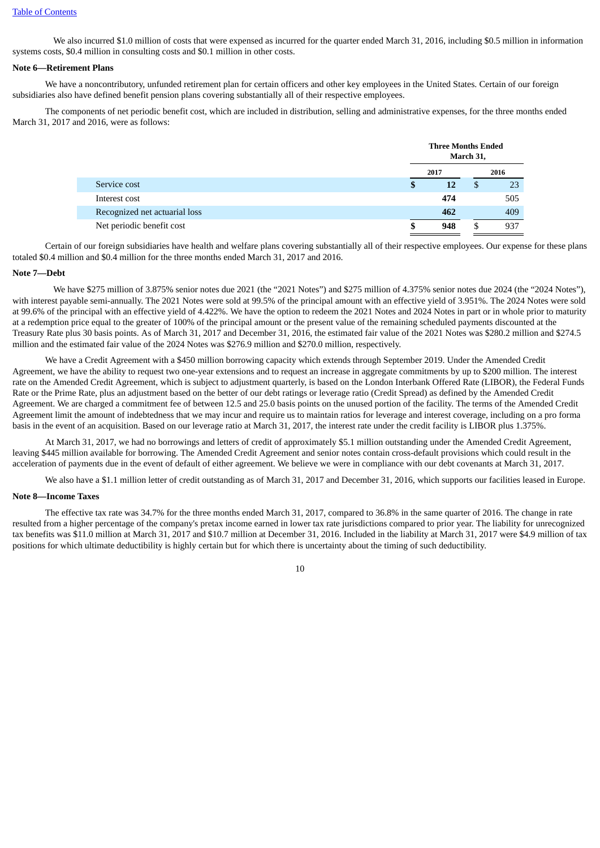We also incurred \$1.0 million of costs that were expensed as incurred for the quarter ended March 31, 2016, including \$0.5 million in information systems costs, \$0.4 million in consulting costs and \$0.1 million in other costs.

#### **Note 6—Retirement Plans**

We have a noncontributory, unfunded retirement plan for certain officers and other key employees in the United States. Certain of our foreign subsidiaries also have defined benefit pension plans covering substantially all of their respective employees.

The components of net periodic benefit cost, which are included in distribution, selling and administrative expenses, for the three months ended March 31, 2017 and 2016, were as follows:

|                               |    | <b>Three Months Ended</b><br>March 31, |    |      |  |  |
|-------------------------------|----|----------------------------------------|----|------|--|--|
|                               |    | 2017                                   |    | 2016 |  |  |
| Service cost                  | S  | 12                                     | \$ | 23   |  |  |
| Interest cost                 |    | 474                                    |    | 505  |  |  |
| Recognized net actuarial loss |    | 462                                    |    | 409  |  |  |
| Net periodic benefit cost     | \$ | 948                                    | S  | 937  |  |  |

Certain of our foreign subsidiaries have health and welfare plans covering substantially all of their respective employees. Our expense for these plans totaled \$0.4 million and \$0.4 million for the three months ended March 31, 2017 and 2016.

#### **Note 7—Debt**

We have \$275 million of 3.875% senior notes due 2021 (the "2021 Notes") and \$275 million of 4.375% senior notes due 2024 (the "2024 Notes"), with interest payable semi-annually. The 2021 Notes were sold at 99.5% of the principal amount with an effective yield of 3.951%. The 2024 Notes were sold at 99.6% of the principal with an effective yield of 4.422%. We have the option to redeem the 2021 Notes and 2024 Notes in part or in whole prior to maturity at a redemption price equal to the greater of 100% of the principal amount or the present value of the remaining scheduled payments discounted at the Treasury Rate plus 30 basis points. As of March 31, 2017 and December 31, 2016, the estimated fair value of the 2021 Notes was \$280.2 million and \$274.5 million and the estimated fair value of the 2024 Notes was \$276.9 million and \$270.0 million, respectively.

We have a Credit Agreement with a \$450 million borrowing capacity which extends through September 2019. Under the Amended Credit Agreement, we have the ability to request two one-year extensions and to request an increase in aggregate commitments by up to \$200 million. The interest rate on the Amended Credit Agreement, which is subject to adjustment quarterly, is based on the London Interbank Offered Rate (LIBOR), the Federal Funds Rate or the Prime Rate, plus an adjustment based on the better of our debt ratings or leverage ratio (Credit Spread) as defined by the Amended Credit Agreement. We are charged a commitment fee of between 12.5 and 25.0 basis points on the unused portion of the facility. The terms of the Amended Credit Agreement limit the amount of indebtedness that we may incur and require us to maintain ratios for leverage and interest coverage, including on a pro forma basis in the event of an acquisition. Based on our leverage ratio at March 31, 2017, the interest rate under the credit facility is LIBOR plus 1.375%.

At March 31, 2017, we had no borrowings and letters of credit of approximately \$5.1 million outstanding under the Amended Credit Agreement, leaving \$445 million available for borrowing. The Amended Credit Agreement and senior notes contain cross-default provisions which could result in the acceleration of payments due in the event of default of either agreement. We believe we were in compliance with our debt covenants at March 31, 2017.

We also have a \$1.1 million letter of credit outstanding as of March 31, 2017 and December 31, 2016, which supports our facilities leased in Europe.

#### **Note 8—Income Taxes**

The effective tax rate was 34.7% for the three months ended March 31, 2017, compared to 36.8% in the same quarter of 2016. The change in rate resulted from a higher percentage of the company's pretax income earned in lower tax rate jurisdictions compared to prior year. The liability for unrecognized tax benefits was \$11.0 million at March 31, 2017 and \$10.7 million at December 31, 2016. Included in the liability at March 31, 2017 were \$4.9 million of tax positions for which ultimate deductibility is highly certain but for which there is uncertainty about the timing of such deductibility.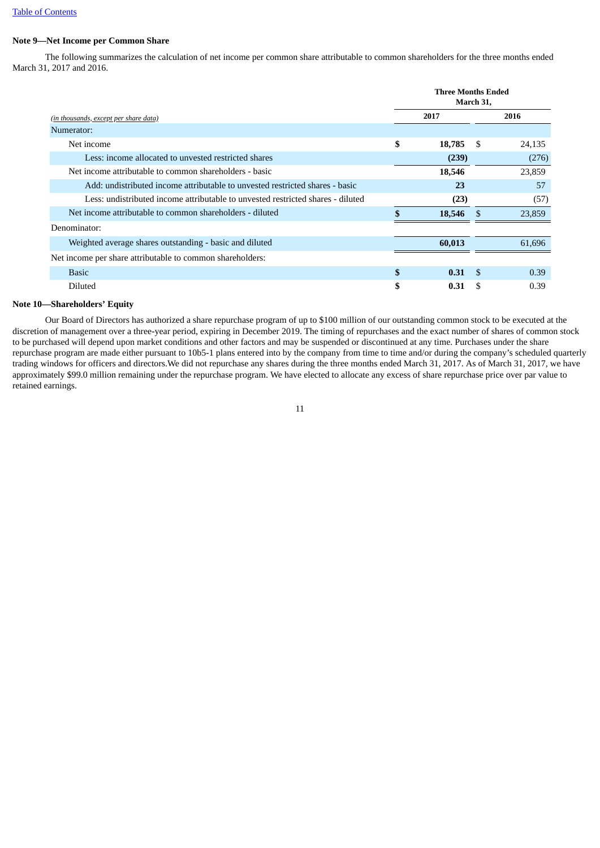### **Note 9—Net Income per Common Share**

The following summarizes the calculation of net income per common share attributable to common shareholders for the three months ended March 31, 2017 and 2016.

|                                                                                 | <b>Three Months Ended</b><br>March 31, |        |      |        |  |  |  |  |  |
|---------------------------------------------------------------------------------|----------------------------------------|--------|------|--------|--|--|--|--|--|
| <u>(in thousands, except per share data)</u>                                    |                                        | 2017   |      | 2016   |  |  |  |  |  |
| Numerator:                                                                      |                                        |        |      |        |  |  |  |  |  |
| Net income                                                                      | \$                                     | 18,785 | S    | 24,135 |  |  |  |  |  |
| Less: income allocated to unvested restricted shares                            |                                        | (239)  |      | (276)  |  |  |  |  |  |
| Net income attributable to common shareholders - basic                          |                                        | 18,546 |      | 23,859 |  |  |  |  |  |
| Add: undistributed income attributable to unvested restricted shares - basic    |                                        | 23     |      | 57     |  |  |  |  |  |
| Less: undistributed income attributable to unvested restricted shares - diluted |                                        | (23)   |      | (57)   |  |  |  |  |  |
| Net income attributable to common shareholders - diluted                        |                                        | 18,546 | - \$ | 23,859 |  |  |  |  |  |
| Denominator:                                                                    |                                        |        |      |        |  |  |  |  |  |
| Weighted average shares outstanding - basic and diluted                         |                                        | 60,013 |      | 61,696 |  |  |  |  |  |
| Net income per share attributable to common shareholders:                       |                                        |        |      |        |  |  |  |  |  |
| <b>Basic</b>                                                                    | \$                                     | 0.31   | \$.  | 0.39   |  |  |  |  |  |
| Diluted                                                                         | \$                                     | 0.31   | \$.  | 0.39   |  |  |  |  |  |

#### **Note 10—Shareholders' Equity**

Our Board of Directors has authorized a share repurchase program of up to \$100 million of our outstanding common stock to be executed at the discretion of management over a three-year period, expiring in December 2019. The timing of repurchases and the exact number of shares of common stock to be purchased will depend upon market conditions and other factors and may be suspended or discontinued at any time. Purchases under the share repurchase program are made either pursuant to 10b5-1 plans entered into by the company from time to time and/or during the company's scheduled quarterly trading windows for officers and directors.We did not repurchase any shares during the three months ended March 31, 2017. As of March 31, 2017, we have approximately \$99.0 million remaining under the repurchase program. We have elected to allocate any excess of share repurchase price over par value to retained earnings.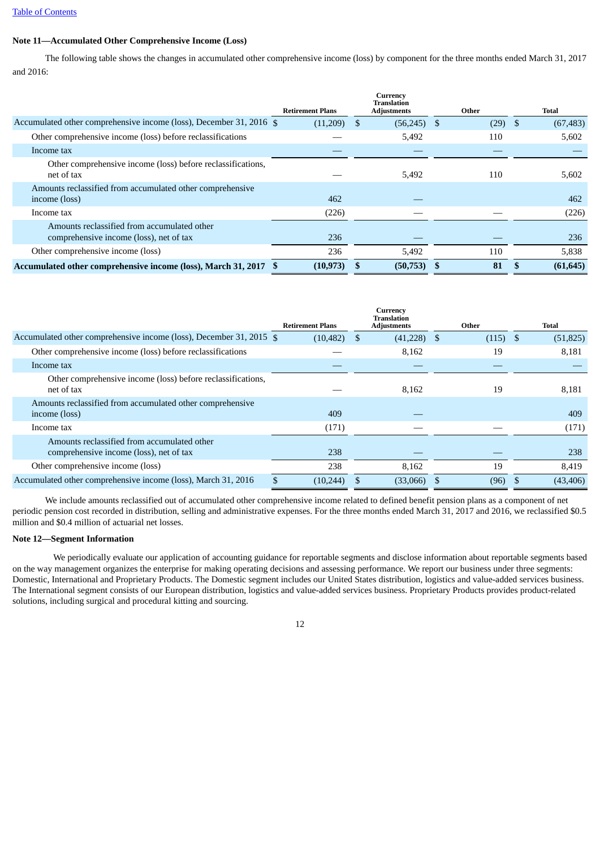### **Note 11—Accumulated Other Comprehensive Income (Loss)**

The following table shows the changes in accumulated other comprehensive income (loss) by component for the three months ended March 31, 2017 and 2016:

|                                                                                        |                         | Currency<br><b>Translation</b> |            |                   |
|----------------------------------------------------------------------------------------|-------------------------|--------------------------------|------------|-------------------|
|                                                                                        | <b>Retirement Plans</b> | <b>Adjustments</b>             | Other      | <b>Total</b>      |
| Accumulated other comprehensive income (loss), December 31, 2016 \$                    | $(11,209)$ \$           | $(56,245)$ \$                  | (29)       | (67, 483)<br>- \$ |
| Other comprehensive income (loss) before reclassifications                             |                         | 5,492                          | 110        | 5,602             |
| Income tax                                                                             |                         |                                |            |                   |
| Other comprehensive income (loss) before reclassifications,<br>net of tax              |                         | 5,492                          | 110        | 5,602             |
| Amounts reclassified from accumulated other comprehensive<br>income (loss)             | 462                     |                                |            | 462               |
| Income tax                                                                             | (226)                   |                                |            | (226)             |
| Amounts reclassified from accumulated other<br>comprehensive income (loss), net of tax | 236                     |                                |            | 236               |
| Other comprehensive income (loss)                                                      | 236                     | 5,492                          | 110        | 5,838             |
| Accumulated other comprehensive income (loss), March 31, 2017 \$                       | (10, 973)               | (50,753)                       | 81<br>- \$ | (61, 645)         |

|                                                                                        |                         | Currency<br><b>Translation</b> |                    |           |
|----------------------------------------------------------------------------------------|-------------------------|--------------------------------|--------------------|-----------|
|                                                                                        | <b>Retirement Plans</b> | <b>Adjustments</b>             | Other              | Total     |
| Accumulated other comprehensive income (loss), December 31, 2015 \$                    | (10, 482)               | (41,228)                       | $(115)$ \$<br>- \$ | (51, 825) |
| Other comprehensive income (loss) before reclassifications                             |                         | 8.162                          | 19                 | 8.181     |
| Income tax                                                                             |                         |                                |                    |           |
| Other comprehensive income (loss) before reclassifications,<br>net of tax              |                         | 8,162                          | 19                 | 8,181     |
| Amounts reclassified from accumulated other comprehensive<br>income (loss)             | 409                     |                                |                    | 409       |
| Income tax                                                                             | (171)                   |                                |                    | (171)     |
| Amounts reclassified from accumulated other<br>comprehensive income (loss), net of tax | 238                     |                                |                    | 238       |
| Other comprehensive income (loss)                                                      | 238                     | 8,162                          | 19                 | 8,419     |
| Accumulated other comprehensive income (loss), March 31, 2016                          | \$.<br>(10, 244)        | (33,066)                       | (96)               | (43, 406) |

We include amounts reclassified out of accumulated other comprehensive income related to defined benefit pension plans as a component of net periodic pension cost recorded in distribution, selling and administrative expenses. For the three months ended March 31, 2017 and 2016, we reclassified \$0.5 million and \$0.4 million of actuarial net losses.

### **Note 12—Segment Information**

We periodically evaluate our application of accounting guidance for reportable segments and disclose information about reportable segments based on the way management organizes the enterprise for making operating decisions and assessing performance. We report our business under three segments: Domestic, International and Proprietary Products. The Domestic segment includes our United States distribution, logistics and value-added services business. The International segment consists of our European distribution, logistics and value-added services business. Proprietary Products provides product-related solutions, including surgical and procedural kitting and sourcing.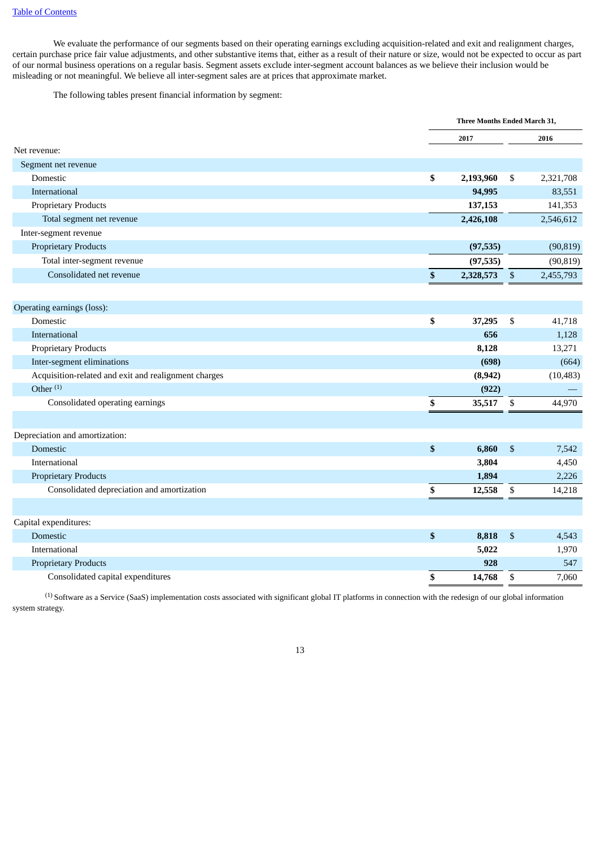We evaluate the performance of our segments based on their operating earnings excluding acquisition-related and exit and realignment charges, certain purchase price fair value adjustments, and other substantive items that, either as a result of their nature or size, would not be expected to occur as part of our normal business operations on a regular basis. Segment assets exclude inter-segment account balances as we believe their inclusion would be misleading or not meaningful. We believe all inter-segment sales are at prices that approximate market.

The following tables present financial information by segment:

|                                                      | <b>Three Months Ended March 31,</b> |           |              |           |
|------------------------------------------------------|-------------------------------------|-----------|--------------|-----------|
|                                                      |                                     | 2017      |              | 2016      |
| Net revenue:                                         |                                     |           |              |           |
| Segment net revenue                                  |                                     |           |              |           |
| Domestic                                             | \$                                  | 2,193,960 | \$           | 2,321,708 |
| International                                        |                                     | 94,995    |              | 83,551    |
| <b>Proprietary Products</b>                          |                                     | 137,153   |              | 141,353   |
| Total segment net revenue                            |                                     | 2,426,108 |              | 2,546,612 |
| Inter-segment revenue                                |                                     |           |              |           |
| <b>Proprietary Products</b>                          |                                     | (97, 535) |              | (90, 819) |
| Total inter-segment revenue                          |                                     | (97, 535) |              | (90, 819) |
| Consolidated net revenue                             | $\$$                                | 2,328,573 | $\mathbb{S}$ | 2,455,793 |
|                                                      |                                     |           |              |           |
| Operating earnings (loss):                           |                                     |           |              |           |
| Domestic                                             | \$                                  | 37,295    | \$           | 41,718    |
| International                                        |                                     | 656       |              | 1,128     |
| <b>Proprietary Products</b>                          |                                     | 8,128     |              | 13,271    |
| Inter-segment eliminations                           |                                     | (698)     |              | (664)     |
| Acquisition-related and exit and realignment charges |                                     | (8,942)   |              | (10, 483) |
| Other $(1)$                                          |                                     | (922)     |              |           |
| Consolidated operating earnings                      | \$                                  | 35,517    | \$           | 44,970    |
|                                                      |                                     |           |              |           |
| Depreciation and amortization:                       |                                     |           |              |           |
| Domestic                                             | \$                                  | 6,860     | \$           | 7,542     |
| International                                        |                                     | 3,804     |              | 4,450     |
| <b>Proprietary Products</b>                          |                                     | 1,894     |              | 2,226     |
| Consolidated depreciation and amortization           | \$                                  | 12,558    | \$           | 14,218    |
|                                                      |                                     |           |              |           |
| Capital expenditures:                                |                                     |           |              |           |
| Domestic                                             | \$                                  | 8,818     | $\mathbb{S}$ | 4,543     |
| International                                        |                                     | 5,022     |              | 1,970     |
| <b>Proprietary Products</b>                          |                                     | 928       |              | 547       |
| Consolidated capital expenditures                    | \$                                  | 14,768    | \$           | 7,060     |

(1) Software as a Service (SaaS) implementation costs associated with significant global IT platforms in connection with the redesign of our global information system strategy.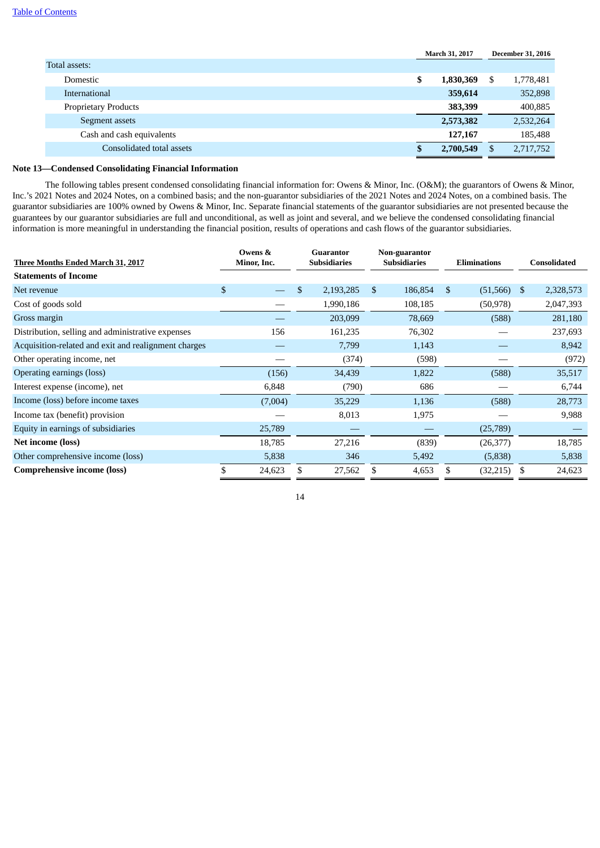|                             | March 31, 2017 |           | <b>December 31, 2016</b> |  |
|-----------------------------|----------------|-----------|--------------------------|--|
| Total assets:               |                |           |                          |  |
| Domestic                    | \$             | 1,830,369 | \$<br>1,778,481          |  |
| International               |                | 359,614   | 352,898                  |  |
| <b>Proprietary Products</b> |                | 383,399   | 400,885                  |  |
| Segment assets              |                | 2,573,382 | 2,532,264                |  |
| Cash and cash equivalents   |                | 127,167   | 185,488                  |  |
| Consolidated total assets   |                | 2,700,549 | \$<br>2,717,752          |  |

### **Note 13—Condensed Consolidating Financial Information**

The following tables present condensed consolidating financial information for: Owens & Minor, Inc. (O&M); the guarantors of Owens & Minor, Inc.'s 2021 Notes and 2024 Notes, on a combined basis; and the non-guarantor subsidiaries of the 2021 Notes and 2024 Notes, on a combined basis. The guarantor subsidiaries are 100% owned by Owens & Minor, Inc. Separate financial statements of the guarantor subsidiaries are not presented because the guarantees by our guarantor subsidiaries are full and unconditional, as well as joint and several, and we believe the condensed consolidating financial information is more meaningful in understanding the financial position, results of operations and cash flows of the guarantor subsidiaries.

|                                                      | Owens &      | <b>Guarantor</b>    |    | Non-guarantor       |               |                     |              |
|------------------------------------------------------|--------------|---------------------|----|---------------------|---------------|---------------------|--------------|
| Three Months Ended March 31, 2017                    | Minor, Inc.  | <b>Subsidiaries</b> |    | <b>Subsidiaries</b> |               | <b>Eliminations</b> | Consolidated |
| <b>Statements of Income</b>                          |              |                     |    |                     |               |                     |              |
| Net revenue                                          | \$           | \$<br>2,193,285     | \$ | 186,854             | <sup>\$</sup> | $(51,566)$ \$       | 2,328,573    |
| Cost of goods sold                                   |              | 1,990,186           |    | 108,185             |               | (50, 978)           | 2,047,393    |
| Gross margin                                         |              | 203,099             |    | 78,669              |               | (588)               | 281,180      |
| Distribution, selling and administrative expenses    | 156          | 161,235             |    | 76,302              |               |                     | 237,693      |
| Acquisition-related and exit and realignment charges |              | 7,799               |    | 1,143               |               |                     | 8,942        |
| Other operating income, net                          |              | (374)               |    | (598)               |               |                     | (972)        |
| Operating earnings (loss)                            | (156)        | 34,439              |    | 1,822               |               | (588)               | 35,517       |
| Interest expense (income), net                       | 6,848        | (790)               |    | 686                 |               |                     | 6,744        |
| Income (loss) before income taxes                    | (7,004)      | 35,229              |    | 1,136               |               | (588)               | 28,773       |
| Income tax (benefit) provision                       |              | 8,013               |    | 1,975               |               |                     | 9,988        |
| Equity in earnings of subsidiaries                   | 25,789       |                     |    |                     |               | (25,789)            |              |
| Net income (loss)                                    | 18,785       | 27,216              |    | (839)               |               | (26, 377)           | 18,785       |
| Other comprehensive income (loss)                    | 5,838        | 346                 |    | 5,492               |               | (5,838)             | 5,838        |
| <b>Comprehensive income (loss)</b>                   | \$<br>24,623 | \$<br>27,562        | S  | 4,653               |               | (32, 215)           | 24,623       |

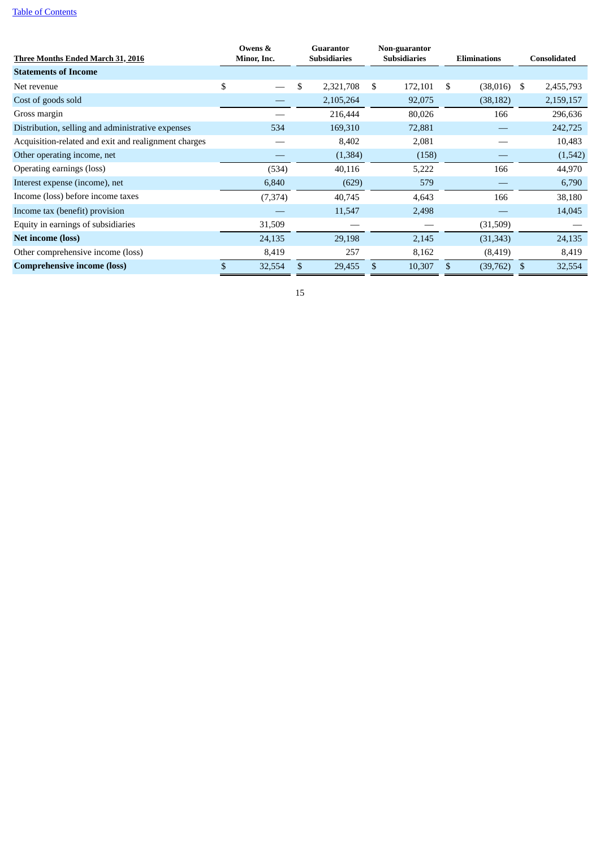| <b>Three Months Ended March 31, 2016</b>             | Owens &<br>Minor, Inc. | Guarantor<br><b>Subsidiaries</b> |    | Non-guarantor<br><b>Subsidiaries</b> | <b>Eliminations</b> |    | Consolidated |
|------------------------------------------------------|------------------------|----------------------------------|----|--------------------------------------|---------------------|----|--------------|
| <b>Statements of Income</b>                          |                        |                                  |    |                                      |                     |    |              |
| Net revenue                                          | \$                     | \$<br>2,321,708                  | S. | 172,101                              | \$<br>(38,016)      | S  | 2,455,793    |
| Cost of goods sold                                   |                        | 2,105,264                        |    | 92,075                               | (38, 182)           |    | 2,159,157    |
| Gross margin                                         |                        | 216,444                          |    | 80,026                               | 166                 |    | 296,636      |
| Distribution, selling and administrative expenses    | 534                    | 169,310                          |    | 72,881                               |                     |    | 242,725      |
| Acquisition-related and exit and realignment charges |                        | 8,402                            |    | 2,081                                |                     |    | 10,483       |
| Other operating income, net                          |                        | (1, 384)                         |    | (158)                                |                     |    | (1, 542)     |
| Operating earnings (loss)                            | (534)                  | 40,116                           |    | 5,222                                | 166                 |    | 44,970       |
| Interest expense (income), net                       | 6,840                  | (629)                            |    | 579                                  |                     |    | 6,790        |
| Income (loss) before income taxes                    | (7, 374)               | 40,745                           |    | 4,643                                | 166                 |    | 38,180       |
| Income tax (benefit) provision                       |                        | 11,547                           |    | 2,498                                |                     |    | 14,045       |
| Equity in earnings of subsidiaries                   | 31,509                 |                                  |    |                                      | (31,509)            |    |              |
| Net income (loss)                                    | 24,135                 | 29,198                           |    | 2,145                                | (31, 343)           |    | 24,135       |
| Other comprehensive income (loss)                    | 8,419                  | 257                              |    | 8,162                                | (8, 419)            |    | 8,419        |
| <b>Comprehensive income (loss)</b>                   | \$<br>32,554           | 29,455                           |    | 10,307                               | \$<br>(39, 762)     | \$ | 32,554       |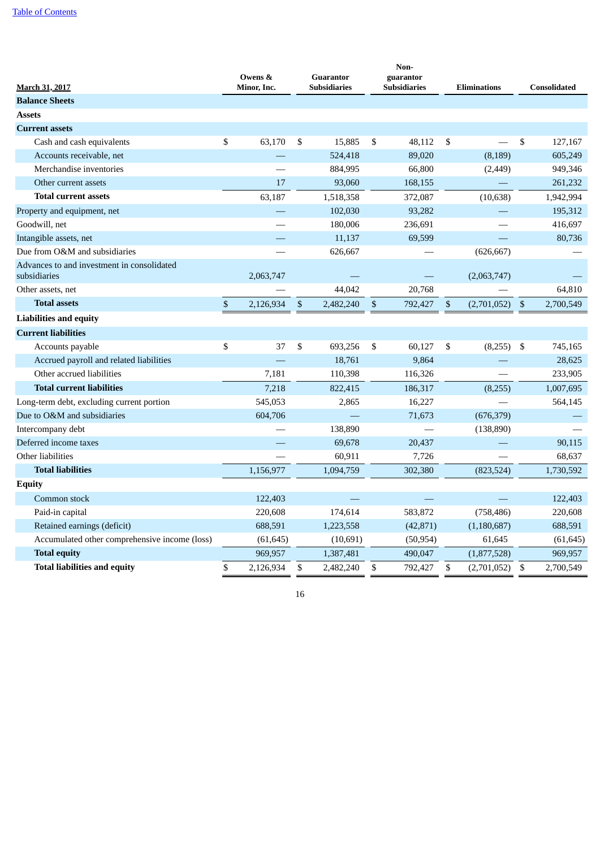| <u> March 31, 2017</u>                                     | Owens &<br>Minor, Inc. |           | <b>Guarantor</b><br><b>Subsidiaries</b> |           | Non-<br>guarantor<br>Subsidiaries |           |                           |               |                           | <b>Eliminations</b> | Consolidated |  |  |
|------------------------------------------------------------|------------------------|-----------|-----------------------------------------|-----------|-----------------------------------|-----------|---------------------------|---------------|---------------------------|---------------------|--------------|--|--|
| <b>Balance Sheets</b>                                      |                        |           |                                         |           |                                   |           |                           |               |                           |                     |              |  |  |
| <b>Assets</b>                                              |                        |           |                                         |           |                                   |           |                           |               |                           |                     |              |  |  |
| <b>Current assets</b>                                      |                        |           |                                         |           |                                   |           |                           |               |                           |                     |              |  |  |
| Cash and cash equivalents                                  | \$                     | 63,170    | \$                                      | 15,885    | \$                                | 48,112    | \$                        |               | \$                        | 127,167             |              |  |  |
| Accounts receivable, net                                   |                        |           |                                         | 524,418   |                                   | 89,020    |                           | (8, 189)      |                           | 605,249             |              |  |  |
| Merchandise inventories                                    |                        |           |                                         | 884,995   |                                   | 66,800    |                           | (2, 449)      |                           | 949,346             |              |  |  |
| Other current assets                                       |                        | 17        |                                         | 93,060    |                                   | 168,155   |                           |               |                           | 261,232             |              |  |  |
| <b>Total current assets</b>                                |                        | 63,187    |                                         | 1,518,358 |                                   | 372,087   |                           | (10, 638)     |                           | 1,942,994           |              |  |  |
| Property and equipment, net                                |                        |           |                                         | 102,030   |                                   | 93,282    |                           |               |                           | 195,312             |              |  |  |
| Goodwill, net                                              |                        |           |                                         | 180,006   |                                   | 236,691   |                           |               |                           | 416,697             |              |  |  |
| Intangible assets, net                                     |                        |           |                                         | 11,137    |                                   | 69,599    |                           |               |                           | 80,736              |              |  |  |
| Due from O&M and subsidiaries                              |                        |           |                                         | 626,667   |                                   |           |                           | (626, 667)    |                           |                     |              |  |  |
| Advances to and investment in consolidated<br>subsidiaries |                        | 2,063,747 |                                         |           |                                   |           |                           | (2,063,747)   |                           |                     |              |  |  |
| Other assets, net                                          |                        |           |                                         | 44,042    |                                   | 20,768    |                           |               |                           | 64,810              |              |  |  |
| <b>Total assets</b>                                        | $\mathbb{S}$           | 2,126,934 | \$                                      | 2,482,240 | \$                                | 792,427   | $\boldsymbol{\mathsf{S}}$ | (2,701,052)   | $\boldsymbol{\mathsf{S}}$ | 2,700,549           |              |  |  |
| <b>Liabilities and equity</b>                              |                        |           |                                         |           |                                   |           |                           |               |                           |                     |              |  |  |
| <b>Current liabilities</b>                                 |                        |           |                                         |           |                                   |           |                           |               |                           |                     |              |  |  |
| Accounts payable                                           | \$                     | 37        | \$                                      | 693,256   | \$                                | 60,127    | \$                        | (8,255)       | - \$                      | 745,165             |              |  |  |
| Accrued payroll and related liabilities                    |                        |           |                                         | 18,761    |                                   | 9,864     |                           |               |                           | 28,625              |              |  |  |
| Other accrued liabilities                                  |                        | 7,181     |                                         | 110,398   |                                   | 116,326   |                           |               |                           | 233,905             |              |  |  |
| <b>Total current liabilities</b>                           |                        | 7,218     |                                         | 822,415   |                                   | 186,317   |                           | (8,255)       |                           | 1,007,695           |              |  |  |
| Long-term debt, excluding current portion                  |                        | 545,053   |                                         | 2,865     |                                   | 16,227    |                           |               |                           | 564,145             |              |  |  |
| Due to O&M and subsidiaries                                |                        | 604,706   |                                         |           |                                   | 71,673    |                           | (676, 379)    |                           |                     |              |  |  |
| Intercompany debt                                          |                        |           |                                         | 138,890   |                                   |           |                           | (138, 890)    |                           |                     |              |  |  |
| Deferred income taxes                                      |                        |           |                                         | 69,678    |                                   | 20,437    |                           |               |                           | 90,115              |              |  |  |
| Other liabilities                                          |                        |           |                                         | 60,911    |                                   | 7,726     |                           |               |                           | 68,637              |              |  |  |
| <b>Total liabilities</b>                                   |                        | 1,156,977 |                                         | 1,094,759 |                                   | 302,380   |                           | (823, 524)    |                           | 1,730,592           |              |  |  |
| <b>Equity</b>                                              |                        |           |                                         |           |                                   |           |                           |               |                           |                     |              |  |  |
| Common stock                                               |                        | 122,403   |                                         |           |                                   |           |                           |               |                           | 122,403             |              |  |  |
| Paid-in capital                                            |                        | 220,608   |                                         | 174,614   |                                   | 583,872   |                           | (758, 486)    |                           | 220,608             |              |  |  |
| Retained earnings (deficit)                                |                        | 688,591   |                                         | 1,223,558 |                                   | (42, 871) |                           | (1, 180, 687) |                           | 688,591             |              |  |  |
| Accumulated other comprehensive income (loss)              |                        | (61, 645) |                                         | (10, 691) |                                   | (50, 954) |                           | 61,645        |                           | (61, 645)           |              |  |  |
| <b>Total equity</b>                                        |                        | 969,957   |                                         | 1,387,481 |                                   | 490,047   |                           | (1,877,528)   |                           | 969,957             |              |  |  |
| <b>Total liabilities and equity</b>                        | \$                     | 2,126,934 | \$                                      | 2,482,240 | \$                                | 792,427   | \$                        | (2,701,052)   | \$                        | 2,700,549           |              |  |  |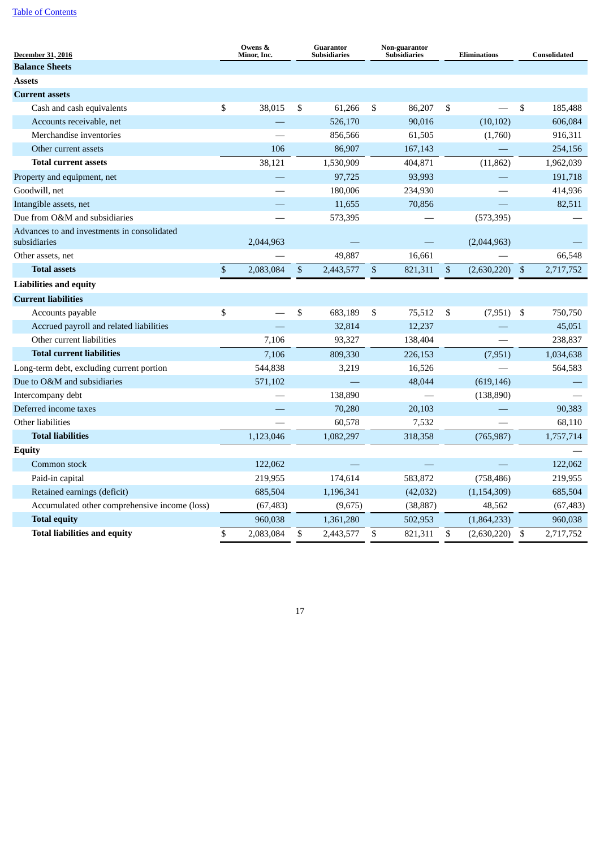| December 31, 2016                                           |              | Owens &<br>Minor, Inc. |              | Guarantor<br><b>Subsidiaries</b> |              | Non-guarantor<br><b>Subsidiaries</b> |                           | <b>Eliminations</b> | <b>Consolidated</b> |
|-------------------------------------------------------------|--------------|------------------------|--------------|----------------------------------|--------------|--------------------------------------|---------------------------|---------------------|---------------------|
| <b>Balance Sheets</b>                                       |              |                        |              |                                  |              |                                      |                           |                     |                     |
| <b>Assets</b>                                               |              |                        |              |                                  |              |                                      |                           |                     |                     |
| <b>Current assets</b>                                       |              |                        |              |                                  |              |                                      |                           |                     |                     |
| Cash and cash equivalents                                   | \$           | 38,015                 | \$           | 61,266                           | \$           | 86,207                               | \$                        |                     | \$<br>185,488       |
| Accounts receivable, net                                    |              |                        |              | 526,170                          |              | 90,016                               |                           | (10, 102)           | 606,084             |
| Merchandise inventories                                     |              |                        |              | 856,566                          |              | 61,505                               |                           | (1,760)             | 916,311             |
| Other current assets                                        |              | 106                    |              | 86,907                           |              | 167,143                              |                           |                     | 254,156             |
| <b>Total current assets</b>                                 |              | 38,121                 |              | 1,530,909                        |              | 404,871                              |                           | (11, 862)           | 1,962,039           |
| Property and equipment, net                                 |              |                        |              | 97,725                           |              | 93,993                               |                           |                     | 191,718             |
| Goodwill, net                                               |              |                        |              | 180,006                          |              | 234,930                              |                           |                     | 414,936             |
| Intangible assets, net                                      |              |                        |              | 11,655                           |              | 70,856                               |                           |                     | 82,511              |
| Due from O&M and subsidiaries                               |              |                        |              | 573,395                          |              |                                      |                           | (573, 395)          |                     |
| Advances to and investments in consolidated<br>subsidiaries |              | 2,044,963              |              |                                  |              |                                      |                           | (2,044,963)         |                     |
| Other assets, net                                           |              |                        |              | 49.887                           |              | 16,661                               |                           |                     | 66,548              |
| <b>Total assets</b>                                         | $\mathbb{S}$ | 2,083,084              | $\mathbb{S}$ | 2,443,577                        | $\mathbb{S}$ | 821,311                              | $\boldsymbol{\mathsf{S}}$ | (2,630,220)         | \$<br>2,717,752     |
| <b>Liabilities and equity</b>                               |              |                        |              |                                  |              |                                      |                           |                     |                     |
| <b>Current liabilities</b>                                  |              |                        |              |                                  |              |                                      |                           |                     |                     |
| Accounts payable                                            | \$           |                        | \$           | 683,189                          | \$           | 75,512                               | \$                        | (7, 951)            | \$<br>750,750       |
| Accrued payroll and related liabilities                     |              |                        |              | 32,814                           |              | 12,237                               |                           |                     | 45,051              |
| Other current liabilities                                   |              | 7,106                  |              | 93,327                           |              | 138,404                              |                           |                     | 238,837             |
| <b>Total current liabilities</b>                            |              | 7,106                  |              | 809,330                          |              | 226,153                              |                           | (7, 951)            | 1,034,638           |
| Long-term debt, excluding current portion                   |              | 544,838                |              | 3,219                            |              | 16,526                               |                           |                     | 564,583             |
| Due to O&M and subsidiaries                                 |              | 571,102                |              |                                  |              | 48,044                               |                           | (619, 146)          |                     |
| Intercompany debt                                           |              |                        |              | 138,890                          |              |                                      |                           | (138, 890)          |                     |
| Deferred income taxes                                       |              |                        |              | 70,280                           |              | 20,103                               |                           |                     | 90,383              |
| Other liabilities                                           |              |                        |              | 60,578                           |              | 7,532                                |                           |                     | 68,110              |
| <b>Total liabilities</b>                                    |              | 1,123,046              |              | 1,082,297                        |              | 318,358                              |                           | (765, 987)          | 1,757,714           |
| <b>Equity</b>                                               |              |                        |              |                                  |              |                                      |                           |                     |                     |
| Common stock                                                |              | 122,062                |              |                                  |              |                                      |                           |                     | 122,062             |
| Paid-in capital                                             |              | 219,955                |              | 174,614                          |              | 583,872                              |                           | (758, 486)          | 219,955             |
| Retained earnings (deficit)                                 |              | 685,504                |              | 1,196,341                        |              | (42, 032)                            |                           | (1, 154, 309)       | 685,504             |
| Accumulated other comprehensive income (loss)               |              | (67, 483)              |              | (9,675)                          |              | (38, 887)                            |                           | 48,562              | (67, 483)           |
| <b>Total equity</b>                                         |              | 960,038                |              | 1,361,280                        |              | 502,953                              |                           | (1,864,233)         | 960,038             |
| <b>Total liabilities and equity</b>                         | \$           | 2,083,084              | \$           | 2,443,577                        | \$           | 821,311                              | \$                        | (2,630,220)         | \$<br>2,717,752     |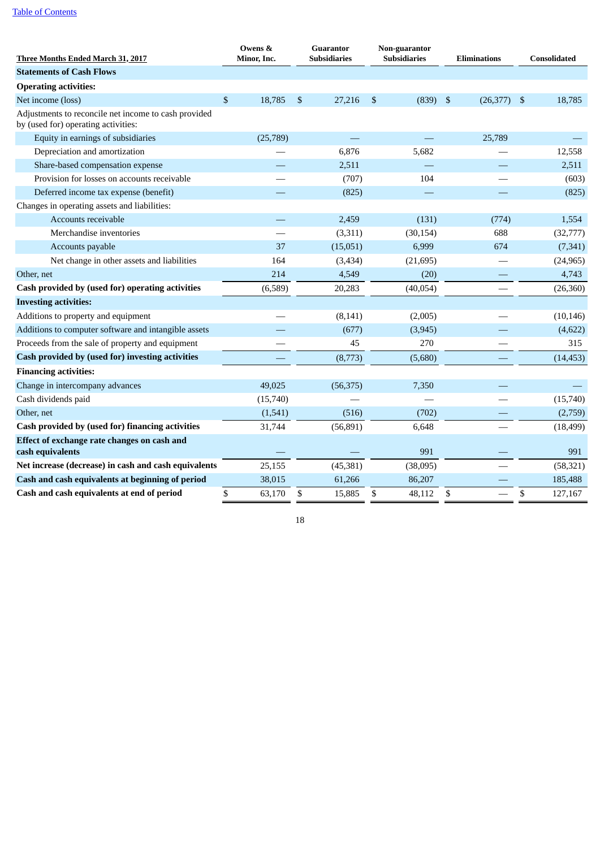| <b>Three Months Ended March 31, 2017</b>                                                    | Owens &<br>Minor, Inc. | <b>Guarantor</b><br><b>Subsidiaries</b> | Non-guarantor<br><b>Subsidiaries</b> | <b>Eliminations</b> |     | <b>Consolidated</b> |
|---------------------------------------------------------------------------------------------|------------------------|-----------------------------------------|--------------------------------------|---------------------|-----|---------------------|
| <b>Statements of Cash Flows</b>                                                             |                        |                                         |                                      |                     |     |                     |
| <b>Operating activities:</b>                                                                |                        |                                         |                                      |                     |     |                     |
| Net income (loss)                                                                           | \$<br>18,785           | \$<br>27,216                            | (839)<br>\$                          | \$<br>(26, 377)     | -\$ | 18,785              |
| Adjustments to reconcile net income to cash provided<br>by (used for) operating activities: |                        |                                         |                                      |                     |     |                     |
| Equity in earnings of subsidiaries                                                          | (25,789)               |                                         |                                      | 25,789              |     |                     |
| Depreciation and amortization                                                               |                        | 6,876                                   | 5,682                                |                     |     | 12,558              |
| Share-based compensation expense                                                            |                        | 2,511                                   |                                      |                     |     | 2,511               |
| Provision for losses on accounts receivable                                                 |                        | (707)                                   | 104                                  |                     |     | (603)               |
| Deferred income tax expense (benefit)                                                       |                        | (825)                                   |                                      |                     |     | (825)               |
| Changes in operating assets and liabilities:                                                |                        |                                         |                                      |                     |     |                     |
| Accounts receivable                                                                         |                        | 2,459                                   | (131)                                | (774)               |     | 1,554               |
| Merchandise inventories                                                                     |                        | (3,311)                                 | (30, 154)                            | 688                 |     | (32, 777)           |
| Accounts payable                                                                            | 37                     | (15,051)                                | 6,999                                | 674                 |     | (7, 341)            |
| Net change in other assets and liabilities                                                  | 164                    | (3,434)                                 | (21, 695)                            |                     |     | (24, 965)           |
| Other, net                                                                                  | 214                    | 4,549                                   | (20)                                 |                     |     | 4,743               |
| Cash provided by (used for) operating activities                                            | (6,589)                | 20,283                                  | (40, 054)                            |                     |     | (26, 360)           |
| <b>Investing activities:</b>                                                                |                        |                                         |                                      |                     |     |                     |
| Additions to property and equipment                                                         |                        | (8, 141)                                | (2,005)                              |                     |     | (10, 146)           |
| Additions to computer software and intangible assets                                        |                        | (677)                                   | (3,945)                              |                     |     | (4,622)             |
| Proceeds from the sale of property and equipment                                            |                        | 45                                      | 270                                  |                     |     | 315                 |
| Cash provided by (used for) investing activities                                            |                        | (8,773)                                 | (5,680)                              |                     |     | (14, 453)           |
| <b>Financing activities:</b>                                                                |                        |                                         |                                      |                     |     |                     |
| Change in intercompany advances                                                             | 49,025                 | (56, 375)                               | 7,350                                |                     |     |                     |
| Cash dividends paid                                                                         | (15,740)               |                                         |                                      |                     |     | (15,740)            |
| Other, net                                                                                  | (1,541)                | (516)                                   | (702)                                |                     |     | (2,759)             |
| Cash provided by (used for) financing activities                                            | 31,744                 | (56, 891)                               | 6,648                                |                     |     | (18, 499)           |
| Effect of exchange rate changes on cash and<br>cash equivalents                             |                        |                                         | 991                                  |                     |     | 991                 |
| Net increase (decrease) in cash and cash equivalents                                        | 25,155                 | (45, 381)                               | (38,095)                             |                     |     | (58, 321)           |
| Cash and cash equivalents at beginning of period                                            | 38,015                 | 61,266                                  | 86,207                               |                     |     | 185,488             |
| Cash and cash equivalents at end of period                                                  | \$<br>63,170           | \$<br>15,885                            | \$<br>48,112                         | \$                  | \$  | 127,167             |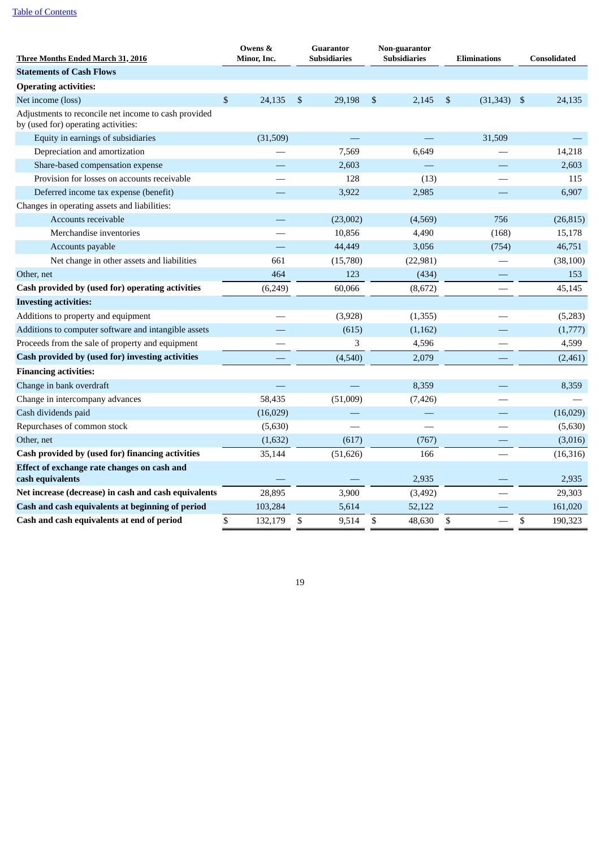| <b>Three Months Ended March 31, 2016</b>                                                    | Owens &<br>Minor, Inc. | <b>Guarantor</b><br><b>Subsidiaries</b> | Non-guarantor<br><b>Subsidiaries</b> | <b>Eliminations</b> |           | <b>Consolidated</b> |
|---------------------------------------------------------------------------------------------|------------------------|-----------------------------------------|--------------------------------------|---------------------|-----------|---------------------|
| <b>Statements of Cash Flows</b>                                                             |                        |                                         |                                      |                     |           |                     |
| <b>Operating activities:</b>                                                                |                        |                                         |                                      |                     |           |                     |
| Net income (loss)                                                                           | \$<br>24,135           | \$<br>29,198                            | \$<br>2,145                          | \$                  | (31, 343) | \$<br>24,135        |
| Adjustments to reconcile net income to cash provided<br>by (used for) operating activities: |                        |                                         |                                      |                     |           |                     |
| Equity in earnings of subsidiaries                                                          | (31,509)               |                                         |                                      |                     | 31,509    |                     |
| Depreciation and amortization                                                               |                        | 7,569                                   | 6,649                                |                     |           | 14,218              |
| Share-based compensation expense                                                            |                        | 2,603                                   |                                      |                     |           | 2,603               |
| Provision for losses on accounts receivable                                                 |                        | 128                                     | (13)                                 |                     |           | 115                 |
| Deferred income tax expense (benefit)                                                       |                        | 3,922                                   | 2,985                                |                     |           | 6,907               |
| Changes in operating assets and liabilities:                                                |                        |                                         |                                      |                     |           |                     |
| Accounts receivable                                                                         |                        | (23,002)                                | (4,569)                              |                     | 756       | (26, 815)           |
| Merchandise inventories                                                                     |                        | 10,856                                  | 4,490                                |                     | (168)     | 15,178              |
| Accounts payable                                                                            |                        | 44,449                                  | 3,056                                |                     | (754)     | 46,751              |
| Net change in other assets and liabilities                                                  | 661                    | (15,780)                                | (22, 981)                            |                     |           | (38, 100)           |
| Other, net                                                                                  | 464                    | 123                                     | (434)                                |                     |           | 153                 |
| Cash provided by (used for) operating activities                                            | (6, 249)               | 60,066                                  | (8,672)                              |                     |           | 45,145              |
| <b>Investing activities:</b>                                                                |                        |                                         |                                      |                     |           |                     |
| Additions to property and equipment                                                         |                        | (3,928)                                 | (1, 355)                             |                     |           | (5,283)             |
| Additions to computer software and intangible assets                                        |                        | (615)                                   | (1, 162)                             |                     |           | (1,777)             |
| Proceeds from the sale of property and equipment                                            |                        | 3                                       | 4,596                                |                     |           | 4,599               |
| Cash provided by (used for) investing activities                                            |                        | (4,540)                                 | 2,079                                |                     |           | (2,461)             |
| <b>Financing activities:</b>                                                                |                        |                                         |                                      |                     |           |                     |
| Change in bank overdraft                                                                    |                        |                                         | 8,359                                |                     |           | 8,359               |
| Change in intercompany advances                                                             | 58,435                 | (51,009)                                | (7, 426)                             |                     |           |                     |
| Cash dividends paid                                                                         | (16,029)               |                                         |                                      |                     |           | (16,029)            |
| Repurchases of common stock                                                                 | (5,630)                |                                         |                                      |                     |           | (5,630)             |
| Other, net                                                                                  | (1,632)                | (617)                                   | (767)                                |                     |           | (3,016)             |
| Cash provided by (used for) financing activities                                            | 35,144                 | (51, 626)                               | 166                                  |                     |           | (16, 316)           |
| Effect of exchange rate changes on cash and<br>cash equivalents                             |                        |                                         | 2,935                                |                     |           | 2,935               |
| Net increase (decrease) in cash and cash equivalents                                        | 28,895                 | 3,900                                   | (3, 492)                             |                     |           | 29,303              |
| Cash and cash equivalents at beginning of period                                            | 103,284                | 5,614                                   | 52,122                               |                     |           | 161,020             |
| Cash and cash equivalents at end of period                                                  | \$<br>132,179          | \$<br>9,514                             | \$<br>48,630                         | \$                  |           | \$<br>190,323       |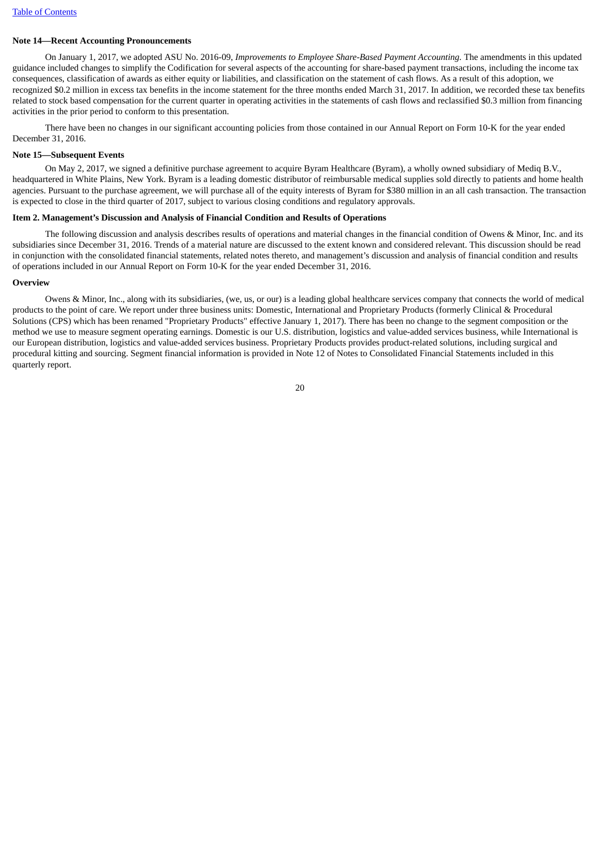### **Note 14—Recent Accounting Pronouncements**

On January 1, 2017, we adopted ASU No. 2016-09, *Improvements to Employee Share-Based Payment Accounting.* The amendments in this updated guidance included changes to simplify the Codification for several aspects of the accounting for share-based payment transactions, including the income tax consequences, classification of awards as either equity or liabilities, and classification on the statement of cash flows. As a result of this adoption, we recognized \$0.2 million in excess tax benefits in the income statement for the three months ended March 31, 2017. In addition, we recorded these tax benefits related to stock based compensation for the current quarter in operating activities in the statements of cash flows and reclassified \$0.3 million from financing activities in the prior period to conform to this presentation.

There have been no changes in our significant accounting policies from those contained in our Annual Report on Form 10-K for the year ended December 31, 2016.

#### **Note 15—Subsequent Events**

On May 2, 2017, we signed a definitive purchase agreement to acquire Byram Healthcare (Byram), a wholly owned subsidiary of Mediq B.V., headquartered in White Plains, New York. Byram is a leading domestic distributor of reimbursable medical supplies sold directly to patients and home health agencies. Pursuant to the purchase agreement, we will purchase all of the equity interests of Byram for \$380 million in an all cash transaction. The transaction is expected to close in the third quarter of 2017, subject to various closing conditions and regulatory approvals.

### <span id="page-19-0"></span>**Item 2. Management's Discussion and Analysis of Financial Condition and Results of Operations**

The following discussion and analysis describes results of operations and material changes in the financial condition of Owens & Minor, Inc. and its subsidiaries since December 31, 2016. Trends of a material nature are discussed to the extent known and considered relevant. This discussion should be read in conjunction with the consolidated financial statements, related notes thereto, and management's discussion and analysis of financial condition and results of operations included in our Annual Report on Form 10-K for the year ended December 31, 2016.

#### **Overview**

Owens & Minor, Inc., along with its subsidiaries, (we, us, or our) is a leading global healthcare services company that connects the world of medical products to the point of care. We report under three business units: Domestic, International and Proprietary Products (formerly Clinical & Procedural Solutions (CPS) which has been renamed "Proprietary Products" effective January 1, 2017). There has been no change to the segment composition or the method we use to measure segment operating earnings. Domestic is our U.S. distribution, logistics and value-added services business, while International is our European distribution, logistics and value-added services business. Proprietary Products provides product-related solutions, including surgical and procedural kitting and sourcing. Segment financial information is provided in Note 12 of Notes to Consolidated Financial Statements included in this quarterly report.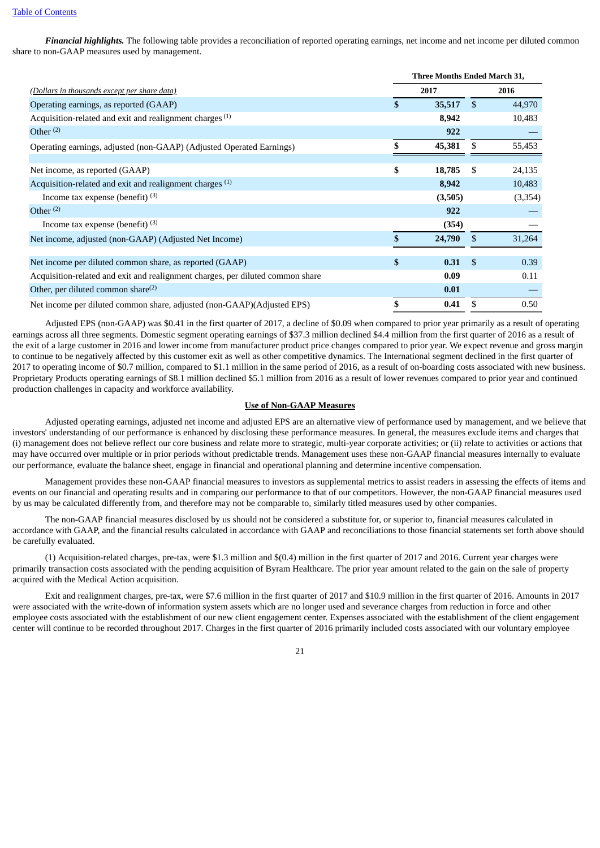*Financial highlights.* The following table provides a reconciliation of reported operating earnings, net income and net income per diluted common share to non-GAAP measures used by management.

|                                                                                | Three Months Ended March 31, |        |      |         |
|--------------------------------------------------------------------------------|------------------------------|--------|------|---------|
| (Dollars in thousands except per share data)                                   |                              | 2017   |      | 2016    |
| Operating earnings, as reported (GAAP)                                         | $\mathbf{s}$                 | 35,517 | -\$  | 44,970  |
| Acquisition-related and exit and realignment charges <sup>(1)</sup>            |                              | 8,942  |      | 10,483  |
| Other $(2)$                                                                    |                              | 922    |      |         |
| Operating earnings, adjusted (non-GAAP) (Adjusted Operated Earnings)           | \$                           | 45,381 |      | 55,453  |
|                                                                                |                              |        |      |         |
| Net income, as reported (GAAP)                                                 | \$                           | 18,785 | \$.  | 24,135  |
| Acquisition-related and exit and realignment charges (1)                       |                              | 8,942  |      | 10,483  |
| Income tax expense (benefit) $(3)$                                             | (3,505)                      |        |      | (3,354) |
| Other $(2)$                                                                    |                              | 922    |      |         |
| Income tax expense (benefit) $(3)$                                             |                              | (354)  |      |         |
| Net income, adjusted (non-GAAP) (Adjusted Net Income)                          | \$                           | 24,790 |      | 31,264  |
|                                                                                |                              |        |      |         |
| Net income per diluted common share, as reported (GAAP)                        | \$                           | 0.31   | - \$ | 0.39    |
| Acquisition-related and exit and realignment charges, per diluted common share |                              | 0.09   |      | 0.11    |
| Other, per diluted common share $(2)$                                          |                              | 0.01   |      |         |
| Net income per diluted common share, adjusted (non-GAAP)(Adjusted EPS)         | \$                           | 0.41   |      | 0.50    |

Adjusted EPS (non-GAAP) was \$0.41 in the first quarter of 2017, a decline of \$0.09 when compared to prior year primarily as a result of operating earnings across all three segments. Domestic segment operating earnings of \$37.3 million declined \$4.4 million from the first quarter of 2016 as a result of the exit of a large customer in 2016 and lower income from manufacturer product price changes compared to prior year. We expect revenue and gross margin to continue to be negatively affected by this customer exit as well as other competitive dynamics. The International segment declined in the first quarter of 2017 to operating income of \$0.7 million, compared to \$1.1 million in the same period of 2016, as a result of on-boarding costs associated with new business. Proprietary Products operating earnings of \$8.1 million declined \$5.1 million from 2016 as a result of lower revenues compared to prior year and continued production challenges in capacity and workforce availability.

#### **Use of Non-GAAP Measures**

Adjusted operating earnings, adjusted net income and adjusted EPS are an alternative view of performance used by management, and we believe that investors' understanding of our performance is enhanced by disclosing these performance measures. In general, the measures exclude items and charges that (i) management does not believe reflect our core business and relate more to strategic, multi-year corporate activities; or (ii) relate to activities or actions that may have occurred over multiple or in prior periods without predictable trends. Management uses these non-GAAP financial measures internally to evaluate our performance, evaluate the balance sheet, engage in financial and operational planning and determine incentive compensation.

Management provides these non-GAAP financial measures to investors as supplemental metrics to assist readers in assessing the effects of items and events on our financial and operating results and in comparing our performance to that of our competitors. However, the non-GAAP financial measures used by us may be calculated differently from, and therefore may not be comparable to, similarly titled measures used by other companies.

The non-GAAP financial measures disclosed by us should not be considered a substitute for, or superior to, financial measures calculated in accordance with GAAP, and the financial results calculated in accordance with GAAP and reconciliations to those financial statements set forth above should be carefully evaluated.

(1) Acquisition-related charges, pre-tax, were \$1.3 million and \$(0.4) million in the first quarter of 2017 and 2016. Current year charges were primarily transaction costs associated with the pending acquisition of Byram Healthcare. The prior year amount related to the gain on the sale of property acquired with the Medical Action acquisition.

Exit and realignment charges, pre-tax, were \$7.6 million in the first quarter of 2017 and \$10.9 million in the first quarter of 2016. Amounts in 2017 were associated with the write-down of information system assets which are no longer used and severance charges from reduction in force and other employee costs associated with the establishment of our new client engagement center. Expenses associated with the establishment of the client engagement center will continue to be recorded throughout 2017. Charges in the first quarter of 2016 primarily included costs associated with our voluntary employee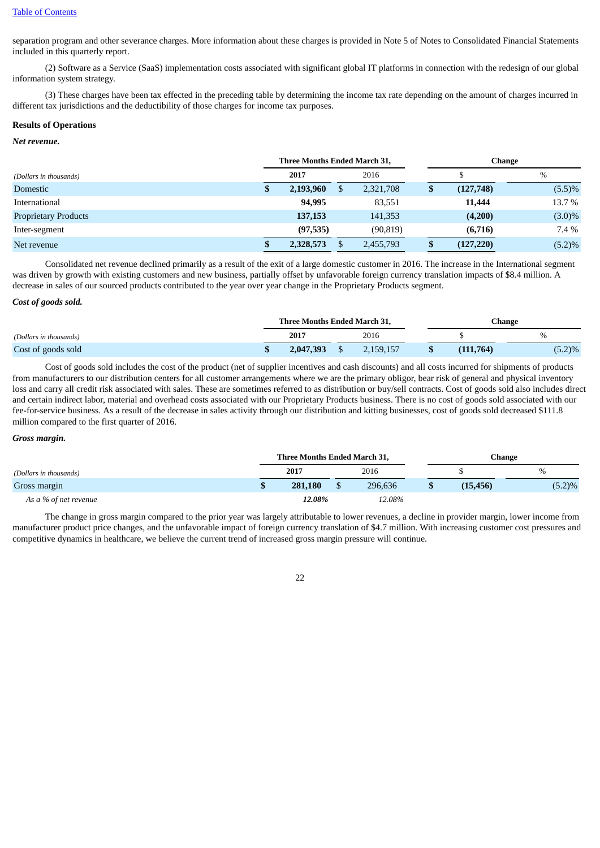separation program and other severance charges. More information about these charges is provided in Note 5 of Notes to Consolidated Financial Statements included in this quarterly report.

(2) Software as a Service (SaaS) implementation costs associated with significant global IT platforms in connection with the redesign of our global information system strategy.

(3) These charges have been tax effected in the preceding table by determining the income tax rate depending on the amount of charges incurred in different tax jurisdictions and the deductibility of those charges for income tax purposes.

### **Results of Operations**

### *Net revenue.*

|                             | Three Months Ended March 31, |           |  |           |  | <b>Change</b> |            |           |  |
|-----------------------------|------------------------------|-----------|--|-----------|--|---------------|------------|-----------|--|
| (Dollars in thousands)      | 2017                         |           |  | 2016      |  |               |            | $\%$      |  |
| Domestic                    |                              | 2,193,960 |  | 2,321,708 |  | D             | (127,748)  | (5.5)%    |  |
| International               |                              | 94,995    |  | 83,551    |  |               | 11,444     | 13.7 %    |  |
| <b>Proprietary Products</b> |                              | 137,153   |  | 141,353   |  |               | (4,200)    | $(3.0)\%$ |  |
| Inter-segment               |                              | (97, 535) |  | (90, 819) |  |               | (6,716)    | 7.4 %     |  |
| Net revenue                 |                              | 2,328,573 |  | 2,455,793 |  |               | (127, 220) | (5.2)%    |  |

Consolidated net revenue declined primarily as a result of the exit of a large domestic customer in 2016. The increase in the International segment was driven by growth with existing customers and new business, partially offset by unfavorable foreign currency translation impacts of \$8.4 million. A decrease in sales of our sourced products contributed to the year over year change in the Proprietary Products segment.

#### *Cost of goods sold.*

|                        | Three Months Ended March 31, |           |      |           |  | Change |           |        |  |
|------------------------|------------------------------|-----------|------|-----------|--|--------|-----------|--------|--|
| (Dollars in thousands) |                              | 2017      | 2016 |           |  |        |           | $\%$   |  |
| Cost of goods sold     |                              | 2,047,393 |      | 2.159.157 |  |        | (111,764) | (5.2)% |  |

Cost of goods sold includes the cost of the product (net of supplier incentives and cash discounts) and all costs incurred for shipments of products from manufacturers to our distribution centers for all customer arrangements where we are the primary obligor, bear risk of general and physical inventory loss and carry all credit risk associated with sales. These are sometimes referred to as distribution or buy/sell contracts. Cost of goods sold also includes direct and certain indirect labor, material and overhead costs associated with our Proprietary Products business. There is no cost of goods sold associated with our fee-for-service business. As a result of the decrease in sales activity through our distribution and kitting businesses, cost of goods sold decreased \$111.8 million compared to the first quarter of 2016.

#### *Gross margin.*

|                        | Three Months Ended March 31, |  | Change  |           |        |
|------------------------|------------------------------|--|---------|-----------|--------|
| (Dollars in thousands) | 2017                         |  | 2016    |           | $\%$   |
| Gross margin           | 281,180                      |  | 296.636 | (15, 456) | (5.2)% |
| As a % of net revenue  | 12.08%                       |  | 12.08%  |           |        |

The change in gross margin compared to the prior year was largely attributable to lower revenues, a decline in provider margin, lower income from manufacturer product price changes, and the unfavorable impact of foreign currency translation of \$4.7 million. With increasing customer cost pressures and competitive dynamics in healthcare, we believe the current trend of increased gross margin pressure will continue.

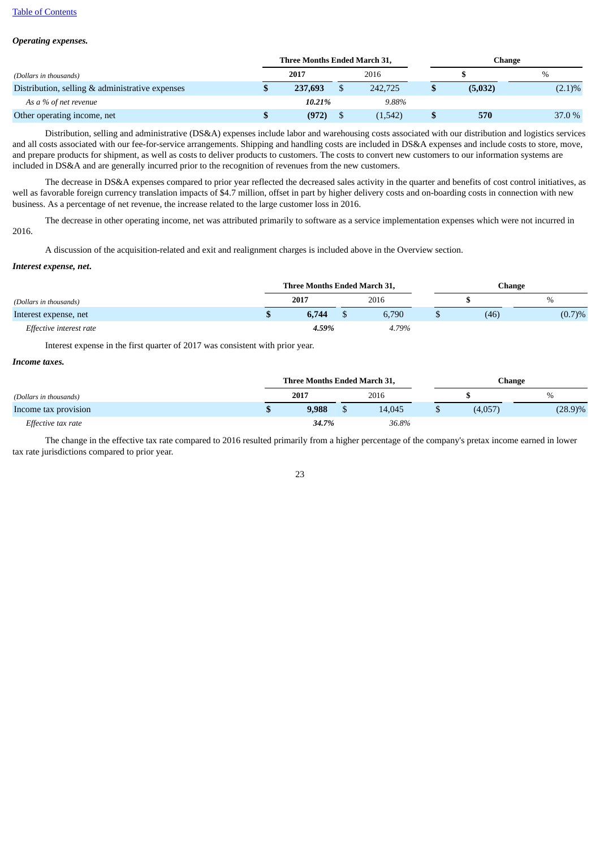#### *Operating expenses.*

|                                                 | Three Months Ended March 31, |      |          | Change  |           |  |
|-------------------------------------------------|------------------------------|------|----------|---------|-----------|--|
| (Dollars in thousands)                          | 2017                         | 2016 |          |         | $\%$      |  |
| Distribution, selling & administrative expenses | 237,693                      |      | 242,725  | (5,032) | $(2.1)\%$ |  |
| As a % of net revenue                           | 10.21%                       |      | 9.88%    |         |           |  |
| Other operating income, net                     | (972)                        |      | (1, 542) | 570     | 37.0 %    |  |

Distribution, selling and administrative (DS&A) expenses include labor and warehousing costs associated with our distribution and logistics services and all costs associated with our fee-for-service arrangements. Shipping and handling costs are included in DS&A expenses and include costs to store, move, and prepare products for shipment, as well as costs to deliver products to customers. The costs to convert new customers to our information systems are included in DS&A and are generally incurred prior to the recognition of revenues from the new customers.

The decrease in DS&A expenses compared to prior year reflected the decreased sales activity in the quarter and benefits of cost control initiatives, as well as favorable foreign currency translation impacts of \$4.7 million, offset in part by higher delivery costs and on-boarding costs in connection with new business. As a percentage of net revenue, the increase related to the large customer loss in 2016.

The decrease in other operating income, net was attributed primarily to software as a service implementation expenses which were not incurred in 2016.

A discussion of the acquisition-related and exit and realignment charges is included above in the Overview section.

#### *Interest expense, net***.**

|                                                 | Three Months Ended March 31, |  | Change |  |      |        |  |
|-------------------------------------------------|------------------------------|--|--------|--|------|--------|--|
| (Dollars in thousands)<br>Interest expense, net | 2017                         |  | 2016   |  |      | $\%$   |  |
|                                                 | 6.744                        |  | 6.790  |  | (46) | (0.7)% |  |
| Effective interest rate                         | 4.59%                        |  | 4.79%  |  |      |        |  |

Interest expense in the first quarter of 2017 was consistent with prior year.

#### *Income taxes.*

|                        | Three Months Ended March 31, |      |        |  |         | Change  |  |  |
|------------------------|------------------------------|------|--------|--|---------|---------|--|--|
| (Dollars in thousands) | 2017                         | 2016 |        |  |         | $\%$    |  |  |
| Income tax provision   | 9.988                        |      | 14.045 |  | (4.057) | (28.9)% |  |  |
| Effective tax rate     | 34.7%                        |      | 36.8%  |  |         |         |  |  |

The change in the effective tax rate compared to 2016 resulted primarily from a higher percentage of the company's pretax income earned in lower tax rate jurisdictions compared to prior year.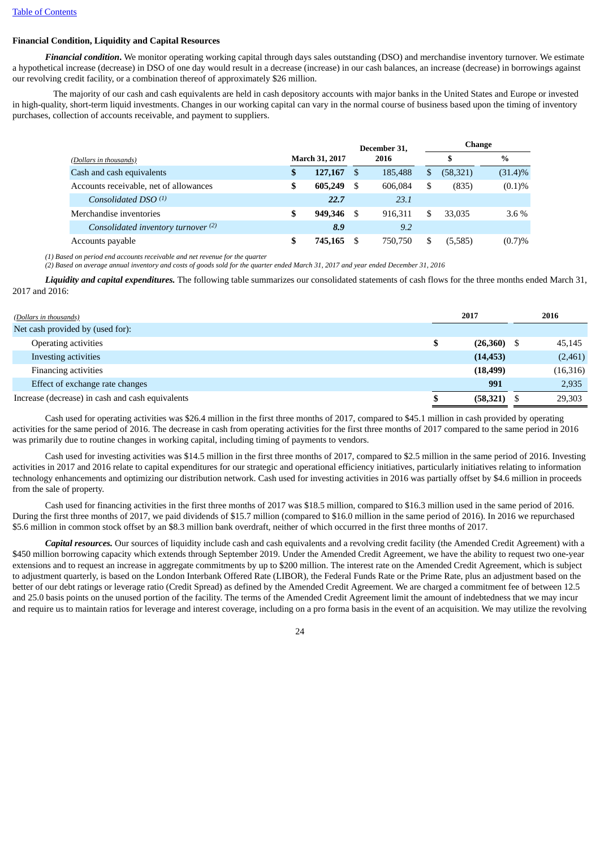### **Financial Condition, Liquidity and Capital Resources**

*Financial condition***.** We monitor operating working capital through days sales outstanding (DSO) and merchandise inventory turnover. We estimate a hypothetical increase (decrease) in DSO of one day would result in a decrease (increase) in our cash balances, an increase (decrease) in borrowings against our revolving credit facility, or a combination thereof of approximately \$26 million.

The majority of our cash and cash equivalents are held in cash depository accounts with major banks in the United States and Europe or invested in high-quality, short-term liquid investments. Changes in our working capital can vary in the normal course of business based upon the timing of inventory purchases, collection of accounts receivable, and payment to suppliers.

|                                                |                | December 31. |         | <b>Change</b>   |            |  |
|------------------------------------------------|----------------|--------------|---------|-----------------|------------|--|
| (Dollars in thousands)                         | March 31, 2017 |              | 2016    | Φ               | $\%$       |  |
| Cash and cash equivalents                      | \$<br>127,167  | S            | 185,488 | \$<br>(58, 321) | $(31.4)\%$ |  |
| Accounts receivable, net of allowances         | \$<br>605,249  | - S          | 606.084 | \$<br>(835)     | (0.1)%     |  |
| Consolidated DSO $(1)$                         | 22.7           |              | 23.1    |                 |            |  |
| Merchandise inventories                        | \$<br>949,346  | - 5          | 916.311 | \$<br>33.035    | $3.6\%$    |  |
| Consolidated inventory turnover <sup>(2)</sup> | 8.9            |              | 9.2     |                 |            |  |
| Accounts payable                               | \$<br>745,165  |              | 750.750 | \$<br>(5,585)   | (0.7)%     |  |

*(1) Based on period end accounts receivable and net revenue for the quarter*

(2) Based on average annual inventory and costs of goods sold for the quarter ended March 31, 2017 and year ended December 31, 2016

*Liquidity and capital expenditures.* The following table summarizes our consolidated statements of cash flows for the three months ended March 31, 2017 and 2016:

| (Dollars in thousands)                           | 2017          | 2016     |
|--------------------------------------------------|---------------|----------|
| Net cash provided by (used for):                 |               |          |
| Operating activities                             | $(26,360)$ \$ | 45,145   |
| <b>Investing activities</b>                      | (14, 453)     | (2,461)  |
| <b>Financing activities</b>                      | (18, 499)     | (16,316) |
| Effect of exchange rate changes                  | 991           | 2,935    |
| Increase (decrease) in cash and cash equivalents | (58, 321)     | 29,303   |

Cash used for operating activities was \$26.4 million in the first three months of 2017, compared to \$45.1 million in cash provided by operating activities for the same period of 2016. The decrease in cash from operating activities for the first three months of 2017 compared to the same period in 2016 was primarily due to routine changes in working capital, including timing of payments to vendors.

Cash used for investing activities was \$14.5 million in the first three months of 2017, compared to \$2.5 million in the same period of 2016. Investing activities in 2017 and 2016 relate to capital expenditures for our strategic and operational efficiency initiatives, particularly initiatives relating to information technology enhancements and optimizing our distribution network. Cash used for investing activities in 2016 was partially offset by \$4.6 million in proceeds from the sale of property.

Cash used for financing activities in the first three months of 2017 was \$18.5 million, compared to \$16.3 million used in the same period of 2016. During the first three months of 2017, we paid dividends of \$15.7 million (compared to \$16.0 million in the same period of 2016). In 2016 we repurchased \$5.6 million in common stock offset by an \$8.3 million bank overdraft, neither of which occurred in the first three months of 2017.

*Capital resources.* Our sources of liquidity include cash and cash equivalents and a revolving credit facility (the Amended Credit Agreement) with a \$450 million borrowing capacity which extends through September 2019. Under the Amended Credit Agreement, we have the ability to request two one-year extensions and to request an increase in aggregate commitments by up to \$200 million. The interest rate on the Amended Credit Agreement, which is subject to adjustment quarterly, is based on the London Interbank Offered Rate (LIBOR), the Federal Funds Rate or the Prime Rate, plus an adjustment based on the better of our debt ratings or leverage ratio (Credit Spread) as defined by the Amended Credit Agreement. We are charged a commitment fee of between 12.5 and 25.0 basis points on the unused portion of the facility. The terms of the Amended Credit Agreement limit the amount of indebtedness that we may incur and require us to maintain ratios for leverage and interest coverage, including on a pro forma basis in the event of an acquisition. We may utilize the revolving

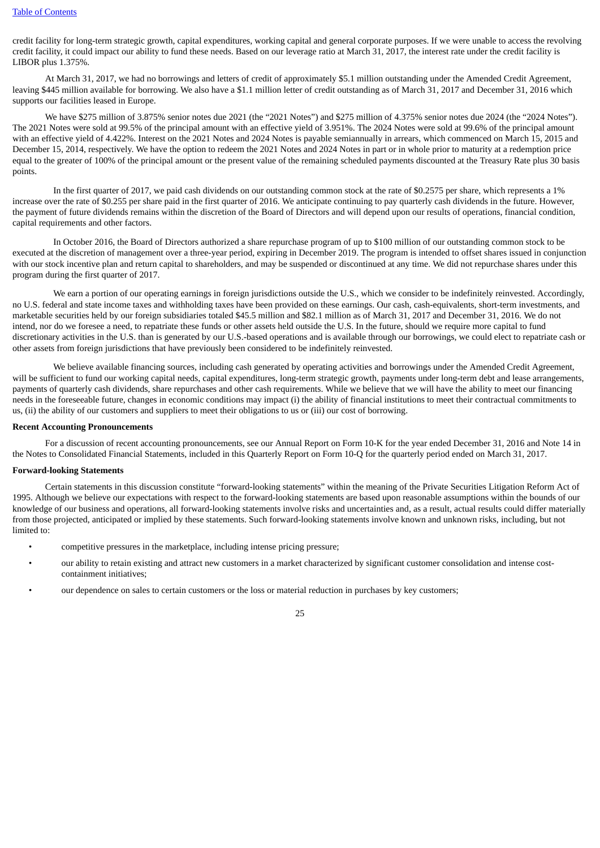credit facility for long-term strategic growth, capital expenditures, working capital and general corporate purposes. If we were unable to access the revolving credit facility, it could impact our ability to fund these needs. Based on our leverage ratio at March 31, 2017, the interest rate under the credit facility is LIBOR plus 1.375%.

At March 31, 2017, we had no borrowings and letters of credit of approximately \$5.1 million outstanding under the Amended Credit Agreement, leaving \$445 million available for borrowing. We also have a \$1.1 million letter of credit outstanding as of March 31, 2017 and December 31, 2016 which supports our facilities leased in Europe.

We have \$275 million of 3.875% senior notes due 2021 (the "2021 Notes") and \$275 million of 4.375% senior notes due 2024 (the "2024 Notes"). The 2021 Notes were sold at 99.5% of the principal amount with an effective yield of 3.951%. The 2024 Notes were sold at 99.6% of the principal amount with an effective yield of 4.422%. Interest on the 2021 Notes and 2024 Notes is payable semiannually in arrears, which commenced on March 15, 2015 and December 15, 2014, respectively. We have the option to redeem the 2021 Notes and 2024 Notes in part or in whole prior to maturity at a redemption price equal to the greater of 100% of the principal amount or the present value of the remaining scheduled payments discounted at the Treasury Rate plus 30 basis points.

In the first quarter of 2017, we paid cash dividends on our outstanding common stock at the rate of \$0.2575 per share, which represents a 1% increase over the rate of \$0.255 per share paid in the first quarter of 2016. We anticipate continuing to pay quarterly cash dividends in the future. However, the payment of future dividends remains within the discretion of the Board of Directors and will depend upon our results of operations, financial condition, capital requirements and other factors.

In October 2016, the Board of Directors authorized a share repurchase program of up to \$100 million of our outstanding common stock to be executed at the discretion of management over a three-year period, expiring in December 2019. The program is intended to offset shares issued in conjunction with our stock incentive plan and return capital to shareholders, and may be suspended or discontinued at any time. We did not repurchase shares under this program during the first quarter of 2017.

We earn a portion of our operating earnings in foreign jurisdictions outside the U.S., which we consider to be indefinitely reinvested. Accordingly, no U.S. federal and state income taxes and withholding taxes have been provided on these earnings. Our cash, cash-equivalents, short-term investments, and marketable securities held by our foreign subsidiaries totaled \$45.5 million and \$82.1 million as of March 31, 2017 and December 31, 2016. We do not intend, nor do we foresee a need, to repatriate these funds or other assets held outside the U.S. In the future, should we require more capital to fund discretionary activities in the U.S. than is generated by our U.S.-based operations and is available through our borrowings, we could elect to repatriate cash or other assets from foreign jurisdictions that have previously been considered to be indefinitely reinvested.

We believe available financing sources, including cash generated by operating activities and borrowings under the Amended Credit Agreement, will be sufficient to fund our working capital needs, capital expenditures, long-term strategic growth, payments under long-term debt and lease arrangements, payments of quarterly cash dividends, share repurchases and other cash requirements. While we believe that we will have the ability to meet our financing needs in the foreseeable future, changes in economic conditions may impact (i) the ability of financial institutions to meet their contractual commitments to us, (ii) the ability of our customers and suppliers to meet their obligations to us or (iii) our cost of borrowing.

#### **Recent Accounting Pronouncements**

For a discussion of recent accounting pronouncements, see our Annual Report on Form 10-K for the year ended December 31, 2016 and Note 14 in the Notes to Consolidated Financial Statements, included in this Quarterly Report on Form 10-Q for the quarterly period ended on March 31, 2017.

#### **Forward-looking Statements**

Certain statements in this discussion constitute "forward-looking statements" within the meaning of the Private Securities Litigation Reform Act of 1995. Although we believe our expectations with respect to the forward-looking statements are based upon reasonable assumptions within the bounds of our knowledge of our business and operations, all forward-looking statements involve risks and uncertainties and, as a result, actual results could differ materially from those projected, anticipated or implied by these statements. Such forward-looking statements involve known and unknown risks, including, but not limited to:

- competitive pressures in the marketplace, including intense pricing pressure;
- our ability to retain existing and attract new customers in a market characterized by significant customer consolidation and intense costcontainment initiatives;
- our dependence on sales to certain customers or the loss or material reduction in purchases by key customers;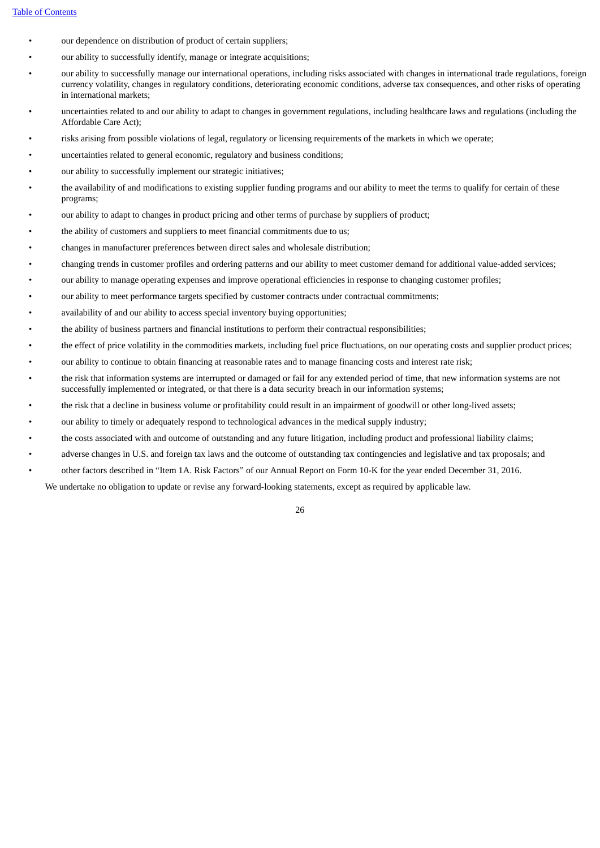- our dependence on distribution of product of certain suppliers;
- our ability to successfully identify, manage or integrate acquisitions;
- our ability to successfully manage our international operations, including risks associated with changes in international trade regulations, foreign currency volatility, changes in regulatory conditions, deteriorating economic conditions, adverse tax consequences, and other risks of operating in international markets;
- uncertainties related to and our ability to adapt to changes in government regulations, including healthcare laws and regulations (including the Affordable Care Act);
- risks arising from possible violations of legal, regulatory or licensing requirements of the markets in which we operate;
- uncertainties related to general economic, regulatory and business conditions;
- our ability to successfully implement our strategic initiatives;
- the availability of and modifications to existing supplier funding programs and our ability to meet the terms to qualify for certain of these programs;
- our ability to adapt to changes in product pricing and other terms of purchase by suppliers of product;
- the ability of customers and suppliers to meet financial commitments due to us;
- changes in manufacturer preferences between direct sales and wholesale distribution;
- changing trends in customer profiles and ordering patterns and our ability to meet customer demand for additional value-added services;
- our ability to manage operating expenses and improve operational efficiencies in response to changing customer profiles;
- our ability to meet performance targets specified by customer contracts under contractual commitments;
- availability of and our ability to access special inventory buying opportunities;
- the ability of business partners and financial institutions to perform their contractual responsibilities;
- the effect of price volatility in the commodities markets, including fuel price fluctuations, on our operating costs and supplier product prices;
- our ability to continue to obtain financing at reasonable rates and to manage financing costs and interest rate risk;
- the risk that information systems are interrupted or damaged or fail for any extended period of time, that new information systems are not successfully implemented or integrated, or that there is a data security breach in our information systems;
- the risk that a decline in business volume or profitability could result in an impairment of goodwill or other long-lived assets;
- our ability to timely or adequately respond to technological advances in the medical supply industry;
- the costs associated with and outcome of outstanding and any future litigation, including product and professional liability claims;
- adverse changes in U.S. and foreign tax laws and the outcome of outstanding tax contingencies and legislative and tax proposals; and
- other factors described in "Item 1A. Risk Factors" of our Annual Report on Form 10-K for the year ended December 31, 2016.

We undertake no obligation to update or revise any forward-looking statements, except as required by applicable law.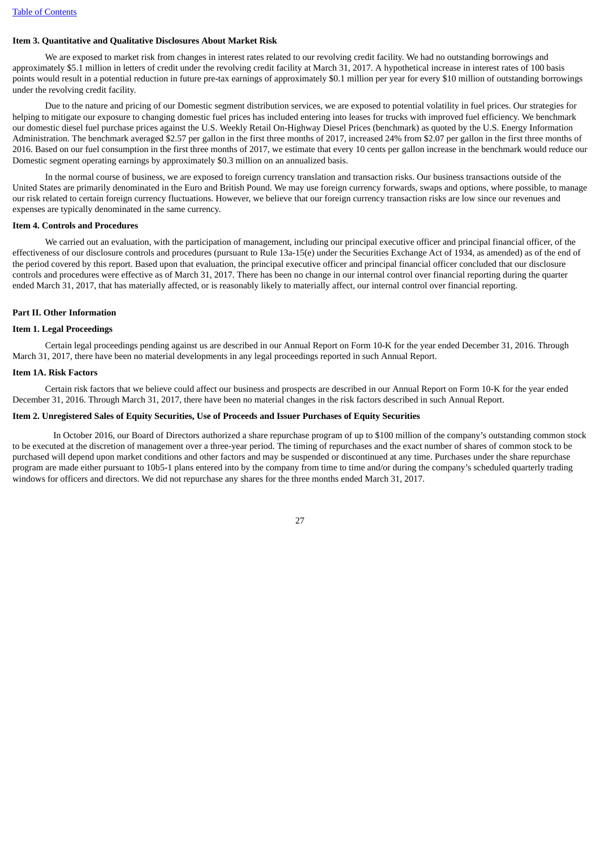### <span id="page-26-0"></span>**Item 3. Quantitative and Qualitative Disclosures About Market Risk**

We are exposed to market risk from changes in interest rates related to our revolving credit facility. We had no outstanding borrowings and approximately \$5.1 million in letters of credit under the revolving credit facility at March 31, 2017. A hypothetical increase in interest rates of 100 basis points would result in a potential reduction in future pre-tax earnings of approximately \$0.1 million per year for every \$10 million of outstanding borrowings under the revolving credit facility.

Due to the nature and pricing of our Domestic segment distribution services, we are exposed to potential volatility in fuel prices. Our strategies for helping to mitigate our exposure to changing domestic fuel prices has included entering into leases for trucks with improved fuel efficiency. We benchmark our domestic diesel fuel purchase prices against the U.S. Weekly Retail On-Highway Diesel Prices (benchmark) as quoted by the U.S. Energy Information Administration. The benchmark averaged \$2.57 per gallon in the first three months of 2017, increased 24% from \$2.07 per gallon in the first three months of 2016. Based on our fuel consumption in the first three months of 2017, we estimate that every 10 cents per gallon increase in the benchmark would reduce our Domestic segment operating earnings by approximately \$0.3 million on an annualized basis.

In the normal course of business, we are exposed to foreign currency translation and transaction risks. Our business transactions outside of the United States are primarily denominated in the Euro and British Pound. We may use foreign currency forwards, swaps and options, where possible, to manage our risk related to certain foreign currency fluctuations. However, we believe that our foreign currency transaction risks are low since our revenues and expenses are typically denominated in the same currency.

### <span id="page-26-1"></span>**Item 4. Controls and Procedures**

We carried out an evaluation, with the participation of management, including our principal executive officer and principal financial officer, of the effectiveness of our disclosure controls and procedures (pursuant to Rule 13a-15(e) under the Securities Exchange Act of 1934, as amended) as of the end of the period covered by this report. Based upon that evaluation, the principal executive officer and principal financial officer concluded that our disclosure controls and procedures were effective as of March 31, 2017. There has been no change in our internal control over financial reporting during the quarter ended March 31, 2017, that has materially affected, or is reasonably likely to materially affect, our internal control over financial reporting.

### <span id="page-26-2"></span>**Part II. Other Information**

### <span id="page-26-3"></span>**Item 1. Legal Proceedings**

Certain legal proceedings pending against us are described in our Annual Report on Form 10-K for the year ended December 31, 2016. Through March 31, 2017, there have been no material developments in any legal proceedings reported in such Annual Report.

### <span id="page-26-4"></span>**Item 1A. Risk Factors**

Certain risk factors that we believe could affect our business and prospects are described in our Annual Report on Form 10-K for the year ended December 31, 2016. Through March 31, 2017, there have been no material changes in the risk factors described in such Annual Report.

### <span id="page-26-5"></span>**Item 2. Unregistered Sales of Equity Securities, Use of Proceeds and Issuer Purchases of Equity Securities**

In October 2016, our Board of Directors authorized a share repurchase program of up to \$100 million of the company's outstanding common stock to be executed at the discretion of management over a three-year period. The timing of repurchases and the exact number of shares of common stock to be purchased will depend upon market conditions and other factors and may be suspended or discontinued at any time. Purchases under the share repurchase program are made either pursuant to 10b5-1 plans entered into by the company from time to time and/or during the company's scheduled quarterly trading windows for officers and directors. We did not repurchase any shares for the three months ended March 31, 2017.

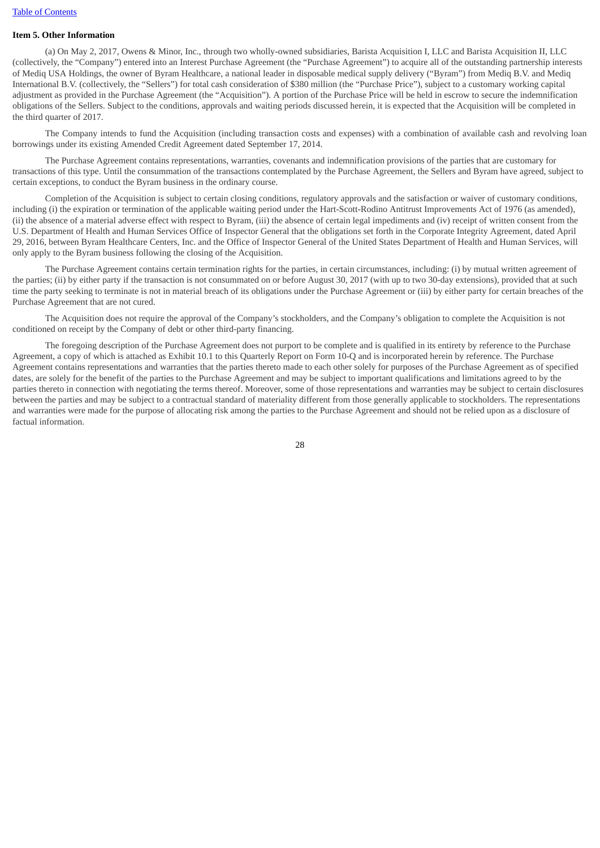### **Item 5. Other Information**

(a) On May 2, 2017, Owens & Minor, Inc., through two wholly-owned subsidiaries, Barista Acquisition I, LLC and Barista Acquisition II, LLC (collectively, the "Company") entered into an Interest Purchase Agreement (the "Purchase Agreement") to acquire all of the outstanding partnership interests of Mediq USA Holdings, the owner of Byram Healthcare, a national leader in disposable medical supply delivery ("Byram") from Mediq B.V. and Mediq International B.V. (collectively, the "Sellers") for total cash consideration of \$380 million (the "Purchase Price"), subject to a customary working capital adjustment as provided in the Purchase Agreement (the "Acquisition"). A portion of the Purchase Price will be held in escrow to secure the indemnification obligations of the Sellers. Subject to the conditions, approvals and waiting periods discussed herein, it is expected that the Acquisition will be completed in the third quarter of 2017.

The Company intends to fund the Acquisition (including transaction costs and expenses) with a combination of available cash and revolving loan borrowings under its existing Amended Credit Agreement dated September 17, 2014.

The Purchase Agreement contains representations, warranties, covenants and indemnification provisions of the parties that are customary for transactions of this type. Until the consummation of the transactions contemplated by the Purchase Agreement, the Sellers and Byram have agreed, subject to certain exceptions, to conduct the Byram business in the ordinary course.

Completion of the Acquisition is subject to certain closing conditions, regulatory approvals and the satisfaction or waiver of customary conditions, including (i) the expiration or termination of the applicable waiting period under the Hart-Scott-Rodino Antitrust Improvements Act of 1976 (as amended), (ii) the absence of a material adverse effect with respect to Byram, (iii) the absence of certain legal impediments and (iv) receipt of written consent from the U.S. Department of Health and Human Services Office of Inspector General that the obligations set forth in the Corporate Integrity Agreement, dated April 29, 2016, between Byram Healthcare Centers, Inc. and the Office of Inspector General of the United States Department of Health and Human Services, will only apply to the Byram business following the closing of the Acquisition.

The Purchase Agreement contains certain termination rights for the parties, in certain circumstances, including: (i) by mutual written agreement of the parties; (ii) by either party if the transaction is not consummated on or before August 30, 2017 (with up to two 30-day extensions), provided that at such time the party seeking to terminate is not in material breach of its obligations under the Purchase Agreement or (iii) by either party for certain breaches of the Purchase Agreement that are not cured.

The Acquisition does not require the approval of the Company's stockholders, and the Company's obligation to complete the Acquisition is not conditioned on receipt by the Company of debt or other third-party financing.

The foregoing description of the Purchase Agreement does not purport to be complete and is qualified in its entirety by reference to the Purchase Agreement, a copy of which is attached as Exhibit 10.1 to this Quarterly Report on Form 10-Q and is incorporated herein by reference. The Purchase Agreement contains representations and warranties that the parties thereto made to each other solely for purposes of the Purchase Agreement as of specified dates, are solely for the benefit of the parties to the Purchase Agreement and may be subject to important qualifications and limitations agreed to by the parties thereto in connection with negotiating the terms thereof. Moreover, some of those representations and warranties may be subject to certain disclosures between the parties and may be subject to a contractual standard of materiality different from those generally applicable to stockholders. The representations and warranties were made for the purpose of allocating risk among the parties to the Purchase Agreement and should not be relied upon as a disclosure of factual information.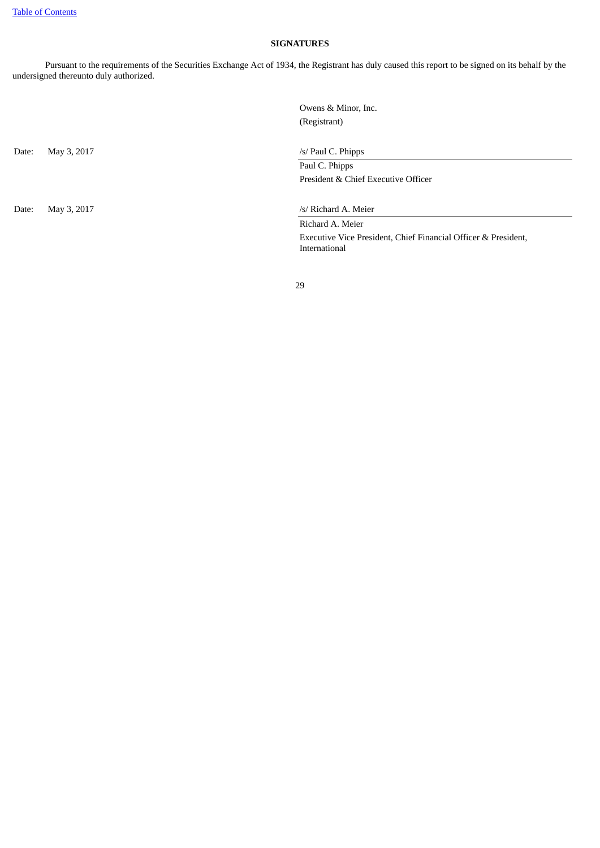### **SIGNATURES**

<span id="page-28-0"></span>Pursuant to the requirements of the Securities Exchange Act of 1934, the Registrant has duly caused this report to be signed on its behalf by the undersigned thereunto duly authorized.

Date: May 3, 2017 /s/ Paul C. Phipps

Date: May 3, 2017 /s/ Richard A. Meier

Owens & Minor, Inc. (Registrant)

Paul C. Phipps President & Chief Executive Officer

Richard A. Meier

Executive Vice President, Chief Financial Officer & President, International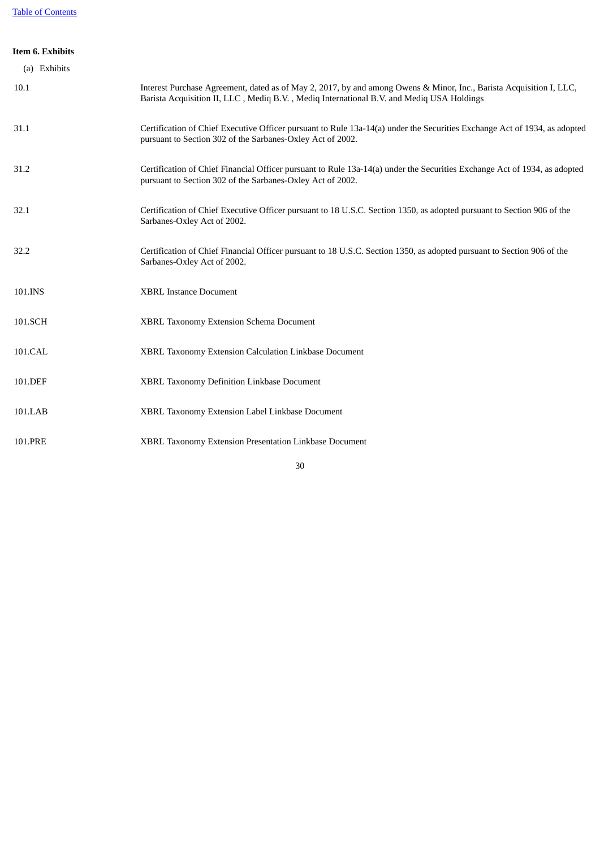<span id="page-29-0"></span>

| Item 6. Exhibits |                                                                                                                                                                                                                 |
|------------------|-----------------------------------------------------------------------------------------------------------------------------------------------------------------------------------------------------------------|
| (a) Exhibits     |                                                                                                                                                                                                                 |
| 10.1             | Interest Purchase Agreement, dated as of May 2, 2017, by and among Owens & Minor, Inc., Barista Acquisition I, LLC,<br>Barista Acquisition II, LLC, Mediq B.V., Mediq International B.V. and Mediq USA Holdings |
| 31.1             | Certification of Chief Executive Officer pursuant to Rule 13a-14(a) under the Securities Exchange Act of 1934, as adopted<br>pursuant to Section 302 of the Sarbanes-Oxley Act of 2002.                         |
| 31.2             | Certification of Chief Financial Officer pursuant to Rule 13a-14(a) under the Securities Exchange Act of 1934, as adopted<br>pursuant to Section 302 of the Sarbanes-Oxley Act of 2002.                         |
| 32.1             | Certification of Chief Executive Officer pursuant to 18 U.S.C. Section 1350, as adopted pursuant to Section 906 of the<br>Sarbanes-Oxley Act of 2002.                                                           |
| 32.2             | Certification of Chief Financial Officer pursuant to 18 U.S.C. Section 1350, as adopted pursuant to Section 906 of the<br>Sarbanes-Oxley Act of 2002.                                                           |
| 101.INS          | <b>XBRL Instance Document</b>                                                                                                                                                                                   |
| 101.SCH          | XBRL Taxonomy Extension Schema Document                                                                                                                                                                         |
| 101.CAL          | XBRL Taxonomy Extension Calculation Linkbase Document                                                                                                                                                           |
| 101.DEF          | XBRL Taxonomy Definition Linkbase Document                                                                                                                                                                      |
| 101.LAB          | XBRL Taxonomy Extension Label Linkbase Document                                                                                                                                                                 |
| 101.PRE          | XBRL Taxonomy Extension Presentation Linkbase Document                                                                                                                                                          |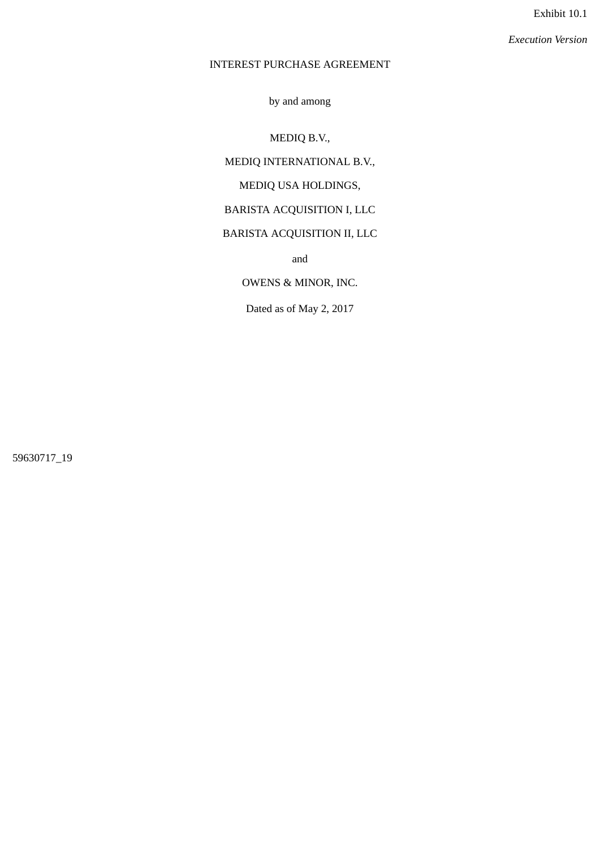Exhibit 10.1

*Execution Version*

# INTEREST PURCHASE AGREEMENT

by and among

MEDIQ B.V.,

MEDIQ INTERNATIONAL B.V.,

MEDIQ USA HOLDINGS,

BARISTA ACQUISITION I, LLC

# BARISTA ACQUISITION II, LLC

and

OWENS & MINOR, INC.

Dated as of May 2, 2017

59630717\_19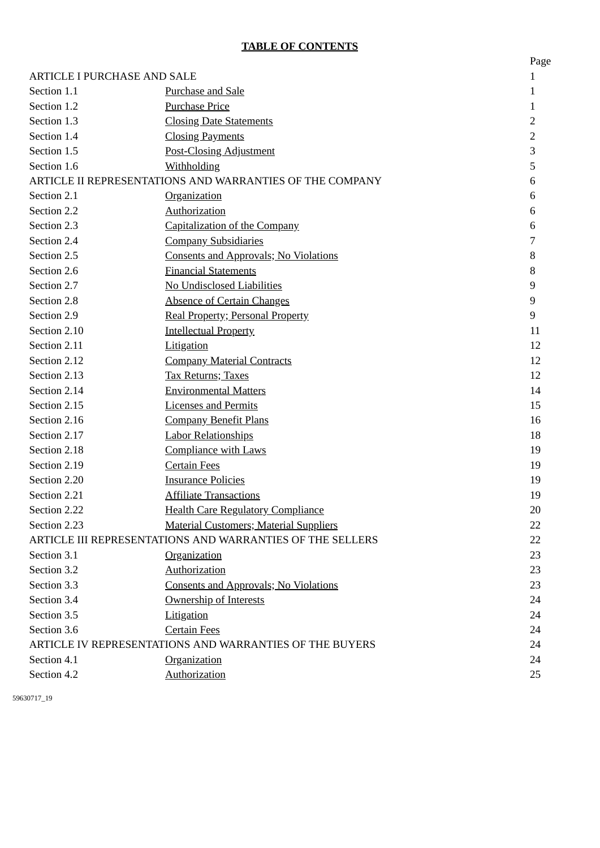|                             |                                                           | Page |
|-----------------------------|-----------------------------------------------------------|------|
| ARTICLE I PURCHASE AND SALE |                                                           | 1    |
| Section 1.1                 | <b>Purchase and Sale</b>                                  | 1    |
| Section 1.2                 | <b>Purchase Price</b>                                     | 1    |
| Section 1.3                 | <b>Closing Date Statements</b>                            | 2    |
| Section 1.4                 | <b>Closing Payments</b>                                   | 2    |
| Section 1.5                 | <b>Post-Closing Adjustment</b>                            | 3    |
| Section 1.6                 | Withholding                                               | 5    |
|                             | ARTICLE II REPRESENTATIONS AND WARRANTIES OF THE COMPANY  | 6    |
| Section 2.1                 | Organization                                              | 6    |
| Section 2.2                 | Authorization                                             | 6    |
| Section 2.3                 | Capitalization of the Company                             | 6    |
| Section 2.4                 | <b>Company Subsidiaries</b>                               | 7    |
| Section 2.5                 | <b>Consents and Approvals; No Violations</b>              | 8    |
| Section 2.6                 | <b>Financial Statements</b>                               | 8    |
| Section 2.7                 | No Undisclosed Liabilities                                | 9    |
| Section 2.8                 | <b>Absence of Certain Changes</b>                         | 9    |
| Section 2.9                 | Real Property; Personal Property                          | 9    |
| Section 2.10                | <b>Intellectual Property</b>                              | 11   |
| Section 2.11                | Litigation                                                | 12   |
| Section 2.12                | <b>Company Material Contracts</b>                         | 12   |
| Section 2.13                | Tax Returns; Taxes                                        | 12   |
| Section 2.14                | <b>Environmental Matters</b>                              | 14   |
| Section 2.15                | <b>Licenses and Permits</b>                               | 15   |
| Section 2.16                | <b>Company Benefit Plans</b>                              | 16   |
| Section 2.17                | <b>Labor Relationships</b>                                | 18   |
| Section 2.18                | <b>Compliance with Laws</b>                               | 19   |
| Section 2.19                | <b>Certain Fees</b>                                       | 19   |
| Section 2.20                | <b>Insurance Policies</b>                                 | 19   |
| Section 2.21                | <b>Affiliate Transactions</b>                             | 19   |
| Section 2.22                | <b>Health Care Regulatory Compliance</b>                  | 20   |
| Section 2.23                | <b>Material Customers; Material Suppliers</b>             | 22   |
|                             | ARTICLE III REPRESENTATIONS AND WARRANTIES OF THE SELLERS | 22   |
| Section 3.1                 | Organization                                              | 23   |
| Section 3.2                 | Authorization                                             | 23   |
| Section 3.3                 | <b>Consents and Approvals; No Violations</b>              | 23   |
| Section 3.4                 | Ownership of Interests                                    | 24   |
| Section 3.5                 | Litigation                                                | 24   |
| Section 3.6                 | <b>Certain Fees</b>                                       | 24   |
|                             | ARTICLE IV REPRESENTATIONS AND WARRANTIES OF THE BUYERS   | 24   |
| Section 4.1                 | Organization                                              | 24   |
| Section 4.2                 | Authorization                                             | 25   |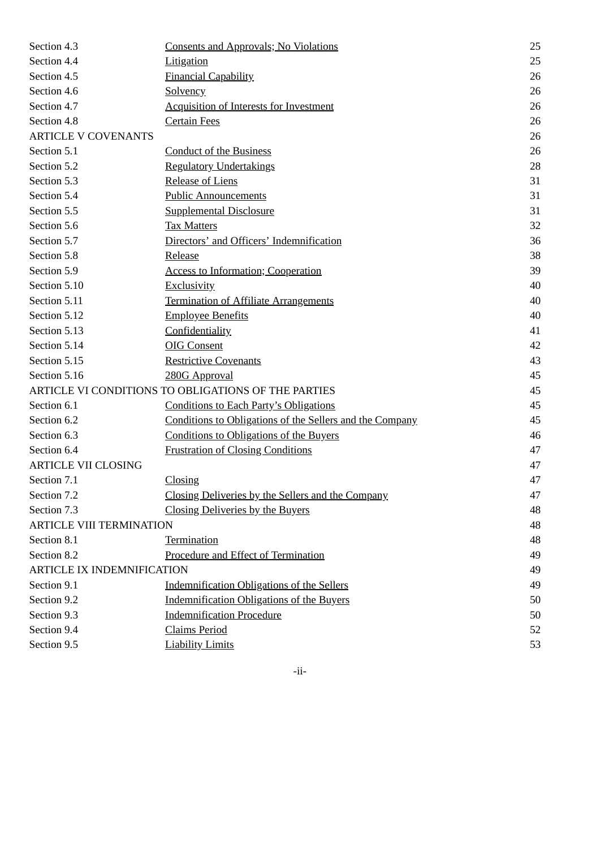| Section 4.3                                         | <b>Consents and Approvals; No Violations</b>                    | 25 |
|-----------------------------------------------------|-----------------------------------------------------------------|----|
| Section 4.4                                         | Litigation                                                      | 25 |
| Section 4.5                                         | <b>Financial Capability</b>                                     | 26 |
| Section 4.6                                         | <b>Solvency</b>                                                 | 26 |
| Section 4.7                                         | <b>Acquisition of Interests for Investment</b>                  | 26 |
| Section 4.8                                         | <b>Certain Fees</b>                                             | 26 |
| <b>ARTICLE V COVENANTS</b>                          |                                                                 |    |
| Section 5.1                                         | <b>Conduct of the Business</b>                                  | 26 |
| Section 5.2                                         | <b>Regulatory Undertakings</b>                                  | 28 |
| Section 5.3                                         | <b>Release of Liens</b>                                         | 31 |
| Section 5.4                                         | <b>Public Announcements</b>                                     | 31 |
| Section 5.5                                         | <b>Supplemental Disclosure</b>                                  | 31 |
| Section 5.6                                         | <b>Tax Matters</b>                                              | 32 |
| Section 5.7                                         | Directors' and Officers' Indemnification                        | 36 |
| Section 5.8                                         | Release                                                         | 38 |
| Section 5.9                                         | <b>Access to Information; Cooperation</b>                       | 39 |
| Section 5.10                                        | <b>Exclusivity</b>                                              | 40 |
| Section 5.11                                        | <b>Termination of Affiliate Arrangements</b>                    | 40 |
| Section 5.12                                        | <b>Employee Benefits</b>                                        | 40 |
| Section 5.13                                        | Confidentiality                                                 | 41 |
| Section 5.14                                        | <b>OIG Consent</b>                                              | 42 |
| Section 5.15                                        | <b>Restrictive Covenants</b>                                    | 43 |
| Section 5.16                                        | 280G Approval                                                   | 45 |
| ARTICLE VI CONDITIONS TO OBLIGATIONS OF THE PARTIES |                                                                 |    |
| Section 6.1                                         | <b>Conditions to Each Party's Obligations</b>                   | 45 |
| Section 6.2                                         | <b>Conditions to Obligations of the Sellers and the Company</b> | 45 |
| Section 6.3                                         | <b>Conditions to Obligations of the Buyers</b>                  | 46 |
| Section 6.4                                         | <b>Frustration of Closing Conditions</b>                        | 47 |
| <b>ARTICLE VII CLOSING</b>                          |                                                                 | 47 |
| Section 7.1                                         | Closing                                                         | 47 |
| Section 7.2                                         | <b>Closing Deliveries by the Sellers and the Company</b>        | 47 |
| Section 7.3                                         | <b>Closing Deliveries by the Buyers</b>                         | 48 |
| <b>ARTICLE VIII TERMINATION</b>                     |                                                                 | 48 |
| Section 8.1                                         | Termination                                                     | 48 |
| Section 8.2                                         | Procedure and Effect of Termination                             | 49 |
| ARTICLE IX INDEMNIFICATION                          |                                                                 | 49 |
| Section 9.1                                         | <b>Indemnification Obligations of the Sellers</b>               | 49 |
| Section 9.2                                         | <b>Indemnification Obligations of the Buyers</b>                | 50 |
| Section 9.3                                         | <b>Indemnification Procedure</b>                                | 50 |
| Section 9.4                                         | <b>Claims Period</b>                                            | 52 |
| Section 9.5                                         | <b>Liability Limits</b>                                         | 53 |

-ii-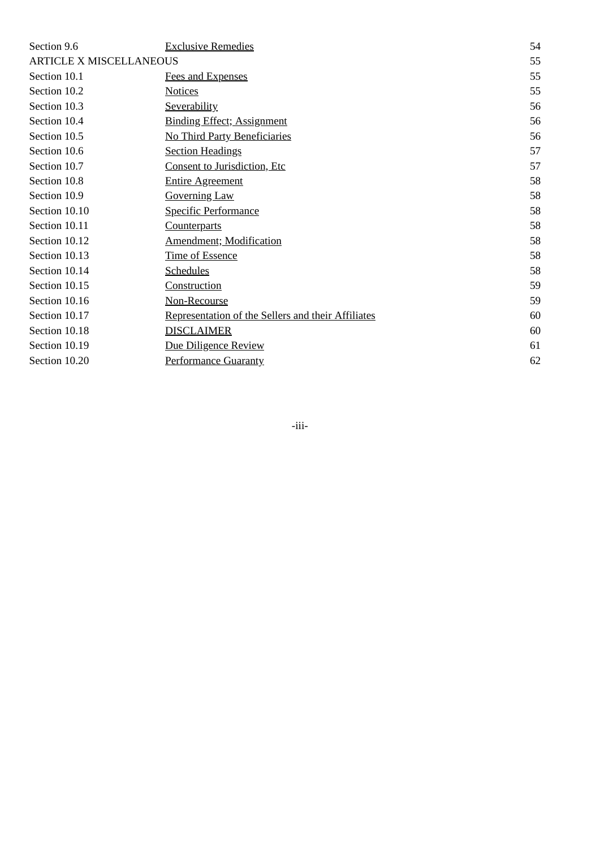| Section 9.6                    | <b>Exclusive Remedies</b>                          | 54 |
|--------------------------------|----------------------------------------------------|----|
| <b>ARTICLE X MISCELLANEOUS</b> |                                                    | 55 |
| Section 10.1                   | Fees and Expenses                                  | 55 |
| Section 10.2                   | <b>Notices</b>                                     | 55 |
| Section 10.3                   | Severability                                       | 56 |
| Section 10.4                   | <b>Binding Effect; Assignment</b>                  | 56 |
| Section 10.5                   | <b>No Third Party Beneficiaries</b>                | 56 |
| Section 10.6                   | <b>Section Headings</b>                            | 57 |
| Section 10.7                   | Consent to Jurisdiction, Etc                       | 57 |
| Section 10.8                   | <b>Entire Agreement</b>                            | 58 |
| Section 10.9                   | <b>Governing Law</b>                               | 58 |
| Section 10.10                  | <b>Specific Performance</b>                        | 58 |
| Section 10.11                  | Counterparts                                       | 58 |
| Section 10.12                  | <b>Amendment</b> ; Modification                    | 58 |
| Section 10.13                  | <b>Time of Essence</b>                             | 58 |
| Section 10.14                  | <b>Schedules</b>                                   | 58 |
| Section 10.15                  | Construction                                       | 59 |
| Section 10.16                  | Non-Recourse                                       | 59 |
| Section 10.17                  | Representation of the Sellers and their Affiliates | 60 |
| Section 10.18                  | <b>DISCLAIMER</b>                                  | 60 |
| Section 10.19                  | Due Diligence Review                               | 61 |
| Section 10.20                  | <b>Performance Guaranty</b>                        | 62 |

-iii-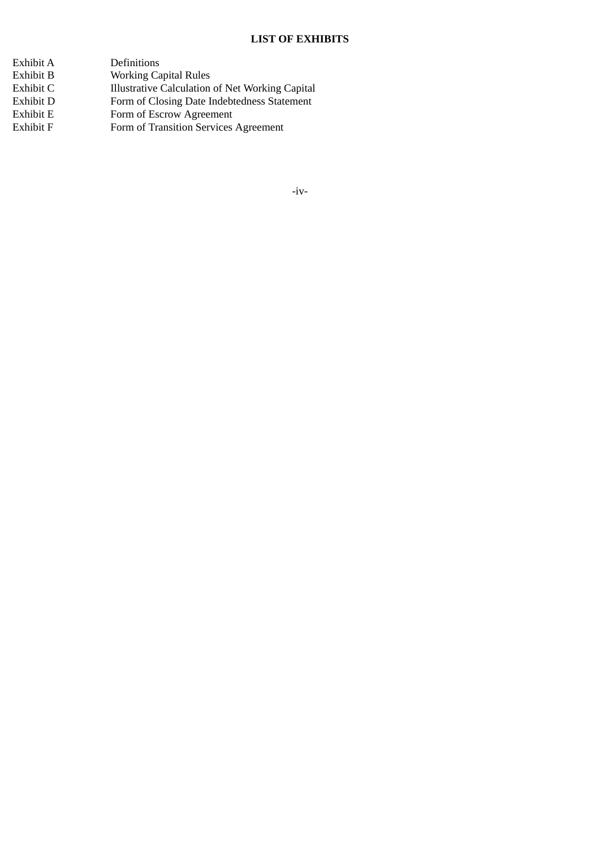### **LIST OF EXHIBITS**

- Exhibit A Definitions Exhibit B Working Capital Rules Exhibit C **Illustrative Calculation of Net Working Capital** Exhibit D Form of Closing Date Indebtedness Statement Exhibit E<br/> $\begin{tabular}{ll} \textbf{Exhibit F} & \textbf{Form of Escrow Agreement} \\ \textbf{Exhibit F} & \textbf{Form of Transition Services} \\ \end{tabular}$ 
	- Form of Transition Services Agreement

-iv-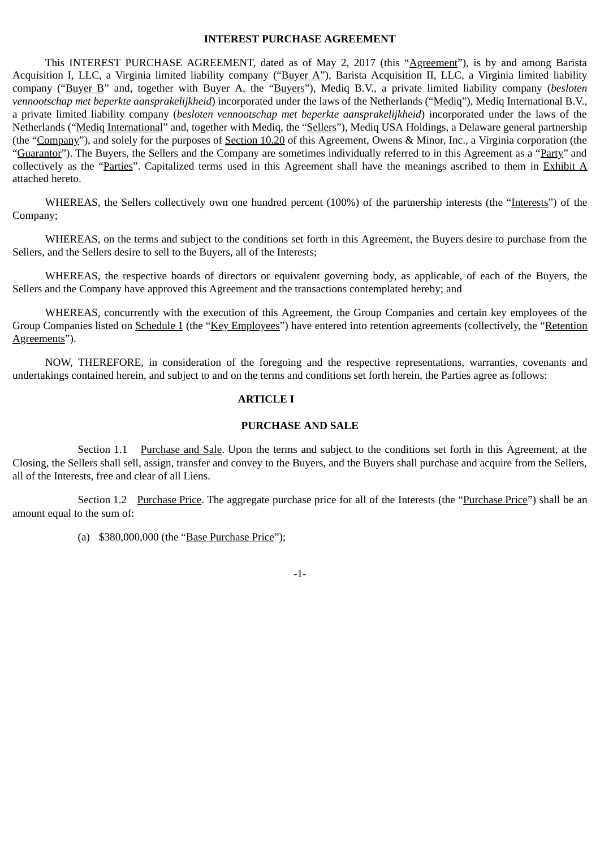### **INTEREST PURCHASE AGREEMENT**

This INTEREST PURCHASE AGREEMENT, dated as of May 2, 2017 (this "Agreement"), is by and among Barista Acquisition I, LLC, a Virginia limited liability company ("Buyer A"), Barista Acquisition II, LLC, a Virginia limited liability company ("Buyer B" and, together with Buyer A, the "Buyers"), Mediq B.V., a private limited liability company (*besloten vennootschap met beperkte aansprakelijkheid*) incorporated under the laws of the Netherlands ("Mediq"), Mediq International B.V., a private limited liability company (*besloten vennootschap met beperkte aansprakelijkheid*) incorporated under the laws of the Netherlands ("Mediq International" and, together with Mediq, the "Sellers"), Mediq USA Holdings, a Delaware general partnership (the "Company"), and solely for the purposes of Section 10.20 of this Agreement, Owens & Minor, Inc., a Virginia corporation (the "Guarantor"). The Buyers, the Sellers and the Company are sometimes individually referred to in this Agreement as a "Party" and collectively as the "Parties". Capitalized terms used in this Agreement shall have the meanings ascribed to them in Exhibit A attached hereto.

WHEREAS, the Sellers collectively own one hundred percent (100%) of the partnership interests (the "Interests") of the Company;

WHEREAS, on the terms and subject to the conditions set forth in this Agreement, the Buyers desire to purchase from the Sellers, and the Sellers desire to sell to the Buyers, all of the Interests;

WHEREAS, the respective boards of directors or equivalent governing body, as applicable, of each of the Buyers, the Sellers and the Company have approved this Agreement and the transactions contemplated hereby; and

WHEREAS, concurrently with the execution of this Agreement, the Group Companies and certain key employees of the Group Companies listed on Schedule 1 (the "Key Employees") have entered into retention agreements (collectively, the "Retention Agreements").

NOW, THEREFORE, in consideration of the foregoing and the respective representations, warranties, covenants and undertakings contained herein, and subject to and on the terms and conditions set forth herein, the Parties agree as follows:

### **ARTICLE I**

### **PURCHASE AND SALE**

Section 1.1 Purchase and Sale. Upon the terms and subject to the conditions set forth in this Agreement, at the Closing, the Sellers shall sell, assign, transfer and convey to the Buyers, and the Buyers shall purchase and acquire from the Sellers, all of the Interests, free and clear of all Liens.

Section 1.2 Purchase Price. The aggregate purchase price for all of the Interests (the "Purchase Price") shall be an amount equal to the sum of:

(a) \$380,000,000 (the "Base Purchase Price");

-1-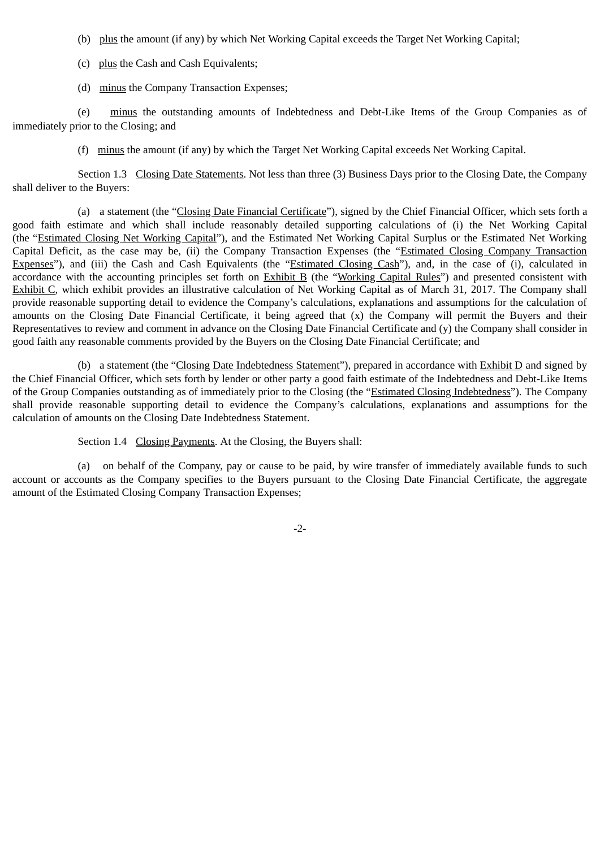(b) plus the amount (if any) by which Net Working Capital exceeds the Target Net Working Capital;

- (c) plus the Cash and Cash Equivalents;
- (d) minus the Company Transaction Expenses;

(e) minus the outstanding amounts of Indebtedness and Debt-Like Items of the Group Companies as of immediately prior to the Closing; and

(f) minus the amount (if any) by which the Target Net Working Capital exceeds Net Working Capital.

Section 1.3 Closing Date Statements. Not less than three (3) Business Days prior to the Closing Date, the Company shall deliver to the Buyers:

(a) a statement (the "Closing Date Financial Certificate"), signed by the Chief Financial Officer, which sets forth a good faith estimate and which shall include reasonably detailed supporting calculations of (i) the Net Working Capital (the "Estimated Closing Net Working Capital"), and the Estimated Net Working Capital Surplus or the Estimated Net Working Capital Deficit, as the case may be, (ii) the Company Transaction Expenses (the "Estimated Closing Company Transaction Expenses"), and (iii) the Cash and Cash Equivalents (the "Estimated Closing Cash"), and, in the case of (i), calculated in accordance with the accounting principles set forth on Exhibit B (the "Working Capital Rules") and presented consistent with Exhibit C, which exhibit provides an illustrative calculation of Net Working Capital as of March 31, 2017. The Company shall provide reasonable supporting detail to evidence the Company's calculations, explanations and assumptions for the calculation of amounts on the Closing Date Financial Certificate, it being agreed that (x) the Company will permit the Buyers and their Representatives to review and comment in advance on the Closing Date Financial Certificate and (y) the Company shall consider in good faith any reasonable comments provided by the Buyers on the Closing Date Financial Certificate; and

(b) a statement (the "Closing Date Indebtedness Statement"), prepared in accordance with  $Exhibit D$  and signed by the Chief Financial Officer, which sets forth by lender or other party a good faith estimate of the Indebtedness and Debt-Like Items of the Group Companies outstanding as of immediately prior to the Closing (the "Estimated Closing Indebtedness"). The Company shall provide reasonable supporting detail to evidence the Company's calculations, explanations and assumptions for the calculation of amounts on the Closing Date Indebtedness Statement.

Section 1.4 Closing Payments. At the Closing, the Buyers shall:

(a) on behalf of the Company, pay or cause to be paid, by wire transfer of immediately available funds to such account or accounts as the Company specifies to the Buyers pursuant to the Closing Date Financial Certificate, the aggregate amount of the Estimated Closing Company Transaction Expenses;

-2-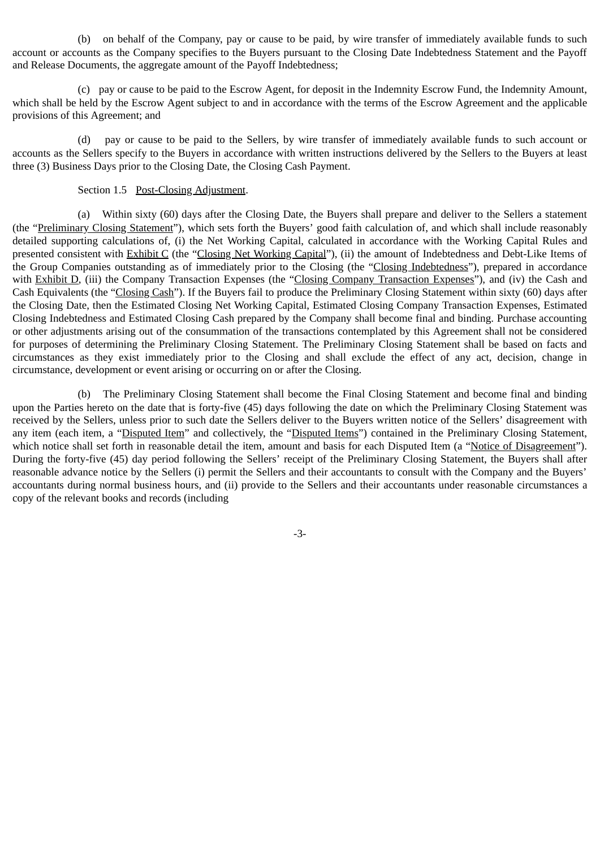(b) on behalf of the Company, pay or cause to be paid, by wire transfer of immediately available funds to such account or accounts as the Company specifies to the Buyers pursuant to the Closing Date Indebtedness Statement and the Payoff and Release Documents, the aggregate amount of the Payoff Indebtedness;

(c) pay or cause to be paid to the Escrow Agent, for deposit in the Indemnity Escrow Fund, the Indemnity Amount, which shall be held by the Escrow Agent subject to and in accordance with the terms of the Escrow Agreement and the applicable provisions of this Agreement; and

(d) pay or cause to be paid to the Sellers, by wire transfer of immediately available funds to such account or accounts as the Sellers specify to the Buyers in accordance with written instructions delivered by the Sellers to the Buyers at least three (3) Business Days prior to the Closing Date, the Closing Cash Payment.

## Section 1.5 Post-Closing Adjustment.

(a) Within sixty (60) days after the Closing Date, the Buyers shall prepare and deliver to the Sellers a statement (the "Preliminary Closing Statement"), which sets forth the Buyers' good faith calculation of, and which shall include reasonably detailed supporting calculations of, (i) the Net Working Capital, calculated in accordance with the Working Capital Rules and presented consistent with Exhibit C (the "Closing Net Working Capital"), (ii) the amount of Indebtedness and Debt-Like Items of the Group Companies outstanding as of immediately prior to the Closing (the "Closing Indebtedness"), prepared in accordance with Exhibit D, (iii) the Company Transaction Expenses (the "Closing Company Transaction Expenses"), and (iv) the Cash and Cash Equivalents (the "Closing Cash"). If the Buyers fail to produce the Preliminary Closing Statement within sixty (60) days after the Closing Date, then the Estimated Closing Net Working Capital, Estimated Closing Company Transaction Expenses, Estimated Closing Indebtedness and Estimated Closing Cash prepared by the Company shall become final and binding. Purchase accounting or other adjustments arising out of the consummation of the transactions contemplated by this Agreement shall not be considered for purposes of determining the Preliminary Closing Statement. The Preliminary Closing Statement shall be based on facts and circumstances as they exist immediately prior to the Closing and shall exclude the effect of any act, decision, change in circumstance, development or event arising or occurring on or after the Closing.

(b) The Preliminary Closing Statement shall become the Final Closing Statement and become final and binding upon the Parties hereto on the date that is forty-five (45) days following the date on which the Preliminary Closing Statement was received by the Sellers, unless prior to such date the Sellers deliver to the Buyers written notice of the Sellers' disagreement with any item (each item, a "Disputed Item" and collectively, the "Disputed Items") contained in the Preliminary Closing Statement, which notice shall set forth in reasonable detail the item, amount and basis for each Disputed Item (a "Notice of Disagreement"). During the forty-five (45) day period following the Sellers' receipt of the Preliminary Closing Statement, the Buyers shall after reasonable advance notice by the Sellers (i) permit the Sellers and their accountants to consult with the Company and the Buyers' accountants during normal business hours, and (ii) provide to the Sellers and their accountants under reasonable circumstances a copy of the relevant books and records (including

-3-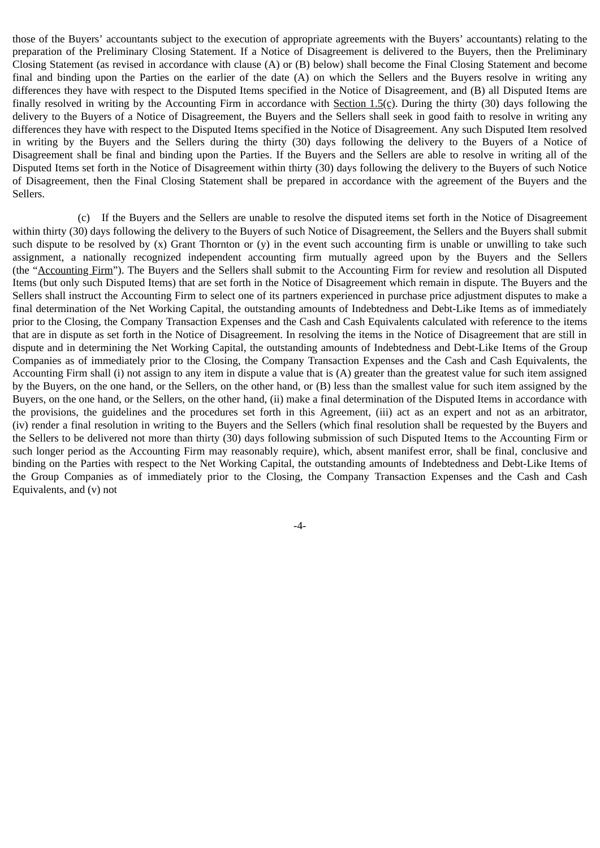those of the Buyers' accountants subject to the execution of appropriate agreements with the Buyers' accountants) relating to the preparation of the Preliminary Closing Statement. If a Notice of Disagreement is delivered to the Buyers, then the Preliminary Closing Statement (as revised in accordance with clause (A) or (B) below) shall become the Final Closing Statement and become final and binding upon the Parties on the earlier of the date (A) on which the Sellers and the Buyers resolve in writing any differences they have with respect to the Disputed Items specified in the Notice of Disagreement, and (B) all Disputed Items are finally resolved in writing by the Accounting Firm in accordance with  $S$ ection 1.5(c). During the thirty (30) days following the delivery to the Buyers of a Notice of Disagreement, the Buyers and the Sellers shall seek in good faith to resolve in writing any differences they have with respect to the Disputed Items specified in the Notice of Disagreement. Any such Disputed Item resolved in writing by the Buyers and the Sellers during the thirty (30) days following the delivery to the Buyers of a Notice of Disagreement shall be final and binding upon the Parties. If the Buyers and the Sellers are able to resolve in writing all of the Disputed Items set forth in the Notice of Disagreement within thirty (30) days following the delivery to the Buyers of such Notice of Disagreement, then the Final Closing Statement shall be prepared in accordance with the agreement of the Buyers and the Sellers.

(c) If the Buyers and the Sellers are unable to resolve the disputed items set forth in the Notice of Disagreement within thirty (30) days following the delivery to the Buyers of such Notice of Disagreement, the Sellers and the Buyers shall submit such dispute to be resolved by  $(x)$  Grant Thornton or  $(y)$  in the event such accounting firm is unable or unwilling to take such assignment, a nationally recognized independent accounting firm mutually agreed upon by the Buyers and the Sellers (the "Accounting Firm"). The Buyers and the Sellers shall submit to the Accounting Firm for review and resolution all Disputed Items (but only such Disputed Items) that are set forth in the Notice of Disagreement which remain in dispute. The Buyers and the Sellers shall instruct the Accounting Firm to select one of its partners experienced in purchase price adjustment disputes to make a final determination of the Net Working Capital, the outstanding amounts of Indebtedness and Debt-Like Items as of immediately prior to the Closing, the Company Transaction Expenses and the Cash and Cash Equivalents calculated with reference to the items that are in dispute as set forth in the Notice of Disagreement. In resolving the items in the Notice of Disagreement that are still in dispute and in determining the Net Working Capital, the outstanding amounts of Indebtedness and Debt-Like Items of the Group Companies as of immediately prior to the Closing, the Company Transaction Expenses and the Cash and Cash Equivalents, the Accounting Firm shall (i) not assign to any item in dispute a value that is (A) greater than the greatest value for such item assigned by the Buyers, on the one hand, or the Sellers, on the other hand, or (B) less than the smallest value for such item assigned by the Buyers, on the one hand, or the Sellers, on the other hand, (ii) make a final determination of the Disputed Items in accordance with the provisions, the guidelines and the procedures set forth in this Agreement, (iii) act as an expert and not as an arbitrator, (iv) render a final resolution in writing to the Buyers and the Sellers (which final resolution shall be requested by the Buyers and the Sellers to be delivered not more than thirty (30) days following submission of such Disputed Items to the Accounting Firm or such longer period as the Accounting Firm may reasonably require), which, absent manifest error, shall be final, conclusive and binding on the Parties with respect to the Net Working Capital, the outstanding amounts of Indebtedness and Debt-Like Items of the Group Companies as of immediately prior to the Closing, the Company Transaction Expenses and the Cash and Cash Equivalents, and (v) not

-4-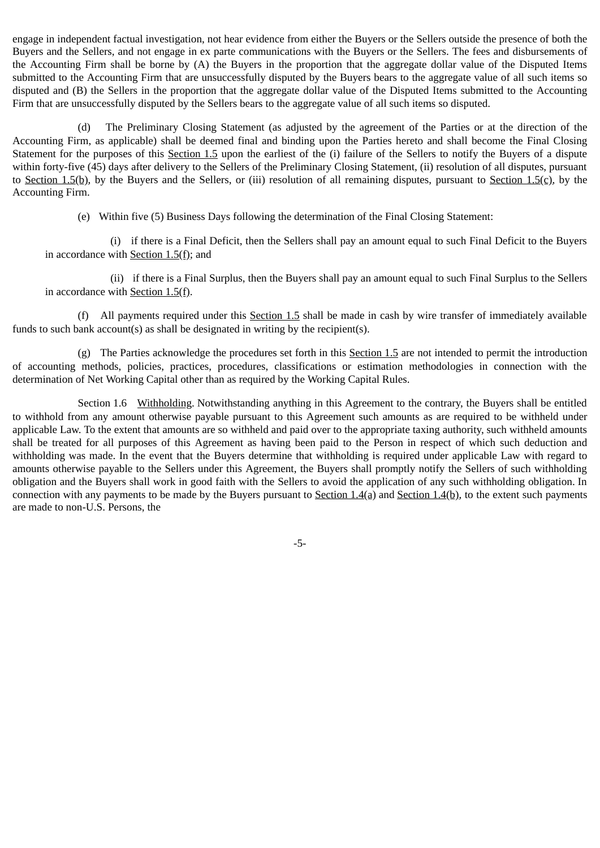engage in independent factual investigation, not hear evidence from either the Buyers or the Sellers outside the presence of both the Buyers and the Sellers, and not engage in ex parte communications with the Buyers or the Sellers. The fees and disbursements of the Accounting Firm shall be borne by (A) the Buyers in the proportion that the aggregate dollar value of the Disputed Items submitted to the Accounting Firm that are unsuccessfully disputed by the Buyers bears to the aggregate value of all such items so disputed and (B) the Sellers in the proportion that the aggregate dollar value of the Disputed Items submitted to the Accounting Firm that are unsuccessfully disputed by the Sellers bears to the aggregate value of all such items so disputed.

(d) The Preliminary Closing Statement (as adjusted by the agreement of the Parties or at the direction of the Accounting Firm, as applicable) shall be deemed final and binding upon the Parties hereto and shall become the Final Closing Statement for the purposes of this Section 1.5 upon the earliest of the (i) failure of the Sellers to notify the Buyers of a dispute within forty-five (45) days after delivery to the Sellers of the Preliminary Closing Statement, (ii) resolution of all disputes, pursuant to Section 1.5(b), by the Buyers and the Sellers, or (iii) resolution of all remaining disputes, pursuant to Section 1.5(c), by the Accounting Firm.

(e) Within five (5) Business Days following the determination of the Final Closing Statement:

(i) if there is a Final Deficit, then the Sellers shall pay an amount equal to such Final Deficit to the Buyers in accordance with Section  $1.5(f)$ ; and

(ii) if there is a Final Surplus, then the Buyers shall pay an amount equal to such Final Surplus to the Sellers in accordance with Section  $1.5(f)$ .

(f) All payments required under this Section 1.5 shall be made in cash by wire transfer of immediately available funds to such bank account(s) as shall be designated in writing by the recipient(s).

(g) The Parties acknowledge the procedures set forth in this Section 1.5 are not intended to permit the introduction of accounting methods, policies, practices, procedures, classifications or estimation methodologies in connection with the determination of Net Working Capital other than as required by the Working Capital Rules.

Section 1.6 Withholding. Notwithstanding anything in this Agreement to the contrary, the Buyers shall be entitled to withhold from any amount otherwise payable pursuant to this Agreement such amounts as are required to be withheld under applicable Law. To the extent that amounts are so withheld and paid over to the appropriate taxing authority, such withheld amounts shall be treated for all purposes of this Agreement as having been paid to the Person in respect of which such deduction and withholding was made. In the event that the Buyers determine that withholding is required under applicable Law with regard to amounts otherwise payable to the Sellers under this Agreement, the Buyers shall promptly notify the Sellers of such withholding obligation and the Buyers shall work in good faith with the Sellers to avoid the application of any such withholding obligation. In connection with any payments to be made by the Buyers pursuant to Section  $1.4(q)$  and Section  $1.4(q)$ , to the extent such payments are made to non-U.S. Persons, the

-5-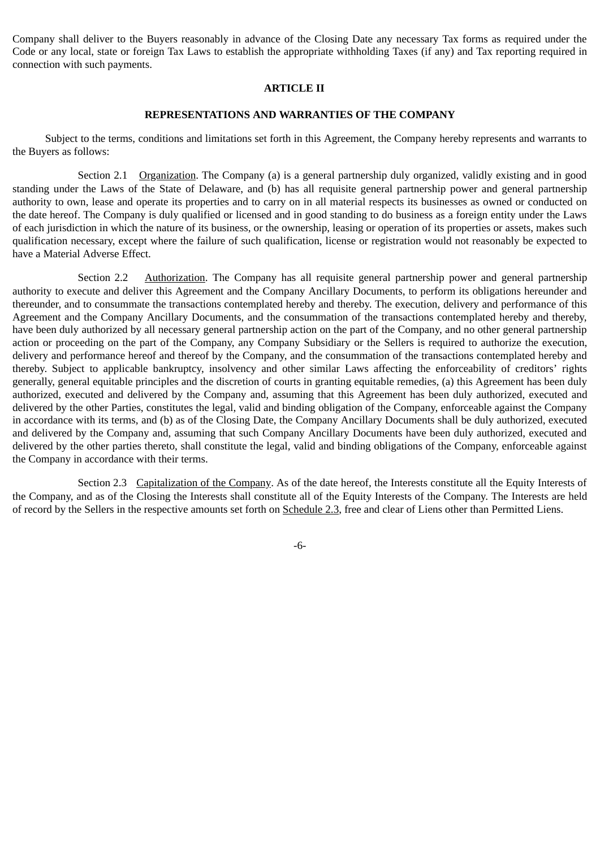Company shall deliver to the Buyers reasonably in advance of the Closing Date any necessary Tax forms as required under the Code or any local, state or foreign Tax Laws to establish the appropriate withholding Taxes (if any) and Tax reporting required in connection with such payments.

#### **ARTICLE II**

#### **REPRESENTATIONS AND WARRANTIES OF THE COMPANY**

Subject to the terms, conditions and limitations set forth in this Agreement, the Company hereby represents and warrants to the Buyers as follows:

Section 2.1 Organization. The Company (a) is a general partnership duly organized, validly existing and in good standing under the Laws of the State of Delaware, and (b) has all requisite general partnership power and general partnership authority to own, lease and operate its properties and to carry on in all material respects its businesses as owned or conducted on the date hereof. The Company is duly qualified or licensed and in good standing to do business as a foreign entity under the Laws of each jurisdiction in which the nature of its business, or the ownership, leasing or operation of its properties or assets, makes such qualification necessary, except where the failure of such qualification, license or registration would not reasonably be expected to have a Material Adverse Effect.

Section 2.2 Authorization. The Company has all requisite general partnership power and general partnership authority to execute and deliver this Agreement and the Company Ancillary Documents, to perform its obligations hereunder and thereunder, and to consummate the transactions contemplated hereby and thereby. The execution, delivery and performance of this Agreement and the Company Ancillary Documents, and the consummation of the transactions contemplated hereby and thereby, have been duly authorized by all necessary general partnership action on the part of the Company, and no other general partnership action or proceeding on the part of the Company, any Company Subsidiary or the Sellers is required to authorize the execution, delivery and performance hereof and thereof by the Company, and the consummation of the transactions contemplated hereby and thereby. Subject to applicable bankruptcy, insolvency and other similar Laws affecting the enforceability of creditors' rights generally, general equitable principles and the discretion of courts in granting equitable remedies, (a) this Agreement has been duly authorized, executed and delivered by the Company and, assuming that this Agreement has been duly authorized, executed and delivered by the other Parties, constitutes the legal, valid and binding obligation of the Company, enforceable against the Company in accordance with its terms, and (b) as of the Closing Date, the Company Ancillary Documents shall be duly authorized, executed and delivered by the Company and, assuming that such Company Ancillary Documents have been duly authorized, executed and delivered by the other parties thereto, shall constitute the legal, valid and binding obligations of the Company, enforceable against the Company in accordance with their terms.

Section 2.3 Capitalization of the Company. As of the date hereof, the Interests constitute all the Equity Interests of the Company, and as of the Closing the Interests shall constitute all of the Equity Interests of the Company. The Interests are held of record by the Sellers in the respective amounts set forth on Schedule 2.3, free and clear of Liens other than Permitted Liens.

-6-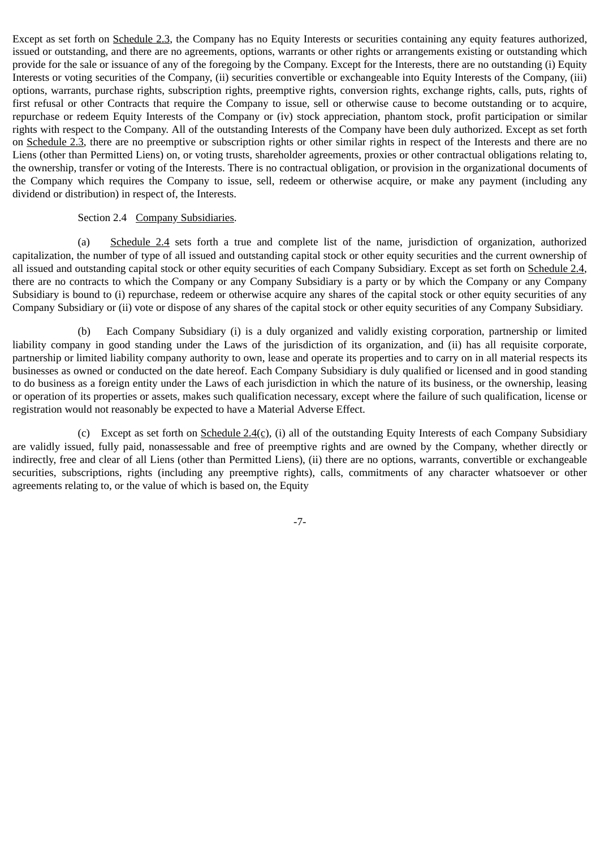Except as set forth on Schedule 2.3, the Company has no Equity Interests or securities containing any equity features authorized, issued or outstanding, and there are no agreements, options, warrants or other rights or arrangements existing or outstanding which provide for the sale or issuance of any of the foregoing by the Company. Except for the Interests, there are no outstanding (i) Equity Interests or voting securities of the Company, (ii) securities convertible or exchangeable into Equity Interests of the Company, (iii) options, warrants, purchase rights, subscription rights, preemptive rights, conversion rights, exchange rights, calls, puts, rights of first refusal or other Contracts that require the Company to issue, sell or otherwise cause to become outstanding or to acquire, repurchase or redeem Equity Interests of the Company or (iv) stock appreciation, phantom stock, profit participation or similar rights with respect to the Company. All of the outstanding Interests of the Company have been duly authorized. Except as set forth on Schedule 2.3, there are no preemptive or subscription rights or other similar rights in respect of the Interests and there are no Liens (other than Permitted Liens) on, or voting trusts, shareholder agreements, proxies or other contractual obligations relating to, the ownership, transfer or voting of the Interests. There is no contractual obligation, or provision in the organizational documents of the Company which requires the Company to issue, sell, redeem or otherwise acquire, or make any payment (including any dividend or distribution) in respect of, the Interests.

#### Section 2.4 Company Subsidiaries.

(a) Schedule 2.4 sets forth a true and complete list of the name, jurisdiction of organization, authorized capitalization, the number of type of all issued and outstanding capital stock or other equity securities and the current ownership of all issued and outstanding capital stock or other equity securities of each Company Subsidiary. Except as set forth on Schedule 2.4, there are no contracts to which the Company or any Company Subsidiary is a party or by which the Company or any Company Subsidiary is bound to (i) repurchase, redeem or otherwise acquire any shares of the capital stock or other equity securities of any Company Subsidiary or (ii) vote or dispose of any shares of the capital stock or other equity securities of any Company Subsidiary.

(b) Each Company Subsidiary (i) is a duly organized and validly existing corporation, partnership or limited liability company in good standing under the Laws of the jurisdiction of its organization, and (ii) has all requisite corporate, partnership or limited liability company authority to own, lease and operate its properties and to carry on in all material respects its businesses as owned or conducted on the date hereof. Each Company Subsidiary is duly qualified or licensed and in good standing to do business as a foreign entity under the Laws of each jurisdiction in which the nature of its business, or the ownership, leasing or operation of its properties or assets, makes such qualification necessary, except where the failure of such qualification, license or registration would not reasonably be expected to have a Material Adverse Effect.

(c) Except as set forth on  $S$ chedule  $2.4$ (c), (i) all of the outstanding Equity Interests of each Company Subsidiary are validly issued, fully paid, nonassessable and free of preemptive rights and are owned by the Company, whether directly or indirectly, free and clear of all Liens (other than Permitted Liens), (ii) there are no options, warrants, convertible or exchangeable securities, subscriptions, rights (including any preemptive rights), calls, commitments of any character whatsoever or other agreements relating to, or the value of which is based on, the Equity

-7-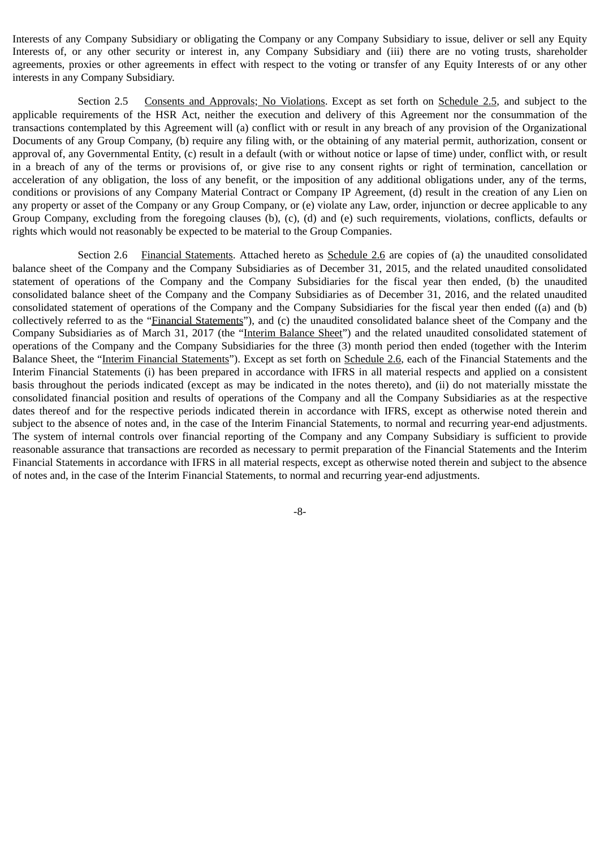Interests of any Company Subsidiary or obligating the Company or any Company Subsidiary to issue, deliver or sell any Equity Interests of, or any other security or interest in, any Company Subsidiary and (iii) there are no voting trusts, shareholder agreements, proxies or other agreements in effect with respect to the voting or transfer of any Equity Interests of or any other interests in any Company Subsidiary.

Section 2.5 Consents and Approvals; No Violations. Except as set forth on Schedule 2.5, and subject to the applicable requirements of the HSR Act, neither the execution and delivery of this Agreement nor the consummation of the transactions contemplated by this Agreement will (a) conflict with or result in any breach of any provision of the Organizational Documents of any Group Company, (b) require any filing with, or the obtaining of any material permit, authorization, consent or approval of, any Governmental Entity, (c) result in a default (with or without notice or lapse of time) under, conflict with, or result in a breach of any of the terms or provisions of, or give rise to any consent rights or right of termination, cancellation or acceleration of any obligation, the loss of any benefit, or the imposition of any additional obligations under, any of the terms, conditions or provisions of any Company Material Contract or Company IP Agreement, (d) result in the creation of any Lien on any property or asset of the Company or any Group Company, or (e) violate any Law, order, injunction or decree applicable to any Group Company, excluding from the foregoing clauses (b), (c), (d) and (e) such requirements, violations, conflicts, defaults or rights which would not reasonably be expected to be material to the Group Companies.

Section 2.6 Financial Statements. Attached hereto as Schedule 2.6 are copies of (a) the unaudited consolidated balance sheet of the Company and the Company Subsidiaries as of December 31, 2015, and the related unaudited consolidated statement of operations of the Company and the Company Subsidiaries for the fiscal year then ended, (b) the unaudited consolidated balance sheet of the Company and the Company Subsidiaries as of December 31, 2016, and the related unaudited consolidated statement of operations of the Company and the Company Subsidiaries for the fiscal year then ended ((a) and (b) collectively referred to as the "Financial Statements"), and (c) the unaudited consolidated balance sheet of the Company and the Company Subsidiaries as of March 31, 2017 (the "Interim Balance Sheet") and the related unaudited consolidated statement of operations of the Company and the Company Subsidiaries for the three (3) month period then ended (together with the Interim Balance Sheet, the "Interim Financial Statements"). Except as set forth on Schedule 2.6, each of the Financial Statements and the Interim Financial Statements (i) has been prepared in accordance with IFRS in all material respects and applied on a consistent basis throughout the periods indicated (except as may be indicated in the notes thereto), and (ii) do not materially misstate the consolidated financial position and results of operations of the Company and all the Company Subsidiaries as at the respective dates thereof and for the respective periods indicated therein in accordance with IFRS, except as otherwise noted therein and subject to the absence of notes and, in the case of the Interim Financial Statements, to normal and recurring year-end adjustments. The system of internal controls over financial reporting of the Company and any Company Subsidiary is sufficient to provide reasonable assurance that transactions are recorded as necessary to permit preparation of the Financial Statements and the Interim Financial Statements in accordance with IFRS in all material respects, except as otherwise noted therein and subject to the absence of notes and, in the case of the Interim Financial Statements, to normal and recurring year-end adjustments.

-8-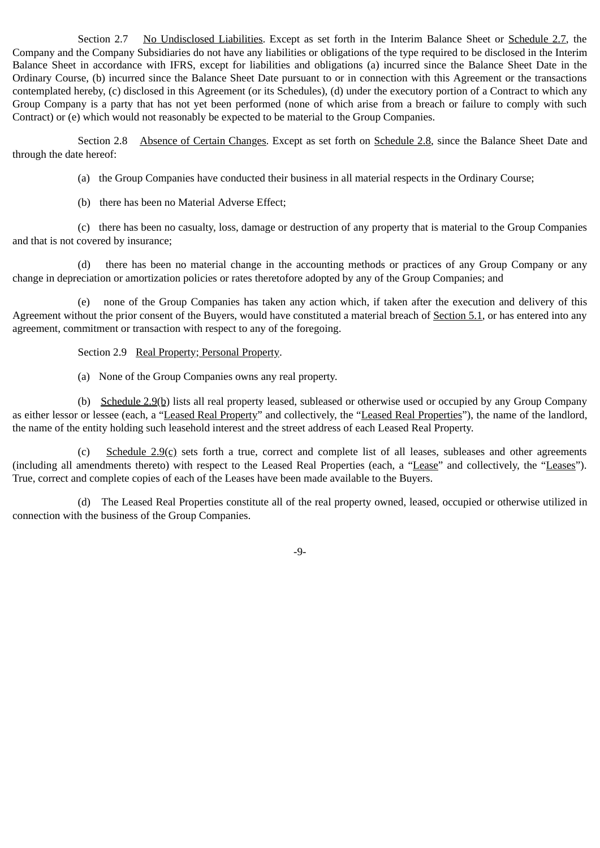Section 2.7 No Undisclosed Liabilities. Except as set forth in the Interim Balance Sheet or Schedule 2.7, the Company and the Company Subsidiaries do not have any liabilities or obligations of the type required to be disclosed in the Interim Balance Sheet in accordance with IFRS, except for liabilities and obligations (a) incurred since the Balance Sheet Date in the Ordinary Course, (b) incurred since the Balance Sheet Date pursuant to or in connection with this Agreement or the transactions contemplated hereby, (c) disclosed in this Agreement (or its Schedules), (d) under the executory portion of a Contract to which any Group Company is a party that has not yet been performed (none of which arise from a breach or failure to comply with such Contract) or (e) which would not reasonably be expected to be material to the Group Companies.

Section 2.8 Absence of Certain Changes. Except as set forth on Schedule 2.8, since the Balance Sheet Date and through the date hereof:

(a) the Group Companies have conducted their business in all material respects in the Ordinary Course;

(b) there has been no Material Adverse Effect;

(c) there has been no casualty, loss, damage or destruction of any property that is material to the Group Companies and that is not covered by insurance;

(d) there has been no material change in the accounting methods or practices of any Group Company or any change in depreciation or amortization policies or rates theretofore adopted by any of the Group Companies; and

(e) none of the Group Companies has taken any action which, if taken after the execution and delivery of this Agreement without the prior consent of the Buyers, would have constituted a material breach of Section 5.1, or has entered into any agreement, commitment or transaction with respect to any of the foregoing.

Section 2.9 Real Property; Personal Property.

(a) None of the Group Companies owns any real property.

(b) Schedule 2.9(b) lists all real property leased, subleased or otherwise used or occupied by any Group Company as either lessor or lessee (each, a "Leased Real Property" and collectively, the "Leased Real Properties"), the name of the landlord, the name of the entity holding such leasehold interest and the street address of each Leased Real Property.

(c) Schedule 2.9(c) sets forth a true, correct and complete list of all leases, subleases and other agreements (including all amendments thereto) with respect to the Leased Real Properties (each, a "Lease" and collectively, the "Leases"). True, correct and complete copies of each of the Leases have been made available to the Buyers.

(d) The Leased Real Properties constitute all of the real property owned, leased, occupied or otherwise utilized in connection with the business of the Group Companies.

-9-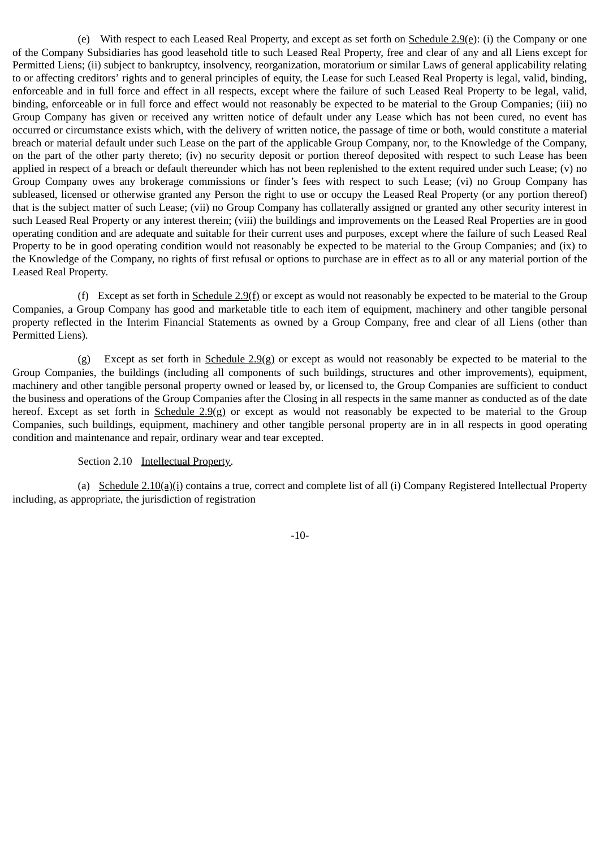(e) With respect to each Leased Real Property, and except as set forth on Schedule  $2.9(e)$ : (i) the Company or one of the Company Subsidiaries has good leasehold title to such Leased Real Property, free and clear of any and all Liens except for Permitted Liens; (ii) subject to bankruptcy, insolvency, reorganization, moratorium or similar Laws of general applicability relating to or affecting creditors' rights and to general principles of equity, the Lease for such Leased Real Property is legal, valid, binding, enforceable and in full force and effect in all respects, except where the failure of such Leased Real Property to be legal, valid, binding, enforceable or in full force and effect would not reasonably be expected to be material to the Group Companies; (iii) no Group Company has given or received any written notice of default under any Lease which has not been cured, no event has occurred or circumstance exists which, with the delivery of written notice, the passage of time or both, would constitute a material breach or material default under such Lease on the part of the applicable Group Company, nor, to the Knowledge of the Company, on the part of the other party thereto; (iv) no security deposit or portion thereof deposited with respect to such Lease has been applied in respect of a breach or default thereunder which has not been replenished to the extent required under such Lease; (v) no Group Company owes any brokerage commissions or finder's fees with respect to such Lease; (vi) no Group Company has subleased, licensed or otherwise granted any Person the right to use or occupy the Leased Real Property (or any portion thereof) that is the subject matter of such Lease; (vii) no Group Company has collaterally assigned or granted any other security interest in such Leased Real Property or any interest therein; (viii) the buildings and improvements on the Leased Real Properties are in good operating condition and are adequate and suitable for their current uses and purposes, except where the failure of such Leased Real Property to be in good operating condition would not reasonably be expected to be material to the Group Companies; and (ix) to the Knowledge of the Company, no rights of first refusal or options to purchase are in effect as to all or any material portion of the Leased Real Property.

(f) Except as set forth in  $S$ chedule 2.9(f) or except as would not reasonably be expected to be material to the Group Companies, a Group Company has good and marketable title to each item of equipment, machinery and other tangible personal property reflected in the Interim Financial Statements as owned by a Group Company, free and clear of all Liens (other than Permitted Liens).

(g) Except as set forth in Schedule 2.9(g) or except as would not reasonably be expected to be material to the Group Companies, the buildings (including all components of such buildings, structures and other improvements), equipment, machinery and other tangible personal property owned or leased by, or licensed to, the Group Companies are sufficient to conduct the business and operations of the Group Companies after the Closing in all respects in the same manner as conducted as of the date hereof. Except as set forth in Schedule  $2.9(q)$  or except as would not reasonably be expected to be material to the Group Companies, such buildings, equipment, machinery and other tangible personal property are in in all respects in good operating condition and maintenance and repair, ordinary wear and tear excepted.

## Section 2.10 Intellectual Property.

(a) Schedule  $2.10(a)(i)$  contains a true, correct and complete list of all (i) Company Registered Intellectual Property including, as appropriate, the jurisdiction of registration

-10-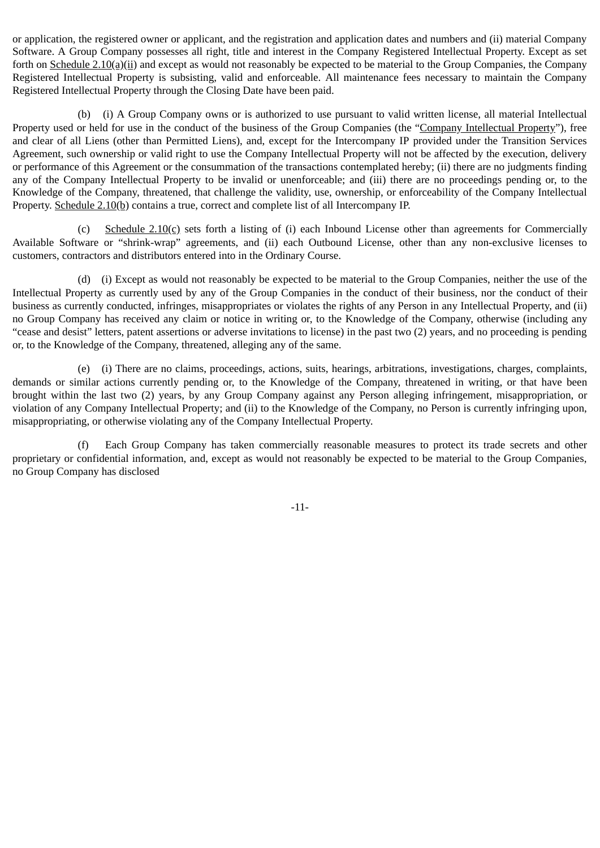or application, the registered owner or applicant, and the registration and application dates and numbers and (ii) material Company Software. A Group Company possesses all right, title and interest in the Company Registered Intellectual Property. Except as set forth on Schedule 2.10(a)(ii) and except as would not reasonably be expected to be material to the Group Companies, the Company Registered Intellectual Property is subsisting, valid and enforceable. All maintenance fees necessary to maintain the Company Registered Intellectual Property through the Closing Date have been paid.

(b) (i) A Group Company owns or is authorized to use pursuant to valid written license, all material Intellectual Property used or held for use in the conduct of the business of the Group Companies (the "Company Intellectual Property"), free and clear of all Liens (other than Permitted Liens), and, except for the Intercompany IP provided under the Transition Services Agreement, such ownership or valid right to use the Company Intellectual Property will not be affected by the execution, delivery or performance of this Agreement or the consummation of the transactions contemplated hereby; (ii) there are no judgments finding any of the Company Intellectual Property to be invalid or unenforceable; and (iii) there are no proceedings pending or, to the Knowledge of the Company, threatened, that challenge the validity, use, ownership, or enforceability of the Company Intellectual Property. Schedule 2.10(b) contains a true, correct and complete list of all Intercompany IP.

(c) Schedule  $2.10(c)$  sets forth a listing of (i) each Inbound License other than agreements for Commercially Available Software or "shrink-wrap" agreements, and (ii) each Outbound License, other than any non-exclusive licenses to customers, contractors and distributors entered into in the Ordinary Course.

(d) (i) Except as would not reasonably be expected to be material to the Group Companies, neither the use of the Intellectual Property as currently used by any of the Group Companies in the conduct of their business, nor the conduct of their business as currently conducted, infringes, misappropriates or violates the rights of any Person in any Intellectual Property, and (ii) no Group Company has received any claim or notice in writing or, to the Knowledge of the Company, otherwise (including any "cease and desist" letters, patent assertions or adverse invitations to license) in the past two (2) years, and no proceeding is pending or, to the Knowledge of the Company, threatened, alleging any of the same.

(e) (i) There are no claims, proceedings, actions, suits, hearings, arbitrations, investigations, charges, complaints, demands or similar actions currently pending or, to the Knowledge of the Company, threatened in writing, or that have been brought within the last two (2) years, by any Group Company against any Person alleging infringement, misappropriation, or violation of any Company Intellectual Property; and (ii) to the Knowledge of the Company, no Person is currently infringing upon, misappropriating, or otherwise violating any of the Company Intellectual Property.

(f) Each Group Company has taken commercially reasonable measures to protect its trade secrets and other proprietary or confidential information, and, except as would not reasonably be expected to be material to the Group Companies, no Group Company has disclosed

-11-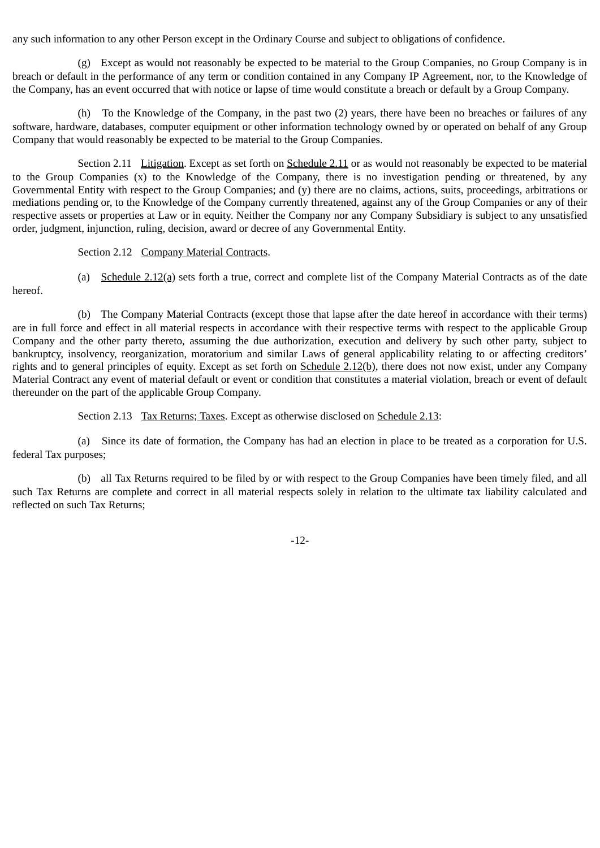any such information to any other Person except in the Ordinary Course and subject to obligations of confidence.

(g) Except as would not reasonably be expected to be material to the Group Companies, no Group Company is in breach or default in the performance of any term or condition contained in any Company IP Agreement, nor, to the Knowledge of the Company, has an event occurred that with notice or lapse of time would constitute a breach or default by a Group Company.

(h) To the Knowledge of the Company, in the past two (2) years, there have been no breaches or failures of any software, hardware, databases, computer equipment or other information technology owned by or operated on behalf of any Group Company that would reasonably be expected to be material to the Group Companies.

Section 2.11 Litigation. Except as set forth on Schedule 2.11 or as would not reasonably be expected to be material to the Group Companies (x) to the Knowledge of the Company, there is no investigation pending or threatened, by any Governmental Entity with respect to the Group Companies; and (y) there are no claims, actions, suits, proceedings, arbitrations or mediations pending or, to the Knowledge of the Company currently threatened, against any of the Group Companies or any of their respective assets or properties at Law or in equity. Neither the Company nor any Company Subsidiary is subject to any unsatisfied order, judgment, injunction, ruling, decision, award or decree of any Governmental Entity.

Section 2.12 Company Material Contracts.

(a) Schedule 2.12(a) sets forth a true, correct and complete list of the Company Material Contracts as of the date

hereof.

(b) The Company Material Contracts (except those that lapse after the date hereof in accordance with their terms) are in full force and effect in all material respects in accordance with their respective terms with respect to the applicable Group Company and the other party thereto, assuming the due authorization, execution and delivery by such other party, subject to bankruptcy, insolvency, reorganization, moratorium and similar Laws of general applicability relating to or affecting creditors' rights and to general principles of equity. Except as set forth on Schedule 2.12(b), there does not now exist, under any Company Material Contract any event of material default or event or condition that constitutes a material violation, breach or event of default thereunder on the part of the applicable Group Company.

Section 2.13 Tax Returns; Taxes. Except as otherwise disclosed on Schedule 2.13:

(a) Since its date of formation, the Company has had an election in place to be treated as a corporation for U.S. federal Tax purposes;

(b) all Tax Returns required to be filed by or with respect to the Group Companies have been timely filed, and all such Tax Returns are complete and correct in all material respects solely in relation to the ultimate tax liability calculated and reflected on such Tax Returns;

-12-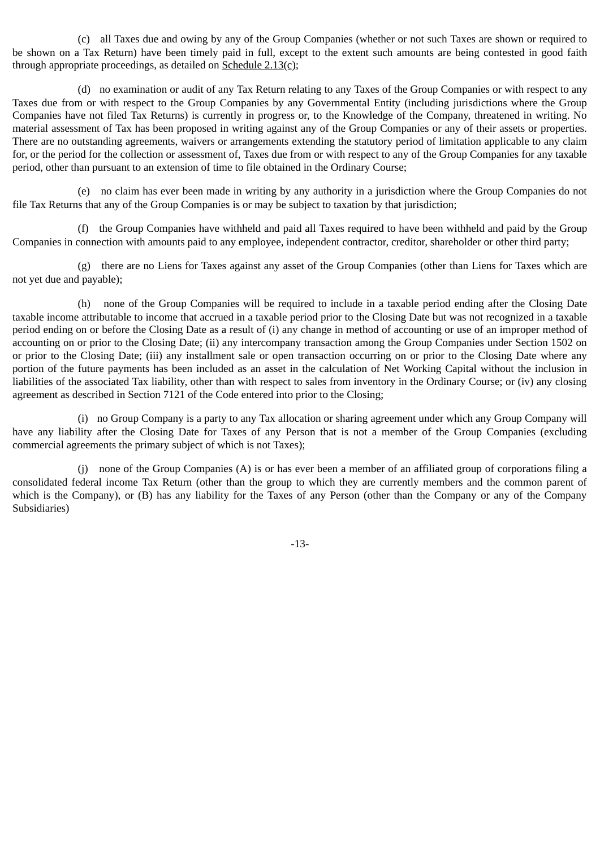(c) all Taxes due and owing by any of the Group Companies (whether or not such Taxes are shown or required to be shown on a Tax Return) have been timely paid in full, except to the extent such amounts are being contested in good faith through appropriate proceedings, as detailed on Schedule 2.13(c);

(d) no examination or audit of any Tax Return relating to any Taxes of the Group Companies or with respect to any Taxes due from or with respect to the Group Companies by any Governmental Entity (including jurisdictions where the Group Companies have not filed Tax Returns) is currently in progress or, to the Knowledge of the Company, threatened in writing. No material assessment of Tax has been proposed in writing against any of the Group Companies or any of their assets or properties. There are no outstanding agreements, waivers or arrangements extending the statutory period of limitation applicable to any claim for, or the period for the collection or assessment of, Taxes due from or with respect to any of the Group Companies for any taxable period, other than pursuant to an extension of time to file obtained in the Ordinary Course;

(e) no claim has ever been made in writing by any authority in a jurisdiction where the Group Companies do not file Tax Returns that any of the Group Companies is or may be subject to taxation by that jurisdiction;

(f) the Group Companies have withheld and paid all Taxes required to have been withheld and paid by the Group Companies in connection with amounts paid to any employee, independent contractor, creditor, shareholder or other third party;

(g) there are no Liens for Taxes against any asset of the Group Companies (other than Liens for Taxes which are not yet due and payable);

(h) none of the Group Companies will be required to include in a taxable period ending after the Closing Date taxable income attributable to income that accrued in a taxable period prior to the Closing Date but was not recognized in a taxable period ending on or before the Closing Date as a result of (i) any change in method of accounting or use of an improper method of accounting on or prior to the Closing Date; (ii) any intercompany transaction among the Group Companies under Section 1502 on or prior to the Closing Date; (iii) any installment sale or open transaction occurring on or prior to the Closing Date where any portion of the future payments has been included as an asset in the calculation of Net Working Capital without the inclusion in liabilities of the associated Tax liability, other than with respect to sales from inventory in the Ordinary Course; or (iv) any closing agreement as described in Section 7121 of the Code entered into prior to the Closing;

(i) no Group Company is a party to any Tax allocation or sharing agreement under which any Group Company will have any liability after the Closing Date for Taxes of any Person that is not a member of the Group Companies (excluding commercial agreements the primary subject of which is not Taxes);

(j) none of the Group Companies (A) is or has ever been a member of an affiliated group of corporations filing a consolidated federal income Tax Return (other than the group to which they are currently members and the common parent of which is the Company), or (B) has any liability for the Taxes of any Person (other than the Company or any of the Company Subsidiaries)

-13-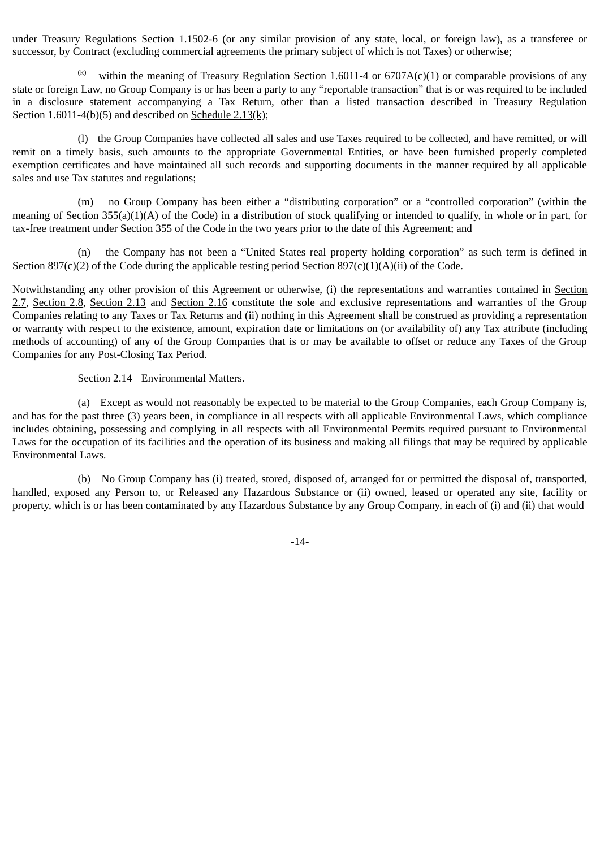under Treasury Regulations Section 1.1502-6 (or any similar provision of any state, local, or foreign law), as a transferee or successor, by Contract (excluding commercial agreements the primary subject of which is not Taxes) or otherwise;

(k) within the meaning of Treasury Regulation Section 1.6011-4 or 6707A(c)(1) or comparable provisions of any state or foreign Law, no Group Company is or has been a party to any "reportable transaction" that is or was required to be included in a disclosure statement accompanying a Tax Return, other than a listed transaction described in Treasury Regulation Section 1.6011-4(b)(5) and described on Schedule  $2.13(k)$ ;

(l) the Group Companies have collected all sales and use Taxes required to be collected, and have remitted, or will remit on a timely basis, such amounts to the appropriate Governmental Entities, or have been furnished properly completed exemption certificates and have maintained all such records and supporting documents in the manner required by all applicable sales and use Tax statutes and regulations;

(m) no Group Company has been either a "distributing corporation" or a "controlled corporation" (within the meaning of Section 355(a)(1)(A) of the Code) in a distribution of stock qualifying or intended to qualify, in whole or in part, for tax-free treatment under Section 355 of the Code in the two years prior to the date of this Agreement; and

(n) the Company has not been a "United States real property holding corporation" as such term is defined in Section 897(c)(2) of the Code during the applicable testing period Section 897(c)(1)(A)(ii) of the Code.

Notwithstanding any other provision of this Agreement or otherwise, (i) the representations and warranties contained in Section 2.7, Section 2.8, Section 2.13 and Section 2.16 constitute the sole and exclusive representations and warranties of the Group Companies relating to any Taxes or Tax Returns and (ii) nothing in this Agreement shall be construed as providing a representation or warranty with respect to the existence, amount, expiration date or limitations on (or availability of) any Tax attribute (including methods of accounting) of any of the Group Companies that is or may be available to offset or reduce any Taxes of the Group Companies for any Post-Closing Tax Period.

## Section 2.14 Environmental Matters.

(a) Except as would not reasonably be expected to be material to the Group Companies, each Group Company is, and has for the past three (3) years been, in compliance in all respects with all applicable Environmental Laws, which compliance includes obtaining, possessing and complying in all respects with all Environmental Permits required pursuant to Environmental Laws for the occupation of its facilities and the operation of its business and making all filings that may be required by applicable Environmental Laws.

(b) No Group Company has (i) treated, stored, disposed of, arranged for or permitted the disposal of, transported, handled, exposed any Person to, or Released any Hazardous Substance or (ii) owned, leased or operated any site, facility or property, which is or has been contaminated by any Hazardous Substance by any Group Company, in each of (i) and (ii) that would

-14-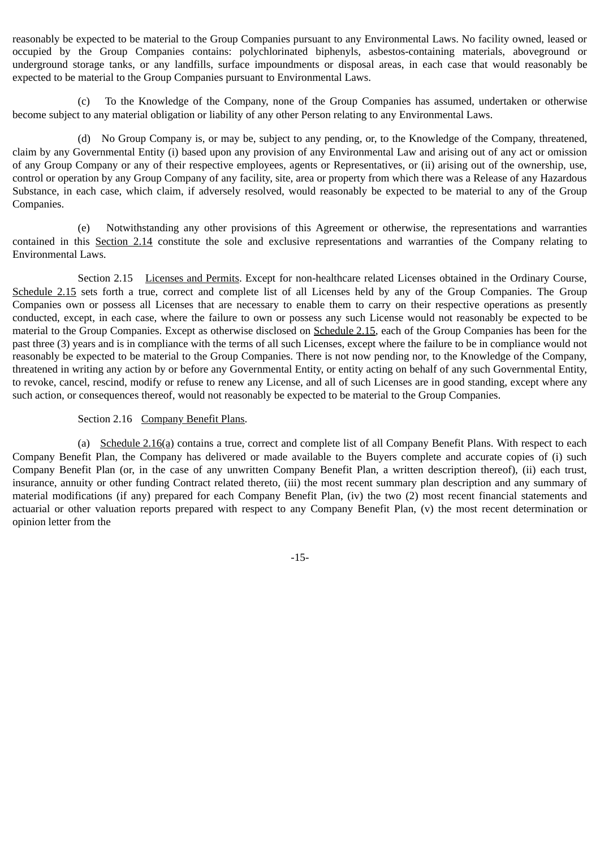reasonably be expected to be material to the Group Companies pursuant to any Environmental Laws. No facility owned, leased or occupied by the Group Companies contains: polychlorinated biphenyls, asbestos-containing materials, aboveground or underground storage tanks, or any landfills, surface impoundments or disposal areas, in each case that would reasonably be expected to be material to the Group Companies pursuant to Environmental Laws.

(c) To the Knowledge of the Company, none of the Group Companies has assumed, undertaken or otherwise become subject to any material obligation or liability of any other Person relating to any Environmental Laws.

(d) No Group Company is, or may be, subject to any pending, or, to the Knowledge of the Company, threatened, claim by any Governmental Entity (i) based upon any provision of any Environmental Law and arising out of any act or omission of any Group Company or any of their respective employees, agents or Representatives, or (ii) arising out of the ownership, use, control or operation by any Group Company of any facility, site, area or property from which there was a Release of any Hazardous Substance, in each case, which claim, if adversely resolved, would reasonably be expected to be material to any of the Group Companies.

(e) Notwithstanding any other provisions of this Agreement or otherwise, the representations and warranties contained in this Section 2.14 constitute the sole and exclusive representations and warranties of the Company relating to Environmental Laws.

Section 2.15 Licenses and Permits. Except for non-healthcare related Licenses obtained in the Ordinary Course, Schedule 2.15 sets forth a true, correct and complete list of all Licenses held by any of the Group Companies. The Group Companies own or possess all Licenses that are necessary to enable them to carry on their respective operations as presently conducted, except, in each case, where the failure to own or possess any such License would not reasonably be expected to be material to the Group Companies. Except as otherwise disclosed on Schedule 2.15, each of the Group Companies has been for the past three (3) years and is in compliance with the terms of all such Licenses, except where the failure to be in compliance would not reasonably be expected to be material to the Group Companies. There is not now pending nor, to the Knowledge of the Company, threatened in writing any action by or before any Governmental Entity, or entity acting on behalf of any such Governmental Entity, to revoke, cancel, rescind, modify or refuse to renew any License, and all of such Licenses are in good standing, except where any such action, or consequences thereof, would not reasonably be expected to be material to the Group Companies.

### Section 2.16 Company Benefit Plans.

(a) Schedule 2.16(a) contains a true, correct and complete list of all Company Benefit Plans. With respect to each Company Benefit Plan, the Company has delivered or made available to the Buyers complete and accurate copies of (i) such Company Benefit Plan (or, in the case of any unwritten Company Benefit Plan, a written description thereof), (ii) each trust, insurance, annuity or other funding Contract related thereto, (iii) the most recent summary plan description and any summary of material modifications (if any) prepared for each Company Benefit Plan, (iv) the two (2) most recent financial statements and actuarial or other valuation reports prepared with respect to any Company Benefit Plan, (v) the most recent determination or opinion letter from the

-15-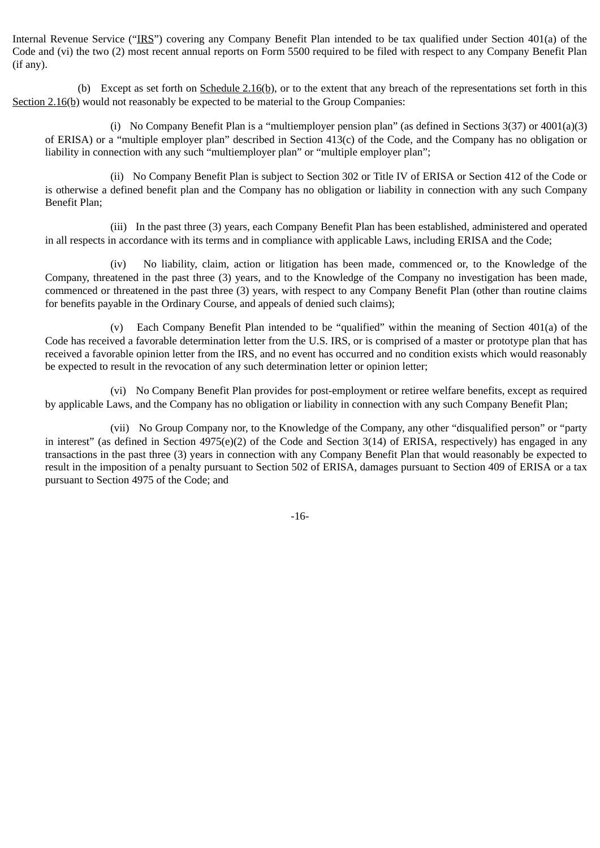Internal Revenue Service ("IRS") covering any Company Benefit Plan intended to be tax qualified under Section 401(a) of the Code and (vi) the two (2) most recent annual reports on Form 5500 required to be filed with respect to any Company Benefit Plan (if any).

(b) Except as set forth on Schedule  $2.16(b)$ , or to the extent that any breach of the representations set forth in this Section 2.16(b) would not reasonably be expected to be material to the Group Companies:

(i) No Company Benefit Plan is a "multiemployer pension plan" (as defined in Sections 3(37) or 4001(a)(3) of ERISA) or a "multiple employer plan" described in Section 413(c) of the Code, and the Company has no obligation or liability in connection with any such "multiemployer plan" or "multiple employer plan";

(ii) No Company Benefit Plan is subject to Section 302 or Title IV of ERISA or Section 412 of the Code or is otherwise a defined benefit plan and the Company has no obligation or liability in connection with any such Company Benefit Plan;

(iii) In the past three (3) years, each Company Benefit Plan has been established, administered and operated in all respects in accordance with its terms and in compliance with applicable Laws, including ERISA and the Code;

(iv) No liability, claim, action or litigation has been made, commenced or, to the Knowledge of the Company, threatened in the past three (3) years, and to the Knowledge of the Company no investigation has been made, commenced or threatened in the past three (3) years, with respect to any Company Benefit Plan (other than routine claims for benefits payable in the Ordinary Course, and appeals of denied such claims);

(v) Each Company Benefit Plan intended to be "qualified" within the meaning of Section 401(a) of the Code has received a favorable determination letter from the U.S. IRS, or is comprised of a master or prototype plan that has received a favorable opinion letter from the IRS, and no event has occurred and no condition exists which would reasonably be expected to result in the revocation of any such determination letter or opinion letter;

(vi) No Company Benefit Plan provides for post-employment or retiree welfare benefits, except as required by applicable Laws, and the Company has no obligation or liability in connection with any such Company Benefit Plan;

(vii) No Group Company nor, to the Knowledge of the Company, any other "disqualified person" or "party in interest" (as defined in Section 4975(e)(2) of the Code and Section 3(14) of ERISA, respectively) has engaged in any transactions in the past three (3) years in connection with any Company Benefit Plan that would reasonably be expected to result in the imposition of a penalty pursuant to Section 502 of ERISA, damages pursuant to Section 409 of ERISA or a tax pursuant to Section 4975 of the Code; and

-16-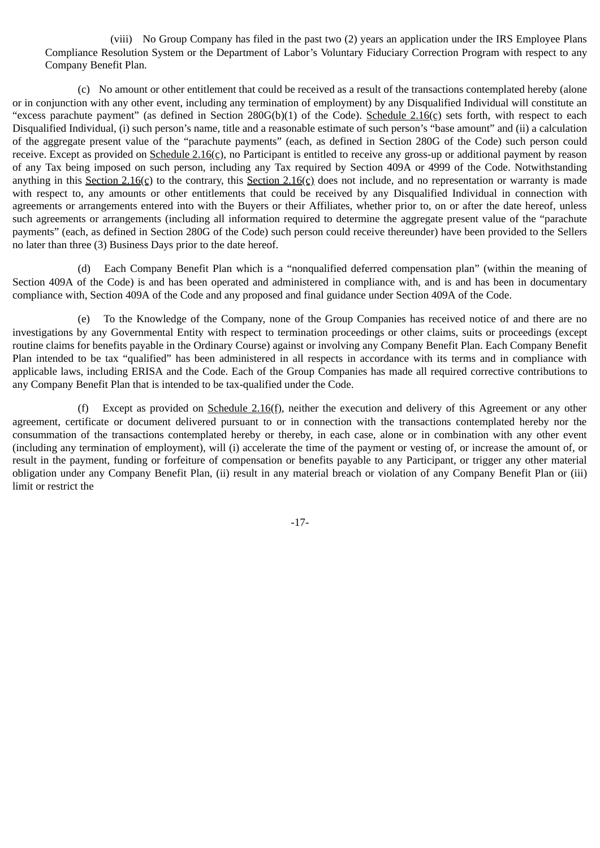(viii) No Group Company has filed in the past two (2) years an application under the IRS Employee Plans Compliance Resolution System or the Department of Labor's Voluntary Fiduciary Correction Program with respect to any Company Benefit Plan.

(c) No amount or other entitlement that could be received as a result of the transactions contemplated hereby (alone or in conjunction with any other event, including any termination of employment) by any Disqualified Individual will constitute an "excess parachute payment" (as defined in Section 280G(b)(1) of the Code). Schedule 2.16(c) sets forth, with respect to each Disqualified Individual, (i) such person's name, title and a reasonable estimate of such person's "base amount" and (ii) a calculation of the aggregate present value of the "parachute payments" (each, as defined in Section 280G of the Code) such person could receive. Except as provided on Schedule  $2.16(c)$ , no Participant is entitled to receive any gross-up or additional payment by reason of any Tax being imposed on such person, including any Tax required by Section 409A or 4999 of the Code. Notwithstanding anything in this Section 2.16(c) to the contrary, this Section 2.16(c) does not include, and no representation or warranty is made with respect to, any amounts or other entitlements that could be received by any Disqualified Individual in connection with agreements or arrangements entered into with the Buyers or their Affiliates, whether prior to, on or after the date hereof, unless such agreements or arrangements (including all information required to determine the aggregate present value of the "parachute payments" (each, as defined in Section 280G of the Code) such person could receive thereunder) have been provided to the Sellers no later than three (3) Business Days prior to the date hereof.

(d) Each Company Benefit Plan which is a "nonqualified deferred compensation plan" (within the meaning of Section 409A of the Code) is and has been operated and administered in compliance with, and is and has been in documentary compliance with, Section 409A of the Code and any proposed and final guidance under Section 409A of the Code.

(e) To the Knowledge of the Company, none of the Group Companies has received notice of and there are no investigations by any Governmental Entity with respect to termination proceedings or other claims, suits or proceedings (except routine claims for benefits payable in the Ordinary Course) against or involving any Company Benefit Plan. Each Company Benefit Plan intended to be tax "qualified" has been administered in all respects in accordance with its terms and in compliance with applicable laws, including ERISA and the Code. Each of the Group Companies has made all required corrective contributions to any Company Benefit Plan that is intended to be tax-qualified under the Code.

(f) Except as provided on Schedule 2.16(f), neither the execution and delivery of this Agreement or any other agreement, certificate or document delivered pursuant to or in connection with the transactions contemplated hereby nor the consummation of the transactions contemplated hereby or thereby, in each case, alone or in combination with any other event (including any termination of employment), will (i) accelerate the time of the payment or vesting of, or increase the amount of, or result in the payment, funding or forfeiture of compensation or benefits payable to any Participant, or trigger any other material obligation under any Company Benefit Plan, (ii) result in any material breach or violation of any Company Benefit Plan or (iii) limit or restrict the

-17-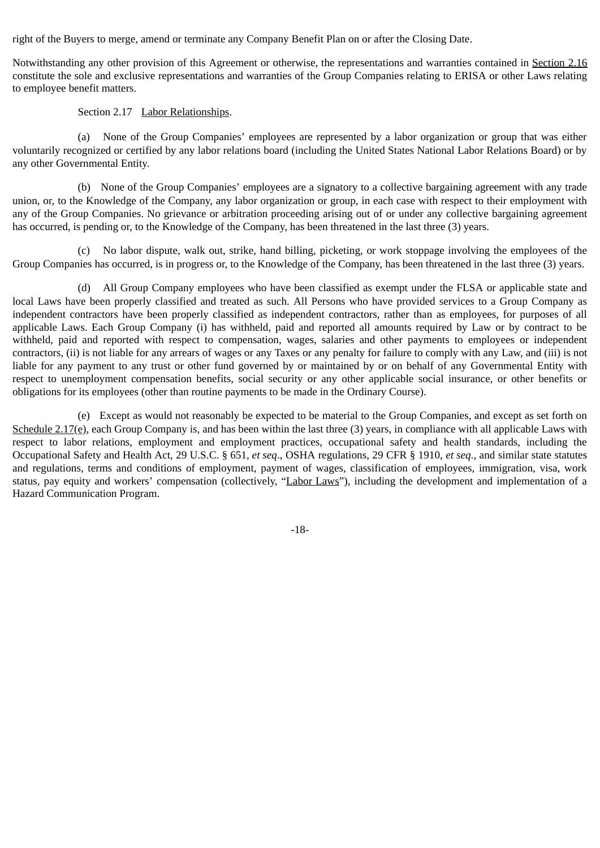right of the Buyers to merge, amend or terminate any Company Benefit Plan on or after the Closing Date.

Notwithstanding any other provision of this Agreement or otherwise, the representations and warranties contained in Section 2.16 constitute the sole and exclusive representations and warranties of the Group Companies relating to ERISA or other Laws relating to employee benefit matters.

# Section 2.17 Labor Relationships.

(a) None of the Group Companies' employees are represented by a labor organization or group that was either voluntarily recognized or certified by any labor relations board (including the United States National Labor Relations Board) or by any other Governmental Entity.

(b) None of the Group Companies' employees are a signatory to a collective bargaining agreement with any trade union, or, to the Knowledge of the Company, any labor organization or group, in each case with respect to their employment with any of the Group Companies. No grievance or arbitration proceeding arising out of or under any collective bargaining agreement has occurred, is pending or, to the Knowledge of the Company, has been threatened in the last three (3) years.

(c) No labor dispute, walk out, strike, hand billing, picketing, or work stoppage involving the employees of the Group Companies has occurred, is in progress or, to the Knowledge of the Company, has been threatened in the last three (3) years.

(d) All Group Company employees who have been classified as exempt under the FLSA or applicable state and local Laws have been properly classified and treated as such. All Persons who have provided services to a Group Company as independent contractors have been properly classified as independent contractors, rather than as employees, for purposes of all applicable Laws. Each Group Company (i) has withheld, paid and reported all amounts required by Law or by contract to be withheld, paid and reported with respect to compensation, wages, salaries and other payments to employees or independent contractors, (ii) is not liable for any arrears of wages or any Taxes or any penalty for failure to comply with any Law, and (iii) is not liable for any payment to any trust or other fund governed by or maintained by or on behalf of any Governmental Entity with respect to unemployment compensation benefits, social security or any other applicable social insurance, or other benefits or obligations for its employees (other than routine payments to be made in the Ordinary Course).

(e) Except as would not reasonably be expected to be material to the Group Companies, and except as set forth on Schedule 2.17(e), each Group Company is, and has been within the last three (3) years, in compliance with all applicable Laws with respect to labor relations, employment and employment practices, occupational safety and health standards, including the Occupational Safety and Health Act, 29 U.S.C. § 651*, et seq*., OSHA regulations, 29 CFR § 1910, *et seq*., and similar state statutes and regulations, terms and conditions of employment, payment of wages, classification of employees, immigration, visa, work status, pay equity and workers' compensation (collectively, "Labor Laws"), including the development and implementation of a Hazard Communication Program.

-18-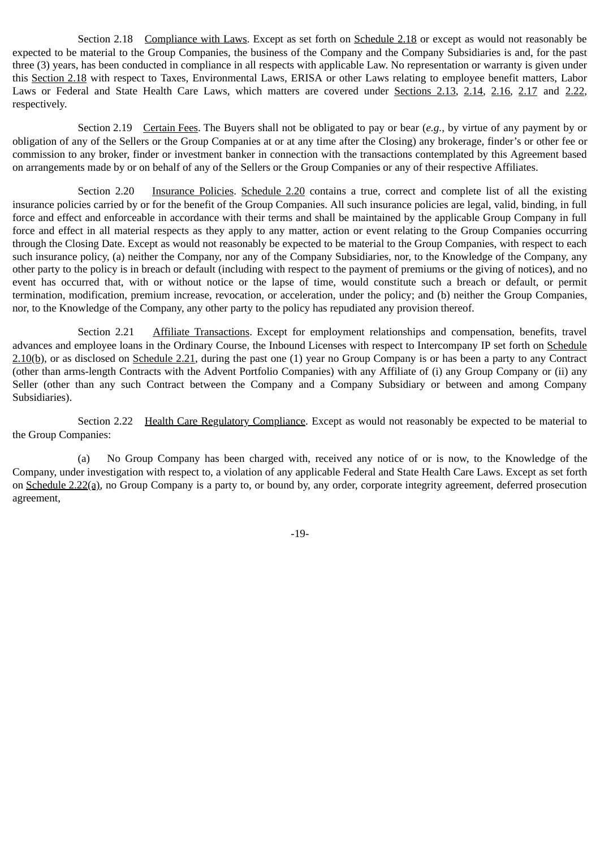Section 2.18 Compliance with Laws. Except as set forth on Schedule 2.18 or except as would not reasonably be expected to be material to the Group Companies, the business of the Company and the Company Subsidiaries is and, for the past three (3) years, has been conducted in compliance in all respects with applicable Law. No representation or warranty is given under this Section 2.18 with respect to Taxes, Environmental Laws, ERISA or other Laws relating to employee benefit matters, Labor Laws or Federal and State Health Care Laws, which matters are covered under Sections 2.13, 2.14, 2.16, 2.17 and 2.22, respectively.

Section 2.19 Certain Fees. The Buyers shall not be obligated to pay or bear (*e.g.,* by virtue of any payment by or obligation of any of the Sellers or the Group Companies at or at any time after the Closing) any brokerage, finder's or other fee or commission to any broker, finder or investment banker in connection with the transactions contemplated by this Agreement based on arrangements made by or on behalf of any of the Sellers or the Group Companies or any of their respective Affiliates.

Section 2.20 Insurance Policies. Schedule 2.20 contains a true, correct and complete list of all the existing insurance policies carried by or for the benefit of the Group Companies. All such insurance policies are legal, valid, binding, in full force and effect and enforceable in accordance with their terms and shall be maintained by the applicable Group Company in full force and effect in all material respects as they apply to any matter, action or event relating to the Group Companies occurring through the Closing Date. Except as would not reasonably be expected to be material to the Group Companies, with respect to each such insurance policy, (a) neither the Company, nor any of the Company Subsidiaries, nor, to the Knowledge of the Company, any other party to the policy is in breach or default (including with respect to the payment of premiums or the giving of notices), and no event has occurred that, with or without notice or the lapse of time, would constitute such a breach or default, or permit termination, modification, premium increase, revocation, or acceleration, under the policy; and (b) neither the Group Companies, nor, to the Knowledge of the Company, any other party to the policy has repudiated any provision thereof.

Section 2.21 Affiliate Transactions. Except for employment relationships and compensation, benefits, travel advances and employee loans in the Ordinary Course, the Inbound Licenses with respect to Intercompany IP set forth on Schedule 2.10(b), or as disclosed on Schedule 2.21, during the past one (1) year no Group Company is or has been a party to any Contract (other than arms-length Contracts with the Advent Portfolio Companies) with any Affiliate of (i) any Group Company or (ii) any Seller (other than any such Contract between the Company and a Company Subsidiary or between and among Company Subsidiaries).

Section 2.22 Health Care Regulatory Compliance. Except as would not reasonably be expected to be material to the Group Companies:

(a) No Group Company has been charged with, received any notice of or is now, to the Knowledge of the Company, under investigation with respect to, a violation of any applicable Federal and State Health Care Laws. Except as set forth on Schedule 2.22(a), no Group Company is a party to, or bound by, any order, corporate integrity agreement, deferred prosecution agreement,

-19-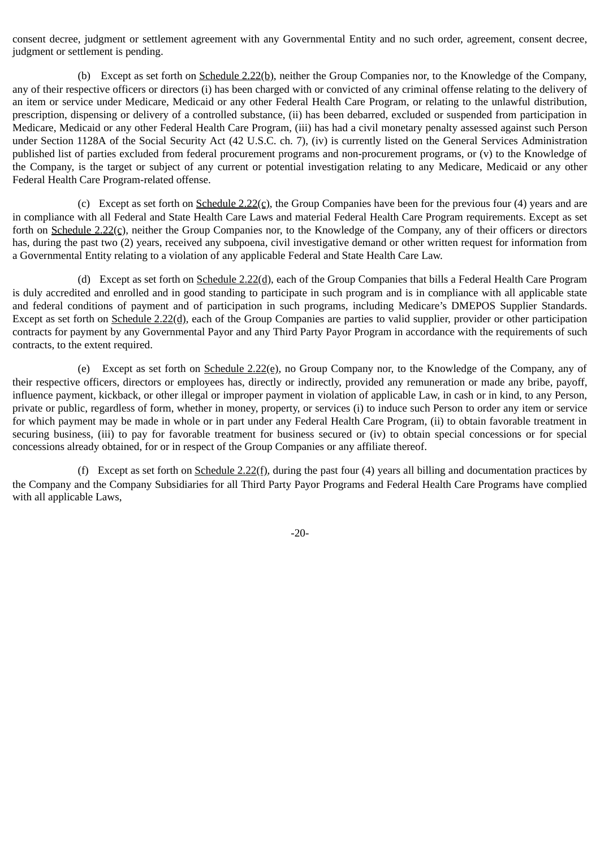consent decree, judgment or settlement agreement with any Governmental Entity and no such order, agreement, consent decree, judgment or settlement is pending.

(b) Except as set forth on Schedule 2.22(b), neither the Group Companies nor, to the Knowledge of the Company, any of their respective officers or directors (i) has been charged with or convicted of any criminal offense relating to the delivery of an item or service under Medicare, Medicaid or any other Federal Health Care Program, or relating to the unlawful distribution, prescription, dispensing or delivery of a controlled substance, (ii) has been debarred, excluded or suspended from participation in Medicare, Medicaid or any other Federal Health Care Program, (iii) has had a civil monetary penalty assessed against such Person under Section 1128A of the Social Security Act (42 U.S.C. ch. 7), (iv) is currently listed on the General Services Administration published list of parties excluded from federal procurement programs and non-procurement programs, or (v) to the Knowledge of the Company, is the target or subject of any current or potential investigation relating to any Medicare, Medicaid or any other Federal Health Care Program-related offense.

(c) Except as set forth on  $Schedule 2.22(c)$ , the Group Companies have been for the previous four (4) years and are in compliance with all Federal and State Health Care Laws and material Federal Health Care Program requirements. Except as set forth on Schedule 2.22(c), neither the Group Companies nor, to the Knowledge of the Company, any of their officers or directors has, during the past two (2) years, received any subpoena, civil investigative demand or other written request for information from a Governmental Entity relating to a violation of any applicable Federal and State Health Care Law.

(d) Except as set forth on Schedule 2.22(d), each of the Group Companies that bills a Federal Health Care Program is duly accredited and enrolled and in good standing to participate in such program and is in compliance with all applicable state and federal conditions of payment and of participation in such programs, including Medicare's DMEPOS Supplier Standards. Except as set forth on Schedule 2.22(d), each of the Group Companies are parties to valid supplier, provider or other participation contracts for payment by any Governmental Payor and any Third Party Payor Program in accordance with the requirements of such contracts, to the extent required.

(e) Except as set forth on Schedule  $2.22(e)$ , no Group Company nor, to the Knowledge of the Company, any of their respective officers, directors or employees has, directly or indirectly, provided any remuneration or made any bribe, payoff, influence payment, kickback, or other illegal or improper payment in violation of applicable Law, in cash or in kind, to any Person, private or public, regardless of form, whether in money, property, or services (i) to induce such Person to order any item or service for which payment may be made in whole or in part under any Federal Health Care Program, (ii) to obtain favorable treatment in securing business, (iii) to pay for favorable treatment for business secured or (iv) to obtain special concessions or for special concessions already obtained, for or in respect of the Group Companies or any affiliate thereof.

(f) Except as set forth on Schedule 2.22(f), during the past four (4) years all billing and documentation practices by the Company and the Company Subsidiaries for all Third Party Payor Programs and Federal Health Care Programs have complied with all applicable Laws,

-20-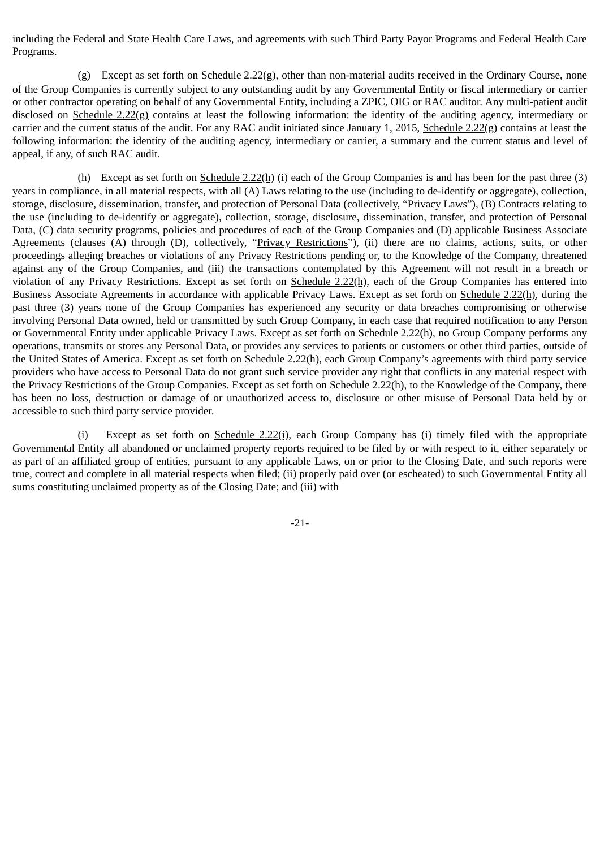including the Federal and State Health Care Laws, and agreements with such Third Party Payor Programs and Federal Health Care Programs.

(g) Except as set forth on Schedule  $2.22(g)$ , other than non-material audits received in the Ordinary Course, none of the Group Companies is currently subject to any outstanding audit by any Governmental Entity or fiscal intermediary or carrier or other contractor operating on behalf of any Governmental Entity, including a ZPIC, OIG or RAC auditor. Any multi-patient audit disclosed on Schedule 2.22(g) contains at least the following information: the identity of the auditing agency, intermediary or carrier and the current status of the audit. For any RAC audit initiated since January 1, 2015, Schedule 2.22(g) contains at least the following information: the identity of the auditing agency, intermediary or carrier, a summary and the current status and level of appeal, if any, of such RAC audit.

(h) Except as set forth on Schedule  $2.22(h)$  (i) each of the Group Companies is and has been for the past three (3) years in compliance, in all material respects, with all (A) Laws relating to the use (including to de-identify or aggregate), collection, storage, disclosure, dissemination, transfer, and protection of Personal Data (collectively, "Privacy Laws"), (B) Contracts relating to the use (including to de-identify or aggregate), collection, storage, disclosure, dissemination, transfer, and protection of Personal Data, (C) data security programs, policies and procedures of each of the Group Companies and (D) applicable Business Associate Agreements (clauses (A) through (D), collectively, "Privacy Restrictions"), (ii) there are no claims, actions, suits, or other proceedings alleging breaches or violations of any Privacy Restrictions pending or, to the Knowledge of the Company, threatened against any of the Group Companies, and (iii) the transactions contemplated by this Agreement will not result in a breach or violation of any Privacy Restrictions. Except as set forth on Schedule 2.22(h), each of the Group Companies has entered into Business Associate Agreements in accordance with applicable Privacy Laws. Except as set forth on Schedule 2.22(h), during the past three (3) years none of the Group Companies has experienced any security or data breaches compromising or otherwise involving Personal Data owned, held or transmitted by such Group Company, in each case that required notification to any Person or Governmental Entity under applicable Privacy Laws. Except as set forth on Schedule 2.22(h), no Group Company performs any operations, transmits or stores any Personal Data, or provides any services to patients or customers or other third parties, outside of the United States of America. Except as set forth on Schedule 2.22(h), each Group Company's agreements with third party service providers who have access to Personal Data do not grant such service provider any right that conflicts in any material respect with the Privacy Restrictions of the Group Companies. Except as set forth on Schedule 2.22(h), to the Knowledge of the Company, there has been no loss, destruction or damage of or unauthorized access to, disclosure or other misuse of Personal Data held by or accessible to such third party service provider.

(i) Except as set forth on Schedule  $2.22(i)$ , each Group Company has (i) timely filed with the appropriate Governmental Entity all abandoned or unclaimed property reports required to be filed by or with respect to it, either separately or as part of an affiliated group of entities, pursuant to any applicable Laws, on or prior to the Closing Date, and such reports were true, correct and complete in all material respects when filed; (ii) properly paid over (or escheated) to such Governmental Entity all sums constituting unclaimed property as of the Closing Date; and (iii) with

-21-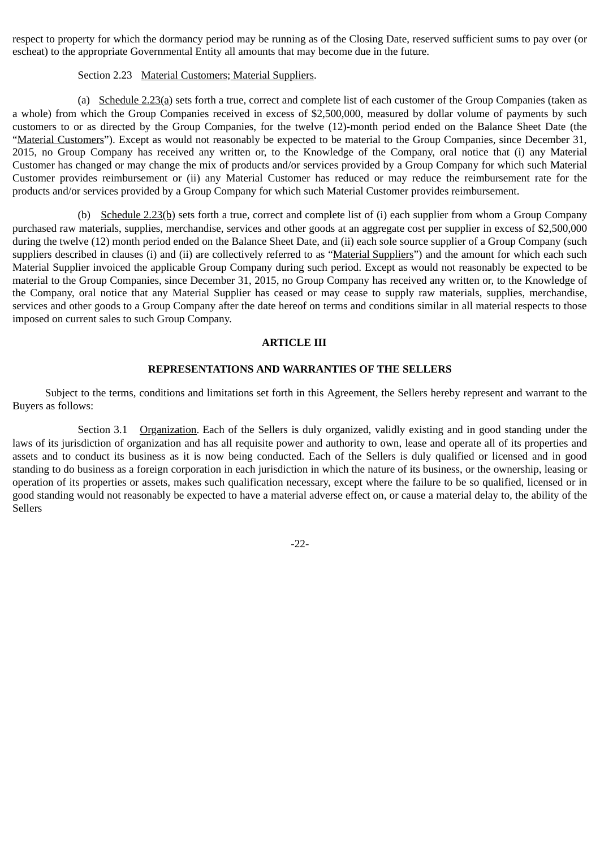respect to property for which the dormancy period may be running as of the Closing Date, reserved sufficient sums to pay over (or escheat) to the appropriate Governmental Entity all amounts that may become due in the future.

## Section 2.23 Material Customers; Material Suppliers.

(a) Schedule  $2.23(a)$  sets forth a true, correct and complete list of each customer of the Group Companies (taken as a whole) from which the Group Companies received in excess of \$2,500,000, measured by dollar volume of payments by such customers to or as directed by the Group Companies, for the twelve (12)-month period ended on the Balance Sheet Date (the "Material Customers"). Except as would not reasonably be expected to be material to the Group Companies, since December 31, 2015, no Group Company has received any written or, to the Knowledge of the Company, oral notice that (i) any Material Customer has changed or may change the mix of products and/or services provided by a Group Company for which such Material Customer provides reimbursement or (ii) any Material Customer has reduced or may reduce the reimbursement rate for the products and/or services provided by a Group Company for which such Material Customer provides reimbursement.

(b) Schedule 2.23(b) sets forth a true, correct and complete list of (i) each supplier from whom a Group Company purchased raw materials, supplies, merchandise, services and other goods at an aggregate cost per supplier in excess of \$2,500,000 during the twelve (12) month period ended on the Balance Sheet Date, and (ii) each sole source supplier of a Group Company (such suppliers described in clauses (i) and (ii) are collectively referred to as "Material Suppliers") and the amount for which each such Material Supplier invoiced the applicable Group Company during such period. Except as would not reasonably be expected to be material to the Group Companies, since December 31, 2015, no Group Company has received any written or, to the Knowledge of the Company, oral notice that any Material Supplier has ceased or may cease to supply raw materials, supplies, merchandise, services and other goods to a Group Company after the date hereof on terms and conditions similar in all material respects to those imposed on current sales to such Group Company.

## **ARTICLE III**

# **REPRESENTATIONS AND WARRANTIES OF THE SELLERS**

Subject to the terms, conditions and limitations set forth in this Agreement, the Sellers hereby represent and warrant to the Buyers as follows:

Section 3.1 Organization. Each of the Sellers is duly organized, validly existing and in good standing under the laws of its jurisdiction of organization and has all requisite power and authority to own, lease and operate all of its properties and assets and to conduct its business as it is now being conducted. Each of the Sellers is duly qualified or licensed and in good standing to do business as a foreign corporation in each jurisdiction in which the nature of its business, or the ownership, leasing or operation of its properties or assets, makes such qualification necessary, except where the failure to be so qualified, licensed or in good standing would not reasonably be expected to have a material adverse effect on, or cause a material delay to, the ability of the Sellers

-22-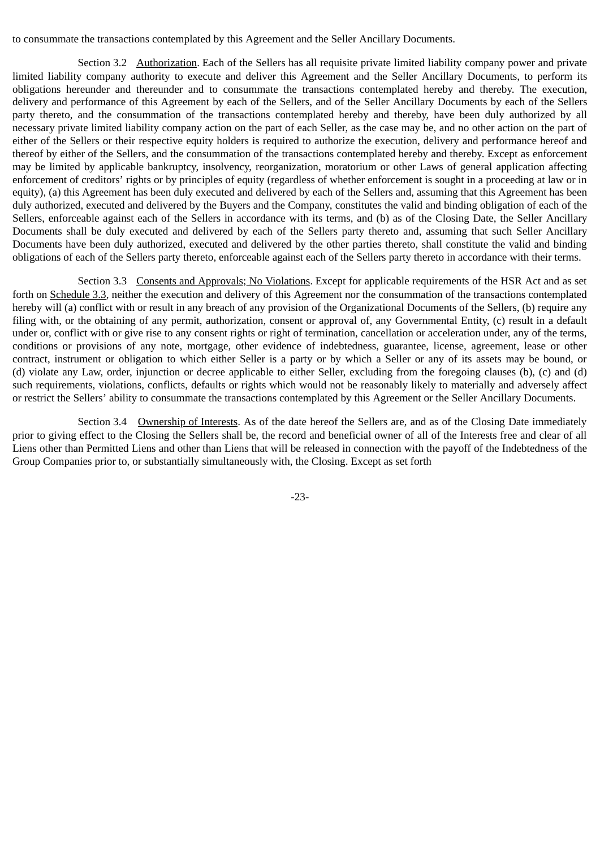to consummate the transactions contemplated by this Agreement and the Seller Ancillary Documents.

Section 3.2 Authorization. Each of the Sellers has all requisite private limited liability company power and private limited liability company authority to execute and deliver this Agreement and the Seller Ancillary Documents, to perform its obligations hereunder and thereunder and to consummate the transactions contemplated hereby and thereby. The execution, delivery and performance of this Agreement by each of the Sellers, and of the Seller Ancillary Documents by each of the Sellers party thereto, and the consummation of the transactions contemplated hereby and thereby, have been duly authorized by all necessary private limited liability company action on the part of each Seller, as the case may be, and no other action on the part of either of the Sellers or their respective equity holders is required to authorize the execution, delivery and performance hereof and thereof by either of the Sellers, and the consummation of the transactions contemplated hereby and thereby. Except as enforcement may be limited by applicable bankruptcy, insolvency, reorganization, moratorium or other Laws of general application affecting enforcement of creditors' rights or by principles of equity (regardless of whether enforcement is sought in a proceeding at law or in equity), (a) this Agreement has been duly executed and delivered by each of the Sellers and, assuming that this Agreement has been duly authorized, executed and delivered by the Buyers and the Company, constitutes the valid and binding obligation of each of the Sellers, enforceable against each of the Sellers in accordance with its terms, and (b) as of the Closing Date, the Seller Ancillary Documents shall be duly executed and delivered by each of the Sellers party thereto and, assuming that such Seller Ancillary Documents have been duly authorized, executed and delivered by the other parties thereto, shall constitute the valid and binding obligations of each of the Sellers party thereto, enforceable against each of the Sellers party thereto in accordance with their terms.

Section 3.3 Consents and Approvals; No Violations. Except for applicable requirements of the HSR Act and as set forth on Schedule 3.3, neither the execution and delivery of this Agreement nor the consummation of the transactions contemplated hereby will (a) conflict with or result in any breach of any provision of the Organizational Documents of the Sellers, (b) require any filing with, or the obtaining of any permit, authorization, consent or approval of, any Governmental Entity, (c) result in a default under or, conflict with or give rise to any consent rights or right of termination, cancellation or acceleration under, any of the terms, conditions or provisions of any note, mortgage, other evidence of indebtedness, guarantee, license, agreement, lease or other contract, instrument or obligation to which either Seller is a party or by which a Seller or any of its assets may be bound, or (d) violate any Law, order, injunction or decree applicable to either Seller, excluding from the foregoing clauses (b), (c) and (d) such requirements, violations, conflicts, defaults or rights which would not be reasonably likely to materially and adversely affect or restrict the Sellers' ability to consummate the transactions contemplated by this Agreement or the Seller Ancillary Documents.

Section 3.4 Ownership of Interests. As of the date hereof the Sellers are, and as of the Closing Date immediately prior to giving effect to the Closing the Sellers shall be, the record and beneficial owner of all of the Interests free and clear of all Liens other than Permitted Liens and other than Liens that will be released in connection with the payoff of the Indebtedness of the Group Companies prior to, or substantially simultaneously with, the Closing. Except as set forth

-23-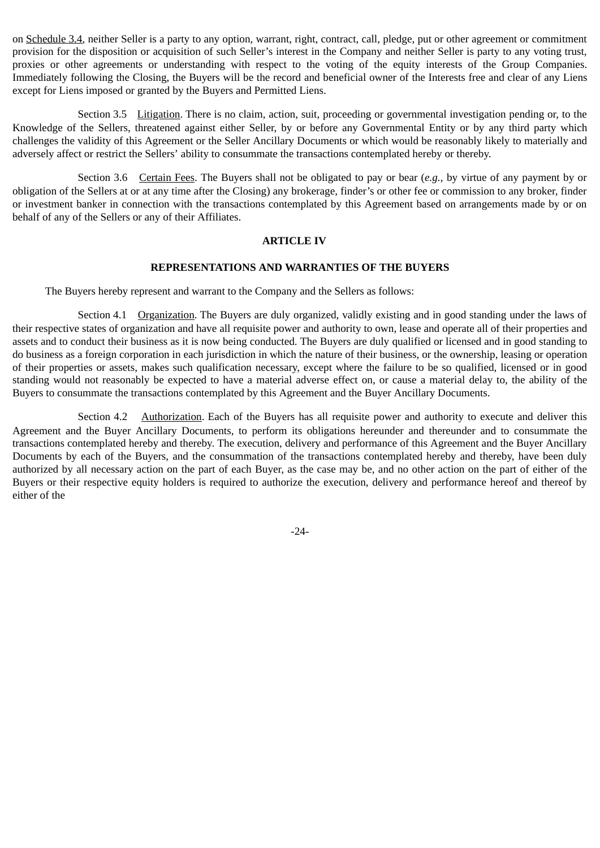on Schedule 3.4, neither Seller is a party to any option, warrant, right, contract, call, pledge, put or other agreement or commitment provision for the disposition or acquisition of such Seller's interest in the Company and neither Seller is party to any voting trust, proxies or other agreements or understanding with respect to the voting of the equity interests of the Group Companies. Immediately following the Closing, the Buyers will be the record and beneficial owner of the Interests free and clear of any Liens except for Liens imposed or granted by the Buyers and Permitted Liens.

Section 3.5 Litigation. There is no claim, action, suit, proceeding or governmental investigation pending or, to the Knowledge of the Sellers, threatened against either Seller, by or before any Governmental Entity or by any third party which challenges the validity of this Agreement or the Seller Ancillary Documents or which would be reasonably likely to materially and adversely affect or restrict the Sellers' ability to consummate the transactions contemplated hereby or thereby.

Section 3.6 Certain Fees. The Buyers shall not be obligated to pay or bear (*e.g.*, by virtue of any payment by or obligation of the Sellers at or at any time after the Closing) any brokerage, finder's or other fee or commission to any broker, finder or investment banker in connection with the transactions contemplated by this Agreement based on arrangements made by or on behalf of any of the Sellers or any of their Affiliates.

### **ARTICLE IV**

### **REPRESENTATIONS AND WARRANTIES OF THE BUYERS**

The Buyers hereby represent and warrant to the Company and the Sellers as follows:

Section 4.1 Organization. The Buyers are duly organized, validly existing and in good standing under the laws of their respective states of organization and have all requisite power and authority to own, lease and operate all of their properties and assets and to conduct their business as it is now being conducted. The Buyers are duly qualified or licensed and in good standing to do business as a foreign corporation in each jurisdiction in which the nature of their business, or the ownership, leasing or operation of their properties or assets, makes such qualification necessary, except where the failure to be so qualified, licensed or in good standing would not reasonably be expected to have a material adverse effect on, or cause a material delay to, the ability of the Buyers to consummate the transactions contemplated by this Agreement and the Buyer Ancillary Documents.

Section 4.2 Authorization. Each of the Buyers has all requisite power and authority to execute and deliver this Agreement and the Buyer Ancillary Documents, to perform its obligations hereunder and thereunder and to consummate the transactions contemplated hereby and thereby. The execution, delivery and performance of this Agreement and the Buyer Ancillary Documents by each of the Buyers, and the consummation of the transactions contemplated hereby and thereby, have been duly authorized by all necessary action on the part of each Buyer, as the case may be, and no other action on the part of either of the Buyers or their respective equity holders is required to authorize the execution, delivery and performance hereof and thereof by either of the

-24-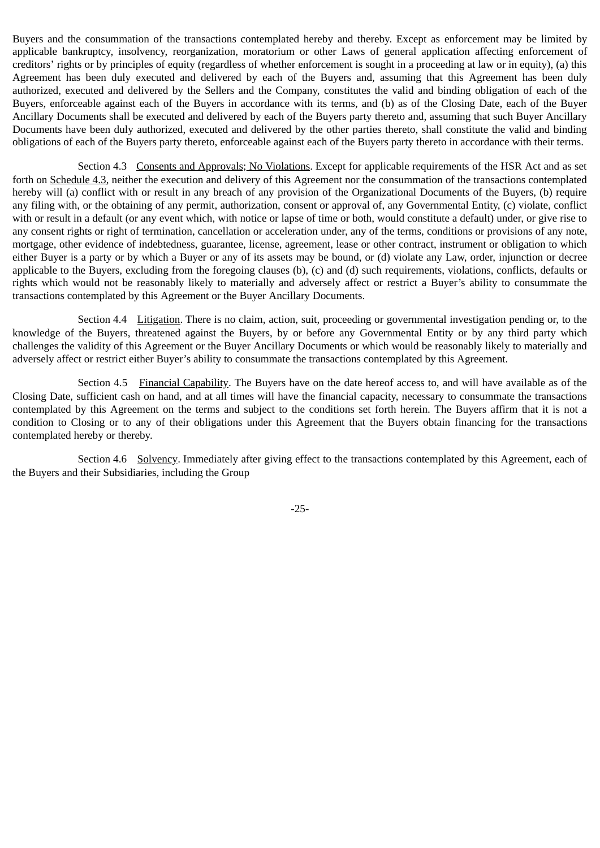Buyers and the consummation of the transactions contemplated hereby and thereby. Except as enforcement may be limited by applicable bankruptcy, insolvency, reorganization, moratorium or other Laws of general application affecting enforcement of creditors' rights or by principles of equity (regardless of whether enforcement is sought in a proceeding at law or in equity), (a) this Agreement has been duly executed and delivered by each of the Buyers and, assuming that this Agreement has been duly authorized, executed and delivered by the Sellers and the Company, constitutes the valid and binding obligation of each of the Buyers, enforceable against each of the Buyers in accordance with its terms, and (b) as of the Closing Date, each of the Buyer Ancillary Documents shall be executed and delivered by each of the Buyers party thereto and, assuming that such Buyer Ancillary Documents have been duly authorized, executed and delivered by the other parties thereto, shall constitute the valid and binding obligations of each of the Buyers party thereto, enforceable against each of the Buyers party thereto in accordance with their terms.

Section 4.3 Consents and Approvals; No Violations. Except for applicable requirements of the HSR Act and as set forth on Schedule 4.3, neither the execution and delivery of this Agreement nor the consummation of the transactions contemplated hereby will (a) conflict with or result in any breach of any provision of the Organizational Documents of the Buyers, (b) require any filing with, or the obtaining of any permit, authorization, consent or approval of, any Governmental Entity, (c) violate, conflict with or result in a default (or any event which, with notice or lapse of time or both, would constitute a default) under, or give rise to any consent rights or right of termination, cancellation or acceleration under, any of the terms, conditions or provisions of any note, mortgage, other evidence of indebtedness, guarantee, license, agreement, lease or other contract, instrument or obligation to which either Buyer is a party or by which a Buyer or any of its assets may be bound, or (d) violate any Law, order, injunction or decree applicable to the Buyers, excluding from the foregoing clauses (b), (c) and (d) such requirements, violations, conflicts, defaults or rights which would not be reasonably likely to materially and adversely affect or restrict a Buyer's ability to consummate the transactions contemplated by this Agreement or the Buyer Ancillary Documents.

Section 4.4 Litigation. There is no claim, action, suit, proceeding or governmental investigation pending or, to the knowledge of the Buyers, threatened against the Buyers, by or before any Governmental Entity or by any third party which challenges the validity of this Agreement or the Buyer Ancillary Documents or which would be reasonably likely to materially and adversely affect or restrict either Buyer's ability to consummate the transactions contemplated by this Agreement.

Section 4.5 Financial Capability. The Buyers have on the date hereof access to, and will have available as of the Closing Date, sufficient cash on hand, and at all times will have the financial capacity, necessary to consummate the transactions contemplated by this Agreement on the terms and subject to the conditions set forth herein. The Buyers affirm that it is not a condition to Closing or to any of their obligations under this Agreement that the Buyers obtain financing for the transactions contemplated hereby or thereby.

Section 4.6 Solvency. Immediately after giving effect to the transactions contemplated by this Agreement, each of the Buyers and their Subsidiaries, including the Group

-25-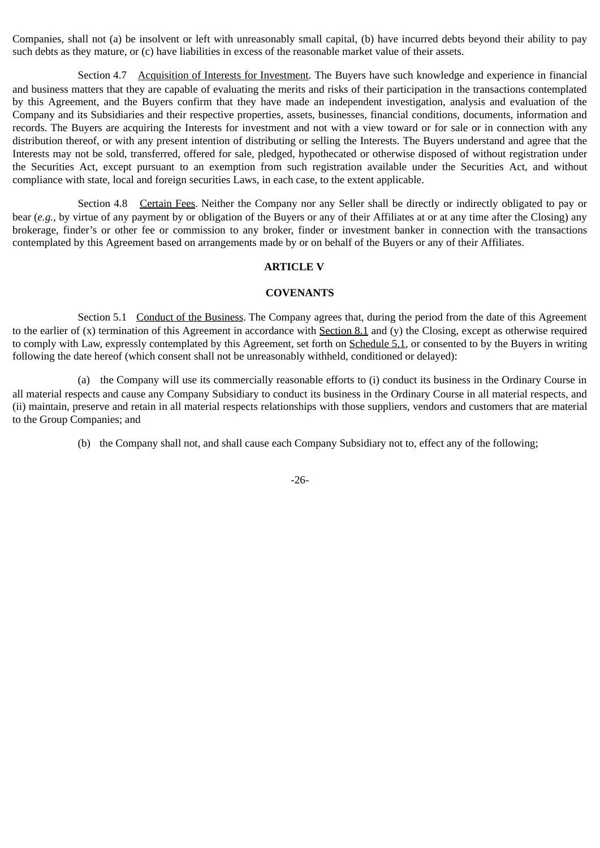Companies, shall not (a) be insolvent or left with unreasonably small capital, (b) have incurred debts beyond their ability to pay such debts as they mature, or (c) have liabilities in excess of the reasonable market value of their assets.

Section 4.7 Acquisition of Interests for Investment. The Buyers have such knowledge and experience in financial and business matters that they are capable of evaluating the merits and risks of their participation in the transactions contemplated by this Agreement, and the Buyers confirm that they have made an independent investigation, analysis and evaluation of the Company and its Subsidiaries and their respective properties, assets, businesses, financial conditions, documents, information and records. The Buyers are acquiring the Interests for investment and not with a view toward or for sale or in connection with any distribution thereof, or with any present intention of distributing or selling the Interests. The Buyers understand and agree that the Interests may not be sold, transferred, offered for sale, pledged, hypothecated or otherwise disposed of without registration under the Securities Act, except pursuant to an exemption from such registration available under the Securities Act, and without compliance with state, local and foreign securities Laws, in each case, to the extent applicable.

Section 4.8 Certain Fees. Neither the Company nor any Seller shall be directly or indirectly obligated to pay or bear (*e.g.*, by virtue of any payment by or obligation of the Buyers or any of their Affiliates at or at any time after the Closing) any brokerage, finder's or other fee or commission to any broker, finder or investment banker in connection with the transactions contemplated by this Agreement based on arrangements made by or on behalf of the Buyers or any of their Affiliates.

#### **ARTICLE V**

#### **COVENANTS**

Section 5.1 Conduct of the Business. The Company agrees that, during the period from the date of this Agreement to the earlier of (x) termination of this Agreement in accordance with Section 8.1 and (y) the Closing, except as otherwise required to comply with Law, expressly contemplated by this Agreement, set forth on Schedule 5.1, or consented to by the Buyers in writing following the date hereof (which consent shall not be unreasonably withheld, conditioned or delayed):

(a) the Company will use its commercially reasonable efforts to (i) conduct its business in the Ordinary Course in all material respects and cause any Company Subsidiary to conduct its business in the Ordinary Course in all material respects, and (ii) maintain, preserve and retain in all material respects relationships with those suppliers, vendors and customers that are material to the Group Companies; and

(b) the Company shall not, and shall cause each Company Subsidiary not to, effect any of the following;

-26-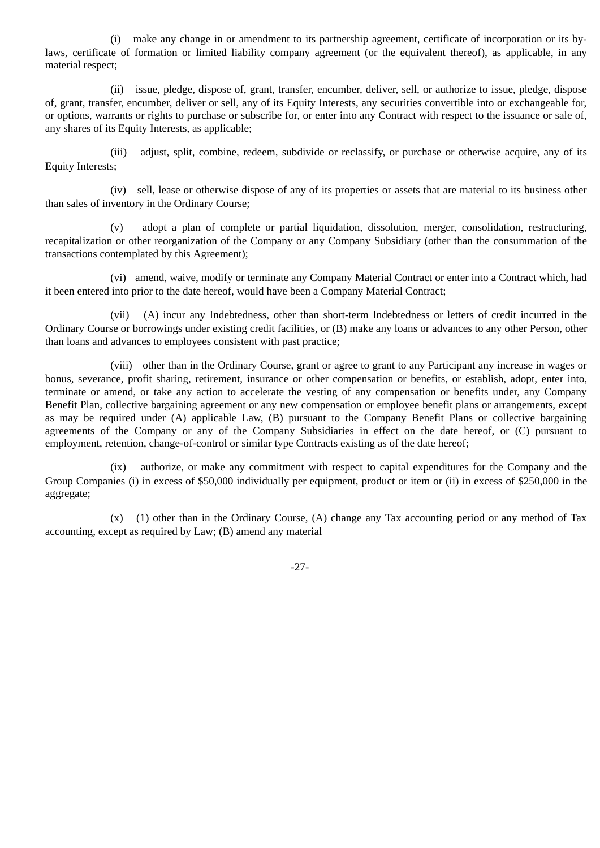(i) make any change in or amendment to its partnership agreement, certificate of incorporation or its bylaws, certificate of formation or limited liability company agreement (or the equivalent thereof), as applicable, in any material respect;

(ii) issue, pledge, dispose of, grant, transfer, encumber, deliver, sell, or authorize to issue, pledge, dispose of, grant, transfer, encumber, deliver or sell, any of its Equity Interests, any securities convertible into or exchangeable for, or options, warrants or rights to purchase or subscribe for, or enter into any Contract with respect to the issuance or sale of, any shares of its Equity Interests, as applicable;

(iii) adjust, split, combine, redeem, subdivide or reclassify, or purchase or otherwise acquire, any of its Equity Interests;

(iv) sell, lease or otherwise dispose of any of its properties or assets that are material to its business other than sales of inventory in the Ordinary Course;

(v) adopt a plan of complete or partial liquidation, dissolution, merger, consolidation, restructuring, recapitalization or other reorganization of the Company or any Company Subsidiary (other than the consummation of the transactions contemplated by this Agreement);

(vi) amend, waive, modify or terminate any Company Material Contract or enter into a Contract which, had it been entered into prior to the date hereof, would have been a Company Material Contract;

(vii) (A) incur any Indebtedness, other than short-term Indebtedness or letters of credit incurred in the Ordinary Course or borrowings under existing credit facilities, or (B) make any loans or advances to any other Person, other than loans and advances to employees consistent with past practice;

(viii) other than in the Ordinary Course, grant or agree to grant to any Participant any increase in wages or bonus, severance, profit sharing, retirement, insurance or other compensation or benefits, or establish, adopt, enter into, terminate or amend, or take any action to accelerate the vesting of any compensation or benefits under, any Company Benefit Plan, collective bargaining agreement or any new compensation or employee benefit plans or arrangements, except as may be required under (A) applicable Law, (B) pursuant to the Company Benefit Plans or collective bargaining agreements of the Company or any of the Company Subsidiaries in effect on the date hereof, or (C) pursuant to employment, retention, change-of-control or similar type Contracts existing as of the date hereof;

(ix) authorize, or make any commitment with respect to capital expenditures for the Company and the Group Companies (i) in excess of \$50,000 individually per equipment, product or item or (ii) in excess of \$250,000 in the aggregate;

(x) (1) other than in the Ordinary Course, (A) change any Tax accounting period or any method of Tax accounting, except as required by Law; (B) amend any material

-27-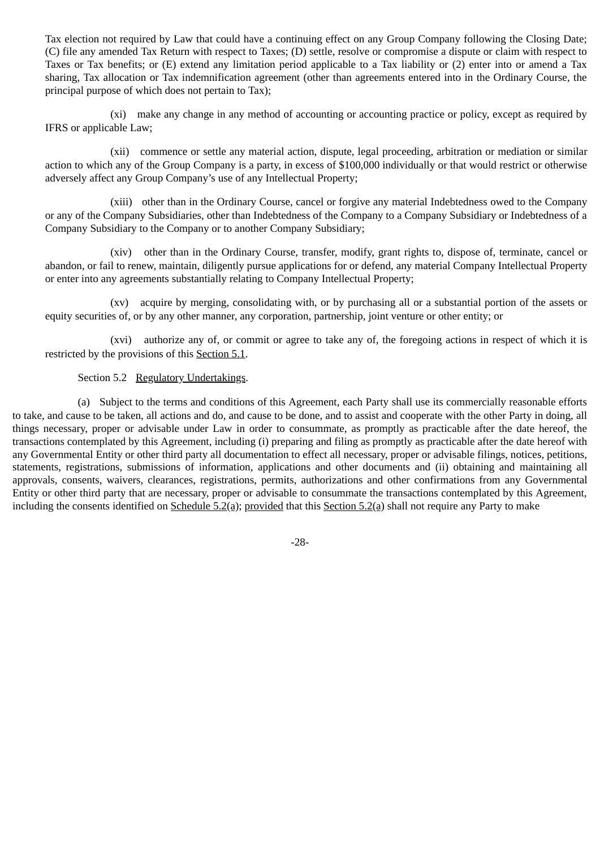Tax election not required by Law that could have a continuing effect on any Group Company following the Closing Date; (C) file any amended Tax Return with respect to Taxes; (D) settle, resolve or compromise a dispute or claim with respect to Taxes or Tax benefits; or (E) extend any limitation period applicable to a Tax liability or (2) enter into or amend a Tax sharing, Tax allocation or Tax indemnification agreement (other than agreements entered into in the Ordinary Course, the principal purpose of which does not pertain to Tax);

(xi) make any change in any method of accounting or accounting practice or policy, except as required by IFRS or applicable Law;

(xii) commence or settle any material action, dispute, legal proceeding, arbitration or mediation or similar action to which any of the Group Company is a party, in excess of \$100,000 individually or that would restrict or otherwise adversely affect any Group Company's use of any Intellectual Property;

(xiii) other than in the Ordinary Course, cancel or forgive any material Indebtedness owed to the Company or any of the Company Subsidiaries, other than Indebtedness of the Company to a Company Subsidiary or Indebtedness of a Company Subsidiary to the Company or to another Company Subsidiary;

(xiv) other than in the Ordinary Course, transfer, modify, grant rights to, dispose of, terminate, cancel or abandon, or fail to renew, maintain, diligently pursue applications for or defend, any material Company Intellectual Property or enter into any agreements substantially relating to Company Intellectual Property;

(xv) acquire by merging, consolidating with, or by purchasing all or a substantial portion of the assets or equity securities of, or by any other manner, any corporation, partnership, joint venture or other entity; or

(xvi) authorize any of, or commit or agree to take any of, the foregoing actions in respect of which it is restricted by the provisions of this Section 5.1.

# Section 5.2 Regulatory Undertakings.

(a) Subject to the terms and conditions of this Agreement, each Party shall use its commercially reasonable efforts to take, and cause to be taken, all actions and do, and cause to be done, and to assist and cooperate with the other Party in doing, all things necessary, proper or advisable under Law in order to consummate, as promptly as practicable after the date hereof, the transactions contemplated by this Agreement, including (i) preparing and filing as promptly as practicable after the date hereof with any Governmental Entity or other third party all documentation to effect all necessary, proper or advisable filings, notices, petitions, statements, registrations, submissions of information, applications and other documents and (ii) obtaining and maintaining all approvals, consents, waivers, clearances, registrations, permits, authorizations and other confirmations from any Governmental Entity or other third party that are necessary, proper or advisable to consummate the transactions contemplated by this Agreement, including the consents identified on Schedule 5.2(a); provided that this Section 5.2(a) shall not require any Party to make

-28-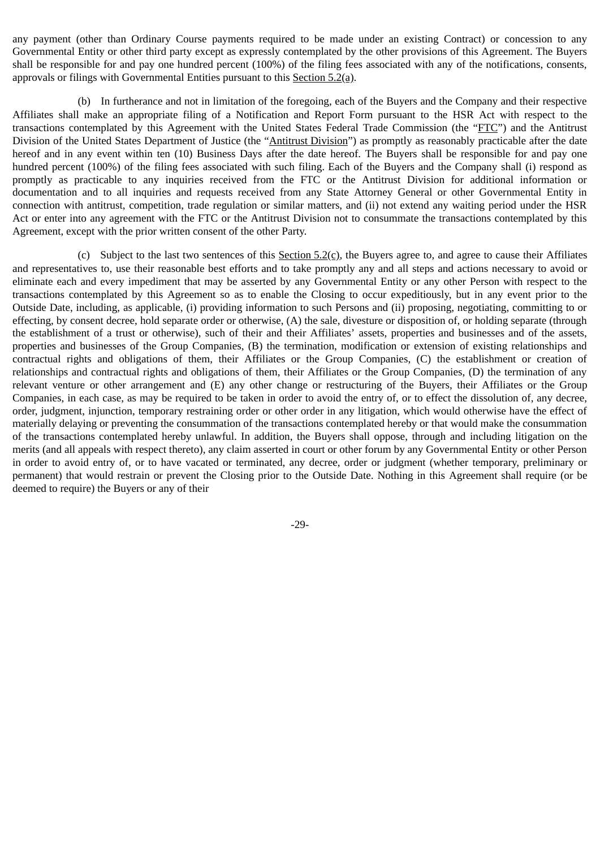any payment (other than Ordinary Course payments required to be made under an existing Contract) or concession to any Governmental Entity or other third party except as expressly contemplated by the other provisions of this Agreement. The Buyers shall be responsible for and pay one hundred percent (100%) of the filing fees associated with any of the notifications, consents, approvals or filings with Governmental Entities pursuant to this Section 5.2(a).

(b) In furtherance and not in limitation of the foregoing, each of the Buyers and the Company and their respective Affiliates shall make an appropriate filing of a Notification and Report Form pursuant to the HSR Act with respect to the transactions contemplated by this Agreement with the United States Federal Trade Commission (the "FTC") and the Antitrust Division of the United States Department of Justice (the "Antitrust Division") as promptly as reasonably practicable after the date hereof and in any event within ten (10) Business Days after the date hereof. The Buyers shall be responsible for and pay one hundred percent (100%) of the filing fees associated with such filing. Each of the Buyers and the Company shall (i) respond as promptly as practicable to any inquiries received from the FTC or the Antitrust Division for additional information or documentation and to all inquiries and requests received from any State Attorney General or other Governmental Entity in connection with antitrust, competition, trade regulation or similar matters, and (ii) not extend any waiting period under the HSR Act or enter into any agreement with the FTC or the Antitrust Division not to consummate the transactions contemplated by this Agreement, except with the prior written consent of the other Party.

(c) Subject to the last two sentences of this Section  $5.2(\text{c})$ , the Buyers agree to, and agree to cause their Affiliates and representatives to, use their reasonable best efforts and to take promptly any and all steps and actions necessary to avoid or eliminate each and every impediment that may be asserted by any Governmental Entity or any other Person with respect to the transactions contemplated by this Agreement so as to enable the Closing to occur expeditiously, but in any event prior to the Outside Date, including, as applicable, (i) providing information to such Persons and (ii) proposing, negotiating, committing to or effecting, by consent decree, hold separate order or otherwise, (A) the sale, divesture or disposition of, or holding separate (through the establishment of a trust or otherwise), such of their and their Affiliates' assets, properties and businesses and of the assets, properties and businesses of the Group Companies, (B) the termination, modification or extension of existing relationships and contractual rights and obligations of them, their Affiliates or the Group Companies, (C) the establishment or creation of relationships and contractual rights and obligations of them, their Affiliates or the Group Companies, (D) the termination of any relevant venture or other arrangement and (E) any other change or restructuring of the Buyers, their Affiliates or the Group Companies, in each case, as may be required to be taken in order to avoid the entry of, or to effect the dissolution of, any decree, order, judgment, injunction, temporary restraining order or other order in any litigation, which would otherwise have the effect of materially delaying or preventing the consummation of the transactions contemplated hereby or that would make the consummation of the transactions contemplated hereby unlawful. In addition, the Buyers shall oppose, through and including litigation on the merits (and all appeals with respect thereto), any claim asserted in court or other forum by any Governmental Entity or other Person in order to avoid entry of, or to have vacated or terminated, any decree, order or judgment (whether temporary, preliminary or permanent) that would restrain or prevent the Closing prior to the Outside Date. Nothing in this Agreement shall require (or be deemed to require) the Buyers or any of their

-29-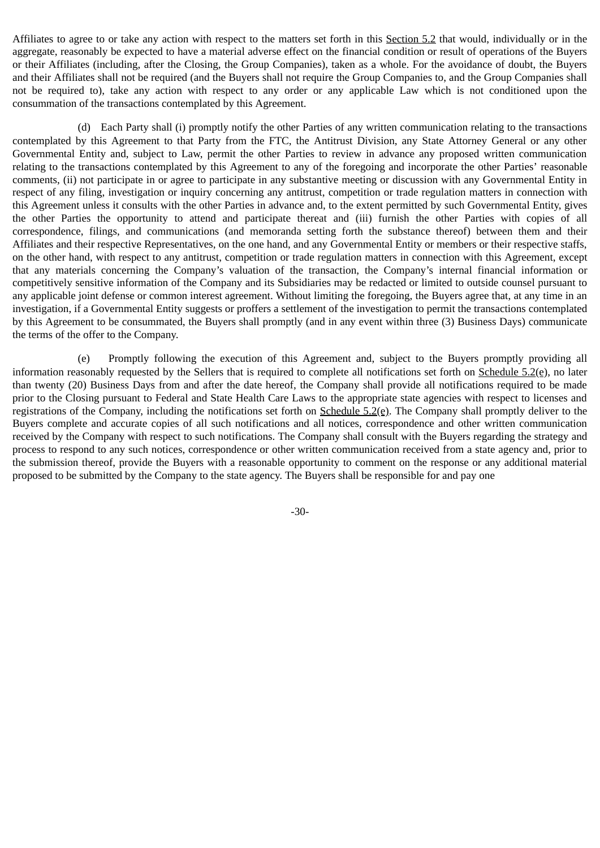Affiliates to agree to or take any action with respect to the matters set forth in this Section 5.2 that would, individually or in the aggregate, reasonably be expected to have a material adverse effect on the financial condition or result of operations of the Buyers or their Affiliates (including, after the Closing, the Group Companies), taken as a whole. For the avoidance of doubt, the Buyers and their Affiliates shall not be required (and the Buyers shall not require the Group Companies to, and the Group Companies shall not be required to), take any action with respect to any order or any applicable Law which is not conditioned upon the consummation of the transactions contemplated by this Agreement.

(d) Each Party shall (i) promptly notify the other Parties of any written communication relating to the transactions contemplated by this Agreement to that Party from the FTC, the Antitrust Division, any State Attorney General or any other Governmental Entity and, subject to Law, permit the other Parties to review in advance any proposed written communication relating to the transactions contemplated by this Agreement to any of the foregoing and incorporate the other Parties' reasonable comments, (ii) not participate in or agree to participate in any substantive meeting or discussion with any Governmental Entity in respect of any filing, investigation or inquiry concerning any antitrust, competition or trade regulation matters in connection with this Agreement unless it consults with the other Parties in advance and, to the extent permitted by such Governmental Entity, gives the other Parties the opportunity to attend and participate thereat and (iii) furnish the other Parties with copies of all correspondence, filings, and communications (and memoranda setting forth the substance thereof) between them and their Affiliates and their respective Representatives, on the one hand, and any Governmental Entity or members or their respective staffs, on the other hand, with respect to any antitrust, competition or trade regulation matters in connection with this Agreement, except that any materials concerning the Company's valuation of the transaction, the Company's internal financial information or competitively sensitive information of the Company and its Subsidiaries may be redacted or limited to outside counsel pursuant to any applicable joint defense or common interest agreement. Without limiting the foregoing, the Buyers agree that, at any time in an investigation, if a Governmental Entity suggests or proffers a settlement of the investigation to permit the transactions contemplated by this Agreement to be consummated, the Buyers shall promptly (and in any event within three (3) Business Days) communicate the terms of the offer to the Company.

(e) Promptly following the execution of this Agreement and, subject to the Buyers promptly providing all information reasonably requested by the Sellers that is required to complete all notifications set forth on Schedule 5.2(e), no later than twenty (20) Business Days from and after the date hereof, the Company shall provide all notifications required to be made prior to the Closing pursuant to Federal and State Health Care Laws to the appropriate state agencies with respect to licenses and registrations of the Company, including the notifications set forth on Schedule 5.2(e). The Company shall promptly deliver to the Buyers complete and accurate copies of all such notifications and all notices, correspondence and other written communication received by the Company with respect to such notifications. The Company shall consult with the Buyers regarding the strategy and process to respond to any such notices, correspondence or other written communication received from a state agency and, prior to the submission thereof, provide the Buyers with a reasonable opportunity to comment on the response or any additional material proposed to be submitted by the Company to the state agency. The Buyers shall be responsible for and pay one

-30-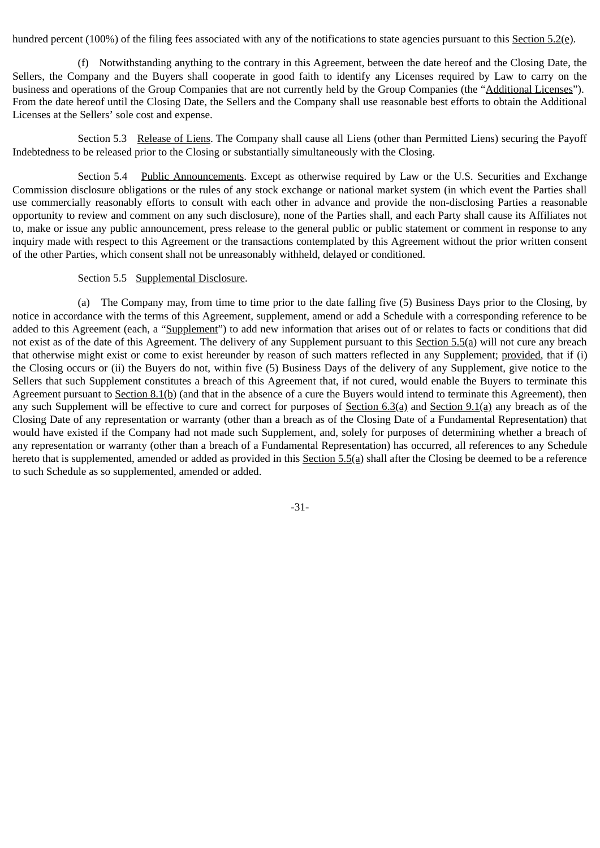hundred percent (100%) of the filing fees associated with any of the notifications to state agencies pursuant to this Section 5.2(e).

(f) Notwithstanding anything to the contrary in this Agreement, between the date hereof and the Closing Date, the Sellers, the Company and the Buyers shall cooperate in good faith to identify any Licenses required by Law to carry on the business and operations of the Group Companies that are not currently held by the Group Companies (the "Additional Licenses"). From the date hereof until the Closing Date, the Sellers and the Company shall use reasonable best efforts to obtain the Additional Licenses at the Sellers' sole cost and expense.

Section 5.3 Release of Liens. The Company shall cause all Liens (other than Permitted Liens) securing the Payoff Indebtedness to be released prior to the Closing or substantially simultaneously with the Closing.

Section 5.4 Public Announcements. Except as otherwise required by Law or the U.S. Securities and Exchange Commission disclosure obligations or the rules of any stock exchange or national market system (in which event the Parties shall use commercially reasonably efforts to consult with each other in advance and provide the non-disclosing Parties a reasonable opportunity to review and comment on any such disclosure), none of the Parties shall, and each Party shall cause its Affiliates not to, make or issue any public announcement, press release to the general public or public statement or comment in response to any inquiry made with respect to this Agreement or the transactions contemplated by this Agreement without the prior written consent of the other Parties, which consent shall not be unreasonably withheld, delayed or conditioned.

### Section 5.5 Supplemental Disclosure.

(a) The Company may, from time to time prior to the date falling five (5) Business Days prior to the Closing, by notice in accordance with the terms of this Agreement, supplement, amend or add a Schedule with a corresponding reference to be added to this Agreement (each, a "Supplement") to add new information that arises out of or relates to facts or conditions that did not exist as of the date of this Agreement. The delivery of any Supplement pursuant to this Section 5.5(a) will not cure any breach that otherwise might exist or come to exist hereunder by reason of such matters reflected in any Supplement; provided, that if (i) the Closing occurs or (ii) the Buyers do not, within five (5) Business Days of the delivery of any Supplement, give notice to the Sellers that such Supplement constitutes a breach of this Agreement that, if not cured, would enable the Buyers to terminate this Agreement pursuant to Section 8.1(b) (and that in the absence of a cure the Buyers would intend to terminate this Agreement), then any such Supplement will be effective to cure and correct for purposes of Section  $6.3(a)$  and Section  $9.1(a)$  any breach as of the Closing Date of any representation or warranty (other than a breach as of the Closing Date of a Fundamental Representation) that would have existed if the Company had not made such Supplement, and, solely for purposes of determining whether a breach of any representation or warranty (other than a breach of a Fundamental Representation) has occurred, all references to any Schedule hereto that is supplemented, amended or added as provided in this Section 5.5(a) shall after the Closing be deemed to be a reference to such Schedule as so supplemented, amended or added.

-31-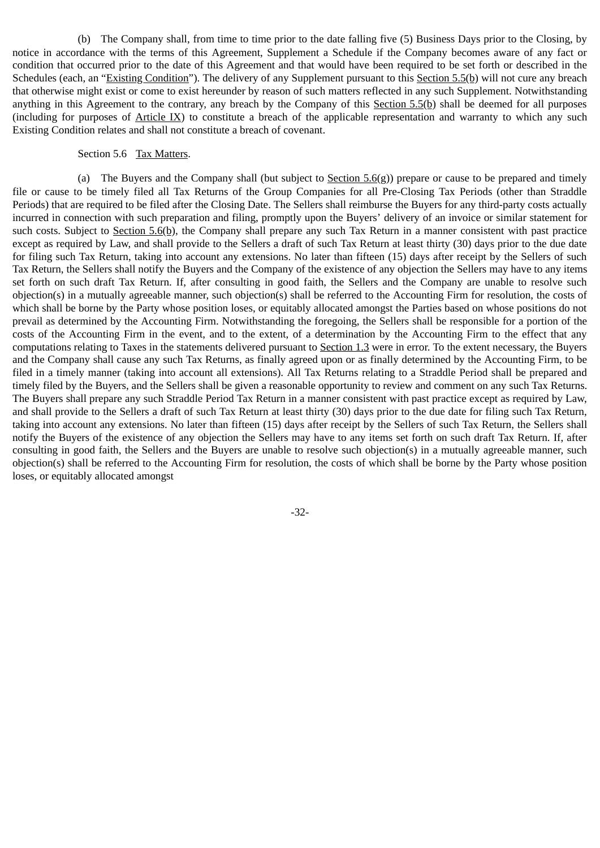(b) The Company shall, from time to time prior to the date falling five (5) Business Days prior to the Closing, by notice in accordance with the terms of this Agreement, Supplement a Schedule if the Company becomes aware of any fact or condition that occurred prior to the date of this Agreement and that would have been required to be set forth or described in the Schedules (each, an "Existing Condition"). The delivery of any Supplement pursuant to this Section 5.5(b) will not cure any breach that otherwise might exist or come to exist hereunder by reason of such matters reflected in any such Supplement. Notwithstanding anything in this Agreement to the contrary, any breach by the Company of this Section 5.5(b) shall be deemed for all purposes (including for purposes of Article IX) to constitute a breach of the applicable representation and warranty to which any such Existing Condition relates and shall not constitute a breach of covenant.

#### Section 5.6 Tax Matters.

(a) The Buyers and the Company shall (but subject to **Section 5.6(g)**) prepare or cause to be prepared and timely file or cause to be timely filed all Tax Returns of the Group Companies for all Pre-Closing Tax Periods (other than Straddle Periods) that are required to be filed after the Closing Date. The Sellers shall reimburse the Buyers for any third-party costs actually incurred in connection with such preparation and filing, promptly upon the Buyers' delivery of an invoice or similar statement for such costs. Subject to Section 5.6(b), the Company shall prepare any such Tax Return in a manner consistent with past practice except as required by Law, and shall provide to the Sellers a draft of such Tax Return at least thirty (30) days prior to the due date for filing such Tax Return, taking into account any extensions. No later than fifteen (15) days after receipt by the Sellers of such Tax Return, the Sellers shall notify the Buyers and the Company of the existence of any objection the Sellers may have to any items set forth on such draft Tax Return. If, after consulting in good faith, the Sellers and the Company are unable to resolve such objection(s) in a mutually agreeable manner, such objection(s) shall be referred to the Accounting Firm for resolution, the costs of which shall be borne by the Party whose position loses, or equitably allocated amongst the Parties based on whose positions do not prevail as determined by the Accounting Firm. Notwithstanding the foregoing, the Sellers shall be responsible for a portion of the costs of the Accounting Firm in the event, and to the extent, of a determination by the Accounting Firm to the effect that any computations relating to Taxes in the statements delivered pursuant to Section 1.3 were in error. To the extent necessary, the Buyers and the Company shall cause any such Tax Returns, as finally agreed upon or as finally determined by the Accounting Firm, to be filed in a timely manner (taking into account all extensions). All Tax Returns relating to a Straddle Period shall be prepared and timely filed by the Buyers, and the Sellers shall be given a reasonable opportunity to review and comment on any such Tax Returns. The Buyers shall prepare any such Straddle Period Tax Return in a manner consistent with past practice except as required by Law, and shall provide to the Sellers a draft of such Tax Return at least thirty (30) days prior to the due date for filing such Tax Return, taking into account any extensions. No later than fifteen (15) days after receipt by the Sellers of such Tax Return, the Sellers shall notify the Buyers of the existence of any objection the Sellers may have to any items set forth on such draft Tax Return. If, after consulting in good faith, the Sellers and the Buyers are unable to resolve such objection(s) in a mutually agreeable manner, such objection(s) shall be referred to the Accounting Firm for resolution, the costs of which shall be borne by the Party whose position loses, or equitably allocated amongst

-32-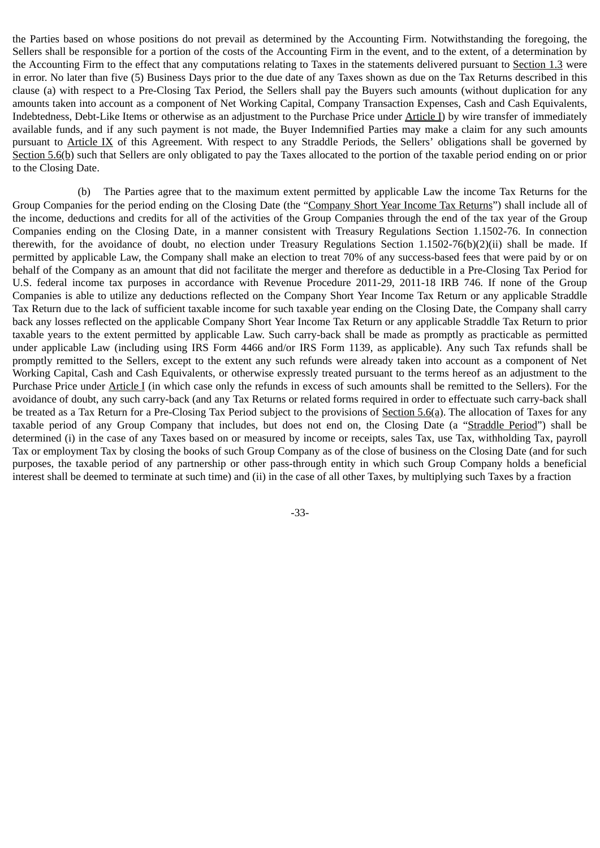the Parties based on whose positions do not prevail as determined by the Accounting Firm. Notwithstanding the foregoing, the Sellers shall be responsible for a portion of the costs of the Accounting Firm in the event, and to the extent, of a determination by the Accounting Firm to the effect that any computations relating to Taxes in the statements delivered pursuant to Section 1.3 were in error. No later than five (5) Business Days prior to the due date of any Taxes shown as due on the Tax Returns described in this clause (a) with respect to a Pre-Closing Tax Period, the Sellers shall pay the Buyers such amounts (without duplication for any amounts taken into account as a component of Net Working Capital, Company Transaction Expenses, Cash and Cash Equivalents, Indebtedness, Debt-Like Items or otherwise as an adjustment to the Purchase Price under Article I) by wire transfer of immediately available funds, and if any such payment is not made, the Buyer Indemnified Parties may make a claim for any such amounts pursuant to **Article IX** of this Agreement. With respect to any Straddle Periods, the Sellers' obligations shall be governed by Section 5.6(b) such that Sellers are only obligated to pay the Taxes allocated to the portion of the taxable period ending on or prior to the Closing Date.

(b) The Parties agree that to the maximum extent permitted by applicable Law the income Tax Returns for the Group Companies for the period ending on the Closing Date (the "Company Short Year Income Tax Returns") shall include all of the income, deductions and credits for all of the activities of the Group Companies through the end of the tax year of the Group Companies ending on the Closing Date, in a manner consistent with Treasury Regulations Section 1.1502-76. In connection therewith, for the avoidance of doubt, no election under Treasury Regulations Section 1.1502-76(b)(2)(ii) shall be made. If permitted by applicable Law, the Company shall make an election to treat 70% of any success-based fees that were paid by or on behalf of the Company as an amount that did not facilitate the merger and therefore as deductible in a Pre-Closing Tax Period for U.S. federal income tax purposes in accordance with Revenue Procedure 2011-29, 2011-18 IRB 746. If none of the Group Companies is able to utilize any deductions reflected on the Company Short Year Income Tax Return or any applicable Straddle Tax Return due to the lack of sufficient taxable income for such taxable year ending on the Closing Date, the Company shall carry back any losses reflected on the applicable Company Short Year Income Tax Return or any applicable Straddle Tax Return to prior taxable years to the extent permitted by applicable Law. Such carry-back shall be made as promptly as practicable as permitted under applicable Law (including using IRS Form 4466 and/or IRS Form 1139, as applicable). Any such Tax refunds shall be promptly remitted to the Sellers, except to the extent any such refunds were already taken into account as a component of Net Working Capital, Cash and Cash Equivalents, or otherwise expressly treated pursuant to the terms hereof as an adjustment to the Purchase Price under Article I (in which case only the refunds in excess of such amounts shall be remitted to the Sellers). For the avoidance of doubt, any such carry-back (and any Tax Returns or related forms required in order to effectuate such carry-back shall be treated as a Tax Return for a Pre-Closing Tax Period subject to the provisions of Section 5.6(a). The allocation of Taxes for any taxable period of any Group Company that includes, but does not end on, the Closing Date (a "Straddle Period") shall be determined (i) in the case of any Taxes based on or measured by income or receipts, sales Tax, use Tax, withholding Tax, payroll Tax or employment Tax by closing the books of such Group Company as of the close of business on the Closing Date (and for such purposes, the taxable period of any partnership or other pass-through entity in which such Group Company holds a beneficial interest shall be deemed to terminate at such time) and (ii) in the case of all other Taxes, by multiplying such Taxes by a fraction

-33-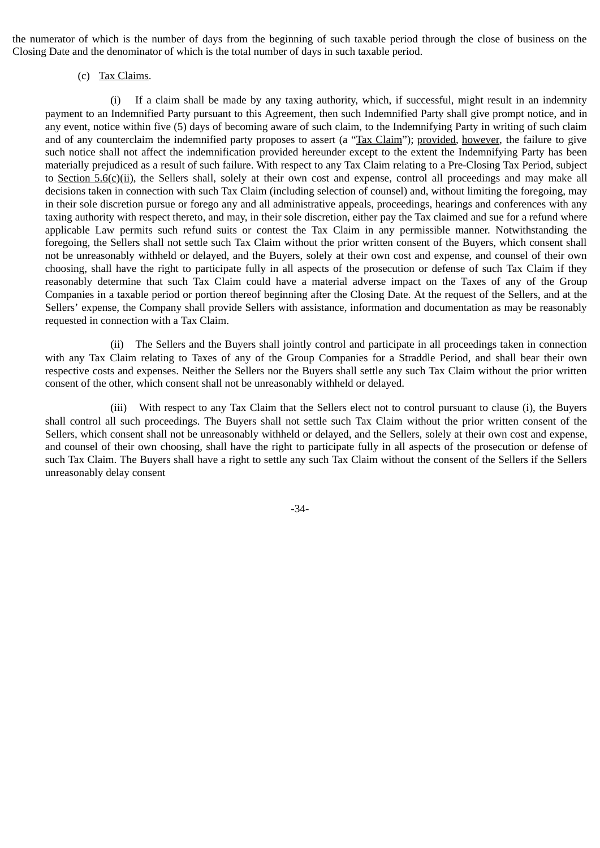the numerator of which is the number of days from the beginning of such taxable period through the close of business on the Closing Date and the denominator of which is the total number of days in such taxable period.

# (c) Tax Claims.

(i) If a claim shall be made by any taxing authority, which, if successful, might result in an indemnity payment to an Indemnified Party pursuant to this Agreement, then such Indemnified Party shall give prompt notice, and in any event, notice within five (5) days of becoming aware of such claim, to the Indemnifying Party in writing of such claim and of any counterclaim the indemnified party proposes to assert (a "Tax Claim"); provided, however, the failure to give such notice shall not affect the indemnification provided hereunder except to the extent the Indemnifying Party has been materially prejudiced as a result of such failure. With respect to any Tax Claim relating to a Pre-Closing Tax Period, subject to Section  $5.6(c)(ii)$ , the Sellers shall, solely at their own cost and expense, control all proceedings and may make all decisions taken in connection with such Tax Claim (including selection of counsel) and, without limiting the foregoing, may in their sole discretion pursue or forego any and all administrative appeals, proceedings, hearings and conferences with any taxing authority with respect thereto, and may, in their sole discretion, either pay the Tax claimed and sue for a refund where applicable Law permits such refund suits or contest the Tax Claim in any permissible manner. Notwithstanding the foregoing, the Sellers shall not settle such Tax Claim without the prior written consent of the Buyers, which consent shall not be unreasonably withheld or delayed, and the Buyers, solely at their own cost and expense, and counsel of their own choosing, shall have the right to participate fully in all aspects of the prosecution or defense of such Tax Claim if they reasonably determine that such Tax Claim could have a material adverse impact on the Taxes of any of the Group Companies in a taxable period or portion thereof beginning after the Closing Date. At the request of the Sellers, and at the Sellers' expense, the Company shall provide Sellers with assistance, information and documentation as may be reasonably requested in connection with a Tax Claim.

(ii) The Sellers and the Buyers shall jointly control and participate in all proceedings taken in connection with any Tax Claim relating to Taxes of any of the Group Companies for a Straddle Period, and shall bear their own respective costs and expenses. Neither the Sellers nor the Buyers shall settle any such Tax Claim without the prior written consent of the other, which consent shall not be unreasonably withheld or delayed.

(iii) With respect to any Tax Claim that the Sellers elect not to control pursuant to clause (i), the Buyers shall control all such proceedings. The Buyers shall not settle such Tax Claim without the prior written consent of the Sellers, which consent shall not be unreasonably withheld or delayed, and the Sellers, solely at their own cost and expense, and counsel of their own choosing, shall have the right to participate fully in all aspects of the prosecution or defense of such Tax Claim. The Buyers shall have a right to settle any such Tax Claim without the consent of the Sellers if the Sellers unreasonably delay consent

-34-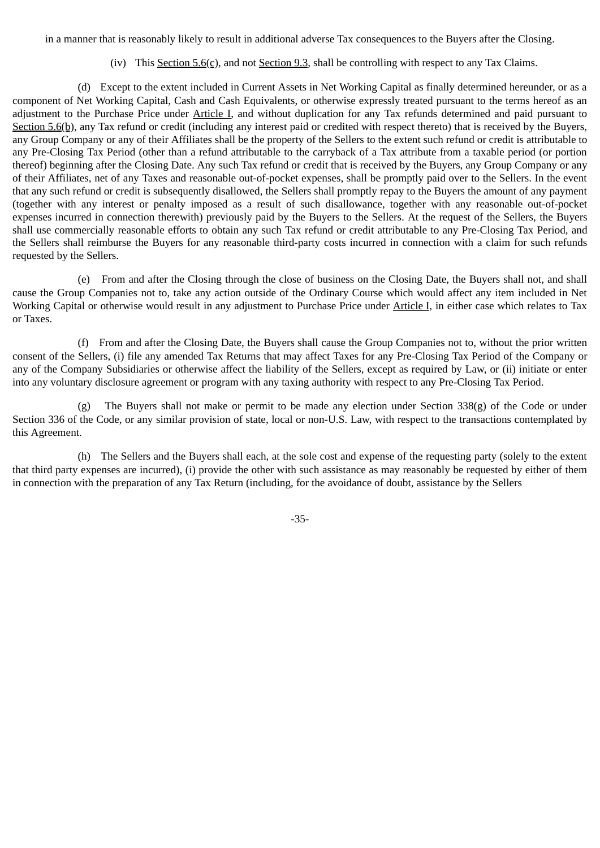in a manner that is reasonably likely to result in additional adverse Tax consequences to the Buyers after the Closing.

(iv) This Section 5.6(c), and not Section 9.3, shall be controlling with respect to any Tax Claims.

(d) Except to the extent included in Current Assets in Net Working Capital as finally determined hereunder, or as a component of Net Working Capital, Cash and Cash Equivalents, or otherwise expressly treated pursuant to the terms hereof as an adjustment to the Purchase Price under Article I, and without duplication for any Tax refunds determined and paid pursuant to Section 5.6(b), any Tax refund or credit (including any interest paid or credited with respect thereto) that is received by the Buyers, any Group Company or any of their Affiliates shall be the property of the Sellers to the extent such refund or credit is attributable to any Pre-Closing Tax Period (other than a refund attributable to the carryback of a Tax attribute from a taxable period (or portion thereof) beginning after the Closing Date. Any such Tax refund or credit that is received by the Buyers, any Group Company or any of their Affiliates, net of any Taxes and reasonable out-of-pocket expenses, shall be promptly paid over to the Sellers. In the event that any such refund or credit is subsequently disallowed, the Sellers shall promptly repay to the Buyers the amount of any payment (together with any interest or penalty imposed as a result of such disallowance, together with any reasonable out-of-pocket expenses incurred in connection therewith) previously paid by the Buyers to the Sellers. At the request of the Sellers, the Buyers shall use commercially reasonable efforts to obtain any such Tax refund or credit attributable to any Pre-Closing Tax Period, and the Sellers shall reimburse the Buyers for any reasonable third-party costs incurred in connection with a claim for such refunds requested by the Sellers.

(e) From and after the Closing through the close of business on the Closing Date, the Buyers shall not, and shall cause the Group Companies not to, take any action outside of the Ordinary Course which would affect any item included in Net Working Capital or otherwise would result in any adjustment to Purchase Price under Article I, in either case which relates to Tax or Taxes.

(f) From and after the Closing Date, the Buyers shall cause the Group Companies not to, without the prior written consent of the Sellers, (i) file any amended Tax Returns that may affect Taxes for any Pre-Closing Tax Period of the Company or any of the Company Subsidiaries or otherwise affect the liability of the Sellers, except as required by Law, or (ii) initiate or enter into any voluntary disclosure agreement or program with any taxing authority with respect to any Pre-Closing Tax Period.

(g) The Buyers shall not make or permit to be made any election under Section 338(g) of the Code or under Section 336 of the Code, or any similar provision of state, local or non-U.S. Law, with respect to the transactions contemplated by this Agreement.

(h) The Sellers and the Buyers shall each, at the sole cost and expense of the requesting party (solely to the extent that third party expenses are incurred), (i) provide the other with such assistance as may reasonably be requested by either of them in connection with the preparation of any Tax Return (including, for the avoidance of doubt, assistance by the Sellers

-35-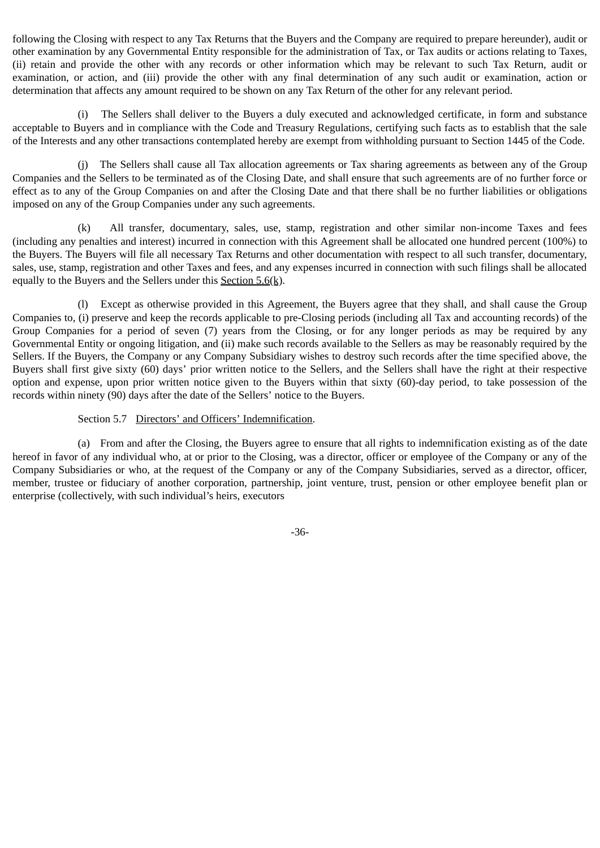following the Closing with respect to any Tax Returns that the Buyers and the Company are required to prepare hereunder), audit or other examination by any Governmental Entity responsible for the administration of Tax, or Tax audits or actions relating to Taxes, (ii) retain and provide the other with any records or other information which may be relevant to such Tax Return, audit or examination, or action, and (iii) provide the other with any final determination of any such audit or examination, action or determination that affects any amount required to be shown on any Tax Return of the other for any relevant period.

(i) The Sellers shall deliver to the Buyers a duly executed and acknowledged certificate, in form and substance acceptable to Buyers and in compliance with the Code and Treasury Regulations, certifying such facts as to establish that the sale of the Interests and any other transactions contemplated hereby are exempt from withholding pursuant to Section 1445 of the Code.

(j) The Sellers shall cause all Tax allocation agreements or Tax sharing agreements as between any of the Group Companies and the Sellers to be terminated as of the Closing Date, and shall ensure that such agreements are of no further force or effect as to any of the Group Companies on and after the Closing Date and that there shall be no further liabilities or obligations imposed on any of the Group Companies under any such agreements.

(k) All transfer, documentary, sales, use, stamp, registration and other similar non-income Taxes and fees (including any penalties and interest) incurred in connection with this Agreement shall be allocated one hundred percent (100%) to the Buyers. The Buyers will file all necessary Tax Returns and other documentation with respect to all such transfer, documentary, sales, use, stamp, registration and other Taxes and fees, and any expenses incurred in connection with such filings shall be allocated equally to the Buyers and the Sellers under this  $S_{\text{ection}}$  5.6( $k$ ).

(l) Except as otherwise provided in this Agreement, the Buyers agree that they shall, and shall cause the Group Companies to, (i) preserve and keep the records applicable to pre-Closing periods (including all Tax and accounting records) of the Group Companies for a period of seven (7) years from the Closing, or for any longer periods as may be required by any Governmental Entity or ongoing litigation, and (ii) make such records available to the Sellers as may be reasonably required by the Sellers. If the Buyers, the Company or any Company Subsidiary wishes to destroy such records after the time specified above, the Buyers shall first give sixty (60) days' prior written notice to the Sellers, and the Sellers shall have the right at their respective option and expense, upon prior written notice given to the Buyers within that sixty (60)-day period, to take possession of the records within ninety (90) days after the date of the Sellers' notice to the Buyers.

## Section 5.7 Directors' and Officers' Indemnification.

(a) From and after the Closing, the Buyers agree to ensure that all rights to indemnification existing as of the date hereof in favor of any individual who, at or prior to the Closing, was a director, officer or employee of the Company or any of the Company Subsidiaries or who, at the request of the Company or any of the Company Subsidiaries, served as a director, officer, member, trustee or fiduciary of another corporation, partnership, joint venture, trust, pension or other employee benefit plan or enterprise (collectively, with such individual's heirs, executors

-36-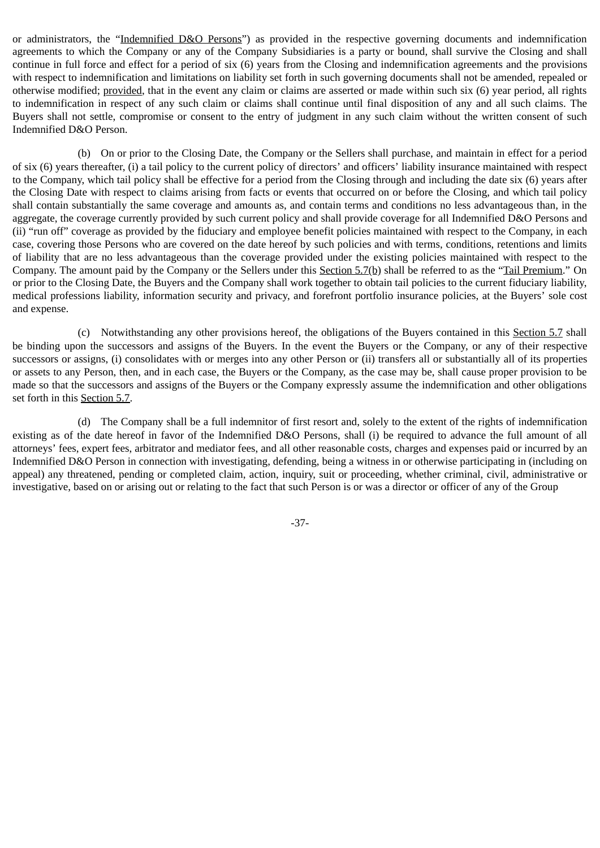or administrators, the "Indemnified D&O Persons") as provided in the respective governing documents and indemnification agreements to which the Company or any of the Company Subsidiaries is a party or bound, shall survive the Closing and shall continue in full force and effect for a period of six (6) years from the Closing and indemnification agreements and the provisions with respect to indemnification and limitations on liability set forth in such governing documents shall not be amended, repealed or otherwise modified; provided, that in the event any claim or claims are asserted or made within such six (6) year period, all rights to indemnification in respect of any such claim or claims shall continue until final disposition of any and all such claims. The Buyers shall not settle, compromise or consent to the entry of judgment in any such claim without the written consent of such Indemnified D&O Person.

(b) On or prior to the Closing Date, the Company or the Sellers shall purchase, and maintain in effect for a period of six (6) years thereafter, (i) a tail policy to the current policy of directors' and officers' liability insurance maintained with respect to the Company, which tail policy shall be effective for a period from the Closing through and including the date six (6) years after the Closing Date with respect to claims arising from facts or events that occurred on or before the Closing, and which tail policy shall contain substantially the same coverage and amounts as, and contain terms and conditions no less advantageous than, in the aggregate, the coverage currently provided by such current policy and shall provide coverage for all Indemnified D&O Persons and (ii) "run off" coverage as provided by the fiduciary and employee benefit policies maintained with respect to the Company, in each case, covering those Persons who are covered on the date hereof by such policies and with terms, conditions, retentions and limits of liability that are no less advantageous than the coverage provided under the existing policies maintained with respect to the Company. The amount paid by the Company or the Sellers under this Section 5.7(b) shall be referred to as the "Tail Premium." On or prior to the Closing Date, the Buyers and the Company shall work together to obtain tail policies to the current fiduciary liability, medical professions liability, information security and privacy, and forefront portfolio insurance policies, at the Buyers' sole cost and expense.

(c) Notwithstanding any other provisions hereof, the obligations of the Buyers contained in this Section 5.7 shall be binding upon the successors and assigns of the Buyers. In the event the Buyers or the Company, or any of their respective successors or assigns, (i) consolidates with or merges into any other Person or (ii) transfers all or substantially all of its properties or assets to any Person, then, and in each case, the Buyers or the Company, as the case may be, shall cause proper provision to be made so that the successors and assigns of the Buyers or the Company expressly assume the indemnification and other obligations set forth in this Section 5.7.

(d) The Company shall be a full indemnitor of first resort and, solely to the extent of the rights of indemnification existing as of the date hereof in favor of the Indemnified D&O Persons, shall (i) be required to advance the full amount of all attorneys' fees, expert fees, arbitrator and mediator fees, and all other reasonable costs, charges and expenses paid or incurred by an Indemnified D&O Person in connection with investigating, defending, being a witness in or otherwise participating in (including on appeal) any threatened, pending or completed claim, action, inquiry, suit or proceeding, whether criminal, civil, administrative or investigative, based on or arising out or relating to the fact that such Person is or was a director or officer of any of the Group

-37-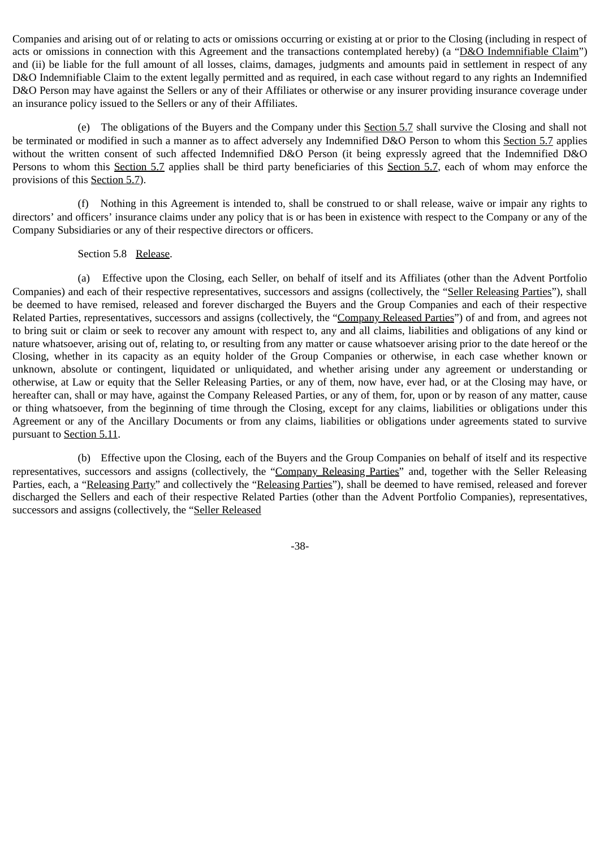Companies and arising out of or relating to acts or omissions occurring or existing at or prior to the Closing (including in respect of acts or omissions in connection with this Agreement and the transactions contemplated hereby) (a "D&O Indemnifiable Claim") and (ii) be liable for the full amount of all losses, claims, damages, judgments and amounts paid in settlement in respect of any D&O Indemnifiable Claim to the extent legally permitted and as required, in each case without regard to any rights an Indemnified D&O Person may have against the Sellers or any of their Affiliates or otherwise or any insurer providing insurance coverage under an insurance policy issued to the Sellers or any of their Affiliates.

(e) The obligations of the Buyers and the Company under this Section 5.7 shall survive the Closing and shall not be terminated or modified in such a manner as to affect adversely any Indemnified D&O Person to whom this Section 5.7 applies without the written consent of such affected Indemnified D&O Person (it being expressly agreed that the Indemnified D&O Persons to whom this Section 5.7 applies shall be third party beneficiaries of this Section 5.7, each of whom may enforce the provisions of this Section 5.7).

(f) Nothing in this Agreement is intended to, shall be construed to or shall release, waive or impair any rights to directors' and officers' insurance claims under any policy that is or has been in existence with respect to the Company or any of the Company Subsidiaries or any of their respective directors or officers.

## Section 5.8 Release.

(a) Effective upon the Closing, each Seller, on behalf of itself and its Affiliates (other than the Advent Portfolio Companies) and each of their respective representatives, successors and assigns (collectively, the "Seller Releasing Parties"), shall be deemed to have remised, released and forever discharged the Buyers and the Group Companies and each of their respective Related Parties, representatives, successors and assigns (collectively, the "Company Released Parties") of and from, and agrees not to bring suit or claim or seek to recover any amount with respect to, any and all claims, liabilities and obligations of any kind or nature whatsoever, arising out of, relating to, or resulting from any matter or cause whatsoever arising prior to the date hereof or the Closing, whether in its capacity as an equity holder of the Group Companies or otherwise, in each case whether known or unknown, absolute or contingent, liquidated or unliquidated, and whether arising under any agreement or understanding or otherwise, at Law or equity that the Seller Releasing Parties, or any of them, now have, ever had, or at the Closing may have, or hereafter can, shall or may have, against the Company Released Parties, or any of them, for, upon or by reason of any matter, cause or thing whatsoever, from the beginning of time through the Closing, except for any claims, liabilities or obligations under this Agreement or any of the Ancillary Documents or from any claims, liabilities or obligations under agreements stated to survive pursuant to Section 5.11.

(b) Effective upon the Closing, each of the Buyers and the Group Companies on behalf of itself and its respective representatives, successors and assigns (collectively, the "Company Releasing Parties" and, together with the Seller Releasing Parties, each, a "Releasing Party" and collectively the "Releasing Parties"), shall be deemed to have remised, released and forever discharged the Sellers and each of their respective Related Parties (other than the Advent Portfolio Companies), representatives, successors and assigns (collectively, the "Seller Released

-38-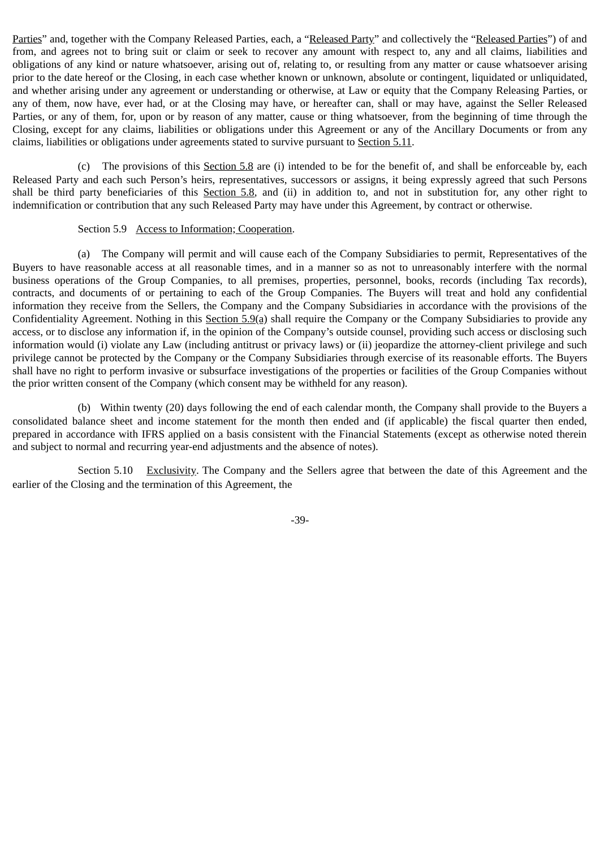Parties" and, together with the Company Released Parties, each, a "Released Party" and collectively the "Released Parties") of and from, and agrees not to bring suit or claim or seek to recover any amount with respect to, any and all claims, liabilities and obligations of any kind or nature whatsoever, arising out of, relating to, or resulting from any matter or cause whatsoever arising prior to the date hereof or the Closing, in each case whether known or unknown, absolute or contingent, liquidated or unliquidated, and whether arising under any agreement or understanding or otherwise, at Law or equity that the Company Releasing Parties, or any of them, now have, ever had, or at the Closing may have, or hereafter can, shall or may have, against the Seller Released Parties, or any of them, for, upon or by reason of any matter, cause or thing whatsoever, from the beginning of time through the Closing, except for any claims, liabilities or obligations under this Agreement or any of the Ancillary Documents or from any claims, liabilities or obligations under agreements stated to survive pursuant to Section 5.11.

(c) The provisions of this Section 5.8 are (i) intended to be for the benefit of, and shall be enforceable by, each Released Party and each such Person's heirs, representatives, successors or assigns, it being expressly agreed that such Persons shall be third party beneficiaries of this Section 5.8, and (ii) in addition to, and not in substitution for, any other right to indemnification or contribution that any such Released Party may have under this Agreement, by contract or otherwise.

### Section 5.9 Access to Information; Cooperation.

(a) The Company will permit and will cause each of the Company Subsidiaries to permit, Representatives of the Buyers to have reasonable access at all reasonable times, and in a manner so as not to unreasonably interfere with the normal business operations of the Group Companies, to all premises, properties, personnel, books, records (including Tax records), contracts, and documents of or pertaining to each of the Group Companies. The Buyers will treat and hold any confidential information they receive from the Sellers, the Company and the Company Subsidiaries in accordance with the provisions of the Confidentiality Agreement. Nothing in this Section 5.9(a) shall require the Company or the Company Subsidiaries to provide any access, or to disclose any information if, in the opinion of the Company's outside counsel, providing such access or disclosing such information would (i) violate any Law (including antitrust or privacy laws) or (ii) jeopardize the attorney-client privilege and such privilege cannot be protected by the Company or the Company Subsidiaries through exercise of its reasonable efforts. The Buyers shall have no right to perform invasive or subsurface investigations of the properties or facilities of the Group Companies without the prior written consent of the Company (which consent may be withheld for any reason).

(b) Within twenty (20) days following the end of each calendar month, the Company shall provide to the Buyers a consolidated balance sheet and income statement for the month then ended and (if applicable) the fiscal quarter then ended, prepared in accordance with IFRS applied on a basis consistent with the Financial Statements (except as otherwise noted therein and subject to normal and recurring year-end adjustments and the absence of notes).

Section 5.10 Exclusivity. The Company and the Sellers agree that between the date of this Agreement and the earlier of the Closing and the termination of this Agreement, the

-39-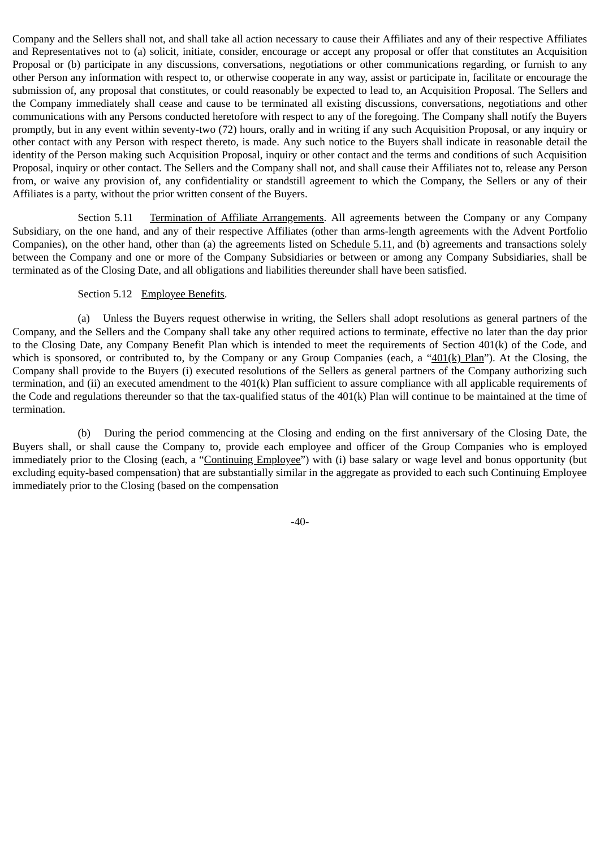Company and the Sellers shall not, and shall take all action necessary to cause their Affiliates and any of their respective Affiliates and Representatives not to (a) solicit, initiate, consider, encourage or accept any proposal or offer that constitutes an Acquisition Proposal or (b) participate in any discussions, conversations, negotiations or other communications regarding, or furnish to any other Person any information with respect to, or otherwise cooperate in any way, assist or participate in, facilitate or encourage the submission of, any proposal that constitutes, or could reasonably be expected to lead to, an Acquisition Proposal. The Sellers and the Company immediately shall cease and cause to be terminated all existing discussions, conversations, negotiations and other communications with any Persons conducted heretofore with respect to any of the foregoing. The Company shall notify the Buyers promptly, but in any event within seventy-two (72) hours, orally and in writing if any such Acquisition Proposal, or any inquiry or other contact with any Person with respect thereto, is made. Any such notice to the Buyers shall indicate in reasonable detail the identity of the Person making such Acquisition Proposal, inquiry or other contact and the terms and conditions of such Acquisition Proposal, inquiry or other contact. The Sellers and the Company shall not, and shall cause their Affiliates not to, release any Person from, or waive any provision of, any confidentiality or standstill agreement to which the Company, the Sellers or any of their Affiliates is a party, without the prior written consent of the Buyers.

Section 5.11 Termination of Affiliate Arrangements. All agreements between the Company or any Company Subsidiary, on the one hand, and any of their respective Affiliates (other than arms-length agreements with the Advent Portfolio Companies), on the other hand, other than (a) the agreements listed on Schedule 5.11, and (b) agreements and transactions solely between the Company and one or more of the Company Subsidiaries or between or among any Company Subsidiaries, shall be terminated as of the Closing Date, and all obligations and liabilities thereunder shall have been satisfied.

### Section 5.12 Employee Benefits.

(a) Unless the Buyers request otherwise in writing, the Sellers shall adopt resolutions as general partners of the Company, and the Sellers and the Company shall take any other required actions to terminate, effective no later than the day prior to the Closing Date, any Company Benefit Plan which is intended to meet the requirements of Section 401(k) of the Code, and which is sponsored, or contributed to, by the Company or any Group Companies (each, a " $401(k)$  Plan"). At the Closing, the Company shall provide to the Buyers (i) executed resolutions of the Sellers as general partners of the Company authorizing such termination, and (ii) an executed amendment to the 401(k) Plan sufficient to assure compliance with all applicable requirements of the Code and regulations thereunder so that the tax-qualified status of the 401(k) Plan will continue to be maintained at the time of termination.

(b) During the period commencing at the Closing and ending on the first anniversary of the Closing Date, the Buyers shall, or shall cause the Company to, provide each employee and officer of the Group Companies who is employed immediately prior to the Closing (each, a "Continuing Employee") with (i) base salary or wage level and bonus opportunity (but excluding equity-based compensation) that are substantially similar in the aggregate as provided to each such Continuing Employee immediately prior to the Closing (based on the compensation

-40-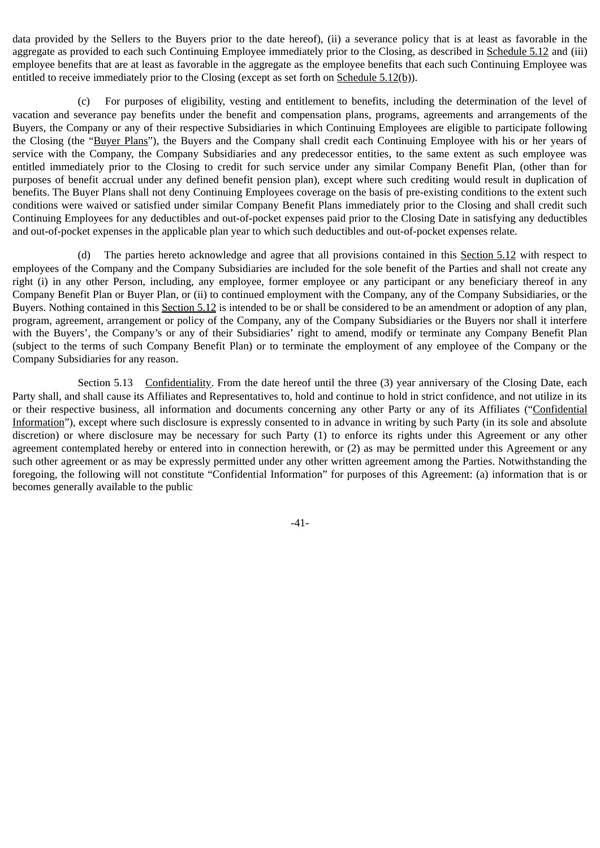data provided by the Sellers to the Buyers prior to the date hereof), (ii) a severance policy that is at least as favorable in the aggregate as provided to each such Continuing Employee immediately prior to the Closing, as described in Schedule 5.12 and (iii) employee benefits that are at least as favorable in the aggregate as the employee benefits that each such Continuing Employee was entitled to receive immediately prior to the Closing (except as set forth on Schedule 5.12(b)).

(c) For purposes of eligibility, vesting and entitlement to benefits, including the determination of the level of vacation and severance pay benefits under the benefit and compensation plans, programs, agreements and arrangements of the Buyers, the Company or any of their respective Subsidiaries in which Continuing Employees are eligible to participate following the Closing (the "Buyer Plans"), the Buyers and the Company shall credit each Continuing Employee with his or her years of service with the Company, the Company Subsidiaries and any predecessor entities, to the same extent as such employee was entitled immediately prior to the Closing to credit for such service under any similar Company Benefit Plan, (other than for purposes of benefit accrual under any defined benefit pension plan), except where such crediting would result in duplication of benefits. The Buyer Plans shall not deny Continuing Employees coverage on the basis of pre-existing conditions to the extent such conditions were waived or satisfied under similar Company Benefit Plans immediately prior to the Closing and shall credit such Continuing Employees for any deductibles and out-of-pocket expenses paid prior to the Closing Date in satisfying any deductibles and out-of-pocket expenses in the applicable plan year to which such deductibles and out-of-pocket expenses relate.

(d) The parties hereto acknowledge and agree that all provisions contained in this Section 5.12 with respect to employees of the Company and the Company Subsidiaries are included for the sole benefit of the Parties and shall not create any right (i) in any other Person, including, any employee, former employee or any participant or any beneficiary thereof in any Company Benefit Plan or Buyer Plan, or (ii) to continued employment with the Company, any of the Company Subsidiaries, or the Buyers. Nothing contained in this Section 5.12 is intended to be or shall be considered to be an amendment or adoption of any plan, program, agreement, arrangement or policy of the Company, any of the Company Subsidiaries or the Buyers nor shall it interfere with the Buyers', the Company's or any of their Subsidiaries' right to amend, modify or terminate any Company Benefit Plan (subject to the terms of such Company Benefit Plan) or to terminate the employment of any employee of the Company or the Company Subsidiaries for any reason.

Section 5.13 Confidentiality. From the date hereof until the three (3) year anniversary of the Closing Date, each Party shall, and shall cause its Affiliates and Representatives to, hold and continue to hold in strict confidence, and not utilize in its or their respective business, all information and documents concerning any other Party or any of its Affiliates ("Confidential Information"), except where such disclosure is expressly consented to in advance in writing by such Party (in its sole and absolute discretion) or where disclosure may be necessary for such Party (1) to enforce its rights under this Agreement or any other agreement contemplated hereby or entered into in connection herewith, or (2) as may be permitted under this Agreement or any such other agreement or as may be expressly permitted under any other written agreement among the Parties. Notwithstanding the foregoing, the following will not constitute "Confidential Information" for purposes of this Agreement: (a) information that is or becomes generally available to the public

-41-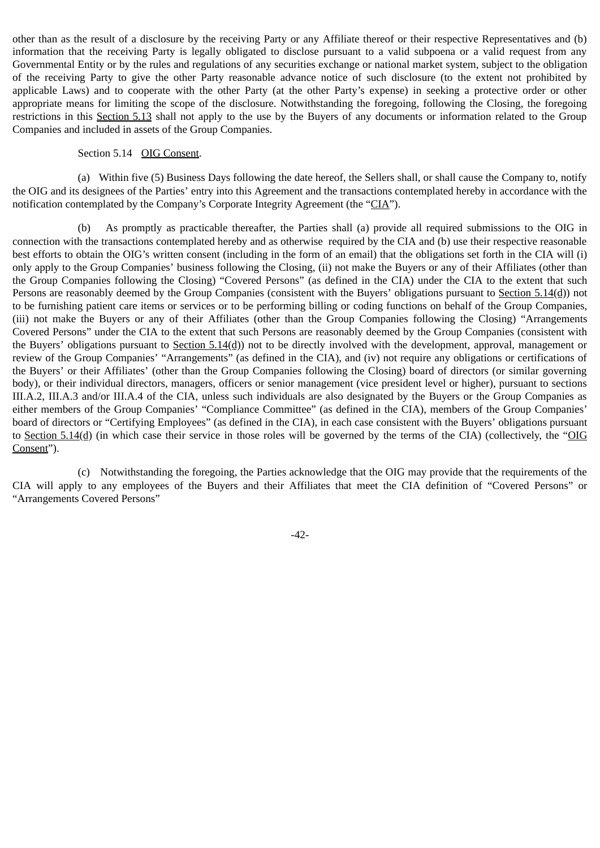other than as the result of a disclosure by the receiving Party or any Affiliate thereof or their respective Representatives and (b) information that the receiving Party is legally obligated to disclose pursuant to a valid subpoena or a valid request from any Governmental Entity or by the rules and regulations of any securities exchange or national market system, subject to the obligation of the receiving Party to give the other Party reasonable advance notice of such disclosure (to the extent not prohibited by applicable Laws) and to cooperate with the other Party (at the other Party's expense) in seeking a protective order or other appropriate means for limiting the scope of the disclosure. Notwithstanding the foregoing, following the Closing, the foregoing restrictions in this Section 5.13 shall not apply to the use by the Buyers of any documents or information related to the Group Companies and included in assets of the Group Companies.

### Section 5.14 OIG Consent.

(a) Within five (5) Business Days following the date hereof, the Sellers shall, or shall cause the Company to, notify the OIG and its designees of the Parties' entry into this Agreement and the transactions contemplated hereby in accordance with the notification contemplated by the Company's Corporate Integrity Agreement (the "CIA").

(b) As promptly as practicable thereafter, the Parties shall (a) provide all required submissions to the OIG in connection with the transactions contemplated hereby and as otherwise required by the CIA and (b) use their respective reasonable best efforts to obtain the OIG's written consent (including in the form of an email) that the obligations set forth in the CIA will (i) only apply to the Group Companies' business following the Closing, (ii) not make the Buyers or any of their Affiliates (other than the Group Companies following the Closing) "Covered Persons" (as defined in the CIA) under the CIA to the extent that such Persons are reasonably deemed by the Group Companies (consistent with the Buyers' obligations pursuant to Section 5.14(d)) not to be furnishing patient care items or services or to be performing billing or coding functions on behalf of the Group Companies, (iii) not make the Buyers or any of their Affiliates (other than the Group Companies following the Closing) "Arrangements Covered Persons" under the CIA to the extent that such Persons are reasonably deemed by the Group Companies (consistent with the Buyers' obligations pursuant to Section 5.14(d)) not to be directly involved with the development, approval, management or review of the Group Companies' "Arrangements" (as defined in the CIA), and (iv) not require any obligations or certifications of the Buyers' or their Affiliates' (other than the Group Companies following the Closing) board of directors (or similar governing body), or their individual directors, managers, officers or senior management (vice president level or higher), pursuant to sections III.A.2, III.A.3 and/or III.A.4 of the CIA, unless such individuals are also designated by the Buyers or the Group Companies as either members of the Group Companies' "Compliance Committee" (as defined in the CIA), members of the Group Companies' board of directors or "Certifying Employees" (as defined in the CIA), in each case consistent with the Buyers' obligations pursuant to Section 5.14(d) (in which case their service in those roles will be governed by the terms of the CIA) (collectively, the "OIG Consent").

(c) Notwithstanding the foregoing, the Parties acknowledge that the OIG may provide that the requirements of the CIA will apply to any employees of the Buyers and their Affiliates that meet the CIA definition of "Covered Persons" or "Arrangements Covered Persons"

-42-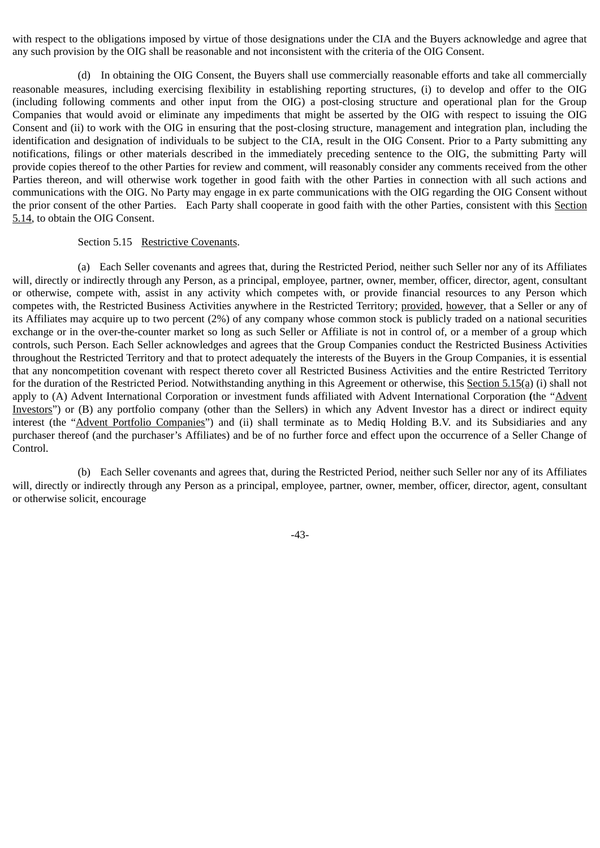with respect to the obligations imposed by virtue of those designations under the CIA and the Buyers acknowledge and agree that any such provision by the OIG shall be reasonable and not inconsistent with the criteria of the OIG Consent.

(d) In obtaining the OIG Consent, the Buyers shall use commercially reasonable efforts and take all commercially reasonable measures, including exercising flexibility in establishing reporting structures, (i) to develop and offer to the OIG (including following comments and other input from the OIG) a post-closing structure and operational plan for the Group Companies that would avoid or eliminate any impediments that might be asserted by the OIG with respect to issuing the OIG Consent and (ii) to work with the OIG in ensuring that the post-closing structure, management and integration plan, including the identification and designation of individuals to be subject to the CIA, result in the OIG Consent. Prior to a Party submitting any notifications, filings or other materials described in the immediately preceding sentence to the OIG, the submitting Party will provide copies thereof to the other Parties for review and comment, will reasonably consider any comments received from the other Parties thereon, and will otherwise work together in good faith with the other Parties in connection with all such actions and communications with the OIG. No Party may engage in ex parte communications with the OIG regarding the OIG Consent without the prior consent of the other Parties. Each Party shall cooperate in good faith with the other Parties, consistent with this Section 5.14, to obtain the OIG Consent.

#### Section 5.15 Restrictive Covenants.

(a) Each Seller covenants and agrees that, during the Restricted Period, neither such Seller nor any of its Affiliates will, directly or indirectly through any Person, as a principal, employee, partner, owner, member, officer, director, agent, consultant or otherwise, compete with, assist in any activity which competes with, or provide financial resources to any Person which competes with, the Restricted Business Activities anywhere in the Restricted Territory; provided, however, that a Seller or any of its Affiliates may acquire up to two percent (2%) of any company whose common stock is publicly traded on a national securities exchange or in the over-the-counter market so long as such Seller or Affiliate is not in control of, or a member of a group which controls, such Person. Each Seller acknowledges and agrees that the Group Companies conduct the Restricted Business Activities throughout the Restricted Territory and that to protect adequately the interests of the Buyers in the Group Companies, it is essential that any noncompetition covenant with respect thereto cover all Restricted Business Activities and the entire Restricted Territory for the duration of the Restricted Period. Notwithstanding anything in this Agreement or otherwise, this Section 5.15(a) (i) shall not apply to (A) Advent International Corporation or investment funds affiliated with Advent International Corporation (the "Advent" Investors") or (B) any portfolio company (other than the Sellers) in which any Advent Investor has a direct or indirect equity interest (the "Advent Portfolio Companies") and (ii) shall terminate as to Mediq Holding B.V. and its Subsidiaries and any purchaser thereof (and the purchaser's Affiliates) and be of no further force and effect upon the occurrence of a Seller Change of Control.

(b) Each Seller covenants and agrees that, during the Restricted Period, neither such Seller nor any of its Affiliates will, directly or indirectly through any Person as a principal, employee, partner, owner, member, officer, director, agent, consultant or otherwise solicit, encourage

-43-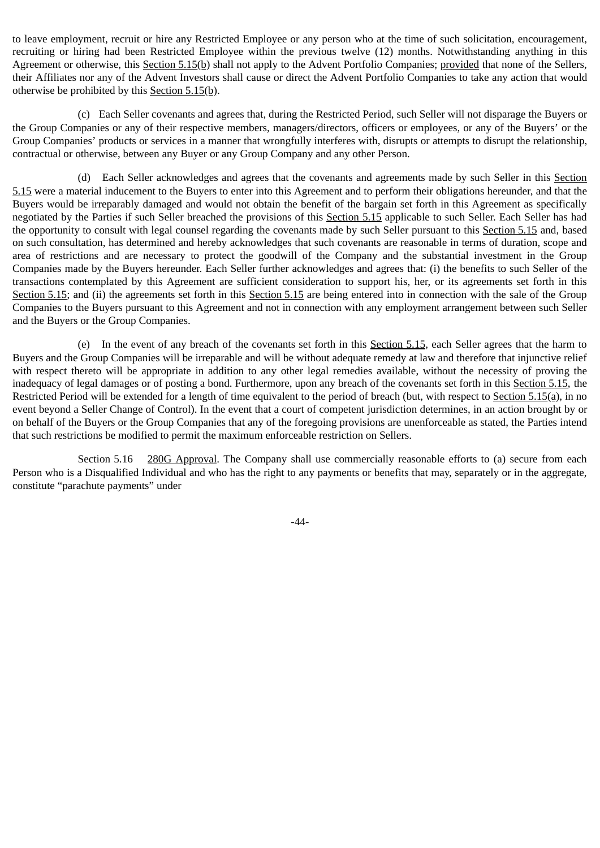to leave employment, recruit or hire any Restricted Employee or any person who at the time of such solicitation, encouragement, recruiting or hiring had been Restricted Employee within the previous twelve (12) months. Notwithstanding anything in this Agreement or otherwise, this Section 5.15(b) shall not apply to the Advent Portfolio Companies; provided that none of the Sellers, their Affiliates nor any of the Advent Investors shall cause or direct the Advent Portfolio Companies to take any action that would otherwise be prohibited by this  $Section 5.15(b)$ .

(c) Each Seller covenants and agrees that, during the Restricted Period, such Seller will not disparage the Buyers or the Group Companies or any of their respective members, managers/directors, officers or employees, or any of the Buyers' or the Group Companies' products or services in a manner that wrongfully interferes with, disrupts or attempts to disrupt the relationship, contractual or otherwise, between any Buyer or any Group Company and any other Person.

(d) Each Seller acknowledges and agrees that the covenants and agreements made by such Seller in this Section 5.15 were a material inducement to the Buyers to enter into this Agreement and to perform their obligations hereunder, and that the Buyers would be irreparably damaged and would not obtain the benefit of the bargain set forth in this Agreement as specifically negotiated by the Parties if such Seller breached the provisions of this Section 5.15 applicable to such Seller. Each Seller has had the opportunity to consult with legal counsel regarding the covenants made by such Seller pursuant to this Section 5.15 and, based on such consultation, has determined and hereby acknowledges that such covenants are reasonable in terms of duration, scope and area of restrictions and are necessary to protect the goodwill of the Company and the substantial investment in the Group Companies made by the Buyers hereunder. Each Seller further acknowledges and agrees that: (i) the benefits to such Seller of the transactions contemplated by this Agreement are sufficient consideration to support his, her, or its agreements set forth in this Section 5.15; and (ii) the agreements set forth in this Section 5.15 are being entered into in connection with the sale of the Group Companies to the Buyers pursuant to this Agreement and not in connection with any employment arrangement between such Seller and the Buyers or the Group Companies.

(e) In the event of any breach of the covenants set forth in this Section 5.15, each Seller agrees that the harm to Buyers and the Group Companies will be irreparable and will be without adequate remedy at law and therefore that injunctive relief with respect thereto will be appropriate in addition to any other legal remedies available, without the necessity of proving the inadequacy of legal damages or of posting a bond. Furthermore, upon any breach of the covenants set forth in this Section 5.15, the Restricted Period will be extended for a length of time equivalent to the period of breach (but, with respect to Section 5.15(a), in no event beyond a Seller Change of Control). In the event that a court of competent jurisdiction determines, in an action brought by or on behalf of the Buyers or the Group Companies that any of the foregoing provisions are unenforceable as stated, the Parties intend that such restrictions be modified to permit the maximum enforceable restriction on Sellers.

Section 5.16 280G Approval. The Company shall use commercially reasonable efforts to (a) secure from each Person who is a Disqualified Individual and who has the right to any payments or benefits that may, separately or in the aggregate, constitute "parachute payments" under

-44-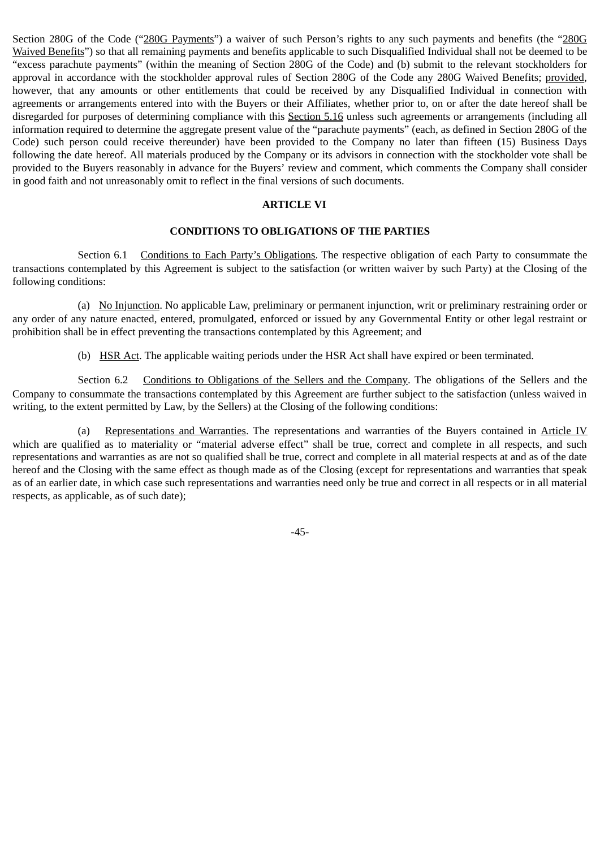Section 280G of the Code ("280G Payments") a waiver of such Person's rights to any such payments and benefits (the "280G Waived Benefits") so that all remaining payments and benefits applicable to such Disqualified Individual shall not be deemed to be "excess parachute payments" (within the meaning of Section 280G of the Code) and (b) submit to the relevant stockholders for approval in accordance with the stockholder approval rules of Section 280G of the Code any 280G Waived Benefits; provided, however, that any amounts or other entitlements that could be received by any Disqualified Individual in connection with agreements or arrangements entered into with the Buyers or their Affiliates, whether prior to, on or after the date hereof shall be disregarded for purposes of determining compliance with this Section 5.16 unless such agreements or arrangements (including all information required to determine the aggregate present value of the "parachute payments" (each, as defined in Section 280G of the Code) such person could receive thereunder) have been provided to the Company no later than fifteen (15) Business Days following the date hereof. All materials produced by the Company or its advisors in connection with the stockholder vote shall be provided to the Buyers reasonably in advance for the Buyers' review and comment, which comments the Company shall consider in good faith and not unreasonably omit to reflect in the final versions of such documents.

## **ARTICLE VI**

### **CONDITIONS TO OBLIGATIONS OF THE PARTIES**

Section 6.1 Conditions to Each Party's Obligations. The respective obligation of each Party to consummate the transactions contemplated by this Agreement is subject to the satisfaction (or written waiver by such Party) at the Closing of the following conditions:

(a) No Injunction. No applicable Law, preliminary or permanent injunction, writ or preliminary restraining order or any order of any nature enacted, entered, promulgated, enforced or issued by any Governmental Entity or other legal restraint or prohibition shall be in effect preventing the transactions contemplated by this Agreement; and

(b) HSR Act. The applicable waiting periods under the HSR Act shall have expired or been terminated.

Section 6.2 Conditions to Obligations of the Sellers and the Company. The obligations of the Sellers and the Company to consummate the transactions contemplated by this Agreement are further subject to the satisfaction (unless waived in writing, to the extent permitted by Law, by the Sellers) at the Closing of the following conditions:

(a) Representations and Warranties. The representations and warranties of the Buyers contained in Article IV which are qualified as to materiality or "material adverse effect" shall be true, correct and complete in all respects, and such representations and warranties as are not so qualified shall be true, correct and complete in all material respects at and as of the date hereof and the Closing with the same effect as though made as of the Closing (except for representations and warranties that speak as of an earlier date, in which case such representations and warranties need only be true and correct in all respects or in all material respects, as applicable, as of such date);

-45-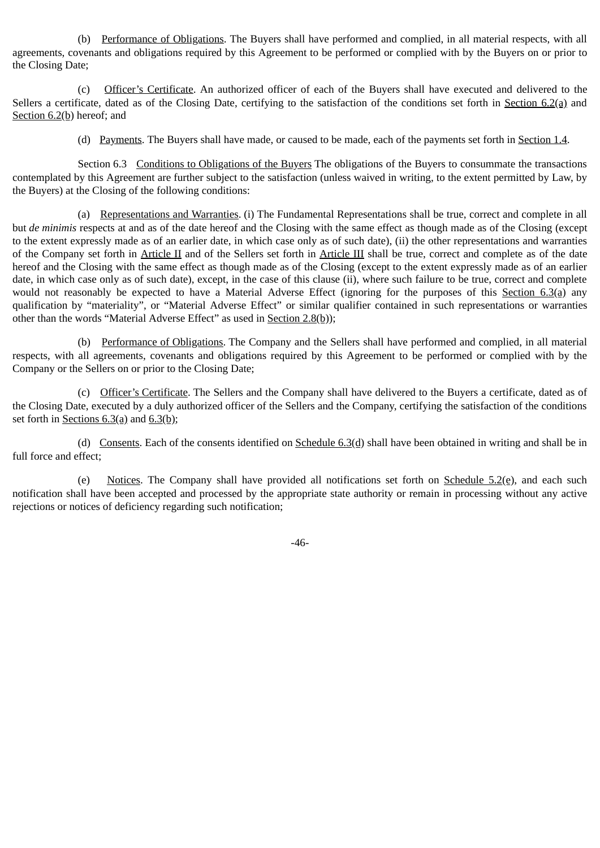(b) Performance of Obligations. The Buyers shall have performed and complied, in all material respects, with all agreements, covenants and obligations required by this Agreement to be performed or complied with by the Buyers on or prior to the Closing Date;

(c) Officer's Certificate. An authorized officer of each of the Buyers shall have executed and delivered to the Sellers a certificate, dated as of the Closing Date, certifying to the satisfaction of the conditions set forth in Section 6.2(a) and Section 6.2(b) hereof; and

(d) Payments. The Buyers shall have made, or caused to be made, each of the payments set forth in Section 1.4.

Section 6.3 Conditions to Obligations of the Buyers The obligations of the Buyers to consummate the transactions contemplated by this Agreement are further subject to the satisfaction (unless waived in writing, to the extent permitted by Law, by the Buyers) at the Closing of the following conditions:

(a) Representations and Warranties. (i) The Fundamental Representations shall be true, correct and complete in all but *de minimis* respects at and as of the date hereof and the Closing with the same effect as though made as of the Closing (except to the extent expressly made as of an earlier date, in which case only as of such date), (ii) the other representations and warranties of the Company set forth in Article II and of the Sellers set forth in Article III shall be true, correct and complete as of the date hereof and the Closing with the same effect as though made as of the Closing (except to the extent expressly made as of an earlier date, in which case only as of such date), except, in the case of this clause (ii), where such failure to be true, correct and complete would not reasonably be expected to have a Material Adverse Effect (ignoring for the purposes of this Section 6.3(a) any qualification by "materiality", or "Material Adverse Effect" or similar qualifier contained in such representations or warranties other than the words "Material Adverse Effect" as used in Section 2.8(b));

(b) Performance of Obligations. The Company and the Sellers shall have performed and complied, in all material respects, with all agreements, covenants and obligations required by this Agreement to be performed or complied with by the Company or the Sellers on or prior to the Closing Date;

(c) Officer's Certificate. The Sellers and the Company shall have delivered to the Buyers a certificate, dated as of the Closing Date, executed by a duly authorized officer of the Sellers and the Company, certifying the satisfaction of the conditions set forth in <u>Sections  $6.3(a)$ </u> and  $6.3(b)$ ;

(d) Consents. Each of the consents identified on  $S$ chedule  $6.3$ (d) shall have been obtained in writing and shall be in full force and effect;

(e) Notices. The Company shall have provided all notifications set forth on Schedule 5.2(e), and each such notification shall have been accepted and processed by the appropriate state authority or remain in processing without any active rejections or notices of deficiency regarding such notification;

-46-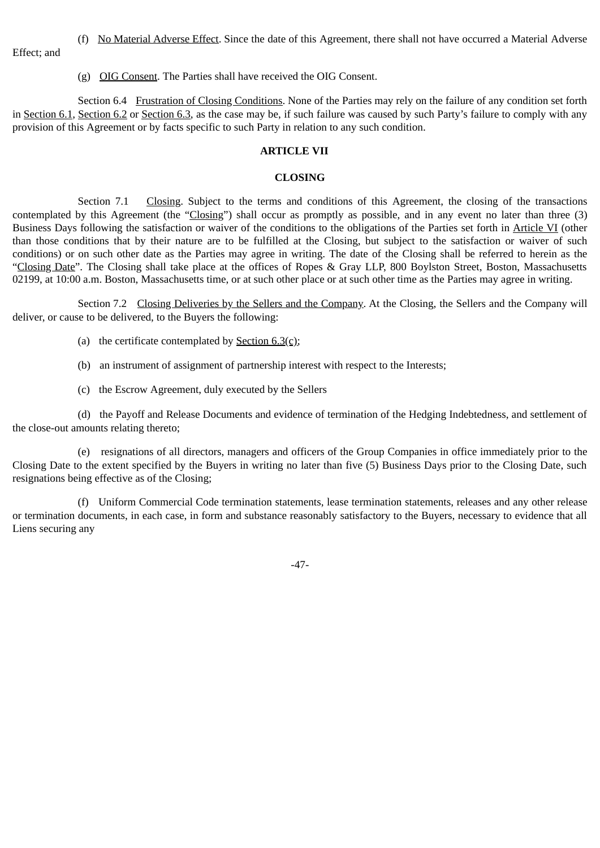- (f) No Material Adverse Effect. Since the date of this Agreement, there shall not have occurred a Material Adverse Effect; and
	- (g) OIG Consent. The Parties shall have received the OIG Consent.

Section 6.4 Frustration of Closing Conditions. None of the Parties may rely on the failure of any condition set forth in Section 6.1, Section 6.2 or Section 6.3, as the case may be, if such failure was caused by such Party's failure to comply with any provision of this Agreement or by facts specific to such Party in relation to any such condition.

## **ARTICLE VII**

## **CLOSING**

Section 7.1 Closing. Subject to the terms and conditions of this Agreement, the closing of the transactions contemplated by this Agreement (the "Closing") shall occur as promptly as possible, and in any event no later than three (3) Business Days following the satisfaction or waiver of the conditions to the obligations of the Parties set forth in Article VI (other than those conditions that by their nature are to be fulfilled at the Closing, but subject to the satisfaction or waiver of such conditions) or on such other date as the Parties may agree in writing. The date of the Closing shall be referred to herein as the "Closing Date". The Closing shall take place at the offices of Ropes & Gray LLP, 800 Boylston Street, Boston, Massachusetts 02199, at 10:00 a.m. Boston, Massachusetts time, or at such other place or at such other time as the Parties may agree in writing.

Section 7.2 Closing Deliveries by the Sellers and the Company. At the Closing, the Sellers and the Company will deliver, or cause to be delivered, to the Buyers the following:

- (a) the certificate contemplated by Section  $6.3(c)$ ;
- (b) an instrument of assignment of partnership interest with respect to the Interests;
- (c) the Escrow Agreement, duly executed by the Sellers

(d) the Payoff and Release Documents and evidence of termination of the Hedging Indebtedness, and settlement of the close-out amounts relating thereto;

(e) resignations of all directors, managers and officers of the Group Companies in office immediately prior to the Closing Date to the extent specified by the Buyers in writing no later than five (5) Business Days prior to the Closing Date, such resignations being effective as of the Closing;

(f) Uniform Commercial Code termination statements, lease termination statements, releases and any other release or termination documents, in each case, in form and substance reasonably satisfactory to the Buyers, necessary to evidence that all Liens securing any

-47-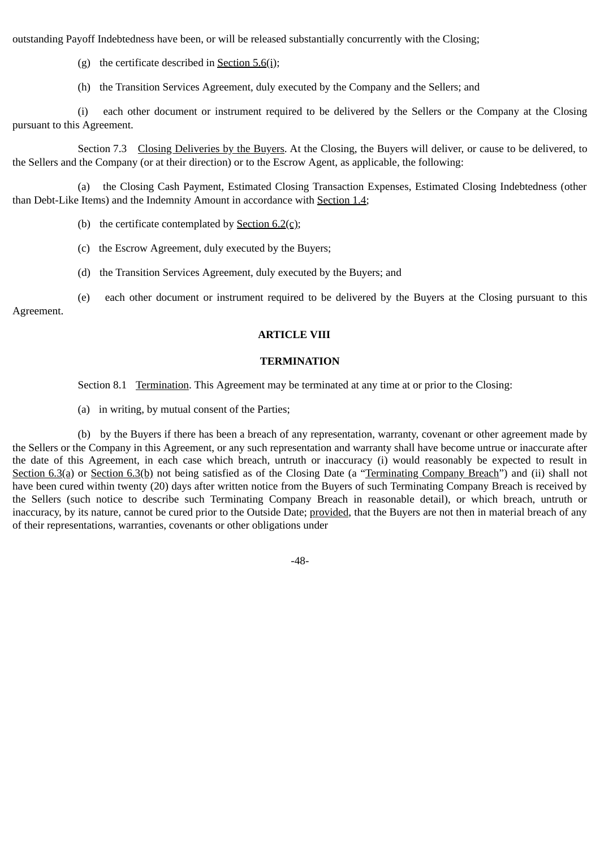outstanding Payoff Indebtedness have been, or will be released substantially concurrently with the Closing;

- (g) the certificate described in Section 5.6(i);
- (h) the Transition Services Agreement, duly executed by the Company and the Sellers; and

(i) each other document or instrument required to be delivered by the Sellers or the Company at the Closing pursuant to this Agreement.

Section 7.3 Closing Deliveries by the Buyers. At the Closing, the Buyers will deliver, or cause to be delivered, to the Sellers and the Company (or at their direction) or to the Escrow Agent, as applicable, the following:

(a) the Closing Cash Payment, Estimated Closing Transaction Expenses, Estimated Closing Indebtedness (other than Debt-Like Items) and the Indemnity Amount in accordance with Section 1.4;

- (b) the certificate contemplated by Section  $6.2(c)$ ;
- (c) the Escrow Agreement, duly executed by the Buyers;
- (d) the Transition Services Agreement, duly executed by the Buyers; and

(e) each other document or instrument required to be delivered by the Buyers at the Closing pursuant to this Agreement.

### **ARTICLE VIII**

#### **TERMINATION**

Section 8.1 Termination. This Agreement may be terminated at any time at or prior to the Closing:

(a) in writing, by mutual consent of the Parties;

(b) by the Buyers if there has been a breach of any representation, warranty, covenant or other agreement made by the Sellers or the Company in this Agreement, or any such representation and warranty shall have become untrue or inaccurate after the date of this Agreement, in each case which breach, untruth or inaccuracy (i) would reasonably be expected to result in Section 6.3(a) or Section 6.3(b) not being satisfied as of the Closing Date (a "Terminating Company Breach") and (ii) shall not have been cured within twenty (20) days after written notice from the Buyers of such Terminating Company Breach is received by the Sellers (such notice to describe such Terminating Company Breach in reasonable detail), or which breach, untruth or inaccuracy, by its nature, cannot be cured prior to the Outside Date; provided, that the Buyers are not then in material breach of any of their representations, warranties, covenants or other obligations under

-48-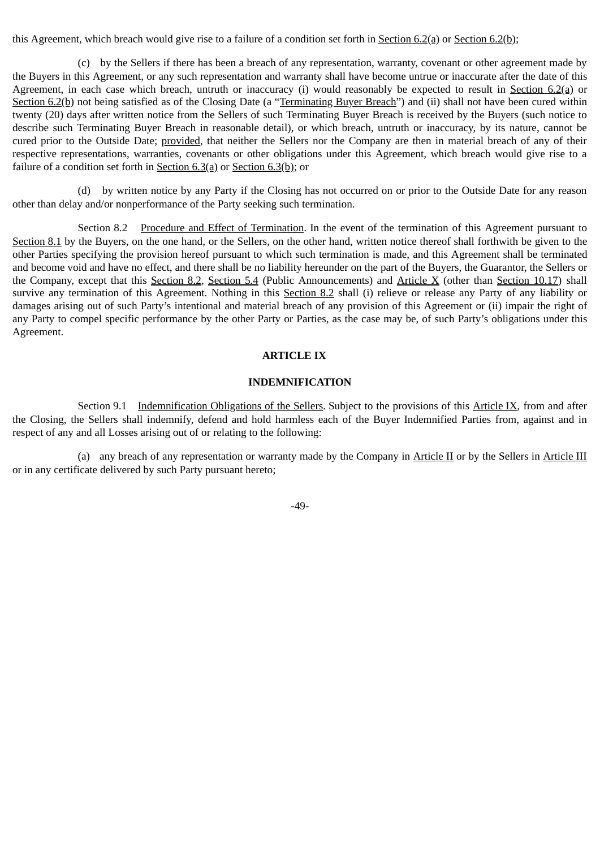this Agreement, which breach would give rise to a failure of a condition set forth in Section  $6.2(a)$  or Section  $6.2(b)$ ;

(c) by the Sellers if there has been a breach of any representation, warranty, covenant or other agreement made by the Buyers in this Agreement, or any such representation and warranty shall have become untrue or inaccurate after the date of this Agreement, in each case which breach, untruth or inaccuracy (i) would reasonably be expected to result in Section 6.2(a) or Section 6.2(b) not being satisfied as of the Closing Date (a "Terminating Buyer Breach") and (ii) shall not have been cured within twenty (20) days after written notice from the Sellers of such Terminating Buyer Breach is received by the Buyers (such notice to describe such Terminating Buyer Breach in reasonable detail), or which breach, untruth or inaccuracy, by its nature, cannot be cured prior to the Outside Date; provided, that neither the Sellers nor the Company are then in material breach of any of their respective representations, warranties, covenants or other obligations under this Agreement, which breach would give rise to a failure of a condition set forth in Section 6.3(a) or Section 6.3(b); or

(d) by written notice by any Party if the Closing has not occurred on or prior to the Outside Date for any reason other than delay and/or nonperformance of the Party seeking such termination.

Section 8.2 Procedure and Effect of Termination. In the event of the termination of this Agreement pursuant to Section 8.1 by the Buyers, on the one hand, or the Sellers, on the other hand, written notice thereof shall forthwith be given to the other Parties specifying the provision hereof pursuant to which such termination is made, and this Agreement shall be terminated and become void and have no effect, and there shall be no liability hereunder on the part of the Buyers, the Guarantor, the Sellers or the Company, except that this Section 8.2, Section 5.4 (Public Announcements) and Article X (other than Section 10.17) shall survive any termination of this Agreement. Nothing in this Section 8.2 shall (i) relieve or release any Party of any liability or damages arising out of such Party's intentional and material breach of any provision of this Agreement or (ii) impair the right of any Party to compel specific performance by the other Party or Parties, as the case may be, of such Party's obligations under this Agreement.

## **ARTICLE IX**

### **INDEMNIFICATION**

Section 9.1 Indemnification Obligations of the Sellers. Subject to the provisions of this Article IX, from and after the Closing, the Sellers shall indemnify, defend and hold harmless each of the Buyer Indemnified Parties from, against and in respect of any and all Losses arising out of or relating to the following:

(a) any breach of any representation or warranty made by the Company in Article II or by the Sellers in Article III or in any certificate delivered by such Party pursuant hereto;

-49-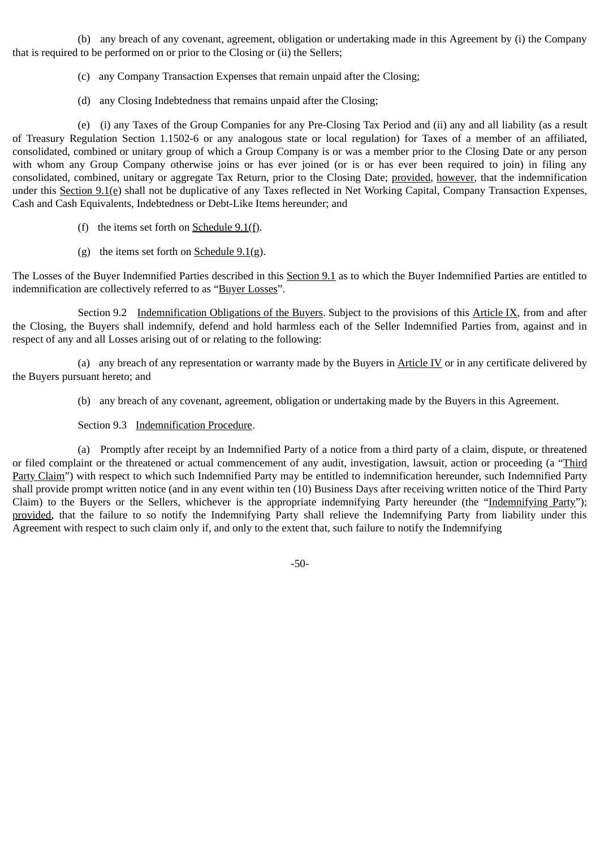(b) any breach of any covenant, agreement, obligation or undertaking made in this Agreement by (i) the Company that is required to be performed on or prior to the Closing or (ii) the Sellers;

- (c) any Company Transaction Expenses that remain unpaid after the Closing;
- (d) any Closing Indebtedness that remains unpaid after the Closing;

(e) (i) any Taxes of the Group Companies for any Pre-Closing Tax Period and (ii) any and all liability (as a result of Treasury Regulation Section 1.1502-6 or any analogous state or local regulation) for Taxes of a member of an affiliated, consolidated, combined or unitary group of which a Group Company is or was a member prior to the Closing Date or any person with whom any Group Company otherwise joins or has ever joined (or is or has ever been required to join) in filing any consolidated, combined, unitary or aggregate Tax Return, prior to the Closing Date; provided, however, that the indemnification under this Section 9.1(e) shall not be duplicative of any Taxes reflected in Net Working Capital, Company Transaction Expenses, Cash and Cash Equivalents, Indebtedness or Debt-Like Items hereunder; and

- (f) the items set forth on Schedule 9.1(f).
- (g) the items set forth on Schedule  $9.1(g)$ .

The Losses of the Buyer Indemnified Parties described in this Section 9.1 as to which the Buyer Indemnified Parties are entitled to indemnification are collectively referred to as "Buyer Losses".

Section 9.2 Indemnification Obligations of the Buyers. Subject to the provisions of this Article IX, from and after the Closing, the Buyers shall indemnify, defend and hold harmless each of the Seller Indemnified Parties from, against and in respect of any and all Losses arising out of or relating to the following:

(a) any breach of any representation or warranty made by the Buyers in  $\Delta$ rticle IV or in any certificate delivered by the Buyers pursuant hereto; and

(b) any breach of any covenant, agreement, obligation or undertaking made by the Buyers in this Agreement.

Section 9.3 Indemnification Procedure.

(a) Promptly after receipt by an Indemnified Party of a notice from a third party of a claim, dispute, or threatened or filed complaint or the threatened or actual commencement of any audit, investigation, lawsuit, action or proceeding (a "Third Party Claim") with respect to which such Indemnified Party may be entitled to indemnification hereunder, such Indemnified Party shall provide prompt written notice (and in any event within ten (10) Business Days after receiving written notice of the Third Party Claim) to the Buyers or the Sellers, whichever is the appropriate indemnifying Party hereunder (the "Indemnifying Party"); provided, that the failure to so notify the Indemnifying Party shall relieve the Indemnifying Party from liability under this Agreement with respect to such claim only if, and only to the extent that, such failure to notify the Indemnifying

-50-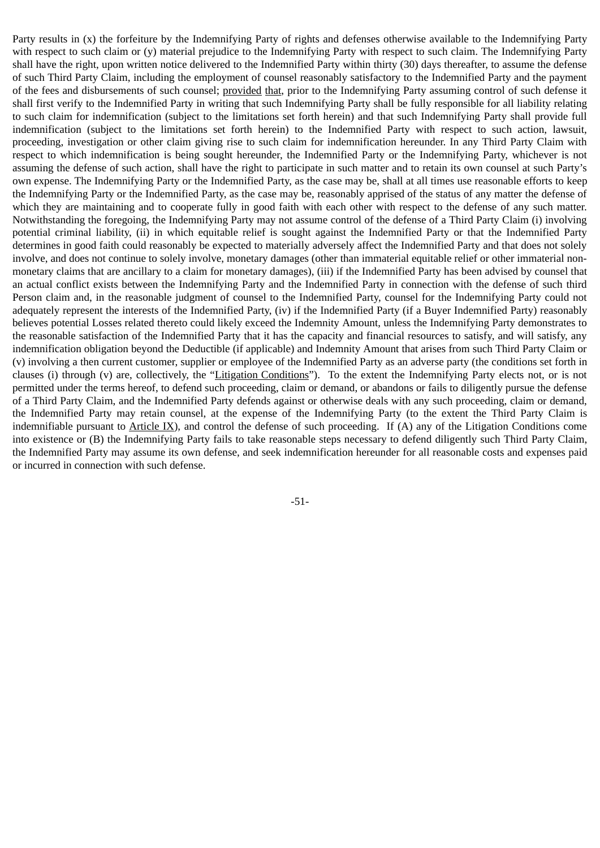Party results in (x) the forfeiture by the Indemnifying Party of rights and defenses otherwise available to the Indemnifying Party with respect to such claim or (y) material prejudice to the Indemnifying Party with respect to such claim. The Indemnifying Party shall have the right, upon written notice delivered to the Indemnified Party within thirty (30) days thereafter, to assume the defense of such Third Party Claim, including the employment of counsel reasonably satisfactory to the Indemnified Party and the payment of the fees and disbursements of such counsel; provided that, prior to the Indemnifying Party assuming control of such defense it shall first verify to the Indemnified Party in writing that such Indemnifying Party shall be fully responsible for all liability relating to such claim for indemnification (subject to the limitations set forth herein) and that such Indemnifying Party shall provide full indemnification (subject to the limitations set forth herein) to the Indemnified Party with respect to such action, lawsuit, proceeding, investigation or other claim giving rise to such claim for indemnification hereunder. In any Third Party Claim with respect to which indemnification is being sought hereunder, the Indemnified Party or the Indemnifying Party, whichever is not assuming the defense of such action, shall have the right to participate in such matter and to retain its own counsel at such Party's own expense. The Indemnifying Party or the Indemnified Party, as the case may be, shall at all times use reasonable efforts to keep the Indemnifying Party or the Indemnified Party, as the case may be, reasonably apprised of the status of any matter the defense of which they are maintaining and to cooperate fully in good faith with each other with respect to the defense of any such matter. Notwithstanding the foregoing, the Indemnifying Party may not assume control of the defense of a Third Party Claim (i) involving potential criminal liability, (ii) in which equitable relief is sought against the Indemnified Party or that the Indemnified Party determines in good faith could reasonably be expected to materially adversely affect the Indemnified Party and that does not solely involve, and does not continue to solely involve, monetary damages (other than immaterial equitable relief or other immaterial nonmonetary claims that are ancillary to a claim for monetary damages), (iii) if the Indemnified Party has been advised by counsel that an actual conflict exists between the Indemnifying Party and the Indemnified Party in connection with the defense of such third Person claim and, in the reasonable judgment of counsel to the Indemnified Party, counsel for the Indemnifying Party could not adequately represent the interests of the Indemnified Party, (iv) if the Indemnified Party (if a Buyer Indemnified Party) reasonably believes potential Losses related thereto could likely exceed the Indemnity Amount, unless the Indemnifying Party demonstrates to the reasonable satisfaction of the Indemnified Party that it has the capacity and financial resources to satisfy, and will satisfy, any indemnification obligation beyond the Deductible (if applicable) and Indemnity Amount that arises from such Third Party Claim or (v) involving a then current customer, supplier or employee of the Indemnified Party as an adverse party (the conditions set forth in clauses (i) through (v) are, collectively, the "Litigation Conditions"). To the extent the Indemnifying Party elects not, or is not permitted under the terms hereof, to defend such proceeding, claim or demand, or abandons or fails to diligently pursue the defense of a Third Party Claim, and the Indemnified Party defends against or otherwise deals with any such proceeding, claim or demand, the Indemnified Party may retain counsel, at the expense of the Indemnifying Party (to the extent the Third Party Claim is indemnifiable pursuant to Article IX), and control the defense of such proceeding. If (A) any of the Litigation Conditions come into existence or (B) the Indemnifying Party fails to take reasonable steps necessary to defend diligently such Third Party Claim, the Indemnified Party may assume its own defense, and seek indemnification hereunder for all reasonable costs and expenses paid or incurred in connection with such defense.

-51-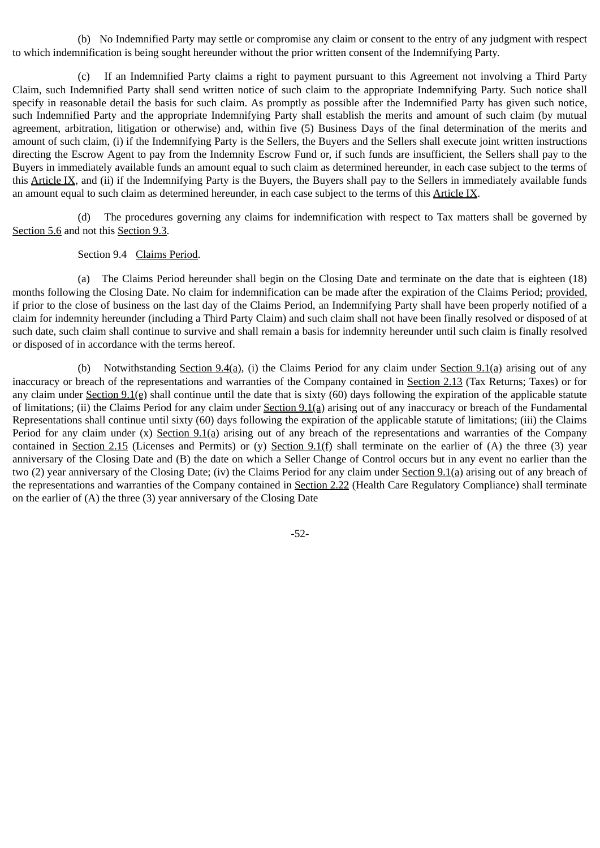(b) No Indemnified Party may settle or compromise any claim or consent to the entry of any judgment with respect to which indemnification is being sought hereunder without the prior written consent of the Indemnifying Party.

(c) If an Indemnified Party claims a right to payment pursuant to this Agreement not involving a Third Party Claim, such Indemnified Party shall send written notice of such claim to the appropriate Indemnifying Party. Such notice shall specify in reasonable detail the basis for such claim. As promptly as possible after the Indemnified Party has given such notice, such Indemnified Party and the appropriate Indemnifying Party shall establish the merits and amount of such claim (by mutual agreement, arbitration, litigation or otherwise) and, within five (5) Business Days of the final determination of the merits and amount of such claim, (i) if the Indemnifying Party is the Sellers, the Buyers and the Sellers shall execute joint written instructions directing the Escrow Agent to pay from the Indemnity Escrow Fund or, if such funds are insufficient, the Sellers shall pay to the Buyers in immediately available funds an amount equal to such claim as determined hereunder, in each case subject to the terms of this Article IX, and (ii) if the Indemnifying Party is the Buyers, the Buyers shall pay to the Sellers in immediately available funds an amount equal to such claim as determined hereunder, in each case subject to the terms of this Article IX.

(d) The procedures governing any claims for indemnification with respect to Tax matters shall be governed by Section 5.6 and not this Section 9.3.

Section 9.4 Claims Period.

(a) The Claims Period hereunder shall begin on the Closing Date and terminate on the date that is eighteen (18) months following the Closing Date. No claim for indemnification can be made after the expiration of the Claims Period; provided, if prior to the close of business on the last day of the Claims Period, an Indemnifying Party shall have been properly notified of a claim for indemnity hereunder (including a Third Party Claim) and such claim shall not have been finally resolved or disposed of at such date, such claim shall continue to survive and shall remain a basis for indemnity hereunder until such claim is finally resolved or disposed of in accordance with the terms hereof.

(b) Notwithstanding Section  $9.4(a)$ , (i) the Claims Period for any claim under Section  $9.1(a)$  arising out of any inaccuracy or breach of the representations and warranties of the Company contained in Section 2.13 (Tax Returns; Taxes) or for any claim under Section 9.1(e) shall continue until the date that is sixty (60) days following the expiration of the applicable statute of limitations; (ii) the Claims Period for any claim under Section 9.1(a) arising out of any inaccuracy or breach of the Fundamental Representations shall continue until sixty (60) days following the expiration of the applicable statute of limitations; (iii) the Claims Period for any claim under (x) Section 9.1(a) arising out of any breach of the representations and warranties of the Company contained in Section 2.15 (Licenses and Permits) or (y) Section 9.1(f) shall terminate on the earlier of (A) the three (3) year anniversary of the Closing Date and (B) the date on which a Seller Change of Control occurs but in any event no earlier than the two (2) year anniversary of the Closing Date; (iv) the Claims Period for any claim under Section 9.1(a) arising out of any breach of the representations and warranties of the Company contained in Section 2.22 (Health Care Regulatory Compliance) shall terminate on the earlier of (A) the three (3) year anniversary of the Closing Date

-52-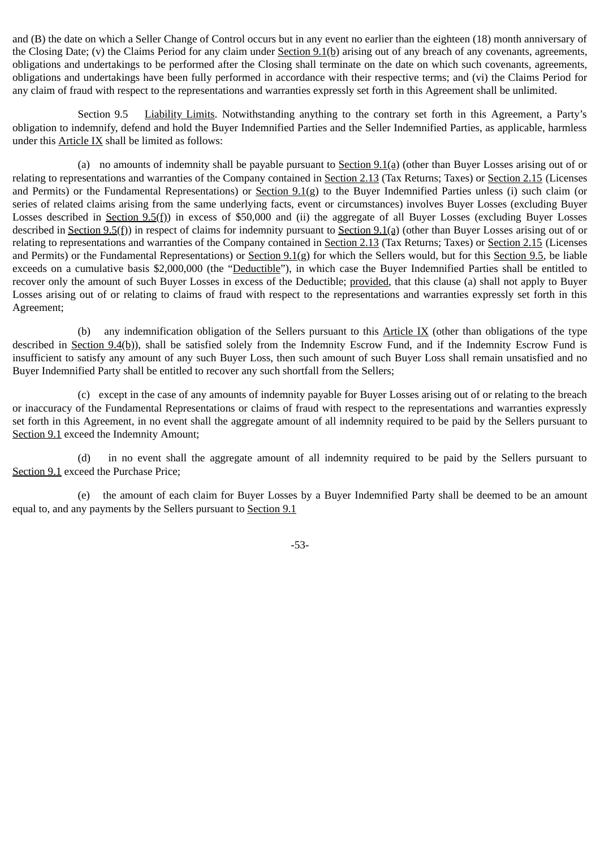and (B) the date on which a Seller Change of Control occurs but in any event no earlier than the eighteen (18) month anniversary of the Closing Date; (v) the Claims Period for any claim under Section  $9.1(b)$  arising out of any breach of any covenants, agreements, obligations and undertakings to be performed after the Closing shall terminate on the date on which such covenants, agreements, obligations and undertakings have been fully performed in accordance with their respective terms; and (vi) the Claims Period for any claim of fraud with respect to the representations and warranties expressly set forth in this Agreement shall be unlimited.

Section 9.5 Liability Limits. Notwithstanding anything to the contrary set forth in this Agreement, a Party's obligation to indemnify, defend and hold the Buyer Indemnified Parties and the Seller Indemnified Parties, as applicable, harmless under this Article IX shall be limited as follows:

(a) no amounts of indemnity shall be payable pursuant to Section  $9.1(q)$  (other than Buyer Losses arising out of or relating to representations and warranties of the Company contained in Section 2.13 (Tax Returns; Taxes) or Section 2.15 (Licenses and Permits) or the Fundamental Representations) or Section 9.1(g) to the Buyer Indemnified Parties unless (i) such claim (or series of related claims arising from the same underlying facts, event or circumstances) involves Buyer Losses (excluding Buyer Losses described in Section 9.5(f)) in excess of \$50,000 and (ii) the aggregate of all Buyer Losses (excluding Buyer Losses described in Section  $9.5(f)$ ) in respect of claims for indemnity pursuant to Section  $9.1(q)$  (other than Buyer Losses arising out of or relating to representations and warranties of the Company contained in Section 2.13 (Tax Returns; Taxes) or Section 2.15 (Licenses and Permits) or the Fundamental Representations) or Section  $9.1(g)$  for which the Sellers would, but for this Section  $9.5$ , be liable exceeds on a cumulative basis \$2,000,000 (the "Deductible"), in which case the Buyer Indemnified Parties shall be entitled to recover only the amount of such Buyer Losses in excess of the Deductible; provided, that this clause (a) shall not apply to Buyer Losses arising out of or relating to claims of fraud with respect to the representations and warranties expressly set forth in this Agreement;

(b) any indemnification obligation of the Sellers pursuant to this Article IX (other than obligations of the type described in Section 9.4(b)), shall be satisfied solely from the Indemnity Escrow Fund, and if the Indemnity Escrow Fund is insufficient to satisfy any amount of any such Buyer Loss, then such amount of such Buyer Loss shall remain unsatisfied and no Buyer Indemnified Party shall be entitled to recover any such shortfall from the Sellers;

(c) except in the case of any amounts of indemnity payable for Buyer Losses arising out of or relating to the breach or inaccuracy of the Fundamental Representations or claims of fraud with respect to the representations and warranties expressly set forth in this Agreement, in no event shall the aggregate amount of all indemnity required to be paid by the Sellers pursuant to Section 9.1 exceed the Indemnity Amount;

(d) in no event shall the aggregate amount of all indemnity required to be paid by the Sellers pursuant to Section 9.1 exceed the Purchase Price;

(e) the amount of each claim for Buyer Losses by a Buyer Indemnified Party shall be deemed to be an amount equal to, and any payments by the Sellers pursuant to Section 9.1

-53-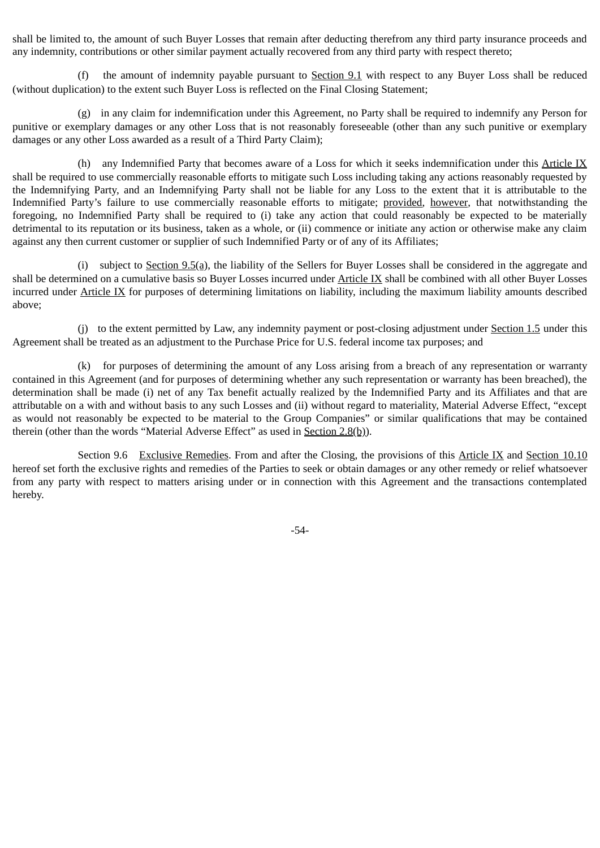shall be limited to, the amount of such Buyer Losses that remain after deducting therefrom any third party insurance proceeds and any indemnity, contributions or other similar payment actually recovered from any third party with respect thereto;

(f) the amount of indemnity payable pursuant to Section 9.1 with respect to any Buyer Loss shall be reduced (without duplication) to the extent such Buyer Loss is reflected on the Final Closing Statement;

(g) in any claim for indemnification under this Agreement, no Party shall be required to indemnify any Person for punitive or exemplary damages or any other Loss that is not reasonably foreseeable (other than any such punitive or exemplary damages or any other Loss awarded as a result of a Third Party Claim);

(h) any Indemnified Party that becomes aware of a Loss for which it seeks indemnification under this Article IX shall be required to use commercially reasonable efforts to mitigate such Loss including taking any actions reasonably requested by the Indemnifying Party, and an Indemnifying Party shall not be liable for any Loss to the extent that it is attributable to the Indemnified Party's failure to use commercially reasonable efforts to mitigate; provided, however, that notwithstanding the foregoing, no Indemnified Party shall be required to (i) take any action that could reasonably be expected to be materially detrimental to its reputation or its business, taken as a whole, or (ii) commence or initiate any action or otherwise make any claim against any then current customer or supplier of such Indemnified Party or of any of its Affiliates;

(i) subject to Section 9.5(a), the liability of the Sellers for Buyer Losses shall be considered in the aggregate and shall be determined on a cumulative basis so Buyer Losses incurred under Article IX shall be combined with all other Buyer Losses incurred under Article IX for purposes of determining limitations on liability, including the maximum liability amounts described above;

(j) to the extent permitted by Law, any indemnity payment or post-closing adjustment under Section 1.5 under this Agreement shall be treated as an adjustment to the Purchase Price for U.S. federal income tax purposes; and

(k) for purposes of determining the amount of any Loss arising from a breach of any representation or warranty contained in this Agreement (and for purposes of determining whether any such representation or warranty has been breached), the determination shall be made (i) net of any Tax benefit actually realized by the Indemnified Party and its Affiliates and that are attributable on a with and without basis to any such Losses and (ii) without regard to materiality, Material Adverse Effect, "except as would not reasonably be expected to be material to the Group Companies" or similar qualifications that may be contained therein (other than the words "Material Adverse Effect" as used in Section 2.8(b)).

Section 9.6 Exclusive Remedies. From and after the Closing, the provisions of this Article IX and Section 10.10 hereof set forth the exclusive rights and remedies of the Parties to seek or obtain damages or any other remedy or relief whatsoever from any party with respect to matters arising under or in connection with this Agreement and the transactions contemplated hereby.

-54-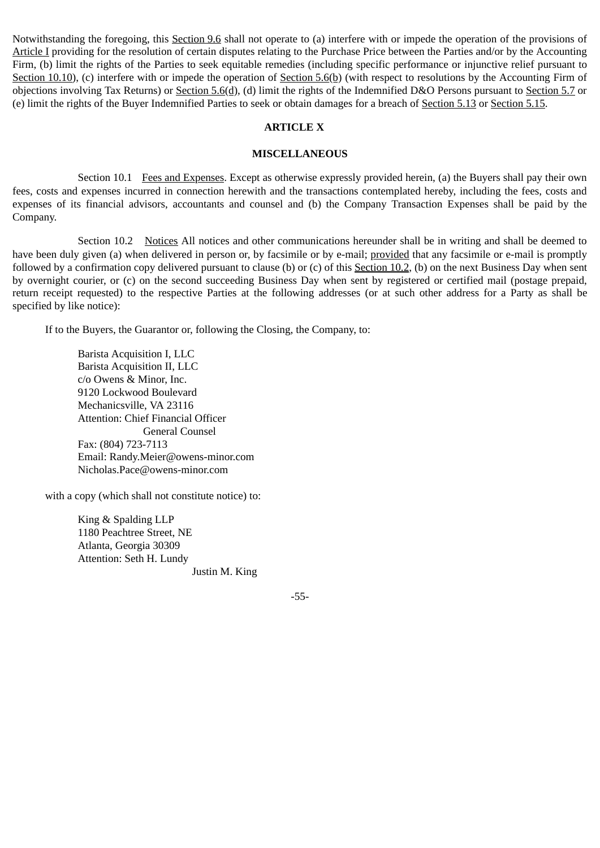Notwithstanding the foregoing, this Section 9.6 shall not operate to (a) interfere with or impede the operation of the provisions of Article I providing for the resolution of certain disputes relating to the Purchase Price between the Parties and/or by the Accounting Firm, (b) limit the rights of the Parties to seek equitable remedies (including specific performance or injunctive relief pursuant to Section 10.10), (c) interfere with or impede the operation of Section 5.6(b) (with respect to resolutions by the Accounting Firm of objections involving Tax Returns) or Section 5.6(d), (d) limit the rights of the Indemnified D&O Persons pursuant to Section 5.7 or (e) limit the rights of the Buyer Indemnified Parties to seek or obtain damages for a breach of Section 5.13 or Section 5.15.

## **ARTICLE X**

#### **MISCELLANEOUS**

Section 10.1 Fees and Expenses. Except as otherwise expressly provided herein, (a) the Buyers shall pay their own fees, costs and expenses incurred in connection herewith and the transactions contemplated hereby, including the fees, costs and expenses of its financial advisors, accountants and counsel and (b) the Company Transaction Expenses shall be paid by the Company.

Section 10.2 Notices All notices and other communications hereunder shall be in writing and shall be deemed to have been duly given (a) when delivered in person or, by facsimile or by e-mail; provided that any facsimile or e-mail is promptly followed by a confirmation copy delivered pursuant to clause (b) or (c) of this Section 10.2, (b) on the next Business Day when sent by overnight courier, or (c) on the second succeeding Business Day when sent by registered or certified mail (postage prepaid, return receipt requested) to the respective Parties at the following addresses (or at such other address for a Party as shall be specified by like notice):

If to the Buyers, the Guarantor or, following the Closing, the Company, to:

Barista Acquisition I, LLC Barista Acquisition II, LLC c/o Owens & Minor, Inc. 9120 Lockwood Boulevard Mechanicsville, VA 23116 Attention: Chief Financial Officer General Counsel Fax: (804) 723-7113 Email: Randy.Meier@owens-minor.com Nicholas.Pace@owens-minor.com

with a copy (which shall not constitute notice) to:

King & Spalding LLP 1180 Peachtree Street, NE Atlanta, Georgia 30309 Attention: Seth H. Lundy Justin M. King

-55-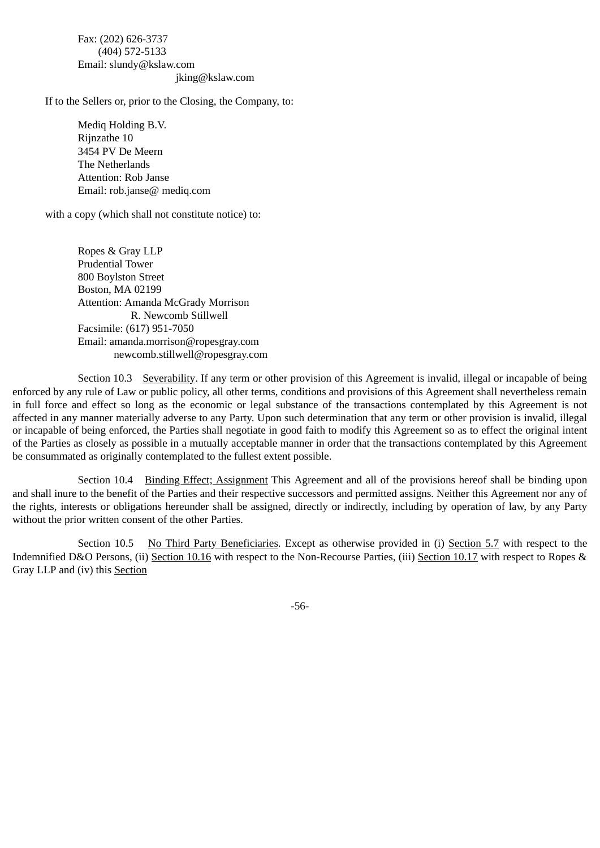Fax: (202) 626-3737 (404) 572-5133 Email: slundy@kslaw.com jking@kslaw.com

If to the Sellers or, prior to the Closing, the Company, to:

Mediq Holding B.V. Rijnzathe 10 3454 PV De Meern The Netherlands Attention: Rob Janse Email: rob.janse@ mediq.com

with a copy (which shall not constitute notice) to:

Ropes & Gray LLP Prudential Tower 800 Boylston Street Boston, MA 02199 Attention: Amanda McGrady Morrison R. Newcomb Stillwell Facsimile: (617) 951-7050 Email: amanda.morrison@ropesgray.com newcomb.stillwell@ropesgray.com

Section 10.3 Severability. If any term or other provision of this Agreement is invalid, illegal or incapable of being enforced by any rule of Law or public policy, all other terms, conditions and provisions of this Agreement shall nevertheless remain in full force and effect so long as the economic or legal substance of the transactions contemplated by this Agreement is not affected in any manner materially adverse to any Party. Upon such determination that any term or other provision is invalid, illegal or incapable of being enforced, the Parties shall negotiate in good faith to modify this Agreement so as to effect the original intent of the Parties as closely as possible in a mutually acceptable manner in order that the transactions contemplated by this Agreement be consummated as originally contemplated to the fullest extent possible.

Section 10.4 Binding Effect; Assignment This Agreement and all of the provisions hereof shall be binding upon and shall inure to the benefit of the Parties and their respective successors and permitted assigns. Neither this Agreement nor any of the rights, interests or obligations hereunder shall be assigned, directly or indirectly, including by operation of law, by any Party without the prior written consent of the other Parties.

Section 10.5 No Third Party Beneficiaries. Except as otherwise provided in (i) Section 5.7 with respect to the Indemnified D&O Persons, (ii) Section 10.16 with respect to the Non-Recourse Parties, (iii) Section 10.17 with respect to Ropes & Gray LLP and (iv) this Section

-56-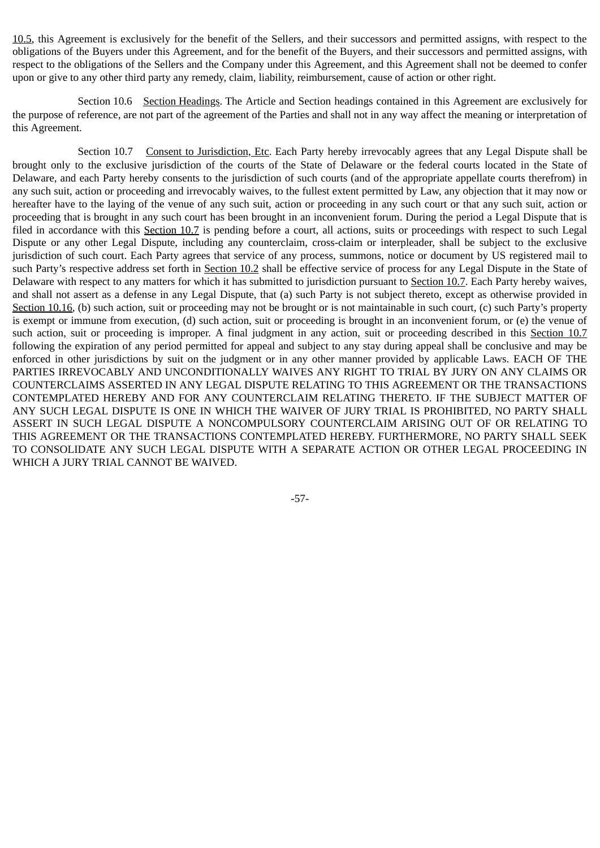10.5, this Agreement is exclusively for the benefit of the Sellers, and their successors and permitted assigns, with respect to the obligations of the Buyers under this Agreement, and for the benefit of the Buyers, and their successors and permitted assigns, with respect to the obligations of the Sellers and the Company under this Agreement, and this Agreement shall not be deemed to confer upon or give to any other third party any remedy, claim, liability, reimbursement, cause of action or other right.

Section 10.6 Section Headings. The Article and Section headings contained in this Agreement are exclusively for the purpose of reference, are not part of the agreement of the Parties and shall not in any way affect the meaning or interpretation of this Agreement.

Section 10.7 Consent to Jurisdiction, Etc. Each Party hereby irrevocably agrees that any Legal Dispute shall be brought only to the exclusive jurisdiction of the courts of the State of Delaware or the federal courts located in the State of Delaware, and each Party hereby consents to the jurisdiction of such courts (and of the appropriate appellate courts therefrom) in any such suit, action or proceeding and irrevocably waives, to the fullest extent permitted by Law, any objection that it may now or hereafter have to the laying of the venue of any such suit, action or proceeding in any such court or that any such suit, action or proceeding that is brought in any such court has been brought in an inconvenient forum. During the period a Legal Dispute that is filed in accordance with this Section 10.7 is pending before a court, all actions, suits or proceedings with respect to such Legal Dispute or any other Legal Dispute, including any counterclaim, cross-claim or interpleader, shall be subject to the exclusive jurisdiction of such court. Each Party agrees that service of any process, summons, notice or document by US registered mail to such Party's respective address set forth in Section 10.2 shall be effective service of process for any Legal Dispute in the State of Delaware with respect to any matters for which it has submitted to jurisdiction pursuant to Section 10.7. Each Party hereby waives, and shall not assert as a defense in any Legal Dispute, that (a) such Party is not subject thereto, except as otherwise provided in Section 10.16, (b) such action, suit or proceeding may not be brought or is not maintainable in such court, (c) such Party's property is exempt or immune from execution, (d) such action, suit or proceeding is brought in an inconvenient forum, or (e) the venue of such action, suit or proceeding is improper. A final judgment in any action, suit or proceeding described in this Section 10.7 following the expiration of any period permitted for appeal and subject to any stay during appeal shall be conclusive and may be enforced in other jurisdictions by suit on the judgment or in any other manner provided by applicable Laws. EACH OF THE PARTIES IRREVOCABLY AND UNCONDITIONALLY WAIVES ANY RIGHT TO TRIAL BY JURY ON ANY CLAIMS OR COUNTERCLAIMS ASSERTED IN ANY LEGAL DISPUTE RELATING TO THIS AGREEMENT OR THE TRANSACTIONS CONTEMPLATED HEREBY AND FOR ANY COUNTERCLAIM RELATING THERETO. IF THE SUBJECT MATTER OF ANY SUCH LEGAL DISPUTE IS ONE IN WHICH THE WAIVER OF JURY TRIAL IS PROHIBITED, NO PARTY SHALL ASSERT IN SUCH LEGAL DISPUTE A NONCOMPULSORY COUNTERCLAIM ARISING OUT OF OR RELATING TO THIS AGREEMENT OR THE TRANSACTIONS CONTEMPLATED HEREBY. FURTHERMORE, NO PARTY SHALL SEEK TO CONSOLIDATE ANY SUCH LEGAL DISPUTE WITH A SEPARATE ACTION OR OTHER LEGAL PROCEEDING IN WHICH A JURY TRIAL CANNOT BE WAIVED.

-57-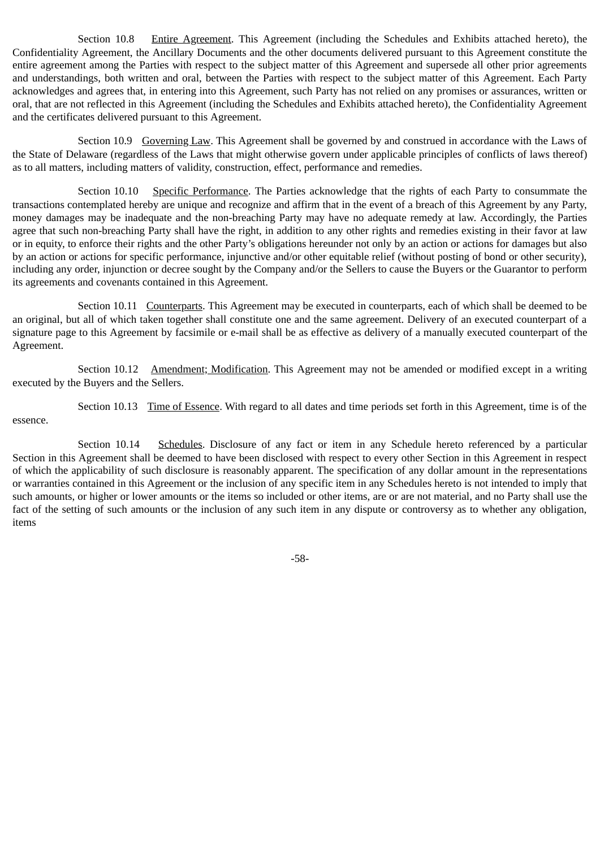Section 10.8 Entire Agreement. This Agreement (including the Schedules and Exhibits attached hereto), the Confidentiality Agreement, the Ancillary Documents and the other documents delivered pursuant to this Agreement constitute the entire agreement among the Parties with respect to the subject matter of this Agreement and supersede all other prior agreements and understandings, both written and oral, between the Parties with respect to the subject matter of this Agreement. Each Party acknowledges and agrees that, in entering into this Agreement, such Party has not relied on any promises or assurances, written or oral, that are not reflected in this Agreement (including the Schedules and Exhibits attached hereto), the Confidentiality Agreement and the certificates delivered pursuant to this Agreement.

Section 10.9 Governing Law. This Agreement shall be governed by and construed in accordance with the Laws of the State of Delaware (regardless of the Laws that might otherwise govern under applicable principles of conflicts of laws thereof) as to all matters, including matters of validity, construction, effect, performance and remedies.

Section 10.10 Specific Performance. The Parties acknowledge that the rights of each Party to consummate the transactions contemplated hereby are unique and recognize and affirm that in the event of a breach of this Agreement by any Party, money damages may be inadequate and the non‑breaching Party may have no adequate remedy at law. Accordingly, the Parties agree that such non-breaching Party shall have the right, in addition to any other rights and remedies existing in their favor at law or in equity, to enforce their rights and the other Party's obligations hereunder not only by an action or actions for damages but also by an action or actions for specific performance, injunctive and/or other equitable relief (without posting of bond or other security), including any order, injunction or decree sought by the Company and/or the Sellers to cause the Buyers or the Guarantor to perform its agreements and covenants contained in this Agreement.

Section 10.11 Counterparts. This Agreement may be executed in counterparts, each of which shall be deemed to be an original, but all of which taken together shall constitute one and the same agreement. Delivery of an executed counterpart of a signature page to this Agreement by facsimile or e-mail shall be as effective as delivery of a manually executed counterpart of the Agreement.

Section 10.12 Amendment; Modification. This Agreement may not be amended or modified except in a writing executed by the Buyers and the Sellers.

essence.

Section 10.13 Time of Essence. With regard to all dates and time periods set forth in this Agreement, time is of the

Section 10.14 Schedules. Disclosure of any fact or item in any Schedule hereto referenced by a particular Section in this Agreement shall be deemed to have been disclosed with respect to every other Section in this Agreement in respect of which the applicability of such disclosure is reasonably apparent. The specification of any dollar amount in the representations or warranties contained in this Agreement or the inclusion of any specific item in any Schedules hereto is not intended to imply that such amounts, or higher or lower amounts or the items so included or other items, are or are not material, and no Party shall use the fact of the setting of such amounts or the inclusion of any such item in any dispute or controversy as to whether any obligation, items

-58-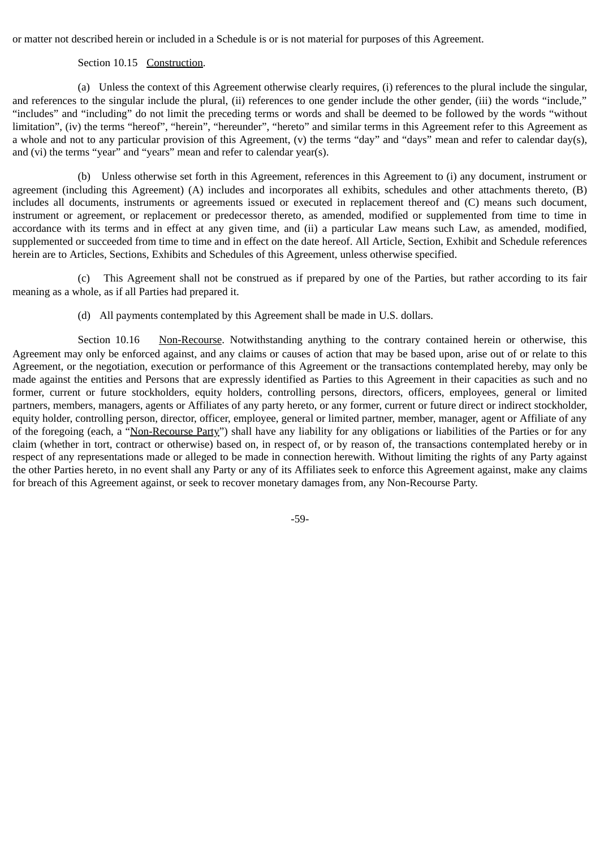or matter not described herein or included in a Schedule is or is not material for purposes of this Agreement.

## Section 10.15 Construction.

(a) Unless the context of this Agreement otherwise clearly requires, (i) references to the plural include the singular, and references to the singular include the plural, (ii) references to one gender include the other gender, (iii) the words "include," "includes" and "including" do not limit the preceding terms or words and shall be deemed to be followed by the words "without limitation", (iv) the terms "hereof", "herein", "hereunder", "hereto" and similar terms in this Agreement refer to this Agreement as a whole and not to any particular provision of this Agreement, (v) the terms "day" and "days" mean and refer to calendar day(s), and (vi) the terms "year" and "years" mean and refer to calendar year(s).

(b) Unless otherwise set forth in this Agreement, references in this Agreement to (i) any document, instrument or agreement (including this Agreement) (A) includes and incorporates all exhibits, schedules and other attachments thereto, (B) includes all documents, instruments or agreements issued or executed in replacement thereof and (C) means such document, instrument or agreement, or replacement or predecessor thereto, as amended, modified or supplemented from time to time in accordance with its terms and in effect at any given time, and (ii) a particular Law means such Law, as amended, modified, supplemented or succeeded from time to time and in effect on the date hereof. All Article, Section, Exhibit and Schedule references herein are to Articles, Sections, Exhibits and Schedules of this Agreement, unless otherwise specified.

(c) This Agreement shall not be construed as if prepared by one of the Parties, but rather according to its fair meaning as a whole, as if all Parties had prepared it.

(d) All payments contemplated by this Agreement shall be made in U.S. dollars.

Section 10.16 Non-Recourse. Notwithstanding anything to the contrary contained herein or otherwise, this Agreement may only be enforced against, and any claims or causes of action that may be based upon, arise out of or relate to this Agreement, or the negotiation, execution or performance of this Agreement or the transactions contemplated hereby, may only be made against the entities and Persons that are expressly identified as Parties to this Agreement in their capacities as such and no former, current or future stockholders, equity holders, controlling persons, directors, officers, employees, general or limited partners, members, managers, agents or Affiliates of any party hereto, or any former, current or future direct or indirect stockholder, equity holder, controlling person, director, officer, employee, general or limited partner, member, manager, agent or Affiliate of any of the foregoing (each, a "Non-Recourse Party") shall have any liability for any obligations or liabilities of the Parties or for any claim (whether in tort, contract or otherwise) based on, in respect of, or by reason of, the transactions contemplated hereby or in respect of any representations made or alleged to be made in connection herewith. Without limiting the rights of any Party against the other Parties hereto, in no event shall any Party or any of its Affiliates seek to enforce this Agreement against, make any claims for breach of this Agreement against, or seek to recover monetary damages from, any Non-Recourse Party.

-59-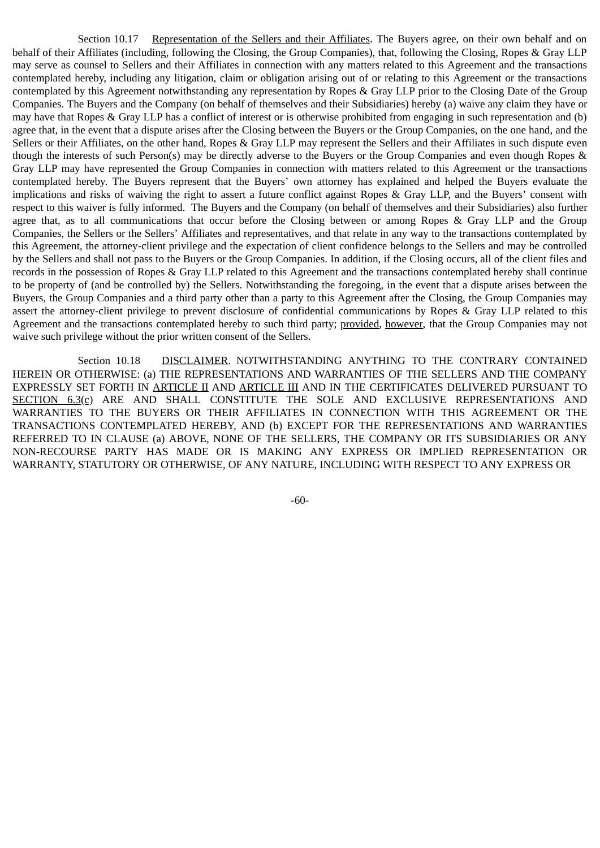Section 10.17 Representation of the Sellers and their Affiliates. The Buyers agree, on their own behalf and on behalf of their Affiliates (including, following the Closing, the Group Companies), that, following the Closing, Ropes & Gray LLP may serve as counsel to Sellers and their Affiliates in connection with any matters related to this Agreement and the transactions contemplated hereby, including any litigation, claim or obligation arising out of or relating to this Agreement or the transactions contemplated by this Agreement notwithstanding any representation by Ropes & Gray LLP prior to the Closing Date of the Group Companies. The Buyers and the Company (on behalf of themselves and their Subsidiaries) hereby (a) waive any claim they have or may have that Ropes & Gray LLP has a conflict of interest or is otherwise prohibited from engaging in such representation and (b) agree that, in the event that a dispute arises after the Closing between the Buyers or the Group Companies, on the one hand, and the Sellers or their Affiliates, on the other hand, Ropes & Gray LLP may represent the Sellers and their Affiliates in such dispute even though the interests of such Person(s) may be directly adverse to the Buyers or the Group Companies and even though Ropes & Gray LLP may have represented the Group Companies in connection with matters related to this Agreement or the transactions contemplated hereby. The Buyers represent that the Buyers' own attorney has explained and helped the Buyers evaluate the implications and risks of waiving the right to assert a future conflict against Ropes & Gray LLP, and the Buyers' consent with respect to this waiver is fully informed. The Buyers and the Company (on behalf of themselves and their Subsidiaries) also further agree that, as to all communications that occur before the Closing between or among Ropes & Gray LLP and the Group Companies, the Sellers or the Sellers' Affiliates and representatives, and that relate in any way to the transactions contemplated by this Agreement, the attorney-client privilege and the expectation of client confidence belongs to the Sellers and may be controlled by the Sellers and shall not pass to the Buyers or the Group Companies. In addition, if the Closing occurs, all of the client files and records in the possession of Ropes & Gray LLP related to this Agreement and the transactions contemplated hereby shall continue to be property of (and be controlled by) the Sellers. Notwithstanding the foregoing, in the event that a dispute arises between the Buyers, the Group Companies and a third party other than a party to this Agreement after the Closing, the Group Companies may assert the attorney-client privilege to prevent disclosure of confidential communications by Ropes & Gray LLP related to this Agreement and the transactions contemplated hereby to such third party; provided, however, that the Group Companies may not waive such privilege without the prior written consent of the Sellers.

Section 10.18 DISCLAIMER. NOTWITHSTANDING ANYTHING TO THE CONTRARY CONTAINED HEREIN OR OTHERWISE: (a) THE REPRESENTATIONS AND WARRANTIES OF THE SELLERS AND THE COMPANY EXPRESSLY SET FORTH IN ARTICLE II AND ARTICLE III AND IN THE CERTIFICATES DELIVERED PURSUANT TO SECTION 6.3(c) ARE AND SHALL CONSTITUTE THE SOLE AND EXCLUSIVE REPRESENTATIONS AND WARRANTIES TO THE BUYERS OR THEIR AFFILIATES IN CONNECTION WITH THIS AGREEMENT OR THE TRANSACTIONS CONTEMPLATED HEREBY, AND (b) EXCEPT FOR THE REPRESENTATIONS AND WARRANTIES REFERRED TO IN CLAUSE (a) ABOVE, NONE OF THE SELLERS, THE COMPANY OR ITS SUBSIDIARIES OR ANY NON-RECOURSE PARTY HAS MADE OR IS MAKING ANY EXPRESS OR IMPLIED REPRESENTATION OR WARRANTY, STATUTORY OR OTHERWISE, OF ANY NATURE, INCLUDING WITH RESPECT TO ANY EXPRESS OR

-60-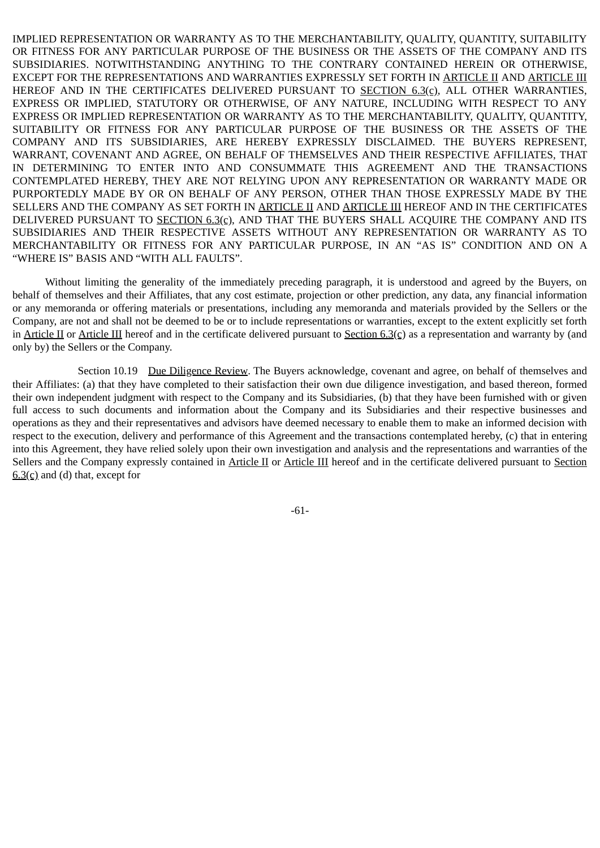IMPLIED REPRESENTATION OR WARRANTY AS TO THE MERCHANTABILITY, QUALITY, QUANTITY, SUITABILITY OR FITNESS FOR ANY PARTICULAR PURPOSE OF THE BUSINESS OR THE ASSETS OF THE COMPANY AND ITS SUBSIDIARIES. NOTWITHSTANDING ANYTHING TO THE CONTRARY CONTAINED HEREIN OR OTHERWISE, EXCEPT FOR THE REPRESENTATIONS AND WARRANTIES EXPRESSLY SET FORTH IN ARTICLE II AND ARTICLE III HEREOF AND IN THE CERTIFICATES DELIVERED PURSUANT TO SECTION  $6.3(c)$ , ALL OTHER WARRANTIES, EXPRESS OR IMPLIED, STATUTORY OR OTHERWISE, OF ANY NATURE, INCLUDING WITH RESPECT TO ANY EXPRESS OR IMPLIED REPRESENTATION OR WARRANTY AS TO THE MERCHANTABILITY, QUALITY, QUANTITY, SUITABILITY OR FITNESS FOR ANY PARTICULAR PURPOSE OF THE BUSINESS OR THE ASSETS OF THE COMPANY AND ITS SUBSIDIARIES, ARE HEREBY EXPRESSLY DISCLAIMED. THE BUYERS REPRESENT, WARRANT, COVENANT AND AGREE, ON BEHALF OF THEMSELVES AND THEIR RESPECTIVE AFFILIATES, THAT IN DETERMINING TO ENTER INTO AND CONSUMMATE THIS AGREEMENT AND THE TRANSACTIONS CONTEMPLATED HEREBY, THEY ARE NOT RELYING UPON ANY REPRESENTATION OR WARRANTY MADE OR PURPORTEDLY MADE BY OR ON BEHALF OF ANY PERSON, OTHER THAN THOSE EXPRESSLY MADE BY THE SELLERS AND THE COMPANY AS SET FORTH IN ARTICLE II AND ARTICLE III HEREOF AND IN THE CERTIFICATES DELIVERED PURSUANT TO SECTION 6.3(c), AND THAT THE BUYERS SHALL ACQUIRE THE COMPANY AND ITS SUBSIDIARIES AND THEIR RESPECTIVE ASSETS WITHOUT ANY REPRESENTATION OR WARRANTY AS TO MERCHANTABILITY OR FITNESS FOR ANY PARTICULAR PURPOSE, IN AN "AS IS" CONDITION AND ON A "WHERE IS" BASIS AND "WITH ALL FAULTS".

Without limiting the generality of the immediately preceding paragraph, it is understood and agreed by the Buyers, on behalf of themselves and their Affiliates, that any cost estimate, projection or other prediction, any data, any financial information or any memoranda or offering materials or presentations, including any memoranda and materials provided by the Sellers or the Company, are not and shall not be deemed to be or to include representations or warranties, except to the extent explicitly set forth in Article II or Article III hereof and in the certificate delivered pursuant to Section  $6.3(c)$  as a representation and warranty by (and only by) the Sellers or the Company.

Section 10.19 Due Diligence Review. The Buyers acknowledge, covenant and agree, on behalf of themselves and their Affiliates: (a) that they have completed to their satisfaction their own due diligence investigation, and based thereon, formed their own independent judgment with respect to the Company and its Subsidiaries, (b) that they have been furnished with or given full access to such documents and information about the Company and its Subsidiaries and their respective businesses and operations as they and their representatives and advisors have deemed necessary to enable them to make an informed decision with respect to the execution, delivery and performance of this Agreement and the transactions contemplated hereby, (c) that in entering into this Agreement, they have relied solely upon their own investigation and analysis and the representations and warranties of the Sellers and the Company expressly contained in Article II or Article III hereof and in the certificate delivered pursuant to Section  $6.3(c)$  and  $(d)$  that, except for

-61-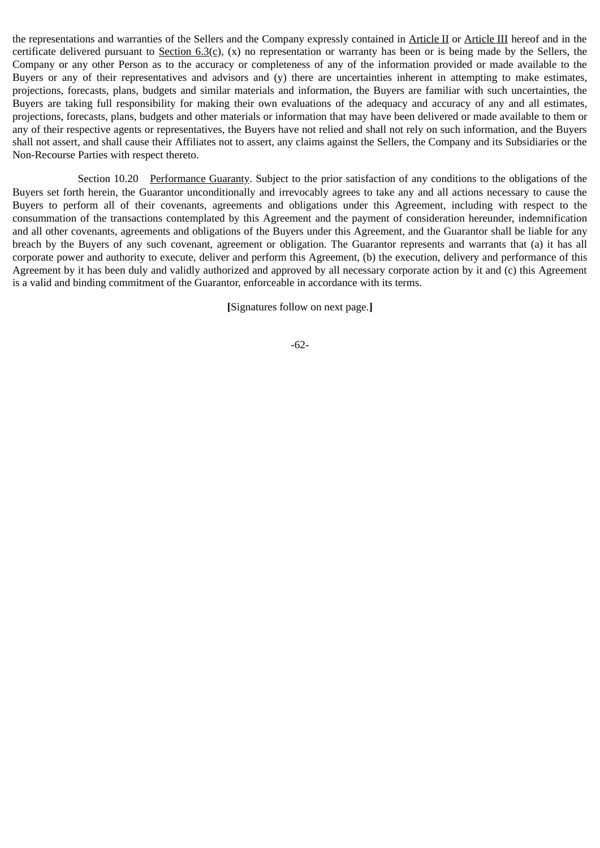the representations and warranties of the Sellers and the Company expressly contained in Article II or Article III hereof and in the certificate delivered pursuant to Section  $6.3(c)$ , (x) no representation or warranty has been or is being made by the Sellers, the Company or any other Person as to the accuracy or completeness of any of the information provided or made available to the Buyers or any of their representatives and advisors and (y) there are uncertainties inherent in attempting to make estimates, projections, forecasts, plans, budgets and similar materials and information, the Buyers are familiar with such uncertainties, the Buyers are taking full responsibility for making their own evaluations of the adequacy and accuracy of any and all estimates, projections, forecasts, plans, budgets and other materials or information that may have been delivered or made available to them or any of their respective agents or representatives, the Buyers have not relied and shall not rely on such information, and the Buyers shall not assert, and shall cause their Affiliates not to assert, any claims against the Sellers, the Company and its Subsidiaries or the Non-Recourse Parties with respect thereto.

Section 10.20 Performance Guaranty. Subject to the prior satisfaction of any conditions to the obligations of the Buyers set forth herein, the Guarantor unconditionally and irrevocably agrees to take any and all actions necessary to cause the Buyers to perform all of their covenants, agreements and obligations under this Agreement, including with respect to the consummation of the transactions contemplated by this Agreement and the payment of consideration hereunder, indemnification and all other covenants, agreements and obligations of the Buyers under this Agreement, and the Guarantor shall be liable for any breach by the Buyers of any such covenant, agreement or obligation. The Guarantor represents and warrants that (a) it has all corporate power and authority to execute, deliver and perform this Agreement, (b) the execution, delivery and performance of this Agreement by it has been duly and validly authorized and approved by all necessary corporate action by it and (c) this Agreement is a valid and binding commitment of the Guarantor, enforceable in accordance with its terms.

**[**Signatures follow on next page.**]**

-62-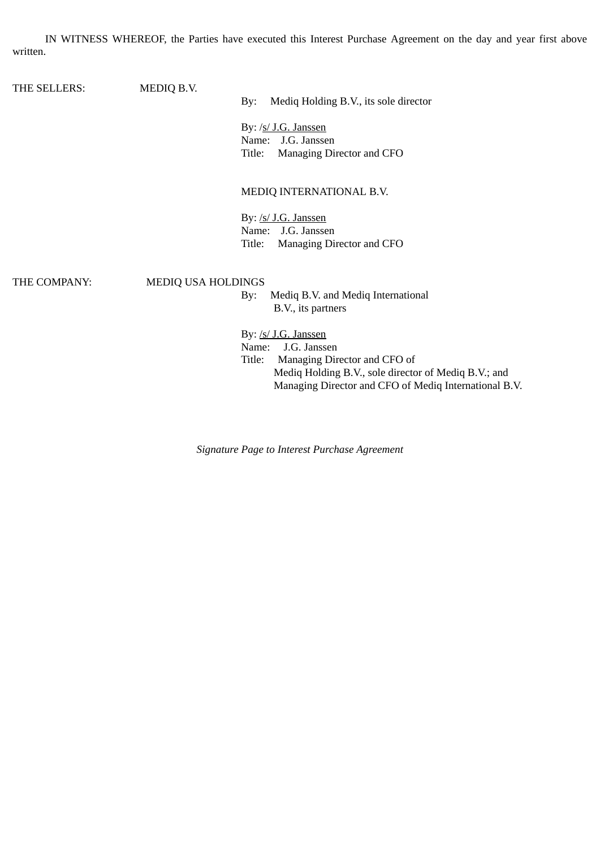IN WITNESS WHEREOF, the Parties have executed this Interest Purchase Agreement on the day and year first above written.

THE SELLERS: MEDIQ B.V.

By: Mediq Holding B.V., its sole director

By: /s/ J.G. Janssen Name: J.G. Janssen Title: Managing Director and CFO

### MEDIQ INTERNATIONAL B.V.

By: /s/ J.G. Janssen Name: J.G. Janssen Title: Managing Director and CFO

THE COMPANY: MEDIQ USA HOLDINGS

By: Mediq B.V. and Mediq International B.V., its partners

By: /s/ J.G. Janssen

Name: J.G. Janssen

Title: Managing Director and CFO of Mediq Holding B.V., sole director of Mediq B.V.; and Managing Director and CFO of Mediq International B.V.

*Signature Page to Interest Purchase Agreement*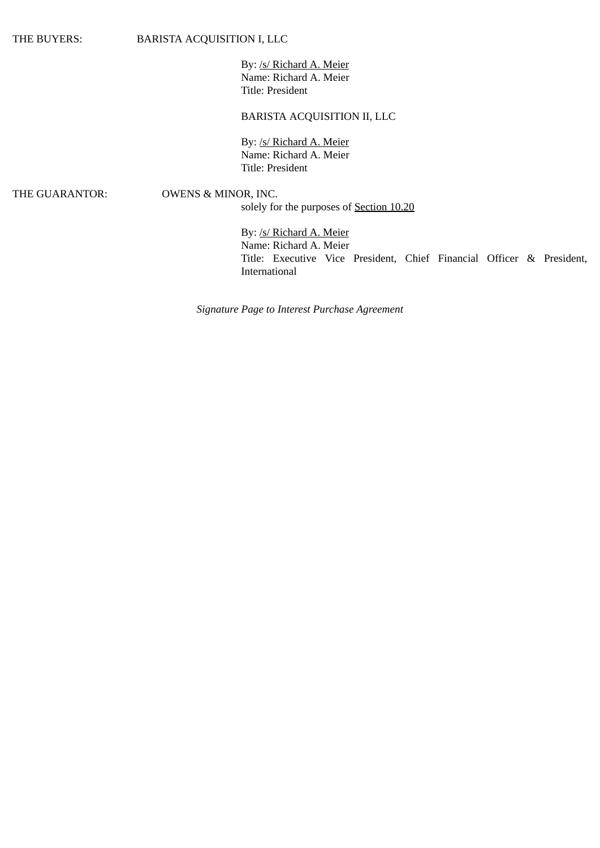By: /s/ Richard A. Meier Name: Richard A. Meier Title: President

# BARISTA ACQUISITION II, LLC

By: /s/ Richard A. Meier Name: Richard A. Meier Title: President

THE GUARANTOR: OWENS & MINOR, INC.

solely for the purposes of **Section 10.20** 

By: /s/ Richard A. Meier Name: Richard A. Meier Title: Executive Vice President, Chief Financial Officer & President, International

*Signature Page to Interest Purchase Agreement*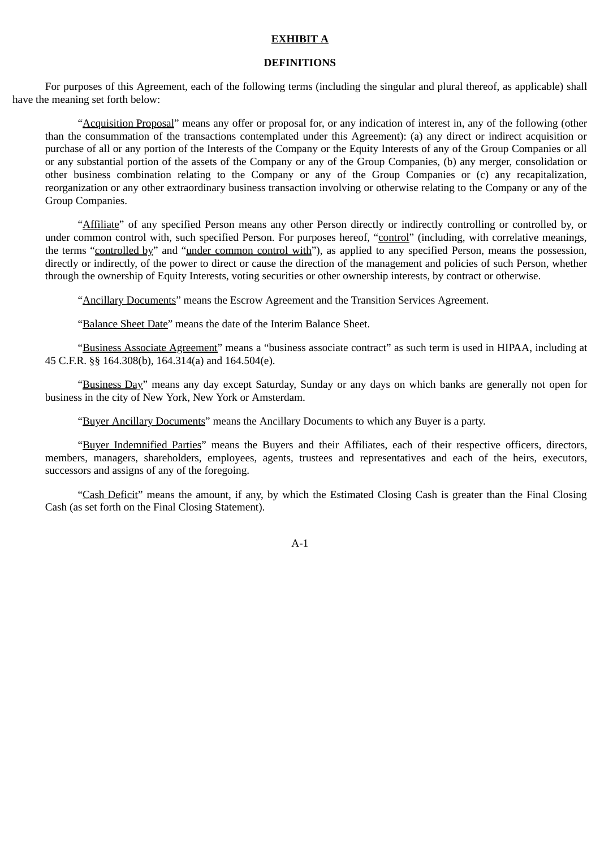### **EXHIBIT A**

## **DEFINITIONS**

For purposes of this Agreement, each of the following terms (including the singular and plural thereof, as applicable) shall have the meaning set forth below:

"Acquisition Proposal" means any offer or proposal for, or any indication of interest in, any of the following (other than the consummation of the transactions contemplated under this Agreement): (a) any direct or indirect acquisition or purchase of all or any portion of the Interests of the Company or the Equity Interests of any of the Group Companies or all or any substantial portion of the assets of the Company or any of the Group Companies, (b) any merger, consolidation or other business combination relating to the Company or any of the Group Companies or (c) any recapitalization, reorganization or any other extraordinary business transaction involving or otherwise relating to the Company or any of the Group Companies.

"Affiliate" of any specified Person means any other Person directly or indirectly controlling or controlled by, or under common control with, such specified Person. For purposes hereof, "control" (including, with correlative meanings, the terms "controlled by" and "under common control with"), as applied to any specified Person, means the possession, directly or indirectly, of the power to direct or cause the direction of the management and policies of such Person, whether through the ownership of Equity Interests, voting securities or other ownership interests, by contract or otherwise.

"Ancillary Documents" means the Escrow Agreement and the Transition Services Agreement.

"Balance Sheet Date" means the date of the Interim Balance Sheet.

"Business Associate Agreement" means a "business associate contract" as such term is used in HIPAA, including at 45 C.F.R. §§ 164.308(b), 164.314(a) and 164.504(e).

"Business Day" means any day except Saturday, Sunday or any days on which banks are generally not open for business in the city of New York, New York or Amsterdam.

"Buyer Ancillary Documents" means the Ancillary Documents to which any Buyer is a party.

"Buyer Indemnified Parties" means the Buyers and their Affiliates, each of their respective officers, directors, members, managers, shareholders, employees, agents, trustees and representatives and each of the heirs, executors, successors and assigns of any of the foregoing.

"Cash Deficit" means the amount, if any, by which the Estimated Closing Cash is greater than the Final Closing Cash (as set forth on the Final Closing Statement).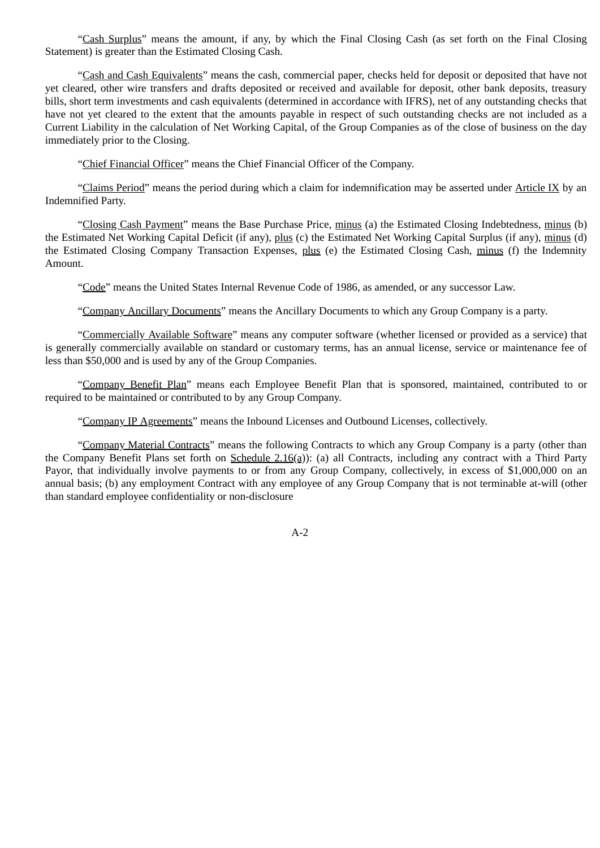"Cash Surplus" means the amount, if any, by which the Final Closing Cash (as set forth on the Final Closing Statement) is greater than the Estimated Closing Cash.

"Cash and Cash Equivalents" means the cash, commercial paper, checks held for deposit or deposited that have not yet cleared, other wire transfers and drafts deposited or received and available for deposit, other bank deposits, treasury bills, short term investments and cash equivalents (determined in accordance with IFRS), net of any outstanding checks that have not yet cleared to the extent that the amounts payable in respect of such outstanding checks are not included as a Current Liability in the calculation of Net Working Capital, of the Group Companies as of the close of business on the day immediately prior to the Closing.

"Chief Financial Officer" means the Chief Financial Officer of the Company.

"Claims Period" means the period during which a claim for indemnification may be asserted under Article IX by an Indemnified Party.

"Closing Cash Payment" means the Base Purchase Price, minus (a) the Estimated Closing Indebtedness, minus (b) the Estimated Net Working Capital Deficit (if any), plus (c) the Estimated Net Working Capital Surplus (if any), minus (d) the Estimated Closing Company Transaction Expenses, plus (e) the Estimated Closing Cash, minus (f) the Indemnity Amount.

"Code" means the United States Internal Revenue Code of 1986, as amended, or any successor Law.

"Company Ancillary Documents" means the Ancillary Documents to which any Group Company is a party.

"Commercially Available Software" means any computer software (whether licensed or provided as a service) that is generally commercially available on standard or customary terms, has an annual license, service or maintenance fee of less than \$50,000 and is used by any of the Group Companies.

"Company Benefit Plan" means each Employee Benefit Plan that is sponsored, maintained, contributed to or required to be maintained or contributed to by any Group Company.

"Company IP Agreements" means the Inbound Licenses and Outbound Licenses, collectively.

"Company Material Contracts" means the following Contracts to which any Group Company is a party (other than the Company Benefit Plans set forth on Schedule 2.16(a)): (a) all Contracts, including any contract with a Third Party Payor, that individually involve payments to or from any Group Company, collectively, in excess of \$1,000,000 on an annual basis; (b) any employment Contract with any employee of any Group Company that is not terminable at-will (other than standard employee confidentiality or non-disclosure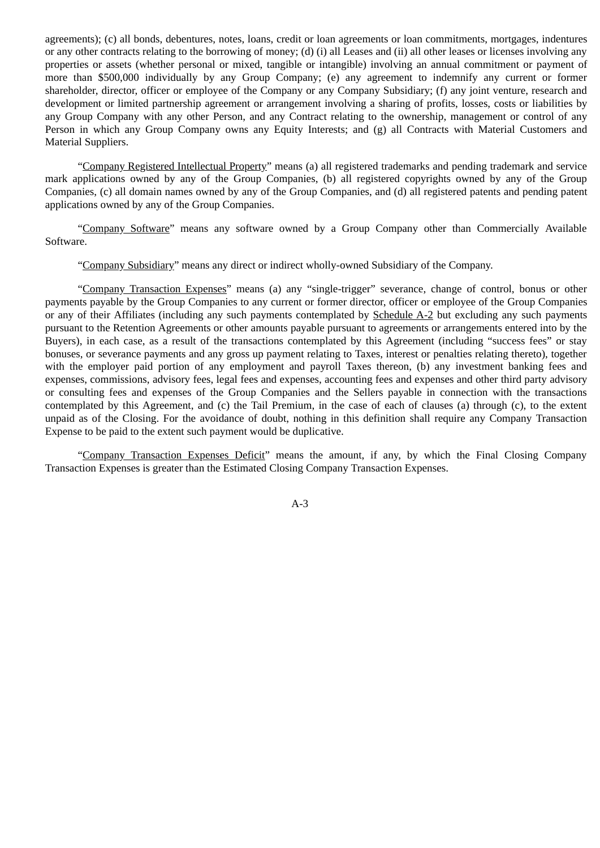agreements); (c) all bonds, debentures, notes, loans, credit or loan agreements or loan commitments, mortgages, indentures or any other contracts relating to the borrowing of money; (d) (i) all Leases and (ii) all other leases or licenses involving any properties or assets (whether personal or mixed, tangible or intangible) involving an annual commitment or payment of more than \$500,000 individually by any Group Company; (e) any agreement to indemnify any current or former shareholder, director, officer or employee of the Company or any Company Subsidiary; (f) any joint venture, research and development or limited partnership agreement or arrangement involving a sharing of profits, losses, costs or liabilities by any Group Company with any other Person, and any Contract relating to the ownership, management or control of any Person in which any Group Company owns any Equity Interests; and (g) all Contracts with Material Customers and Material Suppliers.

"Company Registered Intellectual Property" means (a) all registered trademarks and pending trademark and service mark applications owned by any of the Group Companies, (b) all registered copyrights owned by any of the Group Companies, (c) all domain names owned by any of the Group Companies, and (d) all registered patents and pending patent applications owned by any of the Group Companies.

"Company Software" means any software owned by a Group Company other than Commercially Available Software.

"Company Subsidiary" means any direct or indirect wholly-owned Subsidiary of the Company.

"Company Transaction Expenses" means (a) any "single-trigger" severance, change of control, bonus or other payments payable by the Group Companies to any current or former director, officer or employee of the Group Companies or any of their Affiliates (including any such payments contemplated by Schedule A-2 but excluding any such payments pursuant to the Retention Agreements or other amounts payable pursuant to agreements or arrangements entered into by the Buyers), in each case, as a result of the transactions contemplated by this Agreement (including "success fees" or stay bonuses, or severance payments and any gross up payment relating to Taxes, interest or penalties relating thereto), together with the employer paid portion of any employment and payroll Taxes thereon, (b) any investment banking fees and expenses, commissions, advisory fees, legal fees and expenses, accounting fees and expenses and other third party advisory or consulting fees and expenses of the Group Companies and the Sellers payable in connection with the transactions contemplated by this Agreement, and (c) the Tail Premium, in the case of each of clauses (a) through (c), to the extent unpaid as of the Closing. For the avoidance of doubt, nothing in this definition shall require any Company Transaction Expense to be paid to the extent such payment would be duplicative.

"Company Transaction Expenses Deficit" means the amount, if any, by which the Final Closing Company Transaction Expenses is greater than the Estimated Closing Company Transaction Expenses.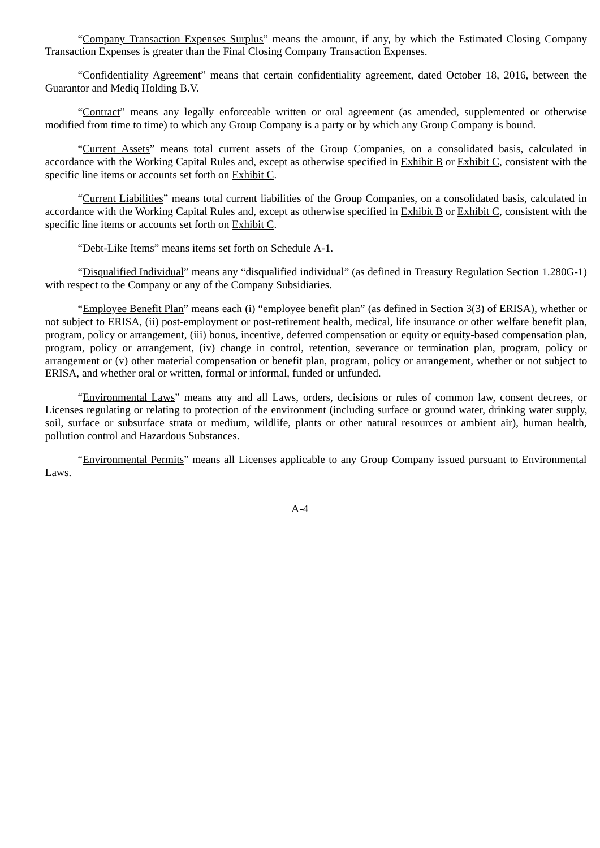"Company Transaction Expenses Surplus" means the amount, if any, by which the Estimated Closing Company Transaction Expenses is greater than the Final Closing Company Transaction Expenses.

"Confidentiality Agreement" means that certain confidentiality agreement, dated October 18, 2016, between the Guarantor and Mediq Holding B.V.

"Contract" means any legally enforceable written or oral agreement (as amended, supplemented or otherwise modified from time to time) to which any Group Company is a party or by which any Group Company is bound.

"Current Assets" means total current assets of the Group Companies, on a consolidated basis, calculated in accordance with the Working Capital Rules and, except as otherwise specified in Exhibit B or Exhibit C, consistent with the specific line items or accounts set forth on Exhibit C.

"Current Liabilities" means total current liabilities of the Group Companies, on a consolidated basis, calculated in accordance with the Working Capital Rules and, except as otherwise specified in **Exhibit B** or **Exhibit C**, consistent with the specific line items or accounts set forth on Exhibit C.

"Debt-Like Items" means items set forth on Schedule A-1.

"Disqualified Individual" means any "disqualified individual" (as defined in Treasury Regulation Section 1.280G-1) with respect to the Company or any of the Company Subsidiaries.

"Employee Benefit Plan" means each (i) "employee benefit plan" (as defined in Section 3(3) of ERISA), whether or not subject to ERISA, (ii) post-employment or post-retirement health, medical, life insurance or other welfare benefit plan, program, policy or arrangement, (iii) bonus, incentive, deferred compensation or equity or equity-based compensation plan, program, policy or arrangement, (iv) change in control, retention, severance or termination plan, program, policy or arrangement or (v) other material compensation or benefit plan, program, policy or arrangement, whether or not subject to ERISA, and whether oral or written, formal or informal, funded or unfunded.

"Environmental Laws" means any and all Laws, orders, decisions or rules of common law, consent decrees, or Licenses regulating or relating to protection of the environment (including surface or ground water, drinking water supply, soil, surface or subsurface strata or medium, wildlife, plants or other natural resources or ambient air), human health, pollution control and Hazardous Substances.

"Environmental Permits" means all Licenses applicable to any Group Company issued pursuant to Environmental Laws.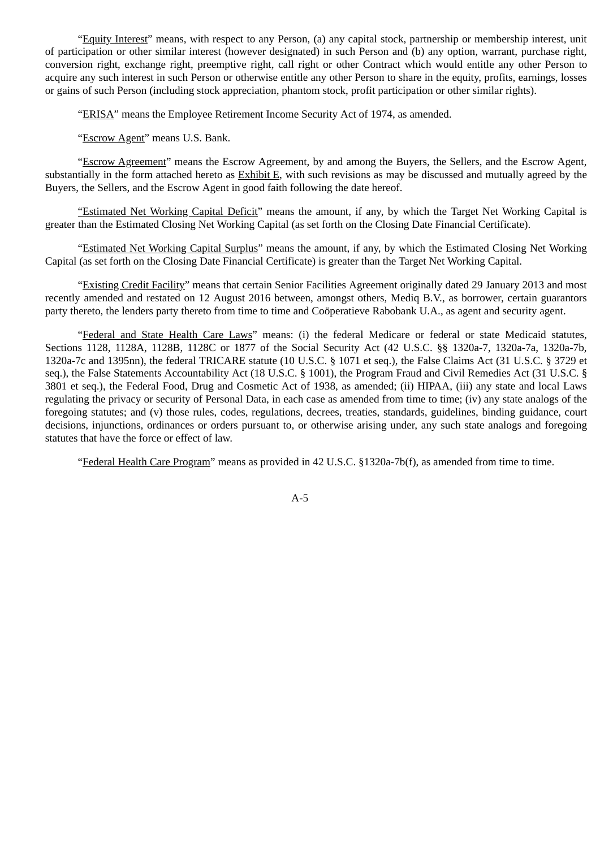"Equity Interest" means, with respect to any Person, (a) any capital stock, partnership or membership interest, unit of participation or other similar interest (however designated) in such Person and (b) any option, warrant, purchase right, conversion right, exchange right, preemptive right, call right or other Contract which would entitle any other Person to acquire any such interest in such Person or otherwise entitle any other Person to share in the equity, profits, earnings, losses or gains of such Person (including stock appreciation, phantom stock, profit participation or other similar rights).

"ERISA" means the Employee Retirement Income Security Act of 1974, as amended.

"Escrow Agent" means U.S. Bank.

"Escrow Agreement" means the Escrow Agreement, by and among the Buyers, the Sellers, and the Escrow Agent, substantially in the form attached hereto as Exhibit E, with such revisions as may be discussed and mutually agreed by the Buyers, the Sellers, and the Escrow Agent in good faith following the date hereof.

"Estimated Net Working Capital Deficit" means the amount, if any, by which the Target Net Working Capital is greater than the Estimated Closing Net Working Capital (as set forth on the Closing Date Financial Certificate).

"Estimated Net Working Capital Surplus" means the amount, if any, by which the Estimated Closing Net Working Capital (as set forth on the Closing Date Financial Certificate) is greater than the Target Net Working Capital.

"Existing Credit Facility" means that certain Senior Facilities Agreement originally dated 29 January 2013 and most recently amended and restated on 12 August 2016 between, amongst others, Mediq B.V., as borrower, certain guarantors party thereto, the lenders party thereto from time to time and Coöperatieve Rabobank U.A., as agent and security agent.

"Federal and State Health Care Laws" means: (i) the federal Medicare or federal or state Medicaid statutes, Sections 1128, 1128A, 1128B, 1128C or 1877 of the Social Security Act (42 U.S.C. §§ 1320a-7, 1320a-7a, 1320a-7b, 1320a-7c and 1395nn), the federal TRICARE statute (10 U.S.C. § 1071 et seq.), the False Claims Act (31 U.S.C. § 3729 et seq.), the False Statements Accountability Act (18 U.S.C. § 1001), the Program Fraud and Civil Remedies Act (31 U.S.C. § 3801 et seq.), the Federal Food, Drug and Cosmetic Act of 1938, as amended; (ii) HIPAA, (iii) any state and local Laws regulating the privacy or security of Personal Data, in each case as amended from time to time; (iv) any state analogs of the foregoing statutes; and (v) those rules, codes, regulations, decrees, treaties, standards, guidelines, binding guidance, court decisions, injunctions, ordinances or orders pursuant to, or otherwise arising under, any such state analogs and foregoing statutes that have the force or effect of law.

"Federal Health Care Program" means as provided in 42 U.S.C. §1320a-7b(f), as amended from time to time.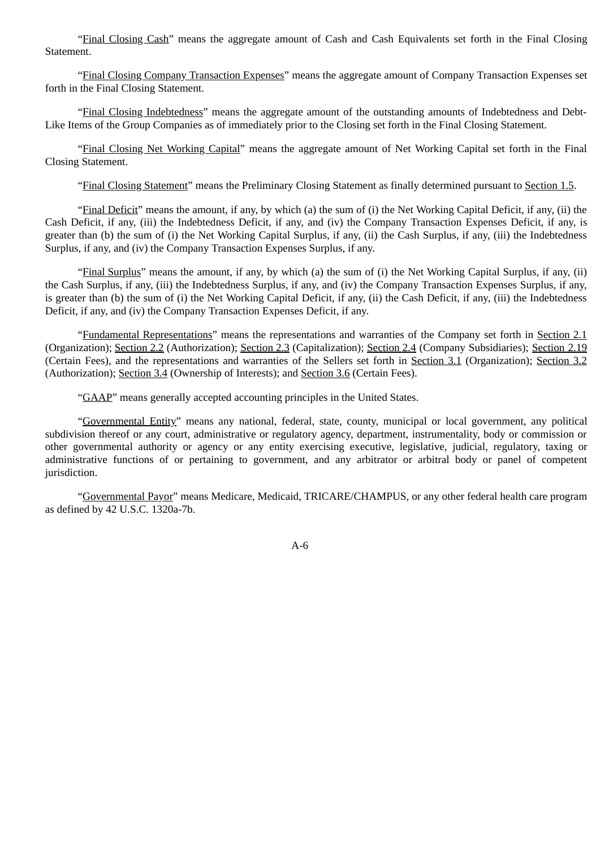"Final Closing Cash" means the aggregate amount of Cash and Cash Equivalents set forth in the Final Closing Statement.

"Final Closing Company Transaction Expenses" means the aggregate amount of Company Transaction Expenses set forth in the Final Closing Statement.

"Final Closing Indebtedness" means the aggregate amount of the outstanding amounts of Indebtedness and Debt-Like Items of the Group Companies as of immediately prior to the Closing set forth in the Final Closing Statement.

"Final Closing Net Working Capital" means the aggregate amount of Net Working Capital set forth in the Final Closing Statement.

"Final Closing Statement" means the Preliminary Closing Statement as finally determined pursuant to Section 1.5.

"Final Deficit" means the amount, if any, by which (a) the sum of (i) the Net Working Capital Deficit, if any, (ii) the Cash Deficit, if any, (iii) the Indebtedness Deficit, if any, and (iv) the Company Transaction Expenses Deficit, if any, is greater than (b) the sum of (i) the Net Working Capital Surplus, if any, (ii) the Cash Surplus, if any, (iii) the Indebtedness Surplus, if any, and (iv) the Company Transaction Expenses Surplus, if any.

"Final Surplus" means the amount, if any, by which (a) the sum of (i) the Net Working Capital Surplus, if any, (ii) the Cash Surplus, if any, (iii) the Indebtedness Surplus, if any, and (iv) the Company Transaction Expenses Surplus, if any, is greater than (b) the sum of (i) the Net Working Capital Deficit, if any, (ii) the Cash Deficit, if any, (iii) the Indebtedness Deficit, if any, and (iv) the Company Transaction Expenses Deficit, if any.

"Fundamental Representations" means the representations and warranties of the Company set forth in Section 2.1 (Organization); Section 2.2 (Authorization); Section 2.3 (Capitalization); Section 2.4 (Company Subsidiaries); Section 2.19 (Certain Fees), and the representations and warranties of the Sellers set forth in Section 3.1 (Organization); Section 3.2 (Authorization); Section 3.4 (Ownership of Interests); and Section 3.6 (Certain Fees).

"GAAP" means generally accepted accounting principles in the United States.

"Governmental Entity" means any national, federal, state, county, municipal or local government, any political subdivision thereof or any court, administrative or regulatory agency, department, instrumentality, body or commission or other governmental authority or agency or any entity exercising executive, legislative, judicial, regulatory, taxing or administrative functions of or pertaining to government, and any arbitrator or arbitral body or panel of competent jurisdiction.

"Governmental Payor" means Medicare, Medicaid, TRICARE/CHAMPUS, or any other federal health care program as defined by 42 U.S.C. 1320a-7b.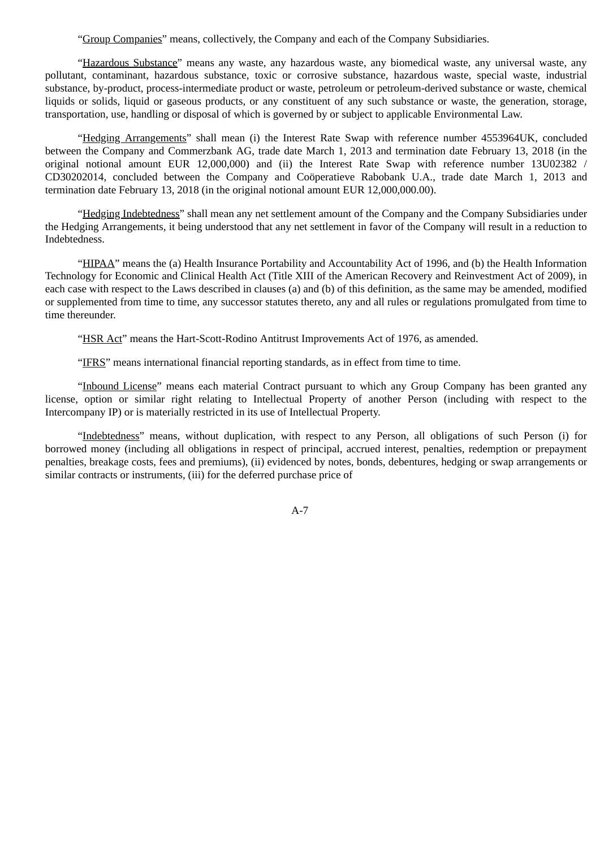"Group Companies" means, collectively, the Company and each of the Company Subsidiaries.

"Hazardous Substance" means any waste, any hazardous waste, any biomedical waste, any universal waste, any pollutant, contaminant, hazardous substance, toxic or corrosive substance, hazardous waste, special waste, industrial substance, by-product, process-intermediate product or waste, petroleum or petroleum-derived substance or waste, chemical liquids or solids, liquid or gaseous products, or any constituent of any such substance or waste, the generation, storage, transportation, use, handling or disposal of which is governed by or subject to applicable Environmental Law.

"Hedging Arrangements" shall mean (i) the Interest Rate Swap with reference number 4553964UK, concluded between the Company and Commerzbank AG, trade date March 1, 2013 and termination date February 13, 2018 (in the original notional amount EUR 12,000,000) and (ii) the Interest Rate Swap with reference number 13U02382 / CD30202014, concluded between the Company and Coöperatieve Rabobank U.A., trade date March 1, 2013 and termination date February 13, 2018 (in the original notional amount EUR 12,000,000.00).

"Hedging Indebtedness" shall mean any net settlement amount of the Company and the Company Subsidiaries under the Hedging Arrangements, it being understood that any net settlement in favor of the Company will result in a reduction to Indebtedness.

"HIPAA" means the (a) Health Insurance Portability and Accountability Act of 1996, and (b) the Health Information Technology for Economic and Clinical Health Act (Title XIII of the American Recovery and Reinvestment Act of 2009), in each case with respect to the Laws described in clauses (a) and (b) of this definition, as the same may be amended, modified or supplemented from time to time, any successor statutes thereto, any and all rules or regulations promulgated from time to time thereunder.

"HSR Act" means the Hart-Scott-Rodino Antitrust Improvements Act of 1976, as amended.

"IFRS" means international financial reporting standards, as in effect from time to time.

"Inbound License" means each material Contract pursuant to which any Group Company has been granted any license, option or similar right relating to Intellectual Property of another Person (including with respect to the Intercompany IP) or is materially restricted in its use of Intellectual Property.

"Indebtedness" means, without duplication, with respect to any Person, all obligations of such Person (i) for borrowed money (including all obligations in respect of principal, accrued interest, penalties, redemption or prepayment penalties, breakage costs, fees and premiums), (ii) evidenced by notes, bonds, debentures, hedging or swap arrangements or similar contracts or instruments, (iii) for the deferred purchase price of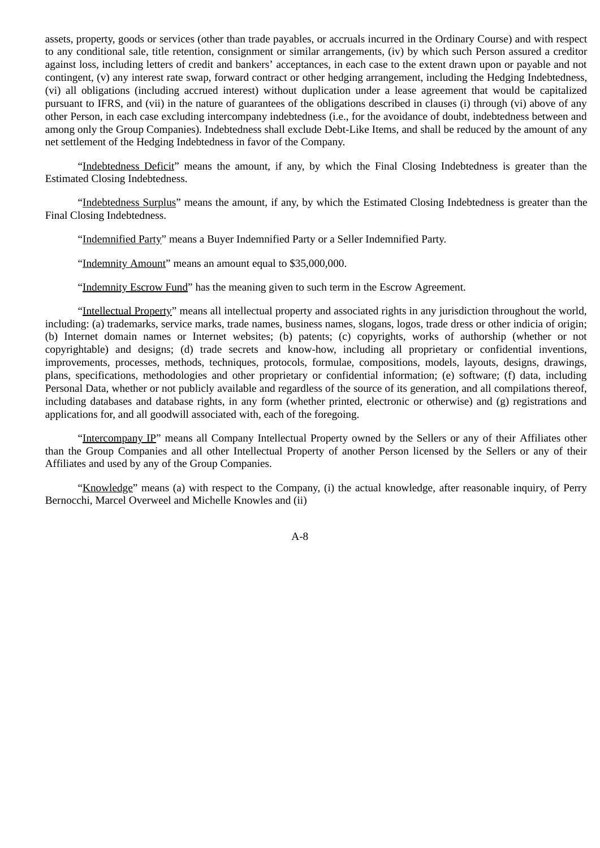assets, property, goods or services (other than trade payables, or accruals incurred in the Ordinary Course) and with respect to any conditional sale, title retention, consignment or similar arrangements, (iv) by which such Person assured a creditor against loss, including letters of credit and bankers' acceptances, in each case to the extent drawn upon or payable and not contingent, (v) any interest rate swap, forward contract or other hedging arrangement, including the Hedging Indebtedness, (vi) all obligations (including accrued interest) without duplication under a lease agreement that would be capitalized pursuant to IFRS, and (vii) in the nature of guarantees of the obligations described in clauses (i) through (vi) above of any other Person, in each case excluding intercompany indebtedness (i.e., for the avoidance of doubt, indebtedness between and among only the Group Companies). Indebtedness shall exclude Debt-Like Items, and shall be reduced by the amount of any net settlement of the Hedging Indebtedness in favor of the Company.

"Indebtedness Deficit" means the amount, if any, by which the Final Closing Indebtedness is greater than the Estimated Closing Indebtedness.

"Indebtedness Surplus" means the amount, if any, by which the Estimated Closing Indebtedness is greater than the Final Closing Indebtedness.

"Indemnified Party" means a Buyer Indemnified Party or a Seller Indemnified Party.

"Indemnity Amount" means an amount equal to \$35,000,000.

"Indemnity Escrow Fund" has the meaning given to such term in the Escrow Agreement.

"Intellectual Property" means all intellectual property and associated rights in any jurisdiction throughout the world, including: (a) trademarks, service marks, trade names, business names, slogans, logos, trade dress or other indicia of origin; (b) Internet domain names or Internet websites; (b) patents; (c) copyrights, works of authorship (whether or not copyrightable) and designs; (d) trade secrets and know-how, including all proprietary or confidential inventions, improvements, processes, methods, techniques, protocols, formulae, compositions, models, layouts, designs, drawings, plans, specifications, methodologies and other proprietary or confidential information; (e) software; (f) data, including Personal Data, whether or not publicly available and regardless of the source of its generation, and all compilations thereof, including databases and database rights, in any form (whether printed, electronic or otherwise) and (g) registrations and applications for, and all goodwill associated with, each of the foregoing.

"Intercompany IP" means all Company Intellectual Property owned by the Sellers or any of their Affiliates other than the Group Companies and all other Intellectual Property of another Person licensed by the Sellers or any of their Affiliates and used by any of the Group Companies.

"Knowledge" means (a) with respect to the Company, (i) the actual knowledge, after reasonable inquiry, of Perry Bernocchi, Marcel Overweel and Michelle Knowles and (ii)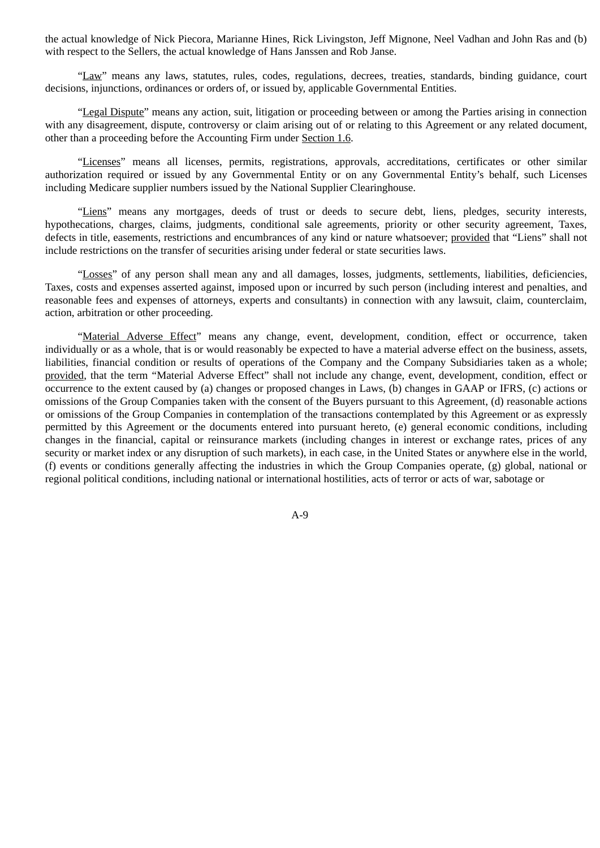the actual knowledge of Nick Piecora, Marianne Hines, Rick Livingston, Jeff Mignone, Neel Vadhan and John Ras and (b) with respect to the Sellers, the actual knowledge of Hans Janssen and Rob Janse.

"Law" means any laws, statutes, rules, codes, regulations, decrees, treaties, standards, binding guidance, court decisions, injunctions, ordinances or orders of, or issued by, applicable Governmental Entities.

"Legal Dispute" means any action, suit, litigation or proceeding between or among the Parties arising in connection with any disagreement, dispute, controversy or claim arising out of or relating to this Agreement or any related document, other than a proceeding before the Accounting Firm under Section 1.6.

"Licenses" means all licenses, permits, registrations, approvals, accreditations, certificates or other similar authorization required or issued by any Governmental Entity or on any Governmental Entity's behalf, such Licenses including Medicare supplier numbers issued by the National Supplier Clearinghouse.

"Liens" means any mortgages, deeds of trust or deeds to secure debt, liens, pledges, security interests, hypothecations, charges, claims, judgments, conditional sale agreements, priority or other security agreement, Taxes, defects in title, easements, restrictions and encumbrances of any kind or nature whatsoever; provided that "Liens" shall not include restrictions on the transfer of securities arising under federal or state securities laws.

"Losses" of any person shall mean any and all damages, losses, judgments, settlements, liabilities, deficiencies, Taxes, costs and expenses asserted against, imposed upon or incurred by such person (including interest and penalties, and reasonable fees and expenses of attorneys, experts and consultants) in connection with any lawsuit, claim, counterclaim, action, arbitration or other proceeding.

"Material Adverse Effect" means any change, event, development, condition, effect or occurrence, taken individually or as a whole, that is or would reasonably be expected to have a material adverse effect on the business, assets, liabilities, financial condition or results of operations of the Company and the Company Subsidiaries taken as a whole; provided, that the term "Material Adverse Effect" shall not include any change, event, development, condition, effect or occurrence to the extent caused by (a) changes or proposed changes in Laws, (b) changes in GAAP or IFRS, (c) actions or omissions of the Group Companies taken with the consent of the Buyers pursuant to this Agreement, (d) reasonable actions or omissions of the Group Companies in contemplation of the transactions contemplated by this Agreement or as expressly permitted by this Agreement or the documents entered into pursuant hereto, (e) general economic conditions, including changes in the financial, capital or reinsurance markets (including changes in interest or exchange rates, prices of any security or market index or any disruption of such markets), in each case, in the United States or anywhere else in the world, (f) events or conditions generally affecting the industries in which the Group Companies operate, (g) global, national or regional political conditions, including national or international hostilities, acts of terror or acts of war, sabotage or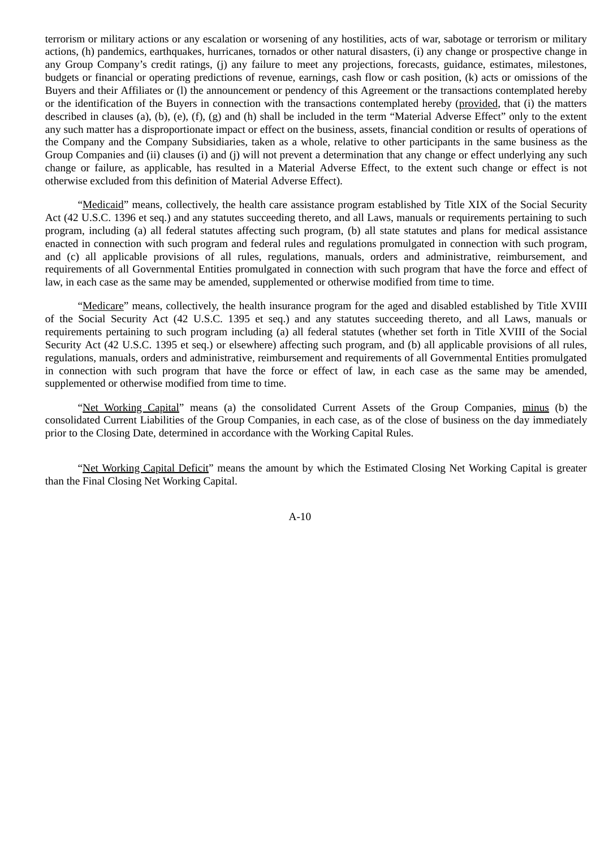terrorism or military actions or any escalation or worsening of any hostilities, acts of war, sabotage or terrorism or military actions, (h) pandemics, earthquakes, hurricanes, tornados or other natural disasters, (i) any change or prospective change in any Group Company's credit ratings, (j) any failure to meet any projections, forecasts, guidance, estimates, milestones, budgets or financial or operating predictions of revenue, earnings, cash flow or cash position, (k) acts or omissions of the Buyers and their Affiliates or (l) the announcement or pendency of this Agreement or the transactions contemplated hereby or the identification of the Buyers in connection with the transactions contemplated hereby (provided, that (i) the matters described in clauses (a), (b), (e), (f), (g) and (h) shall be included in the term "Material Adverse Effect" only to the extent any such matter has a disproportionate impact or effect on the business, assets, financial condition or results of operations of the Company and the Company Subsidiaries, taken as a whole, relative to other participants in the same business as the Group Companies and (ii) clauses (i) and (j) will not prevent a determination that any change or effect underlying any such change or failure, as applicable, has resulted in a Material Adverse Effect, to the extent such change or effect is not otherwise excluded from this definition of Material Adverse Effect).

"Medicaid" means, collectively, the health care assistance program established by Title XIX of the Social Security Act (42 U.S.C. 1396 et seq.) and any statutes succeeding thereto, and all Laws, manuals or requirements pertaining to such program, including (a) all federal statutes affecting such program, (b) all state statutes and plans for medical assistance enacted in connection with such program and federal rules and regulations promulgated in connection with such program, and (c) all applicable provisions of all rules, regulations, manuals, orders and administrative, reimbursement, and requirements of all Governmental Entities promulgated in connection with such program that have the force and effect of law, in each case as the same may be amended, supplemented or otherwise modified from time to time.

"Medicare" means, collectively, the health insurance program for the aged and disabled established by Title XVIII of the Social Security Act (42 U.S.C. 1395 et seq.) and any statutes succeeding thereto, and all Laws, manuals or requirements pertaining to such program including (a) all federal statutes (whether set forth in Title XVIII of the Social Security Act (42 U.S.C. 1395 et seq.) or elsewhere) affecting such program, and (b) all applicable provisions of all rules, regulations, manuals, orders and administrative, reimbursement and requirements of all Governmental Entities promulgated in connection with such program that have the force or effect of law, in each case as the same may be amended, supplemented or otherwise modified from time to time.

"Net Working Capital" means (a) the consolidated Current Assets of the Group Companies, minus (b) the consolidated Current Liabilities of the Group Companies, in each case, as of the close of business on the day immediately prior to the Closing Date, determined in accordance with the Working Capital Rules.

"Net Working Capital Deficit" means the amount by which the Estimated Closing Net Working Capital is greater than the Final Closing Net Working Capital.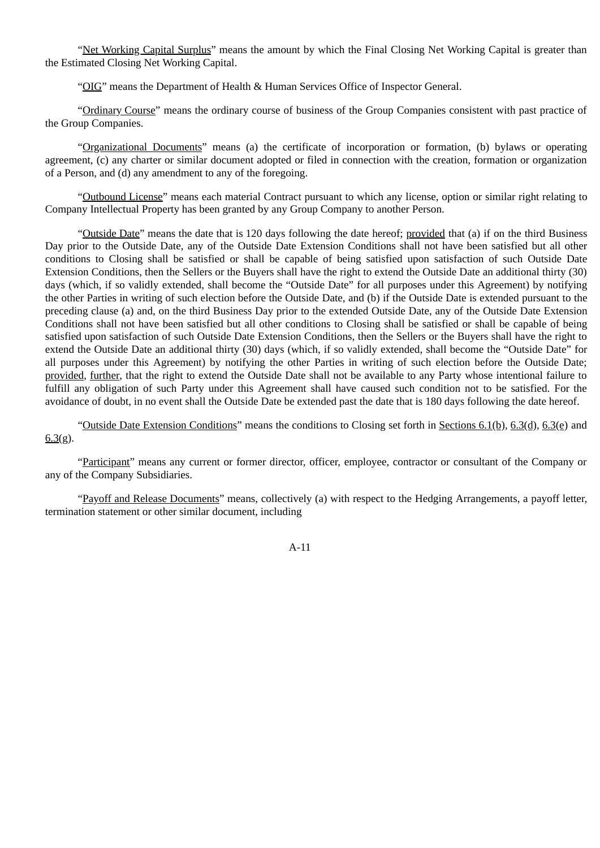"Net Working Capital Surplus" means the amount by which the Final Closing Net Working Capital is greater than the Estimated Closing Net Working Capital.

"OIG" means the Department of Health & Human Services Office of Inspector General.

"Ordinary Course" means the ordinary course of business of the Group Companies consistent with past practice of the Group Companies.

"Organizational Documents" means (a) the certificate of incorporation or formation, (b) bylaws or operating agreement, (c) any charter or similar document adopted or filed in connection with the creation, formation or organization of a Person, and (d) any amendment to any of the foregoing.

"Outbound License" means each material Contract pursuant to which any license, option or similar right relating to Company Intellectual Property has been granted by any Group Company to another Person.

"Outside Date" means the date that is 120 days following the date hereof; provided that (a) if on the third Business Day prior to the Outside Date, any of the Outside Date Extension Conditions shall not have been satisfied but all other conditions to Closing shall be satisfied or shall be capable of being satisfied upon satisfaction of such Outside Date Extension Conditions, then the Sellers or the Buyers shall have the right to extend the Outside Date an additional thirty (30) days (which, if so validly extended, shall become the "Outside Date" for all purposes under this Agreement) by notifying the other Parties in writing of such election before the Outside Date, and (b) if the Outside Date is extended pursuant to the preceding clause (a) and, on the third Business Day prior to the extended Outside Date, any of the Outside Date Extension Conditions shall not have been satisfied but all other conditions to Closing shall be satisfied or shall be capable of being satisfied upon satisfaction of such Outside Date Extension Conditions, then the Sellers or the Buyers shall have the right to extend the Outside Date an additional thirty (30) days (which, if so validly extended, shall become the "Outside Date" for all purposes under this Agreement) by notifying the other Parties in writing of such election before the Outside Date; provided, further, that the right to extend the Outside Date shall not be available to any Party whose intentional failure to fulfill any obligation of such Party under this Agreement shall have caused such condition not to be satisfied. For the avoidance of doubt, in no event shall the Outside Date be extended past the date that is 180 days following the date hereof.

"Outside Date Extension Conditions" means the conditions to Closing set forth in Sections 6.1(b), 6.3(d), 6.3(e) and  $6.3(g)$ .

"Participant" means any current or former director, officer, employee, contractor or consultant of the Company or any of the Company Subsidiaries.

"Payoff and Release Documents" means, collectively (a) with respect to the Hedging Arrangements, a payoff letter, termination statement or other similar document, including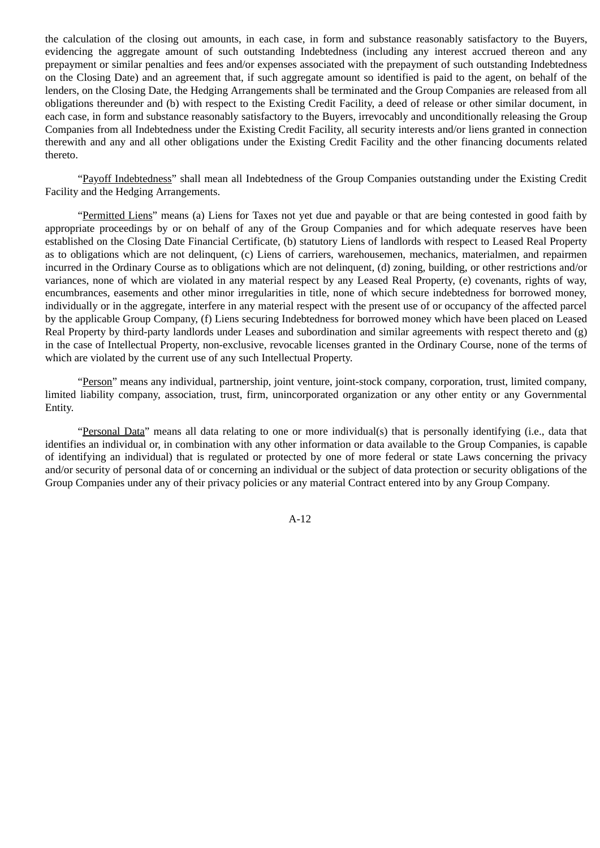the calculation of the closing out amounts, in each case, in form and substance reasonably satisfactory to the Buyers, evidencing the aggregate amount of such outstanding Indebtedness (including any interest accrued thereon and any prepayment or similar penalties and fees and/or expenses associated with the prepayment of such outstanding Indebtedness on the Closing Date) and an agreement that, if such aggregate amount so identified is paid to the agent, on behalf of the lenders, on the Closing Date, the Hedging Arrangements shall be terminated and the Group Companies are released from all obligations thereunder and (b) with respect to the Existing Credit Facility, a deed of release or other similar document, in each case, in form and substance reasonably satisfactory to the Buyers, irrevocably and unconditionally releasing the Group Companies from all Indebtedness under the Existing Credit Facility, all security interests and/or liens granted in connection therewith and any and all other obligations under the Existing Credit Facility and the other financing documents related thereto.

"Payoff Indebtedness" shall mean all Indebtedness of the Group Companies outstanding under the Existing Credit Facility and the Hedging Arrangements.

"Permitted Liens" means (a) Liens for Taxes not yet due and payable or that are being contested in good faith by appropriate proceedings by or on behalf of any of the Group Companies and for which adequate reserves have been established on the Closing Date Financial Certificate, (b) statutory Liens of landlords with respect to Leased Real Property as to obligations which are not delinquent, (c) Liens of carriers, warehousemen, mechanics, materialmen, and repairmen incurred in the Ordinary Course as to obligations which are not delinquent, (d) zoning, building, or other restrictions and/or variances, none of which are violated in any material respect by any Leased Real Property, (e) covenants, rights of way, encumbrances, easements and other minor irregularities in title, none of which secure indebtedness for borrowed money, individually or in the aggregate, interfere in any material respect with the present use of or occupancy of the affected parcel by the applicable Group Company, (f) Liens securing Indebtedness for borrowed money which have been placed on Leased Real Property by third-party landlords under Leases and subordination and similar agreements with respect thereto and (g) in the case of Intellectual Property, non-exclusive, revocable licenses granted in the Ordinary Course, none of the terms of which are violated by the current use of any such Intellectual Property.

"Person" means any individual, partnership, joint venture, joint-stock company, corporation, trust, limited company, limited liability company, association, trust, firm, unincorporated organization or any other entity or any Governmental Entity.

"Personal Data" means all data relating to one or more individual(s) that is personally identifying (i.e., data that identifies an individual or, in combination with any other information or data available to the Group Companies, is capable of identifying an individual) that is regulated or protected by one of more federal or state Laws concerning the privacy and/or security of personal data of or concerning an individual or the subject of data protection or security obligations of the Group Companies under any of their privacy policies or any material Contract entered into by any Group Company.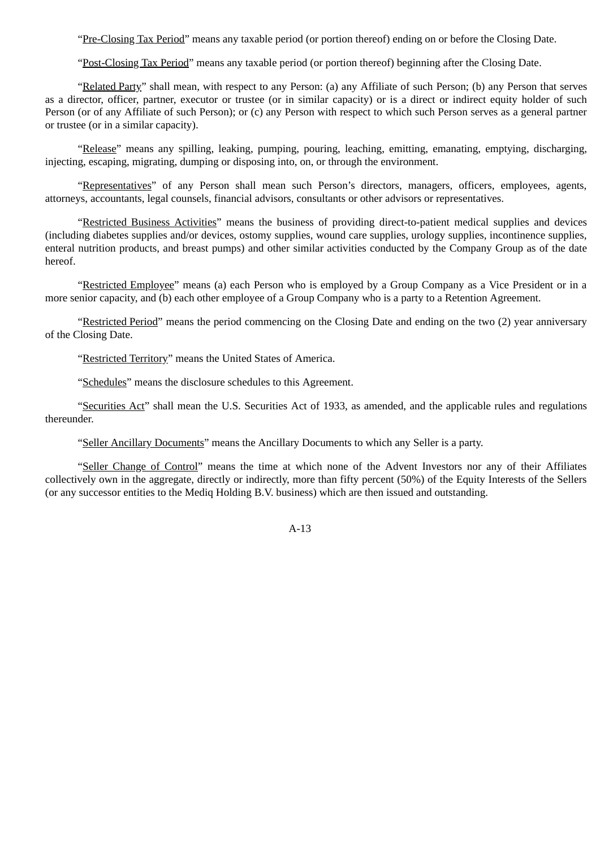"Pre-Closing Tax Period" means any taxable period (or portion thereof) ending on or before the Closing Date.

"Post-Closing Tax Period" means any taxable period (or portion thereof) beginning after the Closing Date.

"Related Party" shall mean, with respect to any Person: (a) any Affiliate of such Person; (b) any Person that serves as a director, officer, partner, executor or trustee (or in similar capacity) or is a direct or indirect equity holder of such Person (or of any Affiliate of such Person); or (c) any Person with respect to which such Person serves as a general partner or trustee (or in a similar capacity).

"Release" means any spilling, leaking, pumping, pouring, leaching, emitting, emanating, emptying, discharging, injecting, escaping, migrating, dumping or disposing into, on, or through the environment.

"Representatives" of any Person shall mean such Person's directors, managers, officers, employees, agents, attorneys, accountants, legal counsels, financial advisors, consultants or other advisors or representatives.

"Restricted Business Activities" means the business of providing direct-to-patient medical supplies and devices (including diabetes supplies and/or devices, ostomy supplies, wound care supplies, urology supplies, incontinence supplies, enteral nutrition products, and breast pumps) and other similar activities conducted by the Company Group as of the date hereof.

"Restricted Employee" means (a) each Person who is employed by a Group Company as a Vice President or in a more senior capacity, and (b) each other employee of a Group Company who is a party to a Retention Agreement.

"Restricted Period" means the period commencing on the Closing Date and ending on the two (2) year anniversary of the Closing Date.

"Restricted Territory" means the United States of America.

"Schedules" means the disclosure schedules to this Agreement.

"Securities Act" shall mean the U.S. Securities Act of 1933, as amended, and the applicable rules and regulations thereunder.

"Seller Ancillary Documents" means the Ancillary Documents to which any Seller is a party.

"Seller Change of Control" means the time at which none of the Advent Investors nor any of their Affiliates collectively own in the aggregate, directly or indirectly, more than fifty percent (50%) of the Equity Interests of the Sellers (or any successor entities to the Mediq Holding B.V. business) which are then issued and outstanding.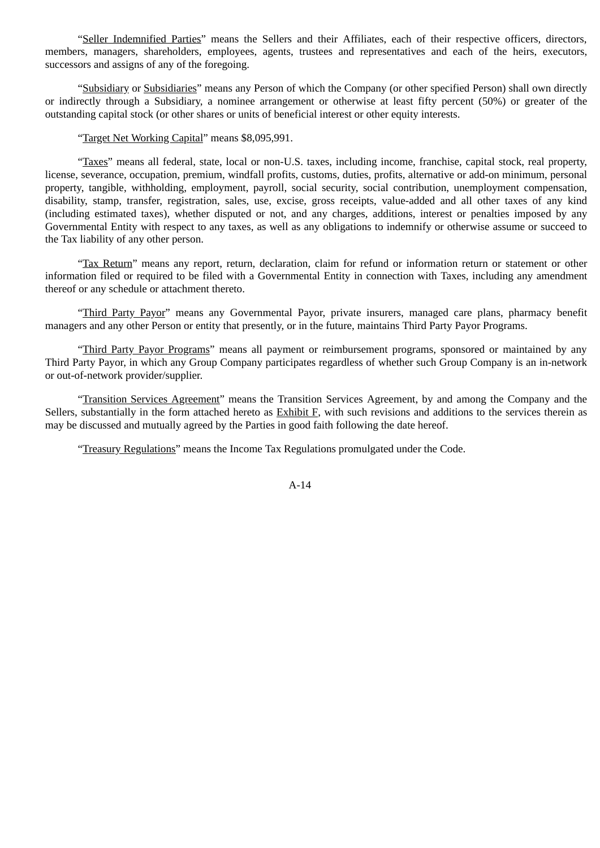"Seller Indemnified Parties" means the Sellers and their Affiliates, each of their respective officers, directors, members, managers, shareholders, employees, agents, trustees and representatives and each of the heirs, executors, successors and assigns of any of the foregoing.

"Subsidiary or Subsidiaries" means any Person of which the Company (or other specified Person) shall own directly or indirectly through a Subsidiary, a nominee arrangement or otherwise at least fifty percent (50%) or greater of the outstanding capital stock (or other shares or units of beneficial interest or other equity interests.

"Target Net Working Capital" means \$8,095,991.

"Taxes" means all federal, state, local or non-U.S. taxes, including income, franchise, capital stock, real property, license, severance, occupation, premium, windfall profits, customs, duties, profits, alternative or add-on minimum, personal property, tangible, withholding, employment, payroll, social security, social contribution, unemployment compensation, disability, stamp, transfer, registration, sales, use, excise, gross receipts, value-added and all other taxes of any kind (including estimated taxes), whether disputed or not, and any charges, additions, interest or penalties imposed by any Governmental Entity with respect to any taxes, as well as any obligations to indemnify or otherwise assume or succeed to the Tax liability of any other person.

"Tax Return" means any report, return, declaration, claim for refund or information return or statement or other information filed or required to be filed with a Governmental Entity in connection with Taxes, including any amendment thereof or any schedule or attachment thereto.

"Third Party Payor" means any Governmental Payor, private insurers, managed care plans, pharmacy benefit managers and any other Person or entity that presently, or in the future, maintains Third Party Payor Programs.

"Third Party Payor Programs" means all payment or reimbursement programs, sponsored or maintained by any Third Party Payor, in which any Group Company participates regardless of whether such Group Company is an in-network or out-of-network provider/supplier.

"Transition Services Agreement" means the Transition Services Agreement, by and among the Company and the Sellers, substantially in the form attached hereto as  $Exhibit F$ , with such revisions and additions to the services therein as may be discussed and mutually agreed by the Parties in good faith following the date hereof.

"Treasury Regulations" means the Income Tax Regulations promulgated under the Code.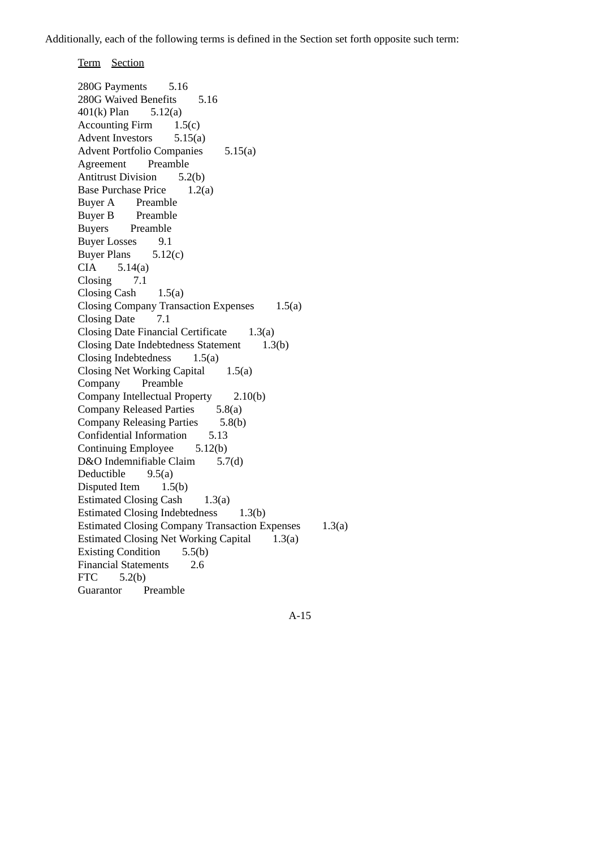Additionally, each of the following terms is defined in the Section set forth opposite such term:

Term Section 280G Payments 5.16 280G Waived Benefits 5.16 401(k) Plan 5.12(a) Accounting Firm 1.5(c) Advent Investors 5.15(a) Advent Portfolio Companies 5.15(a) Agreement Preamble Antitrust Division 5.2(b) Base Purchase Price 1.2(a) Buyer A Preamble Buyer B Preamble Buyers Preamble Buyer Losses 9.1 Buyer Plans 5.12(c) CIA 5.14(a) Closing 7.1 Closing Cash  $1.5(a)$ Closing Company Transaction Expenses 1.5(a) Closing Date 7.1 Closing Date Financial Certificate 1.3(a) Closing Date Indebtedness Statement 1.3(b) Closing Indebtedness 1.5(a) Closing Net Working Capital 1.5(a) Company Preamble Company Intellectual Property 2.10(b) Company Released Parties 5.8(a) Company Releasing Parties 5.8(b) Confidential Information 5.13 Continuing Employee 5.12(b) D&O Indemnifiable Claim 5.7(d) Deductible 9.5(a) Disputed Item 1.5(b) Estimated Closing Cash 1.3(a) Estimated Closing Indebtedness 1.3(b) Estimated Closing Company Transaction Expenses 1.3(a) Estimated Closing Net Working Capital 1.3(a) Existing Condition 5.5(b) Financial Statements 2.6 FTC 5.2(b) Guarantor Preamble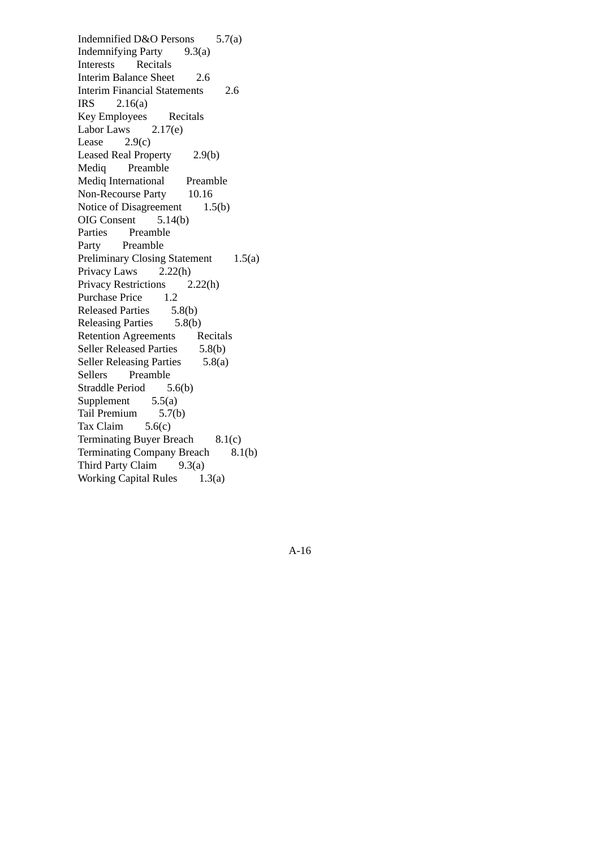Indemnified D&O Persons 5.7(a) Indemnifying Party 9.3(a) Interests Recitals Interim Balance Sheet 2.6 Interim Financial Statements 2.6 IRS 2.16(a) Key Employees Recitals Labor Laws 2.17(e) Lease  $2.9(c)$ Leased Real Property 2.9(b) Mediq Preamble Mediq International Preamble Non-Recourse Party 10.16 Notice of Disagreement 1.5(b) OIG Consent 5.14(b) Parties Preamble Party Preamble Preliminary Closing Statement 1.5(a) Privacy Laws 2.22(h) Privacy Restrictions 2.22(h) Purchase Price 1.2 Released Parties 5.8(b) Releasing Parties 5.8(b) Retention Agreements Recitals Seller Released Parties 5.8(b) Seller Releasing Parties 5.8(a) Sellers Preamble Straddle Period 5.6(b) Supplement 5.5(a) Tail Premium 5.7(b) Tax Claim  $5.6(c)$ Terminating Buyer Breach 8.1(c) Terminating Company Breach 8.1(b) Third Party Claim 9.3(a) Working Capital Rules 1.3(a)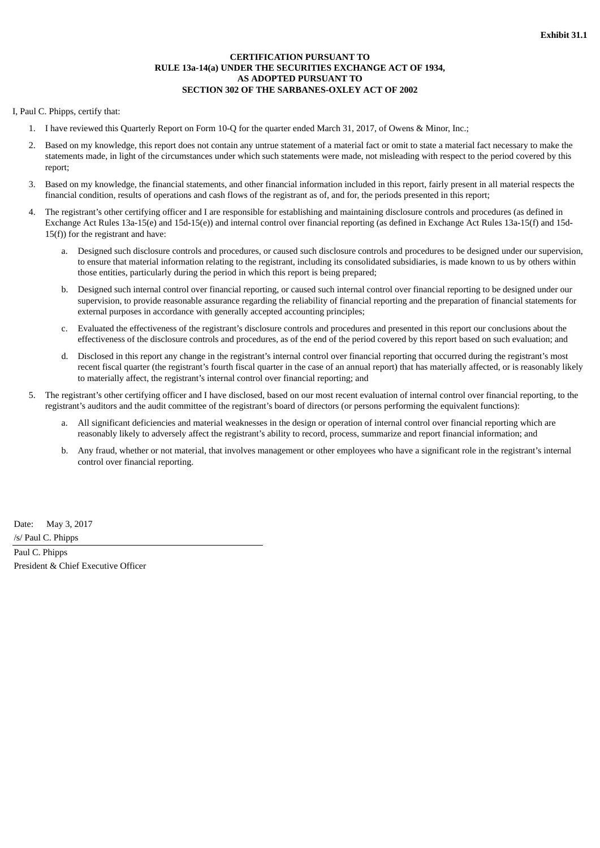# **CERTIFICATION PURSUANT TO RULE 13a-14(a) UNDER THE SECURITIES EXCHANGE ACT OF 1934, AS ADOPTED PURSUANT TO SECTION 302 OF THE SARBANES-OXLEY ACT OF 2002**

### I, Paul C. Phipps, certify that:

- 1. I have reviewed this Quarterly Report on Form 10-Q for the quarter ended March 31, 2017, of Owens & Minor, Inc.;
- 2. Based on my knowledge, this report does not contain any untrue statement of a material fact or omit to state a material fact necessary to make the statements made, in light of the circumstances under which such statements were made, not misleading with respect to the period covered by this report;
- 3. Based on my knowledge, the financial statements, and other financial information included in this report, fairly present in all material respects the financial condition, results of operations and cash flows of the registrant as of, and for, the periods presented in this report;
- 4. The registrant's other certifying officer and I are responsible for establishing and maintaining disclosure controls and procedures (as defined in Exchange Act Rules 13a-15(e) and 15d-15(e)) and internal control over financial reporting (as defined in Exchange Act Rules 13a-15(f) and 15d- $15(f)$ ) for the registrant and have:
	- a. Designed such disclosure controls and procedures, or caused such disclosure controls and procedures to be designed under our supervision, to ensure that material information relating to the registrant, including its consolidated subsidiaries, is made known to us by others within those entities, particularly during the period in which this report is being prepared;
	- b. Designed such internal control over financial reporting, or caused such internal control over financial reporting to be designed under our supervision, to provide reasonable assurance regarding the reliability of financial reporting and the preparation of financial statements for external purposes in accordance with generally accepted accounting principles;
	- c. Evaluated the effectiveness of the registrant's disclosure controls and procedures and presented in this report our conclusions about the effectiveness of the disclosure controls and procedures, as of the end of the period covered by this report based on such evaluation; and
	- d. Disclosed in this report any change in the registrant's internal control over financial reporting that occurred during the registrant's most recent fiscal quarter (the registrant's fourth fiscal quarter in the case of an annual report) that has materially affected, or is reasonably likely to materially affect, the registrant's internal control over financial reporting; and
- 5. The registrant's other certifying officer and I have disclosed, based on our most recent evaluation of internal control over financial reporting, to the registrant's auditors and the audit committee of the registrant's board of directors (or persons performing the equivalent functions):
	- a. All significant deficiencies and material weaknesses in the design or operation of internal control over financial reporting which are reasonably likely to adversely affect the registrant's ability to record, process, summarize and report financial information; and
	- b. Any fraud, whether or not material, that involves management or other employees who have a significant role in the registrant's internal control over financial reporting.

Date: May 3, 2017 /s/ Paul C. Phipps

Paul C. Phipps President & Chief Executive Officer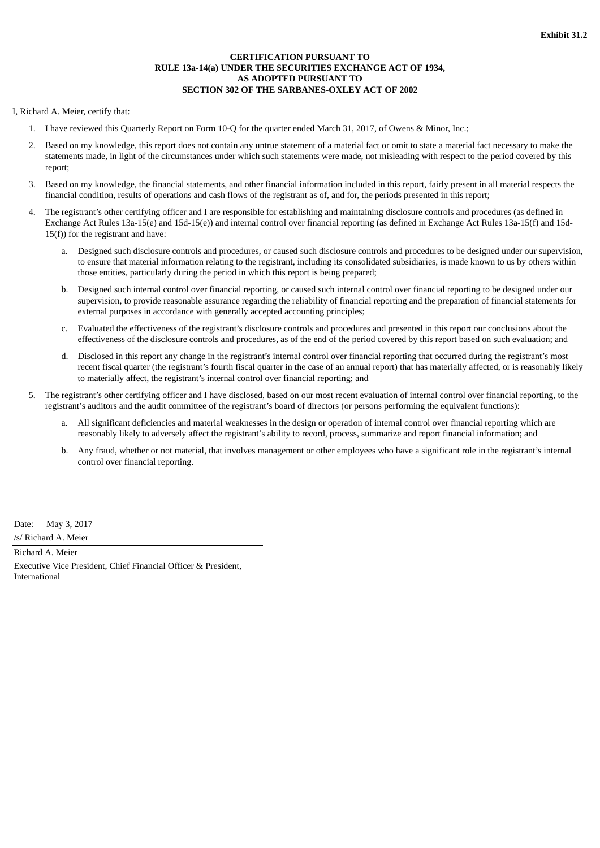# **CERTIFICATION PURSUANT TO RULE 13a-14(a) UNDER THE SECURITIES EXCHANGE ACT OF 1934, AS ADOPTED PURSUANT TO SECTION 302 OF THE SARBANES-OXLEY ACT OF 2002**

#### I, Richard A. Meier, certify that:

- 1. I have reviewed this Quarterly Report on Form 10-Q for the quarter ended March 31, 2017, of Owens & Minor, Inc.;
- 2. Based on my knowledge, this report does not contain any untrue statement of a material fact or omit to state a material fact necessary to make the statements made, in light of the circumstances under which such statements were made, not misleading with respect to the period covered by this report;
- 3. Based on my knowledge, the financial statements, and other financial information included in this report, fairly present in all material respects the financial condition, results of operations and cash flows of the registrant as of, and for, the periods presented in this report;
- 4. The registrant's other certifying officer and I are responsible for establishing and maintaining disclosure controls and procedures (as defined in Exchange Act Rules 13a-15(e) and 15d-15(e)) and internal control over financial reporting (as defined in Exchange Act Rules 13a-15(f) and 15d- $15(f)$ ) for the registrant and have:
	- a. Designed such disclosure controls and procedures, or caused such disclosure controls and procedures to be designed under our supervision, to ensure that material information relating to the registrant, including its consolidated subsidiaries, is made known to us by others within those entities, particularly during the period in which this report is being prepared;
	- b. Designed such internal control over financial reporting, or caused such internal control over financial reporting to be designed under our supervision, to provide reasonable assurance regarding the reliability of financial reporting and the preparation of financial statements for external purposes in accordance with generally accepted accounting principles;
	- c. Evaluated the effectiveness of the registrant's disclosure controls and procedures and presented in this report our conclusions about the effectiveness of the disclosure controls and procedures, as of the end of the period covered by this report based on such evaluation; and
	- d. Disclosed in this report any change in the registrant's internal control over financial reporting that occurred during the registrant's most recent fiscal quarter (the registrant's fourth fiscal quarter in the case of an annual report) that has materially affected, or is reasonably likely to materially affect, the registrant's internal control over financial reporting; and
- 5. The registrant's other certifying officer and I have disclosed, based on our most recent evaluation of internal control over financial reporting, to the registrant's auditors and the audit committee of the registrant's board of directors (or persons performing the equivalent functions):
	- a. All significant deficiencies and material weaknesses in the design or operation of internal control over financial reporting which are reasonably likely to adversely affect the registrant's ability to record, process, summarize and report financial information; and
	- b. Any fraud, whether or not material, that involves management or other employees who have a significant role in the registrant's internal control over financial reporting.

Date: May 3, 2017

/s/ Richard A. Meier

Richard A. Meier

Executive Vice President, Chief Financial Officer & President, International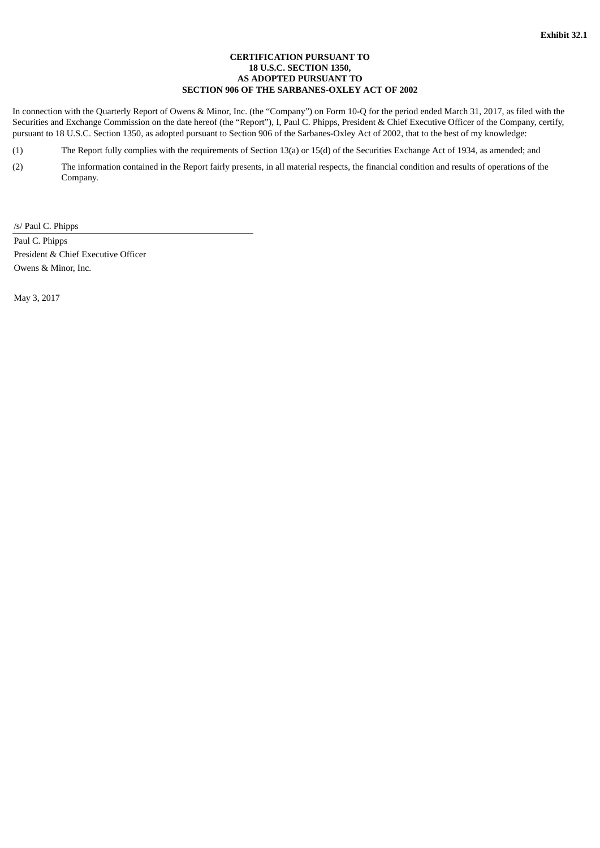## **CERTIFICATION PURSUANT TO 18 U.S.C. SECTION 1350, AS ADOPTED PURSUANT TO SECTION 906 OF THE SARBANES-OXLEY ACT OF 2002**

In connection with the Quarterly Report of Owens & Minor, Inc. (the "Company") on Form 10-Q for the period ended March 31, 2017, as filed with the Securities and Exchange Commission on the date hereof (the "Report"), I, Paul C. Phipps, President & Chief Executive Officer of the Company, certify, pursuant to 18 U.S.C. Section 1350, as adopted pursuant to Section 906 of the Sarbanes-Oxley Act of 2002, that to the best of my knowledge:

(1) The Report fully complies with the requirements of Section 13(a) or 15(d) of the Securities Exchange Act of 1934, as amended; and

(2) The information contained in the Report fairly presents, in all material respects, the financial condition and results of operations of the Company.

/s/ Paul C. Phipps

Paul C. Phipps President & Chief Executive Officer Owens & Minor, Inc.

May 3, 2017